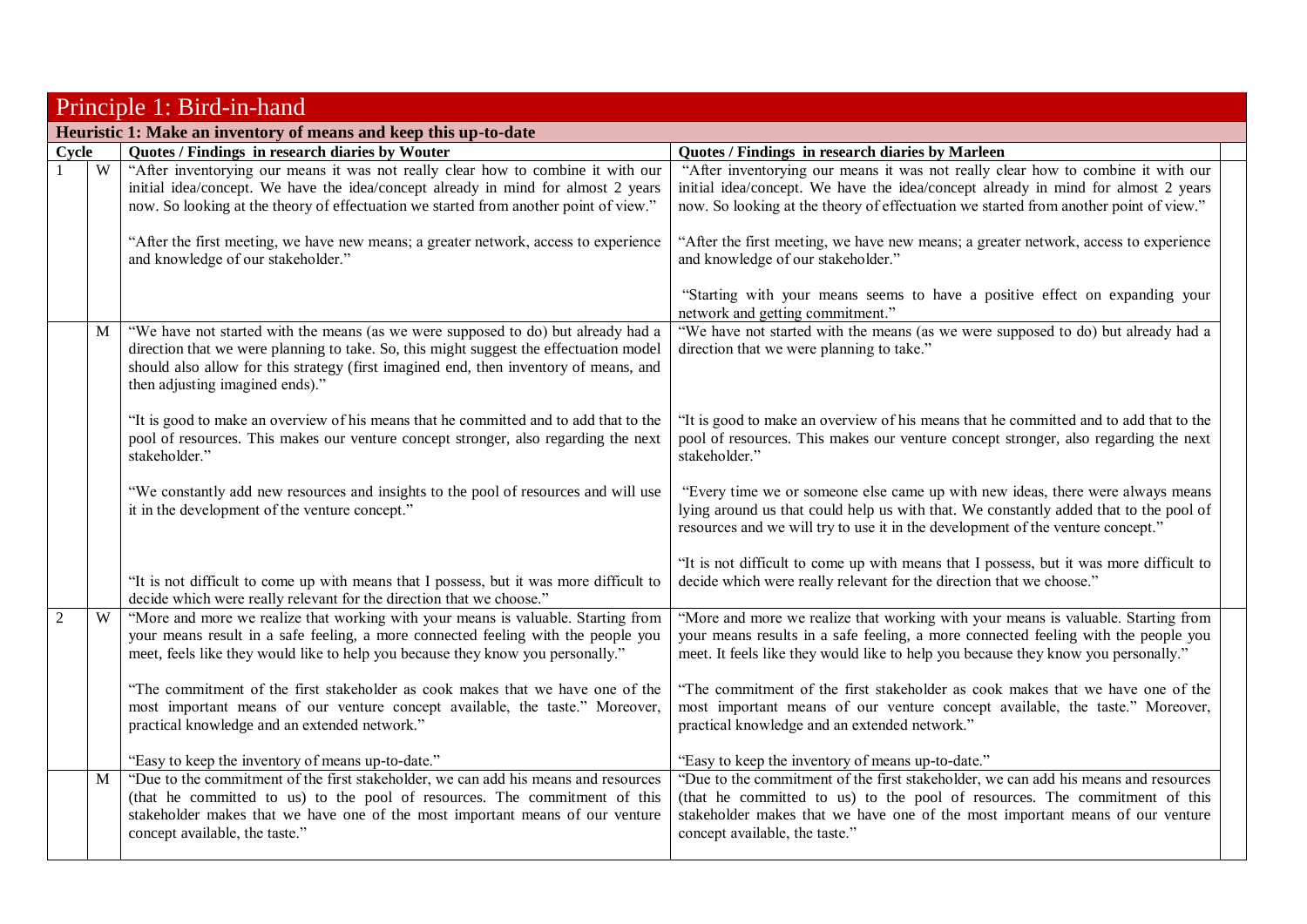|                | Principle 1: Bird-in-hand |                                                                                                                                                                                                                                                                                                         |                                                                                                                                                                                                                                                                                      |  |  |
|----------------|---------------------------|---------------------------------------------------------------------------------------------------------------------------------------------------------------------------------------------------------------------------------------------------------------------------------------------------------|--------------------------------------------------------------------------------------------------------------------------------------------------------------------------------------------------------------------------------------------------------------------------------------|--|--|
|                |                           | Heuristic 1: Make an inventory of means and keep this up-to-date                                                                                                                                                                                                                                        |                                                                                                                                                                                                                                                                                      |  |  |
| Cycle          |                           | Quotes / Findings in research diaries by Wouter                                                                                                                                                                                                                                                         | Quotes / Findings in research diaries by Marleen                                                                                                                                                                                                                                     |  |  |
|                | W                         | "After inventorying our means it was not really clear how to combine it with our<br>initial idea/concept. We have the idea/concept already in mind for almost 2 years<br>now. So looking at the theory of effectuation we started from another point of view."                                          | "After inventorying our means it was not really clear how to combine it with our<br>initial idea/concept. We have the idea/concept already in mind for almost 2 years<br>now. So looking at the theory of effectuation we started from another point of view."                       |  |  |
|                |                           | "After the first meeting, we have new means; a greater network, access to experience<br>and knowledge of our stakeholder."                                                                                                                                                                              | "After the first meeting, we have new means; a greater network, access to experience<br>and knowledge of our stakeholder."                                                                                                                                                           |  |  |
|                |                           |                                                                                                                                                                                                                                                                                                         | "Starting with your means seems to have a positive effect on expanding your<br>network and getting commitment."                                                                                                                                                                      |  |  |
|                | M                         | "We have not started with the means (as we were supposed to do) but already had a<br>direction that we were planning to take. So, this might suggest the effectuation model<br>should also allow for this strategy (first imagined end, then inventory of means, and<br>then adjusting imagined ends)." | "We have not started with the means (as we were supposed to do) but already had a<br>direction that we were planning to take."                                                                                                                                                       |  |  |
|                |                           | "It is good to make an overview of his means that he committed and to add that to the<br>pool of resources. This makes our venture concept stronger, also regarding the next<br>stakeholder."                                                                                                           | "It is good to make an overview of his means that he committed and to add that to the<br>pool of resources. This makes our venture concept stronger, also regarding the next<br>stakeholder."                                                                                        |  |  |
|                |                           | "We constantly add new resources and insights to the pool of resources and will use<br>it in the development of the venture concept."                                                                                                                                                                   | "Every time we or someone else came up with new ideas, there were always means<br>lying around us that could help us with that. We constantly added that to the pool of<br>resources and we will try to use it in the development of the venture concept."                           |  |  |
|                |                           | "It is not difficult to come up with means that I possess, but it was more difficult to<br>decide which were really relevant for the direction that we choose."                                                                                                                                         | "It is not difficult to come up with means that I possess, but it was more difficult to<br>decide which were really relevant for the direction that we choose."                                                                                                                      |  |  |
| $\overline{2}$ | W                         | "More and more we realize that working with your means is valuable. Starting from<br>your means result in a safe feeling, a more connected feeling with the people you<br>meet, feels like they would like to help you because they know you personally."                                               | "More and more we realize that working with your means is valuable. Starting from<br>your means results in a safe feeling, a more connected feeling with the people you<br>meet. It feels like they would like to help you because they know you personally."                        |  |  |
|                |                           | "The commitment of the first stakeholder as cook makes that we have one of the<br>most important means of our venture concept available, the taste." Moreover,<br>practical knowledge and an extended network."                                                                                         | "The commitment of the first stakeholder as cook makes that we have one of the<br>most important means of our venture concept available, the taste." Moreover,<br>practical knowledge and an extended network."                                                                      |  |  |
|                |                           | "Easy to keep the inventory of means up-to-date."                                                                                                                                                                                                                                                       | "Easy to keep the inventory of means up-to-date."                                                                                                                                                                                                                                    |  |  |
|                | M                         | "Due to the commitment of the first stakeholder, we can add his means and resources<br>(that he committed to us) to the pool of resources. The commitment of this<br>stakeholder makes that we have one of the most important means of our venture<br>concept available, the taste."                    | "Due to the commitment of the first stakeholder, we can add his means and resources<br>(that he committed to us) to the pool of resources. The commitment of this<br>stakeholder makes that we have one of the most important means of our venture<br>concept available, the taste." |  |  |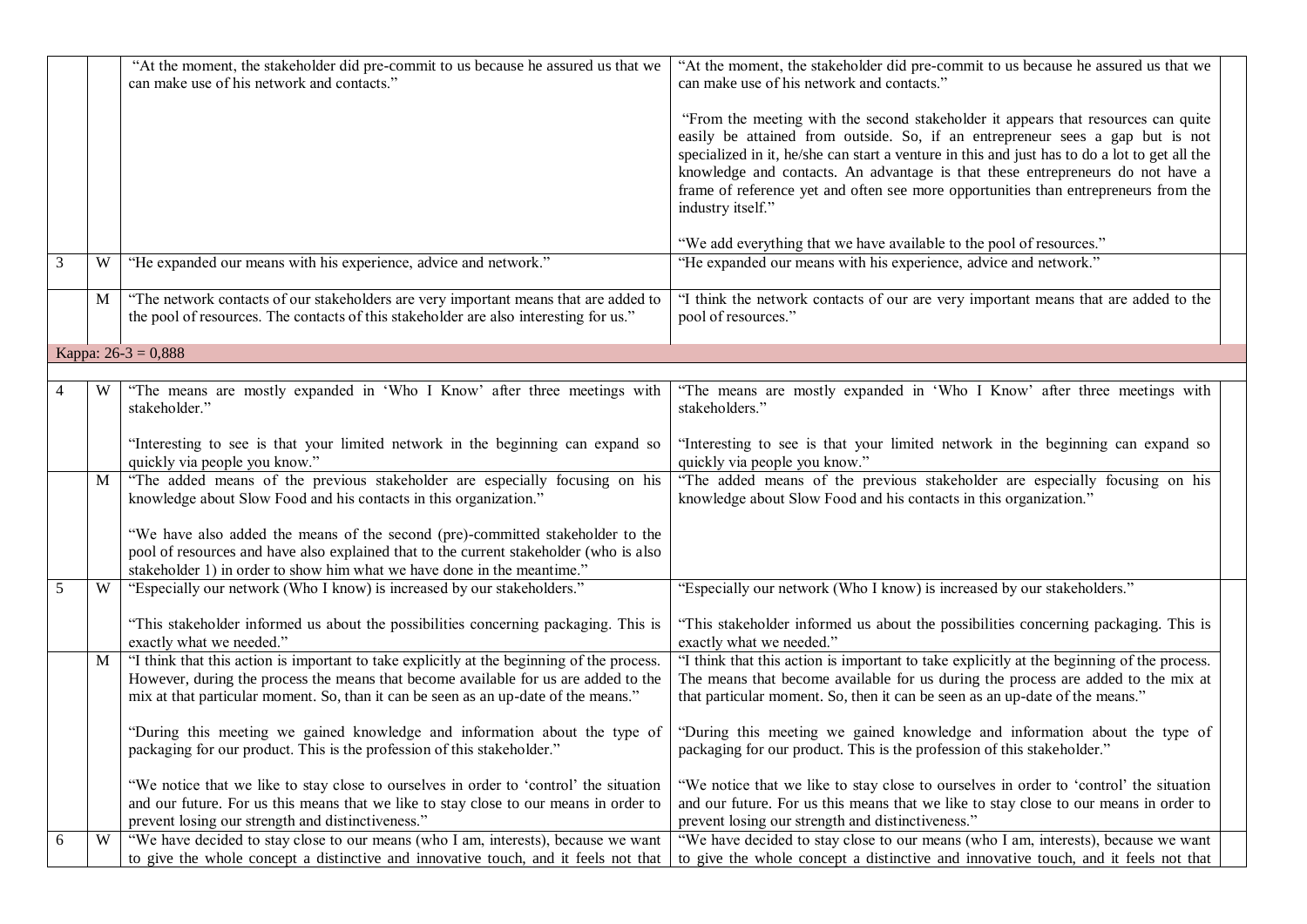|   |   | "At the moment, the stakeholder did pre-commit to us because he assured us that we<br>can make use of his network and contacts."                                                                                                                                                                                                                                                                        | "At the moment, the stakeholder did pre-commit to us because he assured us that we<br>can make use of his network and contacts."                                                                                                                                                                                                                                                                                                                                  |  |
|---|---|---------------------------------------------------------------------------------------------------------------------------------------------------------------------------------------------------------------------------------------------------------------------------------------------------------------------------------------------------------------------------------------------------------|-------------------------------------------------------------------------------------------------------------------------------------------------------------------------------------------------------------------------------------------------------------------------------------------------------------------------------------------------------------------------------------------------------------------------------------------------------------------|--|
|   |   |                                                                                                                                                                                                                                                                                                                                                                                                         | "From the meeting with the second stakeholder it appears that resources can quite<br>easily be attained from outside. So, if an entrepreneur sees a gap but is not<br>specialized in it, he/she can start a venture in this and just has to do a lot to get all the<br>knowledge and contacts. An advantage is that these entrepreneurs do not have a<br>frame of reference yet and often see more opportunities than entrepreneurs from the<br>industry itself." |  |
|   |   |                                                                                                                                                                                                                                                                                                                                                                                                         | "We add everything that we have available to the pool of resources."                                                                                                                                                                                                                                                                                                                                                                                              |  |
| 3 | W | "He expanded our means with his experience, advice and network."                                                                                                                                                                                                                                                                                                                                        | "He expanded our means with his experience, advice and network."                                                                                                                                                                                                                                                                                                                                                                                                  |  |
|   | M | "The network contacts of our stakeholders are very important means that are added to<br>the pool of resources. The contacts of this stakeholder are also interesting for us."                                                                                                                                                                                                                           | "I think the network contacts of our are very important means that are added to the<br>pool of resources."                                                                                                                                                                                                                                                                                                                                                        |  |
|   |   | Kappa: $26-3 = 0,888$                                                                                                                                                                                                                                                                                                                                                                                   |                                                                                                                                                                                                                                                                                                                                                                                                                                                                   |  |
|   |   |                                                                                                                                                                                                                                                                                                                                                                                                         |                                                                                                                                                                                                                                                                                                                                                                                                                                                                   |  |
|   | W | "The means are mostly expanded in 'Who I Know' after three meetings with<br>stakeholder."                                                                                                                                                                                                                                                                                                               | "The means are mostly expanded in 'Who I Know' after three meetings with<br>stakeholders."                                                                                                                                                                                                                                                                                                                                                                        |  |
|   |   | "Interesting to see is that your limited network in the beginning can expand so<br>quickly via people you know."                                                                                                                                                                                                                                                                                        | "Interesting to see is that your limited network in the beginning can expand so<br>quickly via people you know."                                                                                                                                                                                                                                                                                                                                                  |  |
|   | M | "The added means of the previous stakeholder are especially focusing on his<br>knowledge about Slow Food and his contacts in this organization."<br>"We have also added the means of the second (pre)-committed stakeholder to the<br>pool of resources and have also explained that to the current stakeholder (who is also<br>stakeholder 1) in order to show him what we have done in the meantime." | "The added means of the previous stakeholder are especially focusing on his<br>knowledge about Slow Food and his contacts in this organization."                                                                                                                                                                                                                                                                                                                  |  |
| 5 | W | "Especially our network (Who I know) is increased by our stakeholders."                                                                                                                                                                                                                                                                                                                                 | "Especially our network (Who I know) is increased by our stakeholders."                                                                                                                                                                                                                                                                                                                                                                                           |  |
|   |   | "This stakeholder informed us about the possibilities concerning packaging. This is<br>exactly what we needed."                                                                                                                                                                                                                                                                                         | "This stakeholder informed us about the possibilities concerning packaging. This is<br>exactly what we needed."                                                                                                                                                                                                                                                                                                                                                   |  |
|   | M | "I think that this action is important to take explicitly at the beginning of the process.<br>However, during the process the means that become available for us are added to the<br>mix at that particular moment. So, than it can be seen as an up-date of the means."                                                                                                                                | "I think that this action is important to take explicitly at the beginning of the process.<br>The means that become available for us during the process are added to the mix at<br>that particular moment. So, then it can be seen as an up-date of the means."                                                                                                                                                                                                   |  |
|   |   | "During this meeting we gained knowledge and information about the type of<br>packaging for our product. This is the profession of this stakeholder."                                                                                                                                                                                                                                                   | "During this meeting we gained knowledge and information about the type of<br>packaging for our product. This is the profession of this stakeholder."                                                                                                                                                                                                                                                                                                             |  |
|   |   | "We notice that we like to stay close to ourselves in order to 'control' the situation<br>and our future. For us this means that we like to stay close to our means in order to<br>prevent losing our strength and distinctiveness."                                                                                                                                                                    | "We notice that we like to stay close to ourselves in order to 'control' the situation<br>and our future. For us this means that we like to stay close to our means in order to<br>prevent losing our strength and distinctiveness."                                                                                                                                                                                                                              |  |
| 6 | W | "We have decided to stay close to our means (who I am, interests), because we want<br>to give the whole concept a distinctive and innovative touch, and it feels not that                                                                                                                                                                                                                               | "We have decided to stay close to our means (who I am, interests), because we want<br>to give the whole concept a distinctive and innovative touch, and it feels not that                                                                                                                                                                                                                                                                                         |  |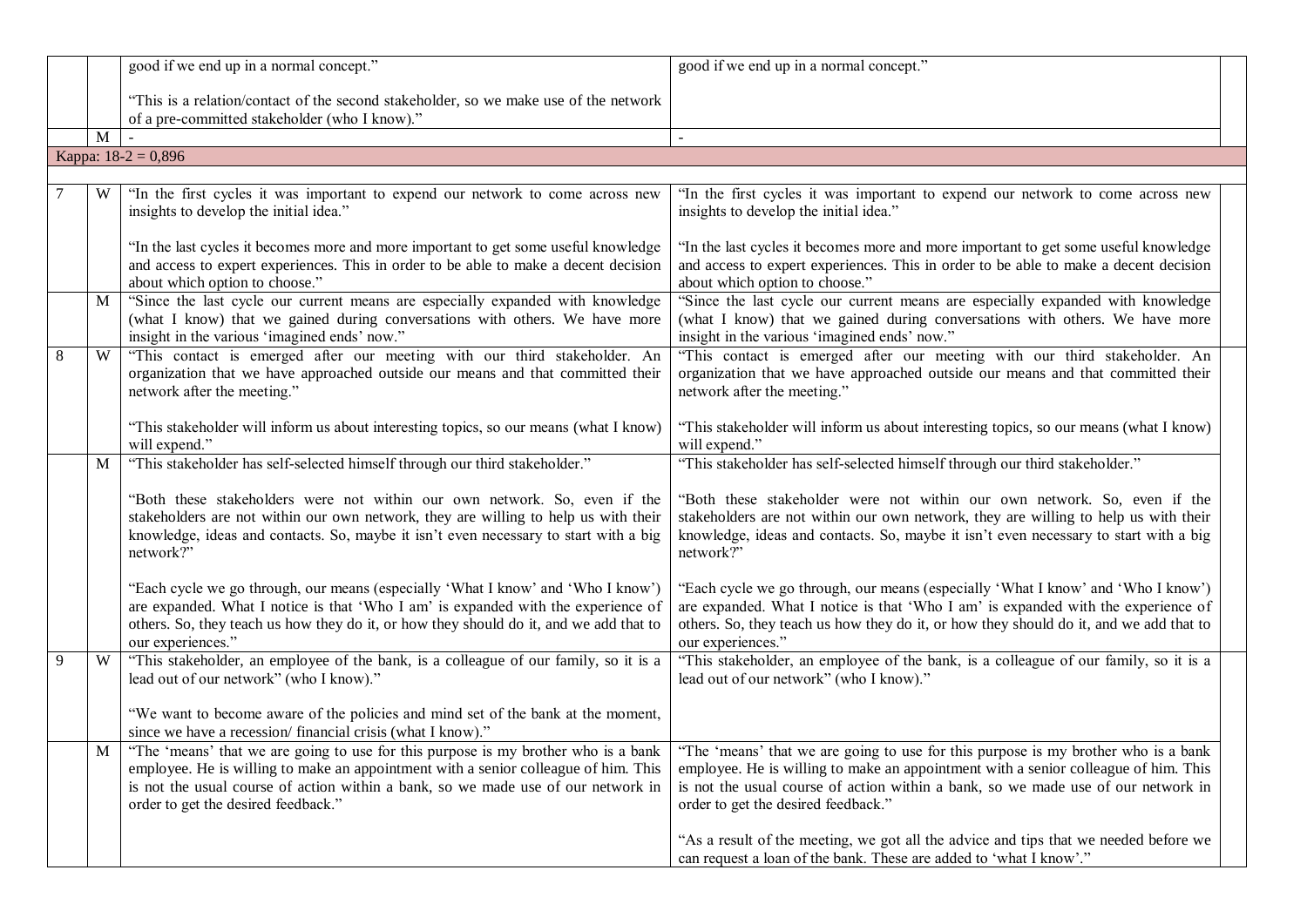|   |   | good if we end up in a normal concept."                                                                                                                                                                                                                                                                                                                                                        | good if we end up in a normal concept."                                                                                                                                                                                                                                              |
|---|---|------------------------------------------------------------------------------------------------------------------------------------------------------------------------------------------------------------------------------------------------------------------------------------------------------------------------------------------------------------------------------------------------|--------------------------------------------------------------------------------------------------------------------------------------------------------------------------------------------------------------------------------------------------------------------------------------|
|   |   |                                                                                                                                                                                                                                                                                                                                                                                                |                                                                                                                                                                                                                                                                                      |
|   |   | "This is a relation/contact of the second stakeholder, so we make use of the network                                                                                                                                                                                                                                                                                                           |                                                                                                                                                                                                                                                                                      |
|   |   | of a pre-committed stakeholder (who I know)."                                                                                                                                                                                                                                                                                                                                                  |                                                                                                                                                                                                                                                                                      |
|   | M | Kappa: $18-2 = 0,896$                                                                                                                                                                                                                                                                                                                                                                          |                                                                                                                                                                                                                                                                                      |
|   |   |                                                                                                                                                                                                                                                                                                                                                                                                |                                                                                                                                                                                                                                                                                      |
|   | W | "In the first cycles it was important to expend our network to come across new                                                                                                                                                                                                                                                                                                                 | "In the first cycles it was important to expend our network to come across new                                                                                                                                                                                                       |
|   |   | insights to develop the initial idea."                                                                                                                                                                                                                                                                                                                                                         | insights to develop the initial idea."                                                                                                                                                                                                                                               |
|   |   | "In the last cycles it becomes more and more important to get some useful knowledge<br>and access to expert experiences. This in order to be able to make a decent decision<br>about which option to choose."                                                                                                                                                                                  | "In the last cycles it becomes more and more important to get some useful knowledge<br>and access to expert experiences. This in order to be able to make a decent decision<br>about which option to choose."                                                                        |
|   | M | "Since the last cycle our current means are especially expanded with knowledge<br>(what I know) that we gained during conversations with others. We have more<br>insight in the various 'imagined ends' now."                                                                                                                                                                                  | "Since the last cycle our current means are especially expanded with knowledge<br>(what I know) that we gained during conversations with others. We have more<br>insight in the various 'imagined ends' now."                                                                        |
| 8 | W | "This contact is emerged after our meeting with our third stakeholder. An<br>organization that we have approached outside our means and that committed their<br>network after the meeting."                                                                                                                                                                                                    | "This contact is emerged after our meeting with our third stakeholder. An<br>organization that we have approached outside our means and that committed their<br>network after the meeting."                                                                                          |
|   |   | "This stakeholder will inform us about interesting topics, so our means (what I know)<br>will expend."                                                                                                                                                                                                                                                                                         | "This stakeholder will inform us about interesting topics, so our means (what I know)<br>will expend."                                                                                                                                                                               |
|   | M | "This stakeholder has self-selected himself through our third stakeholder."                                                                                                                                                                                                                                                                                                                    | "This stakeholder has self-selected himself through our third stakeholder."                                                                                                                                                                                                          |
|   |   | "Both these stakeholders were not within our own network. So, even if the<br>stakeholders are not within our own network, they are willing to help us with their<br>knowledge, ideas and contacts. So, maybe it isn't even necessary to start with a big<br>network?"                                                                                                                          | "Both these stakeholder were not within our own network. So, even if the<br>stakeholders are not within our own network, they are willing to help us with their<br>knowledge, ideas and contacts. So, maybe it isn't even necessary to start with a big<br>network?"                 |
|   |   | "Each cycle we go through, our means (especially 'What I know' and 'Who I know')<br>are expanded. What I notice is that 'Who I am' is expanded with the experience of<br>others. So, they teach us how they do it, or how they should do it, and we add that to<br>our experiences."                                                                                                           | "Each cycle we go through, our means (especially 'What I know' and 'Who I know')<br>are expanded. What I notice is that 'Who I am' is expanded with the experience of<br>others. So, they teach us how they do it, or how they should do it, and we add that to<br>our experiences." |
| 9 | W | "This stakeholder, an employee of the bank, is a colleague of our family, so it is a<br>lead out of our network" (who I know)."                                                                                                                                                                                                                                                                | "This stakeholder, an employee of the bank, is a colleague of our family, so it is a<br>lead out of our network" (who I know)."                                                                                                                                                      |
|   |   | "We want to become aware of the policies and mind set of the bank at the moment,<br>since we have a recession/ financial crisis (what I know)."                                                                                                                                                                                                                                                |                                                                                                                                                                                                                                                                                      |
|   |   | M   "The 'means' that we are going to use for this purpose is my brother who is a bank   "The 'means' that we are going to use for this purpose is my brother who is a bank<br>employee. He is willing to make an appointment with a senior colleague of him. This<br>is not the usual course of action within a bank, so we made use of our network in<br>order to get the desired feedback." | employee. He is willing to make an appointment with a senior colleague of him. This<br>is not the usual course of action within a bank, so we made use of our network in<br>order to get the desired feedback."                                                                      |
|   |   |                                                                                                                                                                                                                                                                                                                                                                                                | "As a result of the meeting, we got all the advice and tips that we needed before we<br>can request a loan of the bank. These are added to 'what I know'."                                                                                                                           |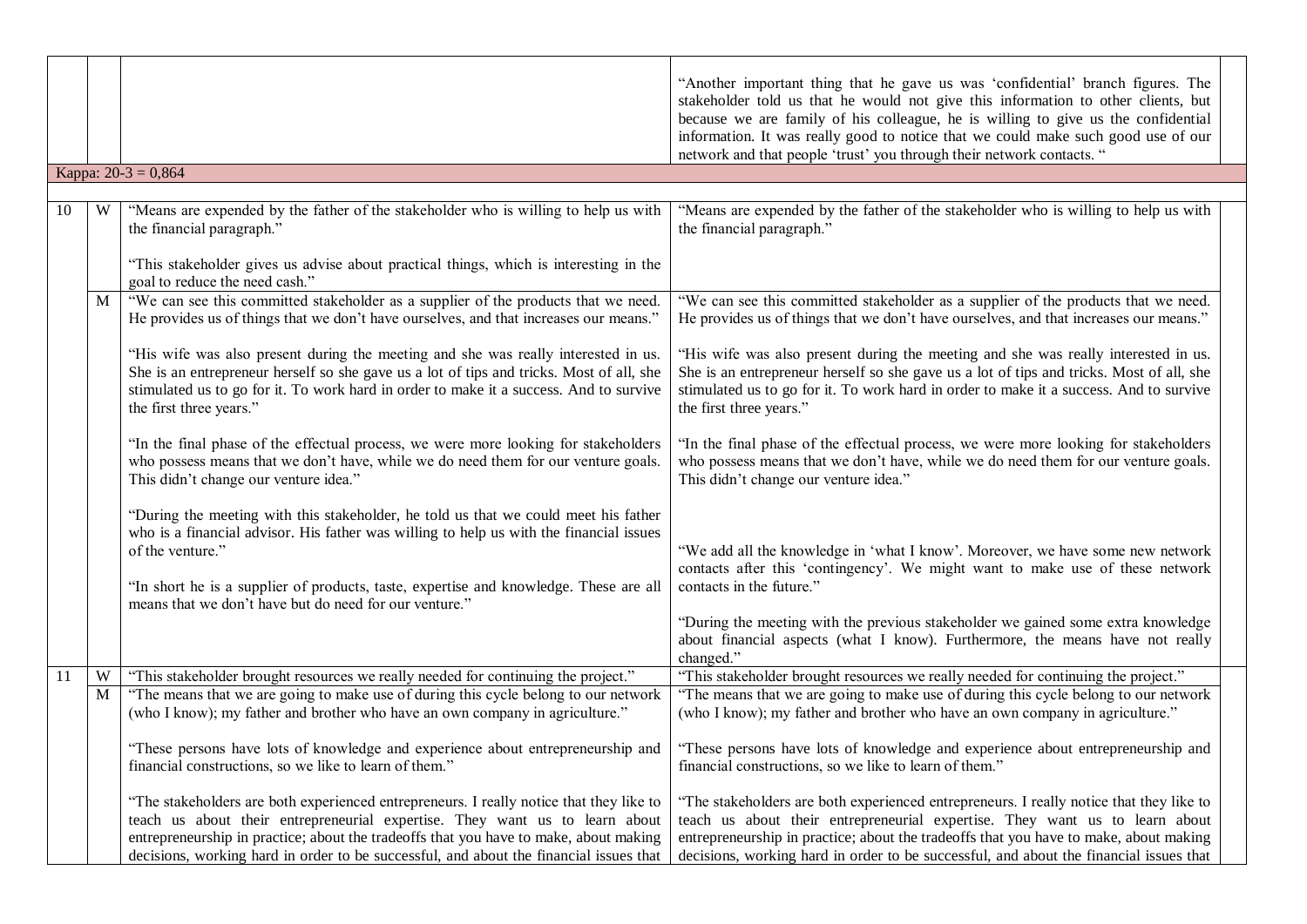|    |   |                                                                                                                                                                                                                                                                                                                                                           | "Another important thing that he gave us was 'confidential' branch figures. The<br>stakeholder told us that he would not give this information to other clients, but<br>because we are family of his colleague, he is willing to give us the confidential<br>information. It was really good to notice that we could make such good use of our<br>network and that people 'trust' you through their network contacts. " |
|----|---|-----------------------------------------------------------------------------------------------------------------------------------------------------------------------------------------------------------------------------------------------------------------------------------------------------------------------------------------------------------|-------------------------------------------------------------------------------------------------------------------------------------------------------------------------------------------------------------------------------------------------------------------------------------------------------------------------------------------------------------------------------------------------------------------------|
|    |   | Kappa: $20-3 = 0,864$                                                                                                                                                                                                                                                                                                                                     |                                                                                                                                                                                                                                                                                                                                                                                                                         |
| 10 | W | "Means are expended by the father of the stakeholder who is willing to help us with<br>the financial paragraph."<br>"This stakeholder gives us advise about practical things, which is interesting in the                                                                                                                                                 | "Means are expended by the father of the stakeholder who is willing to help us with<br>the financial paragraph."                                                                                                                                                                                                                                                                                                        |
|    |   | goal to reduce the need cash."                                                                                                                                                                                                                                                                                                                            |                                                                                                                                                                                                                                                                                                                                                                                                                         |
|    | M | "We can see this committed stakeholder as a supplier of the products that we need.<br>He provides us of things that we don't have ourselves, and that increases our means.'                                                                                                                                                                               | "We can see this committed stakeholder as a supplier of the products that we need.<br>He provides us of things that we don't have ourselves, and that increases our means."                                                                                                                                                                                                                                             |
|    |   | "His wife was also present during the meeting and she was really interested in us.<br>She is an entrepreneur herself so she gave us a lot of tips and tricks. Most of all, she<br>stimulated us to go for it. To work hard in order to make it a success. And to survive<br>the first three years."                                                       | "His wife was also present during the meeting and she was really interested in us.<br>She is an entrepreneur herself so she gave us a lot of tips and tricks. Most of all, she<br>stimulated us to go for it. To work hard in order to make it a success. And to survive<br>the first three years."                                                                                                                     |
|    |   | "In the final phase of the effectual process, we were more looking for stakeholders<br>who possess means that we don't have, while we do need them for our venture goals.<br>This didn't change our venture idea."                                                                                                                                        | "In the final phase of the effectual process, we were more looking for stakeholders<br>who possess means that we don't have, while we do need them for our venture goals.<br>This didn't change our venture idea."                                                                                                                                                                                                      |
|    |   | "During the meeting with this stakeholder, he told us that we could meet his father<br>who is a financial advisor. His father was willing to help us with the financial issues<br>of the venture."<br>"In short he is a supplier of products, taste, expertise and knowledge. These are all<br>means that we don't have but do need for our venture."     | "We add all the knowledge in 'what I know'. Moreover, we have some new network<br>contacts after this 'contingency'. We might want to make use of these network<br>contacts in the future."<br>"During the meeting with the previous stakeholder we gained some extra knowledge<br>about financial aspects (what I know). Furthermore, the means have not really                                                        |
| 11 | W | "This stakeholder brought resources we really needed for continuing the project."                                                                                                                                                                                                                                                                         | changed."<br>"This stakeholder brought resources we really needed for continuing the project."                                                                                                                                                                                                                                                                                                                          |
|    | M | "The means that we are going to make use of during this cycle belong to our network<br>(who I know); my father and brother who have an own company in agriculture."                                                                                                                                                                                       | "The means that we are going to make use of during this cycle belong to our network<br>(who I know); my father and brother who have an own company in agriculture."                                                                                                                                                                                                                                                     |
|    |   | financial constructions, so we like to learn of them."                                                                                                                                                                                                                                                                                                    | "These persons have lots of knowledge and experience about entrepreneurship and   "These persons have lots of knowledge and experience about entrepreneurship and<br>financial constructions, so we like to learn of them."                                                                                                                                                                                             |
|    |   | "The stakeholders are both experienced entrepreneurs. I really notice that they like to<br>teach us about their entrepreneurial expertise. They want us to learn about<br>entrepreneurship in practice; about the tradeoffs that you have to make, about making<br>decisions, working hard in order to be successful, and about the financial issues that | "The stakeholders are both experienced entrepreneurs. I really notice that they like to<br>teach us about their entrepreneurial expertise. They want us to learn about<br>entrepreneurship in practice; about the tradeoffs that you have to make, about making<br>decisions, working hard in order to be successful, and about the financial issues that                                                               |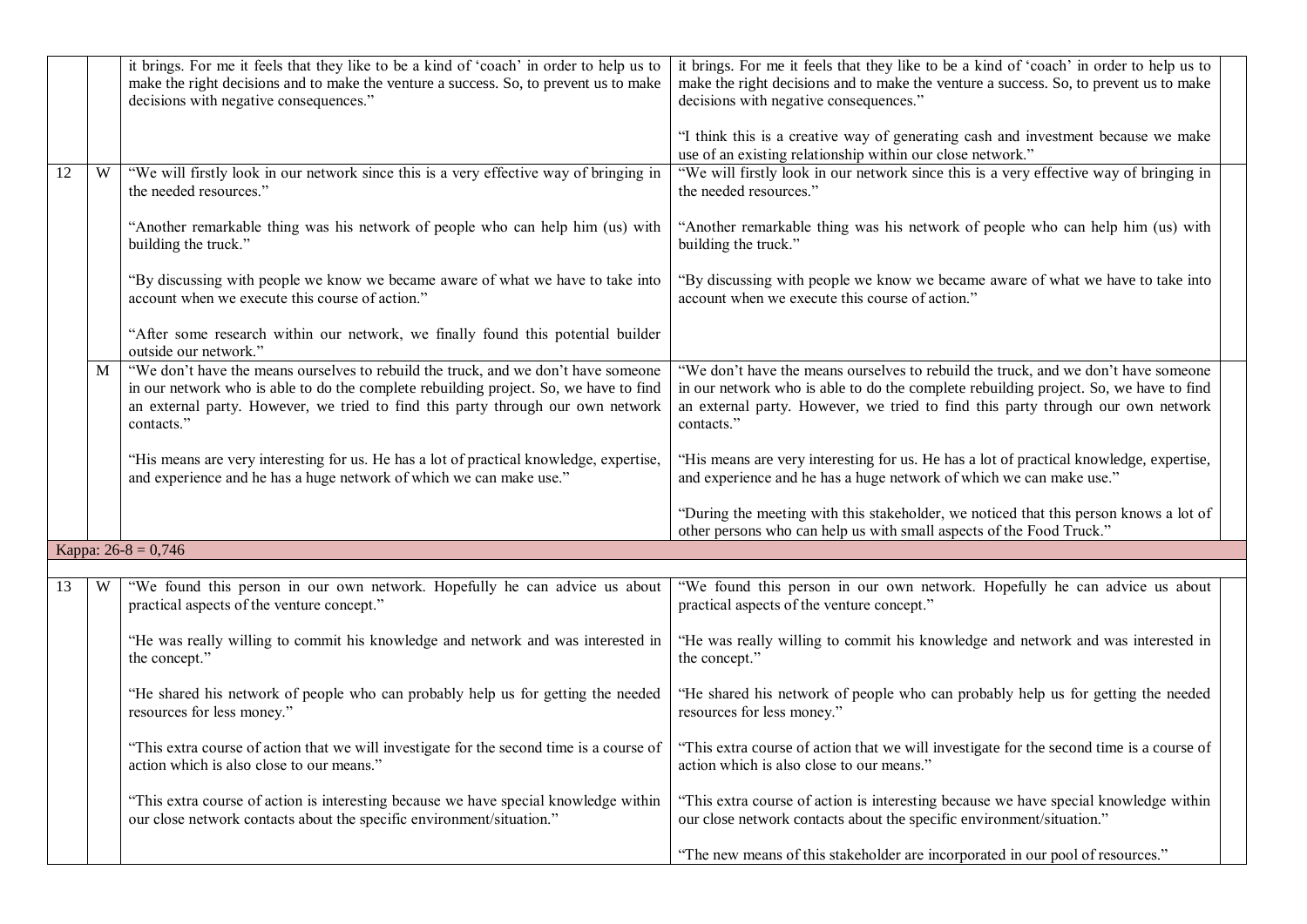|    |   | it brings. For me it feels that they like to be a kind of 'coach' in order to help us to<br>make the right decisions and to make the venture a success. So, to prevent us to make<br>decisions with negative consequences."                                                  | it brings. For me it feels that they like to be a kind of 'coach' in order to help us to<br>make the right decisions and to make the venture a success. So, to prevent us to make<br>decisions with negative consequences."                                                  |
|----|---|------------------------------------------------------------------------------------------------------------------------------------------------------------------------------------------------------------------------------------------------------------------------------|------------------------------------------------------------------------------------------------------------------------------------------------------------------------------------------------------------------------------------------------------------------------------|
|    |   |                                                                                                                                                                                                                                                                              | "I think this is a creative way of generating cash and investment because we make<br>use of an existing relationship within our close network."                                                                                                                              |
| 12 | W | "We will firstly look in our network since this is a very effective way of bringing in<br>the needed resources."                                                                                                                                                             | "We will firstly look in our network since this is a very effective way of bringing in<br>the needed resources."                                                                                                                                                             |
|    |   | "Another remarkable thing was his network of people who can help him (us) with<br>building the truck."                                                                                                                                                                       | "Another remarkable thing was his network of people who can help him (us) with<br>building the truck."                                                                                                                                                                       |
|    |   | "By discussing with people we know we became aware of what we have to take into<br>account when we execute this course of action."                                                                                                                                           | "By discussing with people we know we became aware of what we have to take into<br>account when we execute this course of action."                                                                                                                                           |
|    |   | "After some research within our network, we finally found this potential builder<br>outside our network."                                                                                                                                                                    |                                                                                                                                                                                                                                                                              |
|    | M | "We don't have the means ourselves to rebuild the truck, and we don't have someone<br>in our network who is able to do the complete rebuilding project. So, we have to find<br>an external party. However, we tried to find this party through our own network<br>contacts." | "We don't have the means ourselves to rebuild the truck, and we don't have someone<br>in our network who is able to do the complete rebuilding project. So, we have to find<br>an external party. However, we tried to find this party through our own network<br>contacts." |
|    |   | "His means are very interesting for us. He has a lot of practical knowledge, expertise,<br>and experience and he has a huge network of which we can make use."                                                                                                               | "His means are very interesting for us. He has a lot of practical knowledge, expertise,<br>and experience and he has a huge network of which we can make use."                                                                                                               |
|    |   |                                                                                                                                                                                                                                                                              | "During the meeting with this stakeholder, we noticed that this person knows a lot of<br>other persons who can help us with small aspects of the Food Truck."                                                                                                                |
|    |   | Kappa: $26-8 = 0,746$                                                                                                                                                                                                                                                        |                                                                                                                                                                                                                                                                              |
| 13 | W | "We found this person in our own network. Hopefully he can advice us about<br>practical aspects of the venture concept."                                                                                                                                                     | "We found this person in our own network. Hopefully he can advice us about<br>practical aspects of the venture concept."                                                                                                                                                     |
|    |   | "He was really willing to commit his knowledge and network and was interested in<br>the concept."                                                                                                                                                                            | "He was really willing to commit his knowledge and network and was interested in<br>the concept."                                                                                                                                                                            |
|    |   | "He shared his network of people who can probably help us for getting the needed<br>resources for less money."                                                                                                                                                               | "He shared his network of people who can probably help us for getting the needed<br>resources for less money."                                                                                                                                                               |
|    |   | action which is also close to our means."                                                                                                                                                                                                                                    | "This extra course of action that we will investigate for the second time is a course of "This extra course of action that we will investigate for the second time is a course of<br>action which is also close to our means."                                               |
|    |   | "This extra course of action is interesting because we have special knowledge within<br>our close network contacts about the specific environment/situation."                                                                                                                | "This extra course of action is interesting because we have special knowledge within<br>our close network contacts about the specific environment/situation."                                                                                                                |
|    |   |                                                                                                                                                                                                                                                                              | "The new means of this stakeholder are incorporated in our pool of resources."                                                                                                                                                                                               |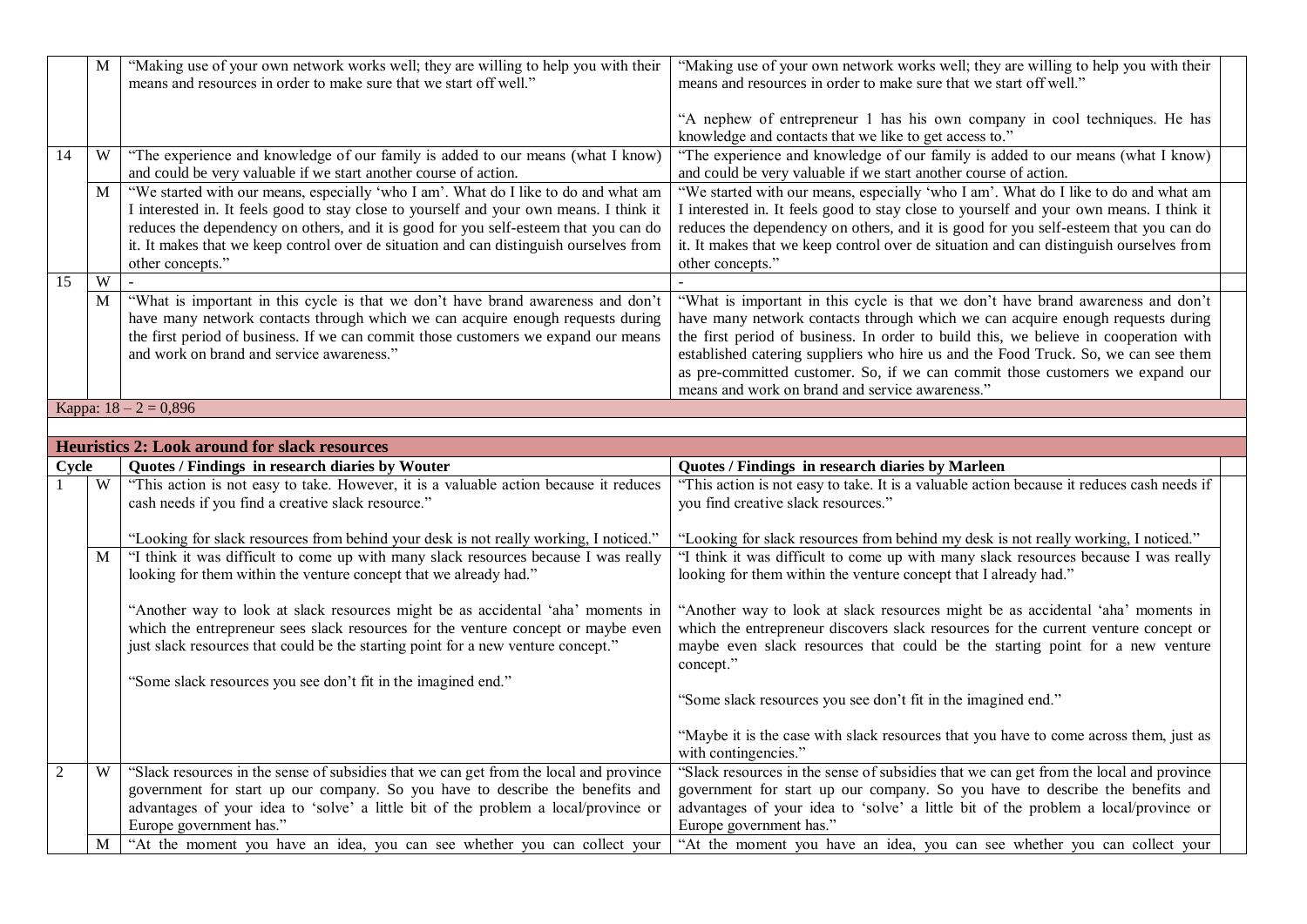|                | $\mathbf{M}$ | "Making use of your own network works well; they are willing to help you with their<br>means and resources in order to make sure that we start off well."                                                                                                                                                                                                                            | "Making use of your own network works well; they are willing to help you with their<br>means and resources in order to make sure that we start off well."                                                                                                                                                                                                                                                                                                                            |  |
|----------------|--------------|--------------------------------------------------------------------------------------------------------------------------------------------------------------------------------------------------------------------------------------------------------------------------------------------------------------------------------------------------------------------------------------|--------------------------------------------------------------------------------------------------------------------------------------------------------------------------------------------------------------------------------------------------------------------------------------------------------------------------------------------------------------------------------------------------------------------------------------------------------------------------------------|--|
|                |              |                                                                                                                                                                                                                                                                                                                                                                                      | "A nephew of entrepreneur 1 has his own company in cool techniques. He has<br>knowledge and contacts that we like to get access to."                                                                                                                                                                                                                                                                                                                                                 |  |
| 14             | W            | "The experience and knowledge of our family is added to our means (what I know)<br>and could be very valuable if we start another course of action.                                                                                                                                                                                                                                  | "The experience and knowledge of our family is added to our means (what I know)<br>and could be very valuable if we start another course of action.                                                                                                                                                                                                                                                                                                                                  |  |
|                | M            | "We started with our means, especially 'who I am'. What do I like to do and what am<br>I interested in. It feels good to stay close to yourself and your own means. I think it<br>reduces the dependency on others, and it is good for you self-esteem that you can do<br>it. It makes that we keep control over de situation and can distinguish ourselves from<br>other concepts." | "We started with our means, especially 'who I am'. What do I like to do and what am<br>I interested in. It feels good to stay close to yourself and your own means. I think it<br>reduces the dependency on others, and it is good for you self-esteem that you can do<br>it. It makes that we keep control over de situation and can distinguish ourselves from<br>other concepts."                                                                                                 |  |
| 15             | W            |                                                                                                                                                                                                                                                                                                                                                                                      |                                                                                                                                                                                                                                                                                                                                                                                                                                                                                      |  |
|                | M            | "What is important in this cycle is that we don't have brand awareness and don't<br>have many network contacts through which we can acquire enough requests during<br>the first period of business. If we can commit those customers we expand our means<br>and work on brand and service awareness."                                                                                | "What is important in this cycle is that we don't have brand awareness and don't<br>have many network contacts through which we can acquire enough requests during<br>the first period of business. In order to build this, we believe in cooperation with<br>established catering suppliers who hire us and the Food Truck. So, we can see them<br>as pre-committed customer. So, if we can commit those customers we expand our<br>means and work on brand and service awareness." |  |
|                |              | Kappa: $18 - 2 = 0,896$                                                                                                                                                                                                                                                                                                                                                              |                                                                                                                                                                                                                                                                                                                                                                                                                                                                                      |  |
|                |              |                                                                                                                                                                                                                                                                                                                                                                                      |                                                                                                                                                                                                                                                                                                                                                                                                                                                                                      |  |
|                |              | <b>Heuristics 2: Look around for slack resources</b>                                                                                                                                                                                                                                                                                                                                 |                                                                                                                                                                                                                                                                                                                                                                                                                                                                                      |  |
| Cycle          | W            | Quotes / Findings in research diaries by Wouter                                                                                                                                                                                                                                                                                                                                      | Quotes / Findings in research diaries by Marleen                                                                                                                                                                                                                                                                                                                                                                                                                                     |  |
|                |              |                                                                                                                                                                                                                                                                                                                                                                                      |                                                                                                                                                                                                                                                                                                                                                                                                                                                                                      |  |
|                |              | "This action is not easy to take. However, it is a valuable action because it reduces<br>cash needs if you find a creative slack resource."                                                                                                                                                                                                                                          | "This action is not easy to take. It is a valuable action because it reduces cash needs if<br>you find creative slack resources."                                                                                                                                                                                                                                                                                                                                                    |  |
|                |              | "Looking for slack resources from behind your desk is not really working, I noticed."                                                                                                                                                                                                                                                                                                | "Looking for slack resources from behind my desk is not really working, I noticed."                                                                                                                                                                                                                                                                                                                                                                                                  |  |
|                | M            | "I think it was difficult to come up with many slack resources because I was really<br>looking for them within the venture concept that we already had."                                                                                                                                                                                                                             | "I think it was difficult to come up with many slack resources because I was really<br>looking for them within the venture concept that I already had."                                                                                                                                                                                                                                                                                                                              |  |
|                |              | "Another way to look at slack resources might be as accidental 'aha' moments in<br>which the entrepreneur sees slack resources for the venture concept or maybe even<br>just slack resources that could be the starting point for a new venture concept."                                                                                                                            | "Another way to look at slack resources might be as accidental 'aha' moments in<br>which the entrepreneur discovers slack resources for the current venture concept or<br>maybe even slack resources that could be the starting point for a new venture<br>concept."                                                                                                                                                                                                                 |  |
|                |              | "Some slack resources you see don't fit in the imagined end."                                                                                                                                                                                                                                                                                                                        | "Some slack resources you see don't fit in the imagined end."                                                                                                                                                                                                                                                                                                                                                                                                                        |  |
|                |              |                                                                                                                                                                                                                                                                                                                                                                                      | "Maybe it is the case with slack resources that you have to come across them, just as<br>with contingencies."                                                                                                                                                                                                                                                                                                                                                                        |  |
| $\overline{2}$ | W            | "Slack resources in the sense of subsidies that we can get from the local and province<br>government for start up our company. So you have to describe the benefits and<br>advantages of your idea to 'solve' a little bit of the problem a local/province or<br>Europe government has."                                                                                             | "Slack resources in the sense of subsidies that we can get from the local and province<br>government for start up our company. So you have to describe the benefits and<br>advantages of your idea to 'solve' a little bit of the problem a local/province or<br>Europe government has."                                                                                                                                                                                             |  |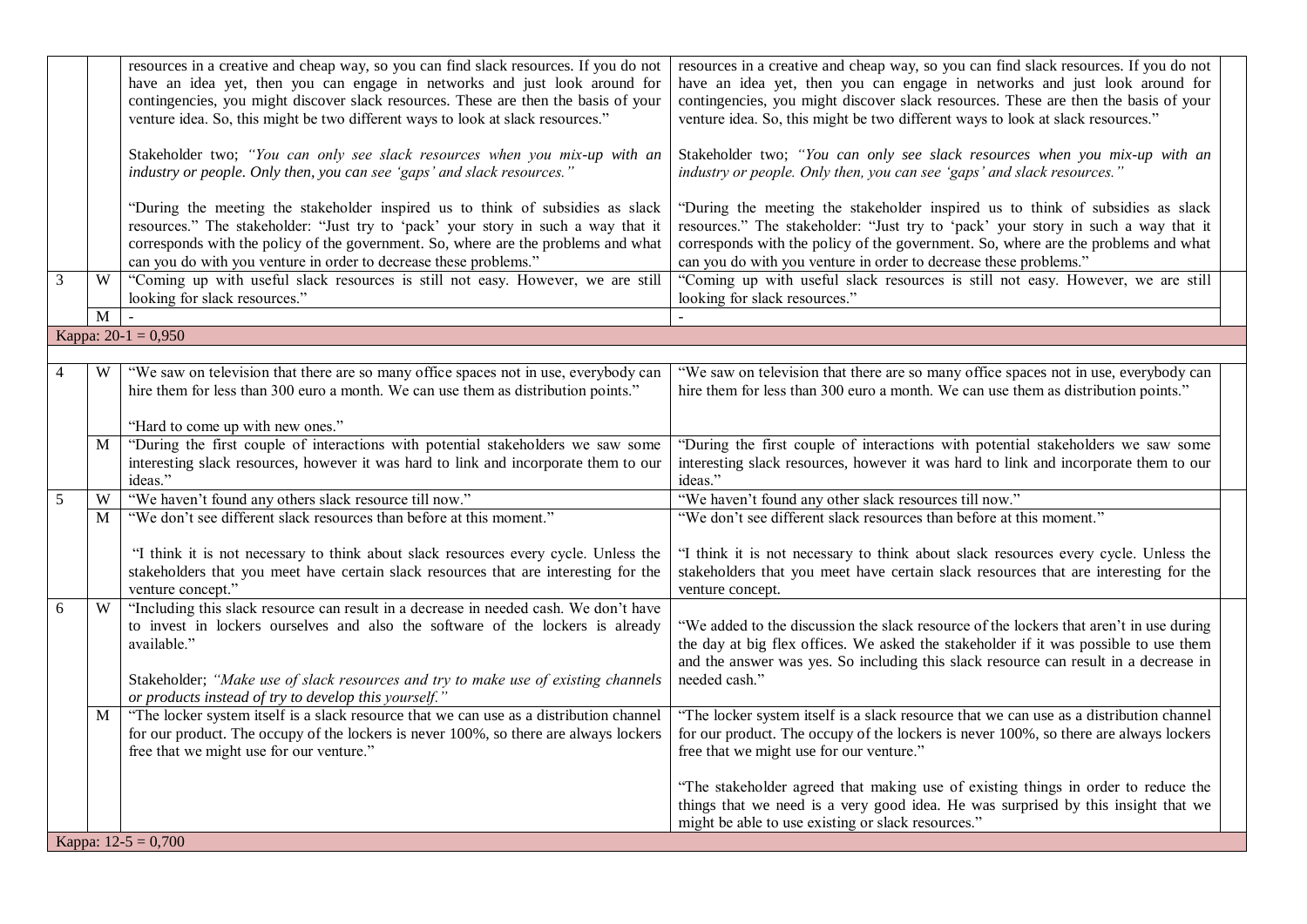|                |                | resources in a creative and cheap way, so you can find slack resources. If you do not                                                                                                                                                                                                                                          | resources in a creative and cheap way, so you can find slack resources. If you do not                                                                                                                                                                                                                                          |  |
|----------------|----------------|--------------------------------------------------------------------------------------------------------------------------------------------------------------------------------------------------------------------------------------------------------------------------------------------------------------------------------|--------------------------------------------------------------------------------------------------------------------------------------------------------------------------------------------------------------------------------------------------------------------------------------------------------------------------------|--|
|                |                | have an idea yet, then you can engage in networks and just look around for<br>contingencies, you might discover slack resources. These are then the basis of your<br>venture idea. So, this might be two different ways to look at slack resources."                                                                           | have an idea yet, then you can engage in networks and just look around for<br>contingencies, you might discover slack resources. These are then the basis of your<br>venture idea. So, this might be two different ways to look at slack resources."                                                                           |  |
|                |                | Stakeholder two; "You can only see slack resources when you mix-up with an<br>industry or people. Only then, you can see 'gaps' and slack resources."                                                                                                                                                                          | Stakeholder two; "You can only see slack resources when you mix-up with an<br>industry or people. Only then, you can see 'gaps' and slack resources."                                                                                                                                                                          |  |
|                |                | "During the meeting the stakeholder inspired us to think of subsidies as slack<br>resources." The stakeholder: "Just try to 'pack' your story in such a way that it<br>corresponds with the policy of the government. So, where are the problems and what<br>can you do with you venture in order to decrease these problems." | "During the meeting the stakeholder inspired us to think of subsidies as slack<br>resources." The stakeholder: "Just try to 'pack' your story in such a way that it<br>corresponds with the policy of the government. So, where are the problems and what<br>can you do with you venture in order to decrease these problems." |  |
| $\overline{3}$ | W              | "Coming up with useful slack resources is still not easy. However, we are still<br>looking for slack resources."                                                                                                                                                                                                               | "Coming up with useful slack resources is still not easy. However, we are still<br>looking for slack resources."                                                                                                                                                                                                               |  |
|                | $\overline{M}$ |                                                                                                                                                                                                                                                                                                                                |                                                                                                                                                                                                                                                                                                                                |  |
|                |                | Kappa: $20-1 = 0,950$                                                                                                                                                                                                                                                                                                          |                                                                                                                                                                                                                                                                                                                                |  |
|                |                |                                                                                                                                                                                                                                                                                                                                |                                                                                                                                                                                                                                                                                                                                |  |
| $\overline{4}$ | W              | "We saw on television that there are so many office spaces not in use, everybody can<br>hire them for less than 300 euro a month. We can use them as distribution points."                                                                                                                                                     | "We saw on television that there are so many office spaces not in use, everybody can<br>hire them for less than 300 euro a month. We can use them as distribution points."                                                                                                                                                     |  |
|                |                | "Hard to come up with new ones."                                                                                                                                                                                                                                                                                               |                                                                                                                                                                                                                                                                                                                                |  |
|                | M              | "During the first couple of interactions with potential stakeholders we saw some                                                                                                                                                                                                                                               | "During the first couple of interactions with potential stakeholders we saw some                                                                                                                                                                                                                                               |  |
|                |                | interesting slack resources, however it was hard to link and incorporate them to our<br>ideas."                                                                                                                                                                                                                                | interesting slack resources, however it was hard to link and incorporate them to our<br>ideas."                                                                                                                                                                                                                                |  |
| 5              | W              | "We haven't found any others slack resource till now."                                                                                                                                                                                                                                                                         | "We haven't found any other slack resources till now."                                                                                                                                                                                                                                                                         |  |
|                | M              | "We don't see different slack resources than before at this moment."                                                                                                                                                                                                                                                           | "We don't see different slack resources than before at this moment."                                                                                                                                                                                                                                                           |  |
|                |                | "I think it is not necessary to think about slack resources every cycle. Unless the<br>stakeholders that you meet have certain slack resources that are interesting for the<br>venture concept."                                                                                                                               | "I think it is not necessary to think about slack resources every cycle. Unless the<br>stakeholders that you meet have certain slack resources that are interesting for the<br>venture concept.                                                                                                                                |  |
| 6              | W              | "Including this slack resource can result in a decrease in needed cash. We don't have<br>to invest in lockers ourselves and also the software of the lockers is already<br>available."                                                                                                                                         | "We added to the discussion the slack resource of the lockers that aren't in use during<br>the day at big flex offices. We asked the stakeholder if it was possible to use them<br>and the answer was yes. So including this slack resource can result in a decrease in                                                        |  |
|                |                | Stakeholder; "Make use of slack resources and try to make use of existing channels<br>or products instead of try to develop this yourself."                                                                                                                                                                                    | needed cash."                                                                                                                                                                                                                                                                                                                  |  |
|                | M              | "The locker system itself is a slack resource that we can use as a distribution channel<br>for our product. The occupy of the lockers is never 100%, so there are always lockers<br>free that we might use for our venture."                                                                                                   | "The locker system itself is a slack resource that we can use as a distribution channel<br>for our product. The occupy of the lockers is never 100%, so there are always lockers<br>free that we might use for our venture."                                                                                                   |  |
|                |                |                                                                                                                                                                                                                                                                                                                                | "The stakeholder agreed that making use of existing things in order to reduce the<br>things that we need is a very good idea. He was surprised by this insight that we<br>might be able to use existing or slack resources."                                                                                                   |  |
|                |                | Kappa: $12-5 = 0,700$                                                                                                                                                                                                                                                                                                          |                                                                                                                                                                                                                                                                                                                                |  |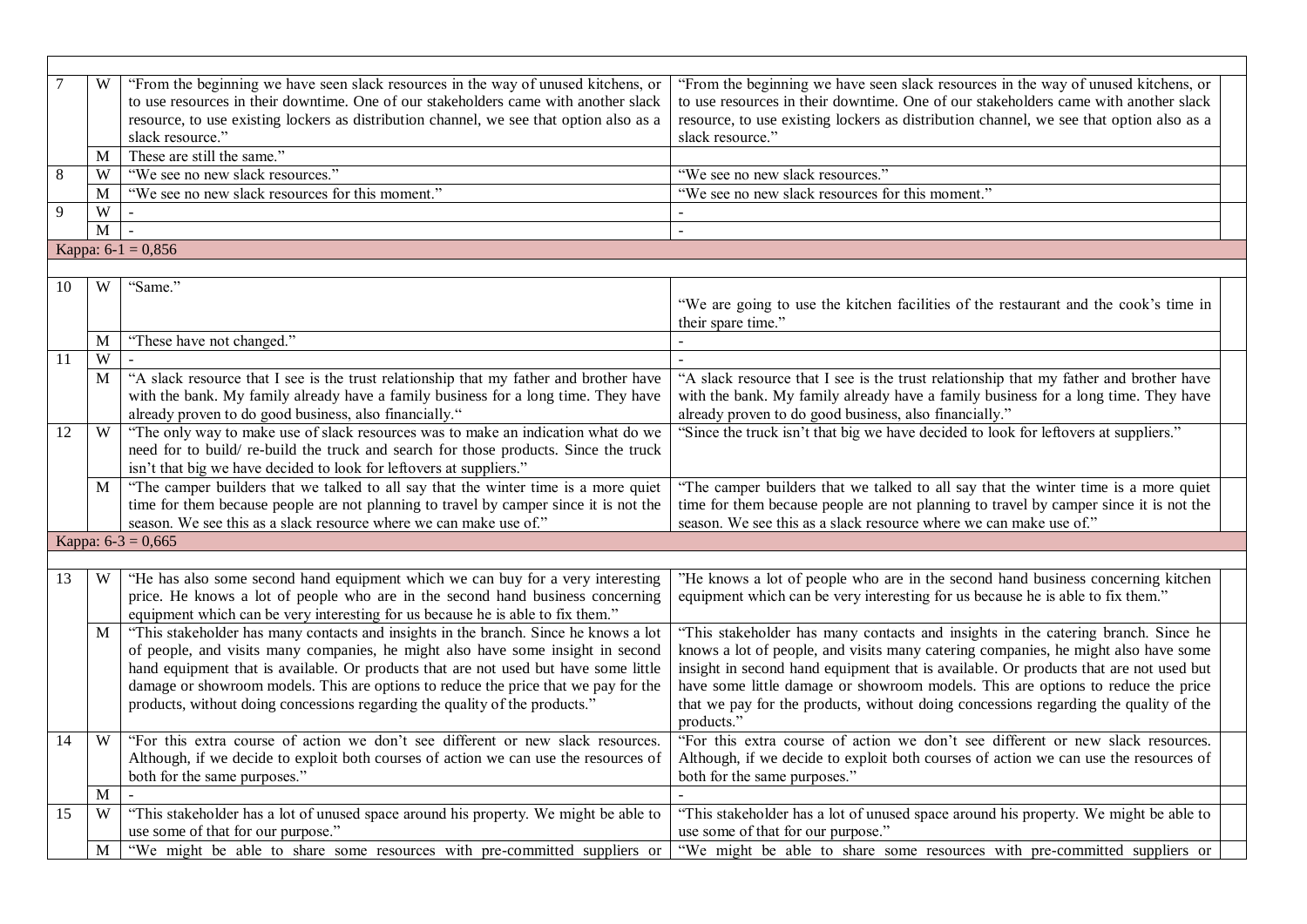|    | W                       | "From the beginning we have seen slack resources in the way of unused kitchens, or      | "From the beginning we have seen slack resources in the way of unused kitchens, or      |
|----|-------------------------|-----------------------------------------------------------------------------------------|-----------------------------------------------------------------------------------------|
|    |                         | to use resources in their downtime. One of our stakeholders came with another slack     | to use resources in their downtime. One of our stakeholders came with another slack     |
|    |                         | resource, to use existing lockers as distribution channel, we see that option also as a | resource, to use existing lockers as distribution channel, we see that option also as a |
|    |                         | slack resource."                                                                        | slack resource."                                                                        |
|    | M                       | These are still the same."                                                              |                                                                                         |
| 8  | W                       | "We see no new slack resources."                                                        | "We see no new slack resources."                                                        |
|    | M                       | "We see no new slack resources for this moment."                                        | "We see no new slack resources for this moment."                                        |
| 9  | $\ensuremath{\text{W}}$ | $\sim$                                                                                  |                                                                                         |
|    | M                       |                                                                                         |                                                                                         |
|    |                         | Kappa: $6-1 = 0,856$                                                                    |                                                                                         |
|    |                         |                                                                                         |                                                                                         |
| 10 | W                       | "Same."                                                                                 |                                                                                         |
|    |                         |                                                                                         | "We are going to use the kitchen facilities of the restaurant and the cook's time in    |
|    |                         |                                                                                         | their spare time."                                                                      |
|    | M                       | "These have not changed."                                                               |                                                                                         |
| 11 | W                       |                                                                                         |                                                                                         |
|    | M                       | "A slack resource that I see is the trust relationship that my father and brother have  | "A slack resource that I see is the trust relationship that my father and brother have  |
|    |                         | with the bank. My family already have a family business for a long time. They have      | with the bank. My family already have a family business for a long time. They have      |
|    |                         | already proven to do good business, also financially."                                  | already proven to do good business, also financially."                                  |
| 12 | W                       | "The only way to make use of slack resources was to make an indication what do we       | "Since the truck isn't that big we have decided to look for leftovers at suppliers."    |
|    |                         | need for to build/re-build the truck and search for those products. Since the truck     |                                                                                         |
|    |                         | isn't that big we have decided to look for leftovers at suppliers."                     |                                                                                         |
|    | $\mathbf{M}$            | "The camper builders that we talked to all say that the winter time is a more quiet     | "The camper builders that we talked to all say that the winter time is a more quiet     |
|    |                         | time for them because people are not planning to travel by camper since it is not the   | time for them because people are not planning to travel by camper since it is not the   |
|    |                         | season. We see this as a slack resource where we can make use of."                      | season. We see this as a slack resource where we can make use of."                      |
|    |                         | Kappa: $6-3 = 0,665$                                                                    |                                                                                         |
|    |                         |                                                                                         |                                                                                         |
| 13 | W                       | "He has also some second hand equipment which we can buy for a very interesting         | 'He knows a lot of people who are in the second hand business concerning kitchen        |
|    |                         | price. He knows a lot of people who are in the second hand business concerning          | equipment which can be very interesting for us because he is able to fix them."         |
|    |                         | equipment which can be very interesting for us because he is able to fix them."         |                                                                                         |
|    | $\mathbf{M}$            | "This stakeholder has many contacts and insights in the branch. Since he knows a lot    | "This stakeholder has many contacts and insights in the catering branch. Since he       |
|    |                         | of people, and visits many companies, he might also have some insight in second         | knows a lot of people, and visits many catering companies, he might also have some      |
|    |                         | hand equipment that is available. Or products that are not used but have some little    | insight in second hand equipment that is available. Or products that are not used but   |
|    |                         | damage or showroom models. This are options to reduce the price that we pay for the     | have some little damage or showroom models. This are options to reduce the price        |
|    |                         | products, without doing concessions regarding the quality of the products."             | that we pay for the products, without doing concessions regarding the quality of the    |
|    |                         |                                                                                         | products."                                                                              |
| 14 | W                       | "For this extra course of action we don't see different or new slack resources.         | "For this extra course of action we don't see different or new slack resources.         |
|    |                         |                                                                                         |                                                                                         |
|    |                         | Although, if we decide to exploit both courses of action we can use the resources of    | Although, if we decide to exploit both courses of action we can use the resources of    |
|    |                         | both for the same purposes."                                                            | both for the same purposes."                                                            |
|    | M                       |                                                                                         |                                                                                         |
| 15 | W                       | "This stakeholder has a lot of unused space around his property. We might be able to    | "This stakeholder has a lot of unused space around his property. We might be able to    |
|    |                         | use some of that for our purpose."                                                      | use some of that for our purpose."                                                      |
|    | $\mathbf M$             | "We might be able to share some resources with pre-committed suppliers or               | "We might be able to share some resources with pre-committed suppliers or               |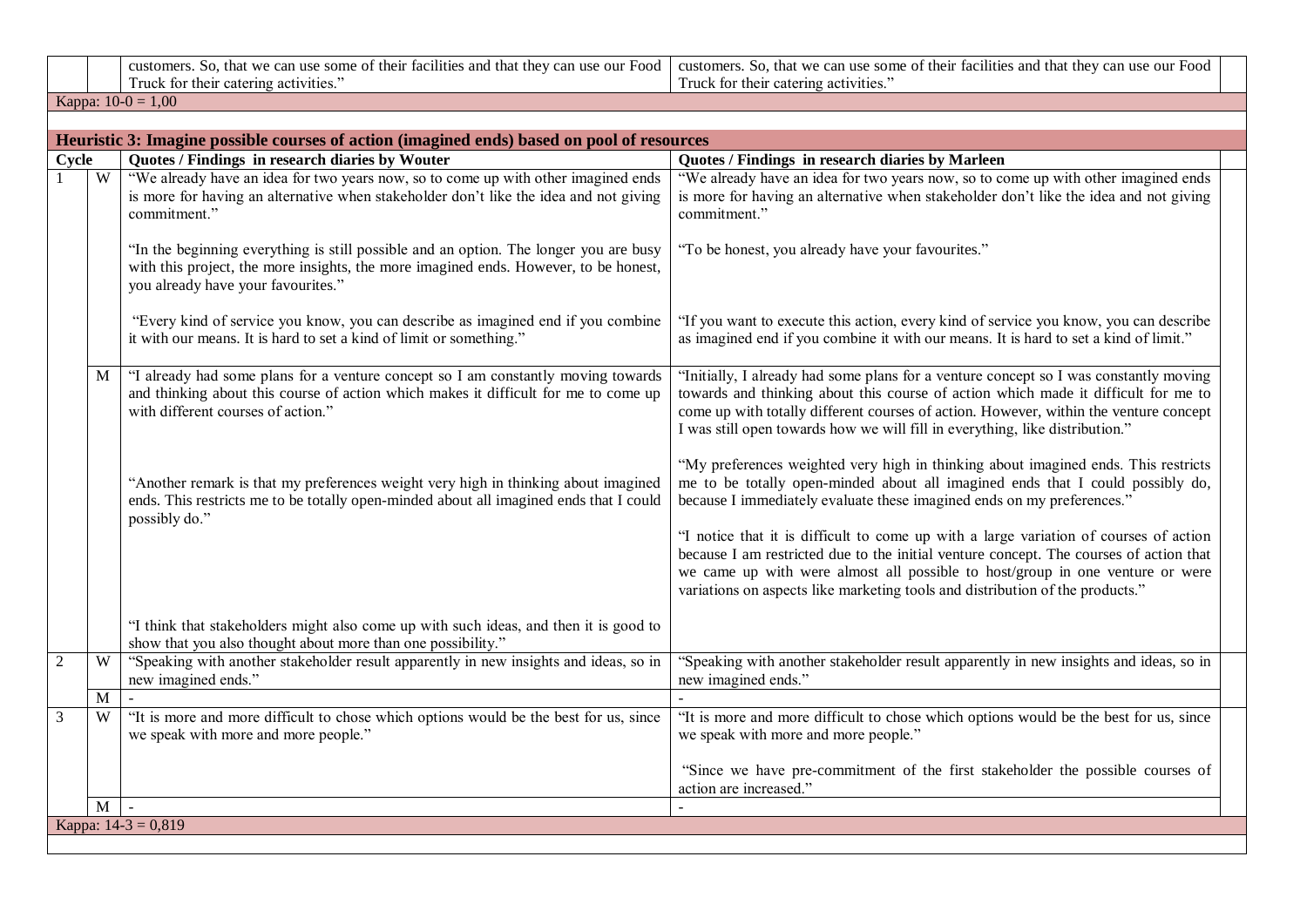customers. So, that we can use some of their facilities and that they can use our Food Truck for their catering activities." customers. So, that we can use some of their facilities and that they can use our Food Truck for their catering activities."

Kappa:  $10-0 = 1,00$ 

|                |   | Heuristic 3: Imagine possible courses of action (imagined ends) based on pool of resources                                                                                                                          |                                                                                                                                                                                                                                                                                                                                                                                                                                                                                                                                                                                                     |  |
|----------------|---|---------------------------------------------------------------------------------------------------------------------------------------------------------------------------------------------------------------------|-----------------------------------------------------------------------------------------------------------------------------------------------------------------------------------------------------------------------------------------------------------------------------------------------------------------------------------------------------------------------------------------------------------------------------------------------------------------------------------------------------------------------------------------------------------------------------------------------------|--|
| Cycle          |   | Quotes / Findings in research diaries by Wouter                                                                                                                                                                     | Quotes / Findings in research diaries by Marleen                                                                                                                                                                                                                                                                                                                                                                                                                                                                                                                                                    |  |
|                | W | "We already have an idea for two years now, so to come up with other imagined ends<br>is more for having an alternative when stakeholder don't like the idea and not giving<br>commitment."                         | "We already have an idea for two years now, so to come up with other imagined ends<br>is more for having an alternative when stakeholder don't like the idea and not giving<br>commitment."                                                                                                                                                                                                                                                                                                                                                                                                         |  |
|                |   | "In the beginning everything is still possible and an option. The longer you are busy<br>with this project, the more insights, the more imagined ends. However, to be honest,<br>you already have your favourites." | "To be honest, you already have your favourites."                                                                                                                                                                                                                                                                                                                                                                                                                                                                                                                                                   |  |
|                |   | "Every kind of service you know, you can describe as imagined end if you combine<br>it with our means. It is hard to set a kind of limit or something."                                                             | "If you want to execute this action, every kind of service you know, you can describe<br>as imagined end if you combine it with our means. It is hard to set a kind of limit."                                                                                                                                                                                                                                                                                                                                                                                                                      |  |
|                | M | "I already had some plans for a venture concept so I am constantly moving towards<br>and thinking about this course of action which makes it difficult for me to come up<br>with different courses of action."      | "Initially, I already had some plans for a venture concept so I was constantly moving<br>towards and thinking about this course of action which made it difficult for me to<br>come up with totally different courses of action. However, within the venture concept<br>I was still open towards how we will fill in everything, like distribution."                                                                                                                                                                                                                                                |  |
|                |   | "Another remark is that my preferences weight very high in thinking about imagined<br>ends. This restricts me to be totally open-minded about all imagined ends that I could<br>possibly do."                       | "My preferences weighted very high in thinking about imagined ends. This restricts<br>me to be totally open-minded about all imagined ends that I could possibly do,<br>because I immediately evaluate these imagined ends on my preferences."<br>"I notice that it is difficult to come up with a large variation of courses of action<br>because I am restricted due to the initial venture concept. The courses of action that<br>we came up with were almost all possible to host/group in one venture or were<br>variations on aspects like marketing tools and distribution of the products." |  |
|                |   | "I think that stakeholders might also come up with such ideas, and then it is good to<br>show that you also thought about more than one possibility."                                                               |                                                                                                                                                                                                                                                                                                                                                                                                                                                                                                                                                                                                     |  |
| $\overline{2}$ | W | "Speaking with another stakeholder result apparently in new insights and ideas, so in<br>new imagined ends."                                                                                                        | "Speaking with another stakeholder result apparently in new insights and ideas, so in<br>new imagined ends."                                                                                                                                                                                                                                                                                                                                                                                                                                                                                        |  |
|                | M |                                                                                                                                                                                                                     |                                                                                                                                                                                                                                                                                                                                                                                                                                                                                                                                                                                                     |  |
| 3              | W | "It is more and more difficult to chose which options would be the best for us, since<br>we speak with more and more people."                                                                                       | "It is more and more difficult to chose which options would be the best for us, since<br>we speak with more and more people."<br>"Since we have pre-commitment of the first stakeholder the possible courses of                                                                                                                                                                                                                                                                                                                                                                                     |  |
|                |   |                                                                                                                                                                                                                     | action are increased."                                                                                                                                                                                                                                                                                                                                                                                                                                                                                                                                                                              |  |
|                | M | $\sim$                                                                                                                                                                                                              |                                                                                                                                                                                                                                                                                                                                                                                                                                                                                                                                                                                                     |  |
|                |   | Kappa: $14-3 = 0,819$                                                                                                                                                                                               |                                                                                                                                                                                                                                                                                                                                                                                                                                                                                                                                                                                                     |  |
|                |   |                                                                                                                                                                                                                     |                                                                                                                                                                                                                                                                                                                                                                                                                                                                                                                                                                                                     |  |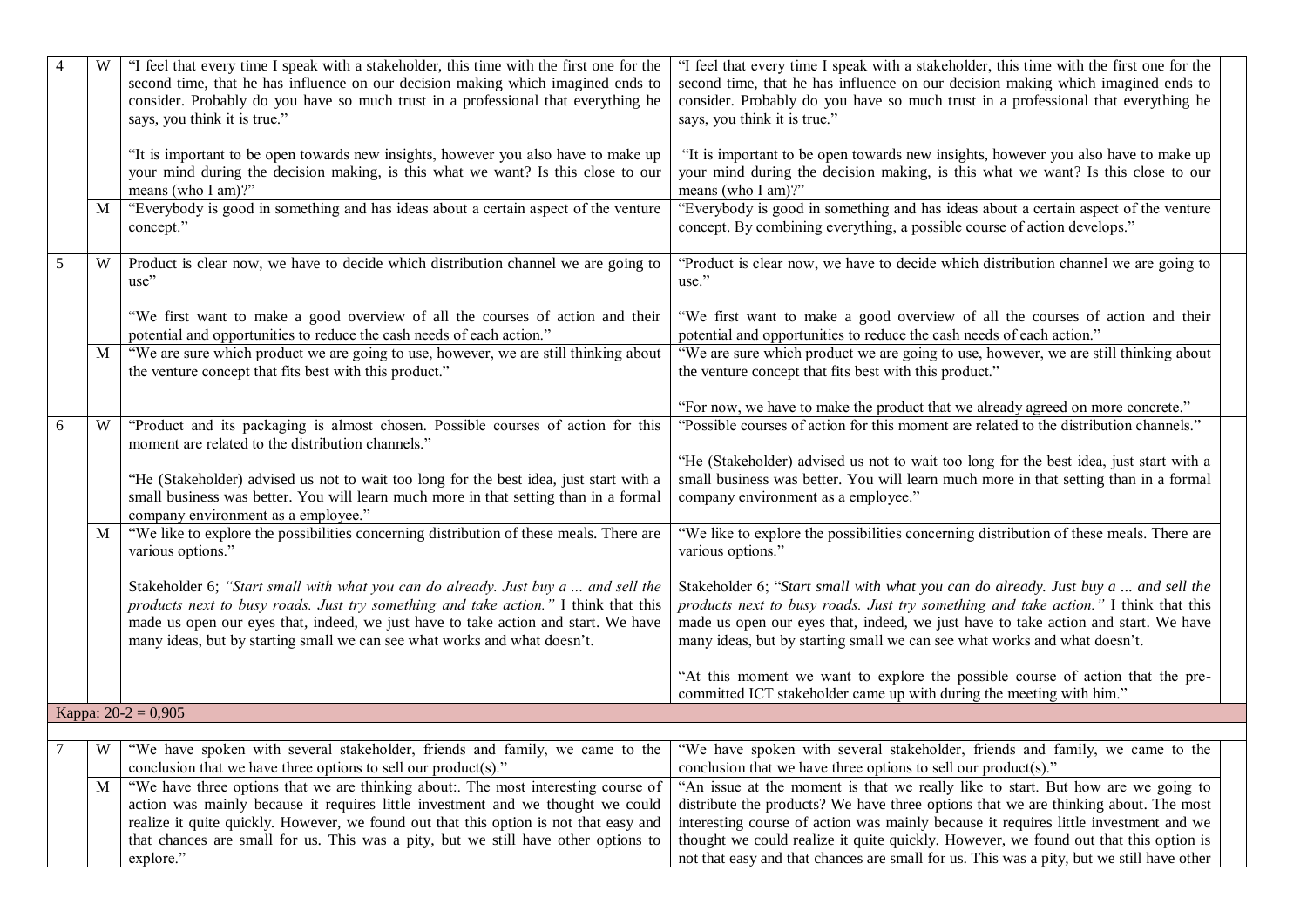|   |   | "I feel that every time I speak with a stakeholder, this time with the first one for the<br>second time, that he has influence on our decision making which imagined ends to<br>consider. Probably do you have so much trust in a professional that everything he<br>says, you think it is true."                                            | "I feel that every time I speak with a stakeholder, this time with the first one for the<br>second time, that he has influence on our decision making which imagined ends to<br>consider. Probably do you have so much trust in a professional that everything he<br>says, you think it is true."                                            |
|---|---|----------------------------------------------------------------------------------------------------------------------------------------------------------------------------------------------------------------------------------------------------------------------------------------------------------------------------------------------|----------------------------------------------------------------------------------------------------------------------------------------------------------------------------------------------------------------------------------------------------------------------------------------------------------------------------------------------|
|   |   | "It is important to be open towards new insights, however you also have to make up<br>your mind during the decision making, is this what we want? Is this close to our<br>means (who I am)?"                                                                                                                                                 | "It is important to be open towards new insights, however you also have to make up<br>your mind during the decision making, is this what we want? Is this close to our<br>means (who I am)?"                                                                                                                                                 |
|   | M | "Everybody is good in something and has ideas about a certain aspect of the venture<br>concept."                                                                                                                                                                                                                                             | "Everybody is good in something and has ideas about a certain aspect of the venture<br>concept. By combining everything, a possible course of action develops."                                                                                                                                                                              |
| 5 | W | Product is clear now, we have to decide which distribution channel we are going to<br>use"                                                                                                                                                                                                                                                   | "Product is clear now, we have to decide which distribution channel we are going to<br>use."                                                                                                                                                                                                                                                 |
|   |   | "We first want to make a good overview of all the courses of action and their<br>potential and opportunities to reduce the cash needs of each action."                                                                                                                                                                                       | "We first want to make a good overview of all the courses of action and their<br>potential and opportunities to reduce the cash needs of each action."                                                                                                                                                                                       |
|   | M | "We are sure which product we are going to use, however, we are still thinking about<br>the venture concept that fits best with this product."                                                                                                                                                                                               | "We are sure which product we are going to use, however, we are still thinking about<br>the venture concept that fits best with this product."                                                                                                                                                                                               |
|   |   |                                                                                                                                                                                                                                                                                                                                              | "For now, we have to make the product that we already agreed on more concrete."                                                                                                                                                                                                                                                              |
| 6 | W | "Product and its packaging is almost chosen. Possible courses of action for this<br>moment are related to the distribution channels."                                                                                                                                                                                                        | "Possible courses of action for this moment are related to the distribution channels."                                                                                                                                                                                                                                                       |
|   |   | "He (Stakeholder) advised us not to wait too long for the best idea, just start with a<br>small business was better. You will learn much more in that setting than in a formal<br>company environment as a employee."                                                                                                                        | "He (Stakeholder) advised us not to wait too long for the best idea, just start with a<br>small business was better. You will learn much more in that setting than in a formal<br>company environment as a employee."                                                                                                                        |
|   | M | "We like to explore the possibilities concerning distribution of these meals. There are<br>various options."                                                                                                                                                                                                                                 | "We like to explore the possibilities concerning distribution of these meals. There are<br>various options."                                                                                                                                                                                                                                 |
|   |   | Stakeholder 6; "Start small with what you can do already. Just buy a  and sell the<br>products next to busy roads. Just try something and take action." I think that this<br>made us open our eyes that, indeed, we just have to take action and start. We have<br>many ideas, but by starting small we can see what works and what doesn't. | Stakeholder 6; "Start small with what you can do already. Just buy a  and sell the<br>products next to busy roads. Just try something and take action." I think that this<br>made us open our eyes that, indeed, we just have to take action and start. We have<br>many ideas, but by starting small we can see what works and what doesn't. |
|   |   |                                                                                                                                                                                                                                                                                                                                              | "At this moment we want to explore the possible course of action that the pre-<br>committed ICT stakeholder came up with during the meeting with him."                                                                                                                                                                                       |
|   |   | Kappa: $20-2 = 0,905$                                                                                                                                                                                                                                                                                                                        |                                                                                                                                                                                                                                                                                                                                              |
|   |   | W   "We have spoken with several stakeholder, friends and family, we came to the   "We have spoken with several stakeholder, friends and family, we came to the                                                                                                                                                                              |                                                                                                                                                                                                                                                                                                                                              |
|   |   | conclusion that we have three options to sell our product(s)."                                                                                                                                                                                                                                                                               | conclusion that we have three options to sell our product(s)."                                                                                                                                                                                                                                                                               |
|   | M | "We have three options that we are thinking about:. The most interesting course of<br>action was mainly because it requires little investment and we thought we could                                                                                                                                                                        | "An issue at the moment is that we really like to start. But how are we going to<br>distribute the products? We have three options that we are thinking about. The most                                                                                                                                                                      |
|   |   | realize it quite quickly. However, we found out that this option is not that easy and                                                                                                                                                                                                                                                        | interesting course of action was mainly because it requires little investment and we                                                                                                                                                                                                                                                         |
|   |   | that chances are small for us. This was a pity, but we still have other options to                                                                                                                                                                                                                                                           | thought we could realize it quite quickly. However, we found out that this option is                                                                                                                                                                                                                                                         |
|   |   | explore."                                                                                                                                                                                                                                                                                                                                    | not that easy and that chances are small for us. This was a pity, but we still have other                                                                                                                                                                                                                                                    |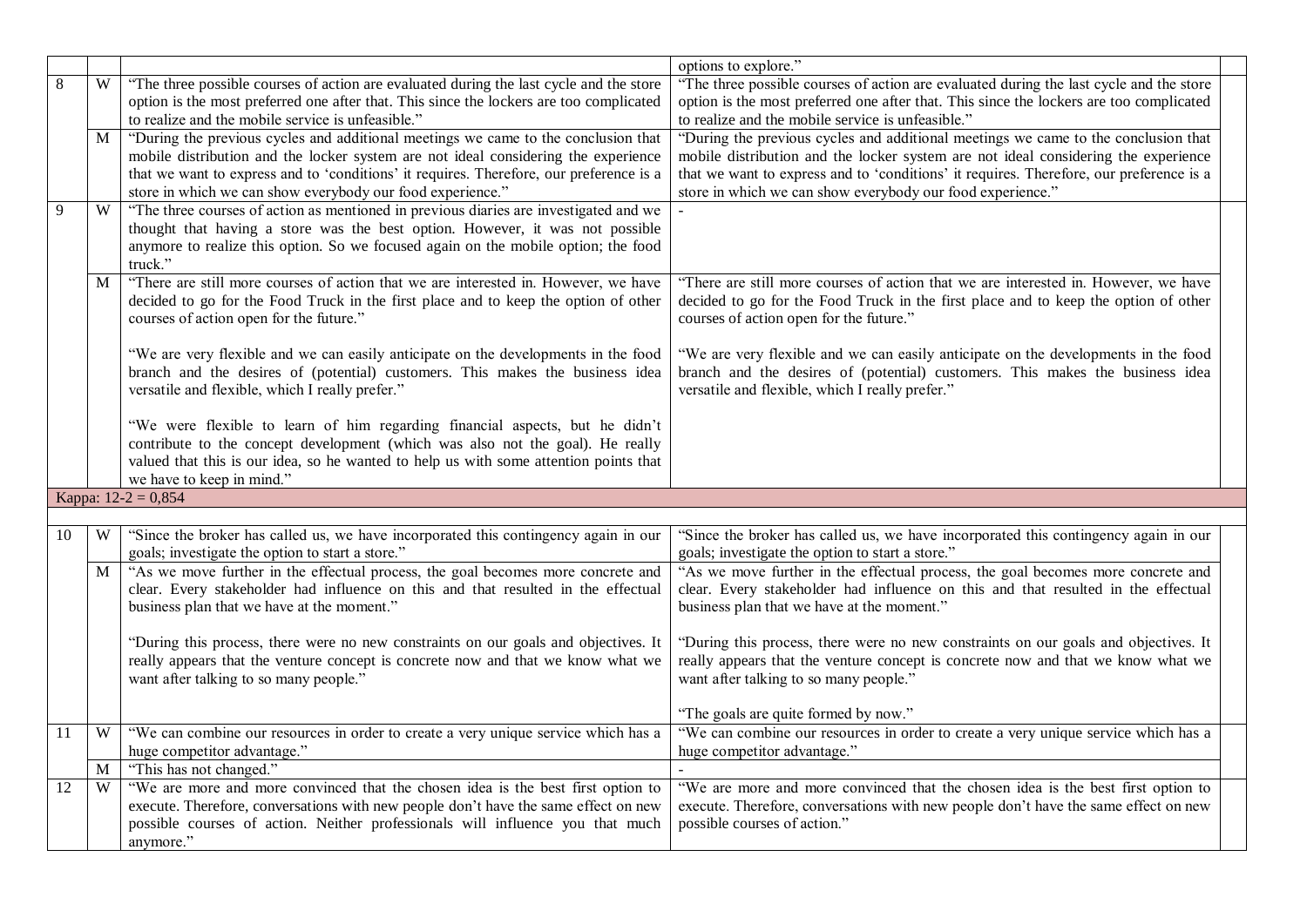|    |                |                                                                                                                                                                         | options to explore."                                                                                                                                                    |  |
|----|----------------|-------------------------------------------------------------------------------------------------------------------------------------------------------------------------|-------------------------------------------------------------------------------------------------------------------------------------------------------------------------|--|
| 8  | W              | "The three possible courses of action are evaluated during the last cycle and the store                                                                                 | "The three possible courses of action are evaluated during the last cycle and the store                                                                                 |  |
|    |                | option is the most preferred one after that. This since the lockers are too complicated                                                                                 | option is the most preferred one after that. This since the lockers are too complicated                                                                                 |  |
|    |                | to realize and the mobile service is unfeasible."                                                                                                                       | to realize and the mobile service is unfeasible."                                                                                                                       |  |
|    | $\mathbf{M}$   | "During the previous cycles and additional meetings we came to the conclusion that                                                                                      | "During the previous cycles and additional meetings we came to the conclusion that                                                                                      |  |
|    |                | mobile distribution and the locker system are not ideal considering the experience                                                                                      | mobile distribution and the locker system are not ideal considering the experience                                                                                      |  |
|    |                | that we want to express and to 'conditions' it requires. Therefore, our preference is a                                                                                 | that we want to express and to 'conditions' it requires. Therefore, our preference is a                                                                                 |  |
|    |                | store in which we can show everybody our food experience."                                                                                                              | store in which we can show everybody our food experience."                                                                                                              |  |
| 9  | $\overline{W}$ | "The three courses of action as mentioned in previous diaries are investigated and we                                                                                   |                                                                                                                                                                         |  |
|    |                | thought that having a store was the best option. However, it was not possible                                                                                           |                                                                                                                                                                         |  |
|    |                | anymore to realize this option. So we focused again on the mobile option; the food                                                                                      |                                                                                                                                                                         |  |
|    |                | truck."                                                                                                                                                                 |                                                                                                                                                                         |  |
|    | M              | "There are still more courses of action that we are interested in. However, we have                                                                                     | "There are still more courses of action that we are interested in. However, we have                                                                                     |  |
|    |                | decided to go for the Food Truck in the first place and to keep the option of other                                                                                     | decided to go for the Food Truck in the first place and to keep the option of other                                                                                     |  |
|    |                | courses of action open for the future."                                                                                                                                 | courses of action open for the future."                                                                                                                                 |  |
|    |                | "We are very flexible and we can easily anticipate on the developments in the food                                                                                      | "We are very flexible and we can easily anticipate on the developments in the food                                                                                      |  |
|    |                | branch and the desires of (potential) customers. This makes the business idea                                                                                           | branch and the desires of (potential) customers. This makes the business idea                                                                                           |  |
|    |                | versatile and flexible, which I really prefer."                                                                                                                         | versatile and flexible, which I really prefer."                                                                                                                         |  |
|    |                |                                                                                                                                                                         |                                                                                                                                                                         |  |
|    |                | "We were flexible to learn of him regarding financial aspects, but he didn't                                                                                            |                                                                                                                                                                         |  |
|    |                | contribute to the concept development (which was also not the goal). He really                                                                                          |                                                                                                                                                                         |  |
|    |                | valued that this is our idea, so he wanted to help us with some attention points that                                                                                   |                                                                                                                                                                         |  |
|    |                | we have to keep in mind."                                                                                                                                               |                                                                                                                                                                         |  |
|    |                | Kappa: $12-2 = 0,854$                                                                                                                                                   |                                                                                                                                                                         |  |
|    |                |                                                                                                                                                                         |                                                                                                                                                                         |  |
| 10 | W              | "Since the broker has called us, we have incorporated this contingency again in our                                                                                     | "Since the broker has called us, we have incorporated this contingency again in our                                                                                     |  |
|    |                | goals; investigate the option to start a store."                                                                                                                        | goals; investigate the option to start a store."                                                                                                                        |  |
|    | M              | "As we move further in the effectual process, the goal becomes more concrete and                                                                                        | "As we move further in the effectual process, the goal becomes more concrete and                                                                                        |  |
|    |                | clear. Every stakeholder had influence on this and that resulted in the effectual                                                                                       | clear. Every stakeholder had influence on this and that resulted in the effectual                                                                                       |  |
|    |                | business plan that we have at the moment."                                                                                                                              | business plan that we have at the moment."                                                                                                                              |  |
|    |                |                                                                                                                                                                         |                                                                                                                                                                         |  |
|    |                | "During this process, there were no new constraints on our goals and objectives. It<br>really appears that the venture concept is concrete now and that we know what we | "During this process, there were no new constraints on our goals and objectives. It<br>really appears that the venture concept is concrete now and that we know what we |  |
|    |                | want after talking to so many people."                                                                                                                                  | want after talking to so many people."                                                                                                                                  |  |
|    |                |                                                                                                                                                                         |                                                                                                                                                                         |  |
|    |                |                                                                                                                                                                         | "The goals are quite formed by now."                                                                                                                                    |  |
| 11 | W              | "We can combine our resources in order to create a very unique service which has a                                                                                      | "We can combine our resources in order to create a very unique service which has a                                                                                      |  |
|    |                | huge competitor advantage."                                                                                                                                             | huge competitor advantage."                                                                                                                                             |  |
|    | M              | "This has not changed."                                                                                                                                                 |                                                                                                                                                                         |  |
| 12 | W              | "We are more and more convinced that the chosen idea is the best first option to                                                                                        | "We are more and more convinced that the chosen idea is the best first option to                                                                                        |  |
|    |                | execute. Therefore, conversations with new people don't have the same effect on new                                                                                     | execute. Therefore, conversations with new people don't have the same effect on new                                                                                     |  |
|    |                | possible courses of action. Neither professionals will influence you that much                                                                                          | possible courses of action."                                                                                                                                            |  |
|    |                | anymore."                                                                                                                                                               |                                                                                                                                                                         |  |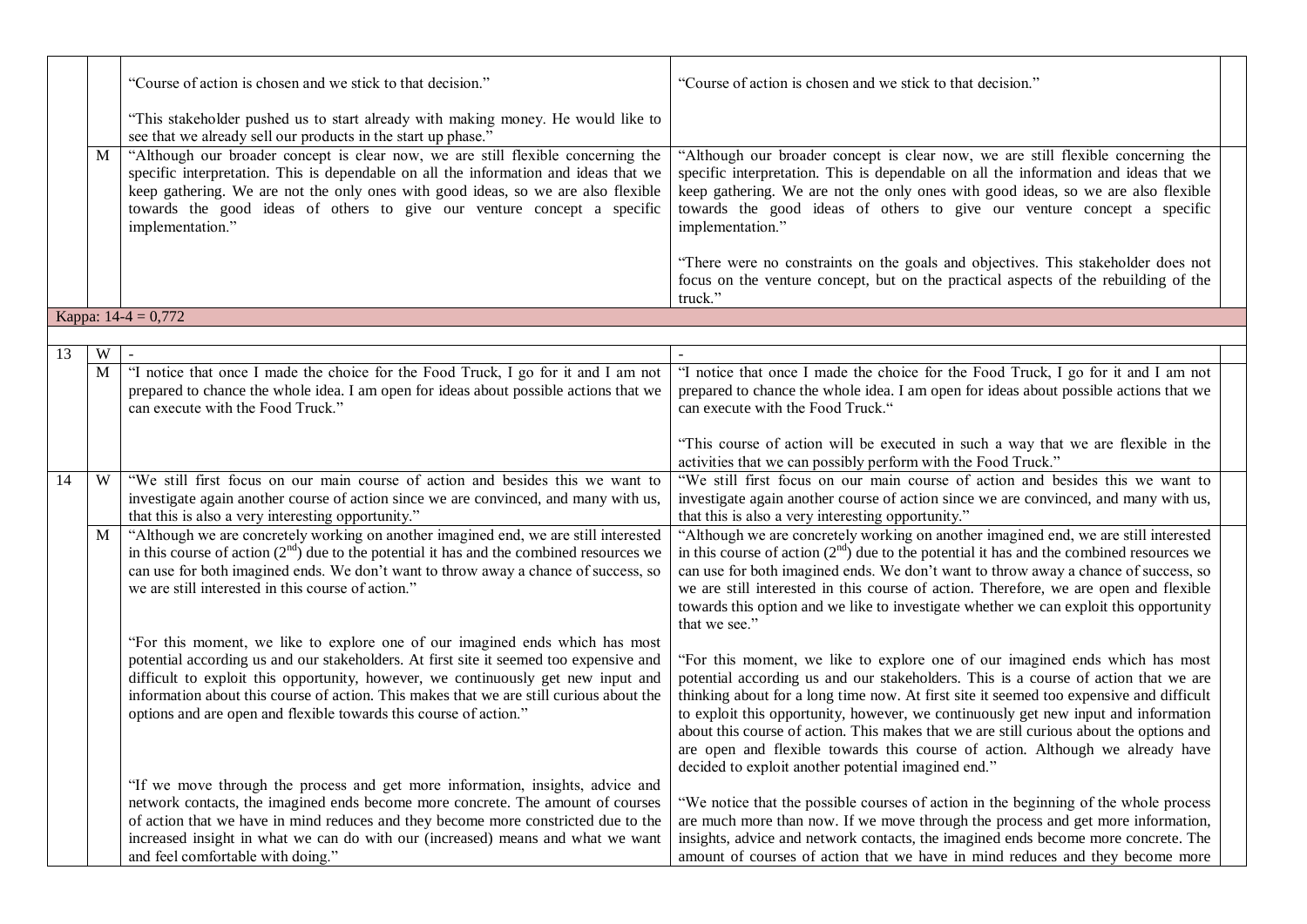|                 |             | "Course of action is chosen and we stick to that decision."                                                                                                                                                                                                                                                                                                                                                                 | "Course of action is chosen and we stick to that decision."                                                                                                                                                                                                                                                                                                                                                                                                                                                                                                                              |
|-----------------|-------------|-----------------------------------------------------------------------------------------------------------------------------------------------------------------------------------------------------------------------------------------------------------------------------------------------------------------------------------------------------------------------------------------------------------------------------|------------------------------------------------------------------------------------------------------------------------------------------------------------------------------------------------------------------------------------------------------------------------------------------------------------------------------------------------------------------------------------------------------------------------------------------------------------------------------------------------------------------------------------------------------------------------------------------|
|                 |             | "This stakeholder pushed us to start already with making money. He would like to<br>see that we already sell our products in the start up phase."                                                                                                                                                                                                                                                                           |                                                                                                                                                                                                                                                                                                                                                                                                                                                                                                                                                                                          |
|                 | M           | "Although our broader concept is clear now, we are still flexible concerning the<br>specific interpretation. This is dependable on all the information and ideas that we<br>keep gathering. We are not the only ones with good ideas, so we are also flexible<br>towards the good ideas of others to give our venture concept a specific<br>implementation."                                                                | "Although our broader concept is clear now, we are still flexible concerning the<br>specific interpretation. This is dependable on all the information and ideas that we<br>keep gathering. We are not the only ones with good ideas, so we are also flexible<br>towards the good ideas of others to give our venture concept a specific<br>implementation."                                                                                                                                                                                                                             |
|                 |             |                                                                                                                                                                                                                                                                                                                                                                                                                             | "There were no constraints on the goals and objectives. This stakeholder does not<br>focus on the venture concept, but on the practical aspects of the rebuilding of the<br>truck."                                                                                                                                                                                                                                                                                                                                                                                                      |
|                 |             | Kappa: $14-4 = 0,772$                                                                                                                                                                                                                                                                                                                                                                                                       |                                                                                                                                                                                                                                                                                                                                                                                                                                                                                                                                                                                          |
|                 |             |                                                                                                                                                                                                                                                                                                                                                                                                                             |                                                                                                                                                                                                                                                                                                                                                                                                                                                                                                                                                                                          |
| $\overline{13}$ | W           |                                                                                                                                                                                                                                                                                                                                                                                                                             |                                                                                                                                                                                                                                                                                                                                                                                                                                                                                                                                                                                          |
|                 | $\mathbf M$ | "I notice that once I made the choice for the Food Truck, I go for it and I am not<br>prepared to chance the whole idea. I am open for ideas about possible actions that we<br>can execute with the Food Truck."                                                                                                                                                                                                            | "I notice that once I made the choice for the Food Truck, I go for it and I am not<br>prepared to chance the whole idea. I am open for ideas about possible actions that we<br>can execute with the Food Truck."                                                                                                                                                                                                                                                                                                                                                                         |
|                 |             |                                                                                                                                                                                                                                                                                                                                                                                                                             | "This course of action will be executed in such a way that we are flexible in the<br>activities that we can possibly perform with the Food Truck."                                                                                                                                                                                                                                                                                                                                                                                                                                       |
| 14              | W           | "We still first focus on our main course of action and besides this we want to<br>investigate again another course of action since we are convinced, and many with us,<br>that this is also a very interesting opportunity."                                                                                                                                                                                                | "We still first focus on our main course of action and besides this we want to<br>investigate again another course of action since we are convinced, and many with us,<br>that this is also a very interesting opportunity."                                                                                                                                                                                                                                                                                                                                                             |
|                 | M           | "Although we are concretely working on another imagined end, we are still interested<br>in this course of action $(2nd)$ due to the potential it has and the combined resources we<br>can use for both imagined ends. We don't want to throw away a chance of success, so<br>we are still interested in this course of action."                                                                                             | "Although we are concretely working on another imagined end, we are still interested<br>in this course of action $(2nd)$ due to the potential it has and the combined resources we<br>can use for both imagined ends. We don't want to throw away a chance of success, so<br>we are still interested in this course of action. Therefore, we are open and flexible<br>towards this option and we like to investigate whether we can exploit this opportunity<br>that we see."                                                                                                            |
|                 |             | "For this moment, we like to explore one of our imagined ends which has most<br>potential according us and our stakeholders. At first site it seemed too expensive and<br>difficult to exploit this opportunity, however, we continuously get new input and<br>information about this course of action. This makes that we are still curious about the<br>options and are open and flexible towards this course of action." | "For this moment, we like to explore one of our imagined ends which has most<br>potential according us and our stakeholders. This is a course of action that we are<br>thinking about for a long time now. At first site it seemed too expensive and difficult<br>to exploit this opportunity, however, we continuously get new input and information<br>about this course of action. This makes that we are still curious about the options and<br>are open and flexible towards this course of action. Although we already have<br>decided to exploit another potential imagined end." |
|                 |             | "If we move through the process and get more information, insights, advice and<br>network contacts, the imagined ends become more concrete. The amount of courses<br>of action that we have in mind reduces and they become more constricted due to the<br>increased insight in what we can do with our (increased) means and what we want<br>and feel comfortable with doing."                                             | "We notice that the possible courses of action in the beginning of the whole process<br>are much more than now. If we move through the process and get more information,<br>insights, advice and network contacts, the imagined ends become more concrete. The<br>amount of courses of action that we have in mind reduces and they become more                                                                                                                                                                                                                                          |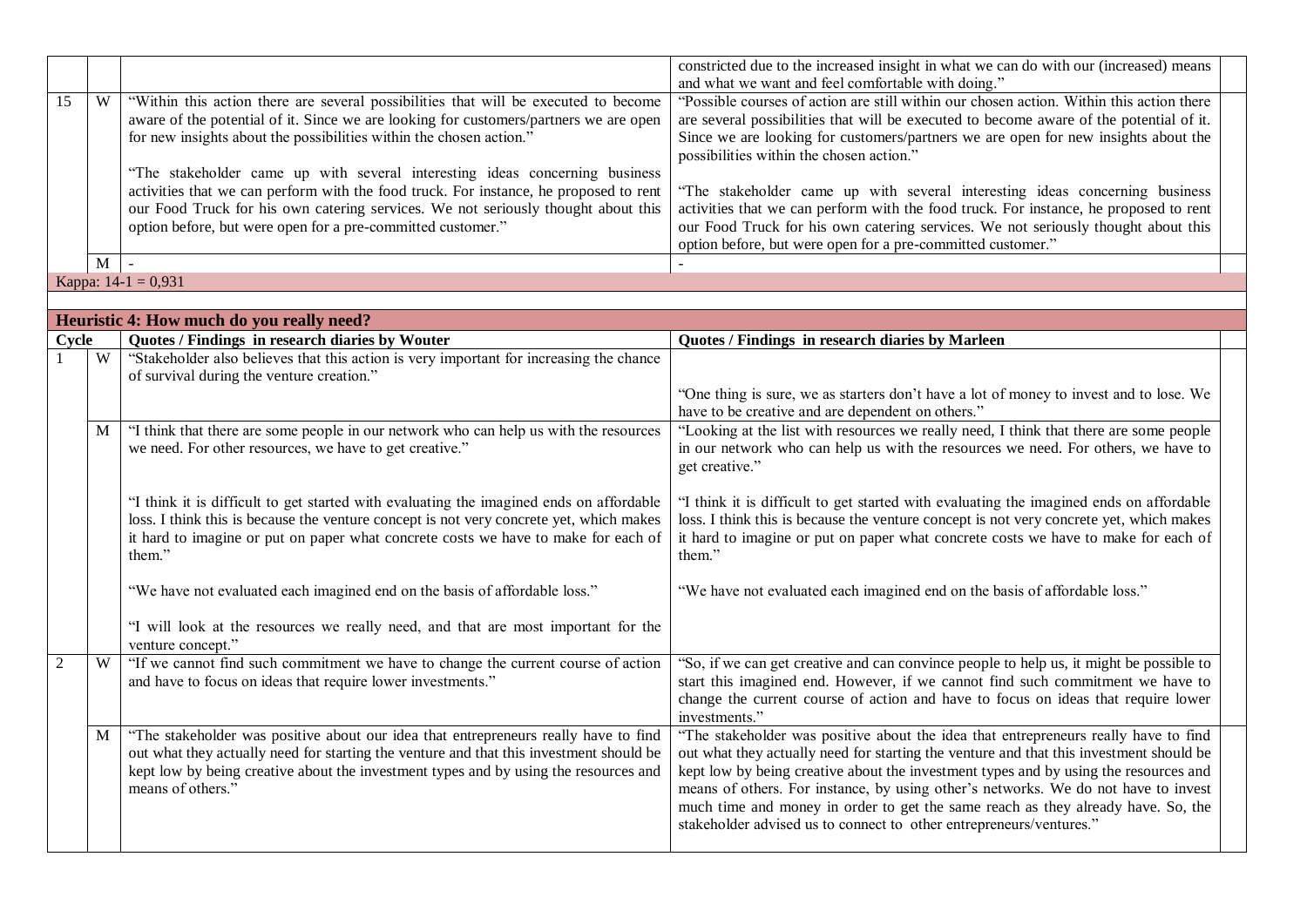|    |                       |                                                                                       | constricted due to the increased insight in what we can do with our (increased) means    |  |
|----|-----------------------|---------------------------------------------------------------------------------------|------------------------------------------------------------------------------------------|--|
|    |                       |                                                                                       | and what we want and feel comfortable with doing."                                       |  |
| 15 | W                     | "Within this action there are several possibilities that will be executed to become   | "Possible courses of action are still within our chosen action. Within this action there |  |
|    |                       | aware of the potential of it. Since we are looking for customers/partners we are open | are several possibilities that will be executed to become aware of the potential of it.  |  |
|    |                       | for new insights about the possibilities within the chosen action."                   | Since we are looking for customers/partners we are open for new insights about the       |  |
|    |                       |                                                                                       | possibilities within the chosen action."                                                 |  |
|    |                       | "The stakeholder came up with several interesting ideas concerning business           |                                                                                          |  |
|    |                       | activities that we can perform with the food truck. For instance, he proposed to rent | "The stakeholder came up with several interesting ideas concerning business              |  |
|    |                       | our Food Truck for his own catering services. We not seriously thought about this     | activities that we can perform with the food truck. For instance, he proposed to rent    |  |
|    |                       | option before, but were open for a pre-committed customer."                           | our Food Truck for his own catering services. We not seriously thought about this        |  |
|    |                       |                                                                                       | option before, but were open for a pre-committed customer."                              |  |
|    | M                     |                                                                                       |                                                                                          |  |
|    | Kappa: $14-1 = 0.931$ |                                                                                       |                                                                                          |  |

|                |   | Heuristic 4: How much do you really need?                                                                                                                                                                                                                                                   |                                                                                                                                                                                                                                                                                                                                                                                                                                                                                                                         |  |
|----------------|---|---------------------------------------------------------------------------------------------------------------------------------------------------------------------------------------------------------------------------------------------------------------------------------------------|-------------------------------------------------------------------------------------------------------------------------------------------------------------------------------------------------------------------------------------------------------------------------------------------------------------------------------------------------------------------------------------------------------------------------------------------------------------------------------------------------------------------------|--|
| Cycle          |   | Quotes / Findings in research diaries by Wouter                                                                                                                                                                                                                                             | Quotes / Findings in research diaries by Marleen                                                                                                                                                                                                                                                                                                                                                                                                                                                                        |  |
|                | W | "Stakeholder also believes that this action is very important for increasing the chance<br>of survival during the venture creation."                                                                                                                                                        |                                                                                                                                                                                                                                                                                                                                                                                                                                                                                                                         |  |
|                |   |                                                                                                                                                                                                                                                                                             | "One thing is sure, we as starters don't have a lot of money to invest and to lose. We<br>have to be creative and are dependent on others."                                                                                                                                                                                                                                                                                                                                                                             |  |
|                | M | "I think that there are some people in our network who can help us with the resources<br>we need. For other resources, we have to get creative."                                                                                                                                            | "Looking at the list with resources we really need, I think that there are some people<br>in our network who can help us with the resources we need. For others, we have to<br>get creative."                                                                                                                                                                                                                                                                                                                           |  |
|                |   | "I think it is difficult to get started with evaluating the imagined ends on affordable<br>loss. I think this is because the venture concept is not very concrete yet, which makes<br>it hard to imagine or put on paper what concrete costs we have to make for each of<br>them."          | "I think it is difficult to get started with evaluating the imagined ends on affordable<br>loss. I think this is because the venture concept is not very concrete yet, which makes<br>it hard to imagine or put on paper what concrete costs we have to make for each of<br>them."                                                                                                                                                                                                                                      |  |
|                |   | "We have not evaluated each imagined end on the basis of affordable loss."<br>"I will look at the resources we really need, and that are most important for the                                                                                                                             | "We have not evaluated each imagined end on the basis of affordable loss."                                                                                                                                                                                                                                                                                                                                                                                                                                              |  |
| $\overline{2}$ | W | venture concept."<br>"If we cannot find such commitment we have to change the current course of action<br>and have to focus on ideas that require lower investments."                                                                                                                       | "So, if we can get creative and can convince people to help us, it might be possible to<br>start this imagined end. However, if we cannot find such commitment we have to<br>change the current course of action and have to focus on ideas that require lower<br>investments."                                                                                                                                                                                                                                         |  |
|                | M | "The stakeholder was positive about our idea that entrepreneurs really have to find<br>out what they actually need for starting the venture and that this investment should be<br>kept low by being creative about the investment types and by using the resources and<br>means of others." | "The stakeholder was positive about the idea that entrepreneurs really have to find<br>out what they actually need for starting the venture and that this investment should be<br>kept low by being creative about the investment types and by using the resources and<br>means of others. For instance, by using other's networks. We do not have to invest<br>much time and money in order to get the same reach as they already have. So, the<br>stakeholder advised us to connect to other entrepreneurs/ventures." |  |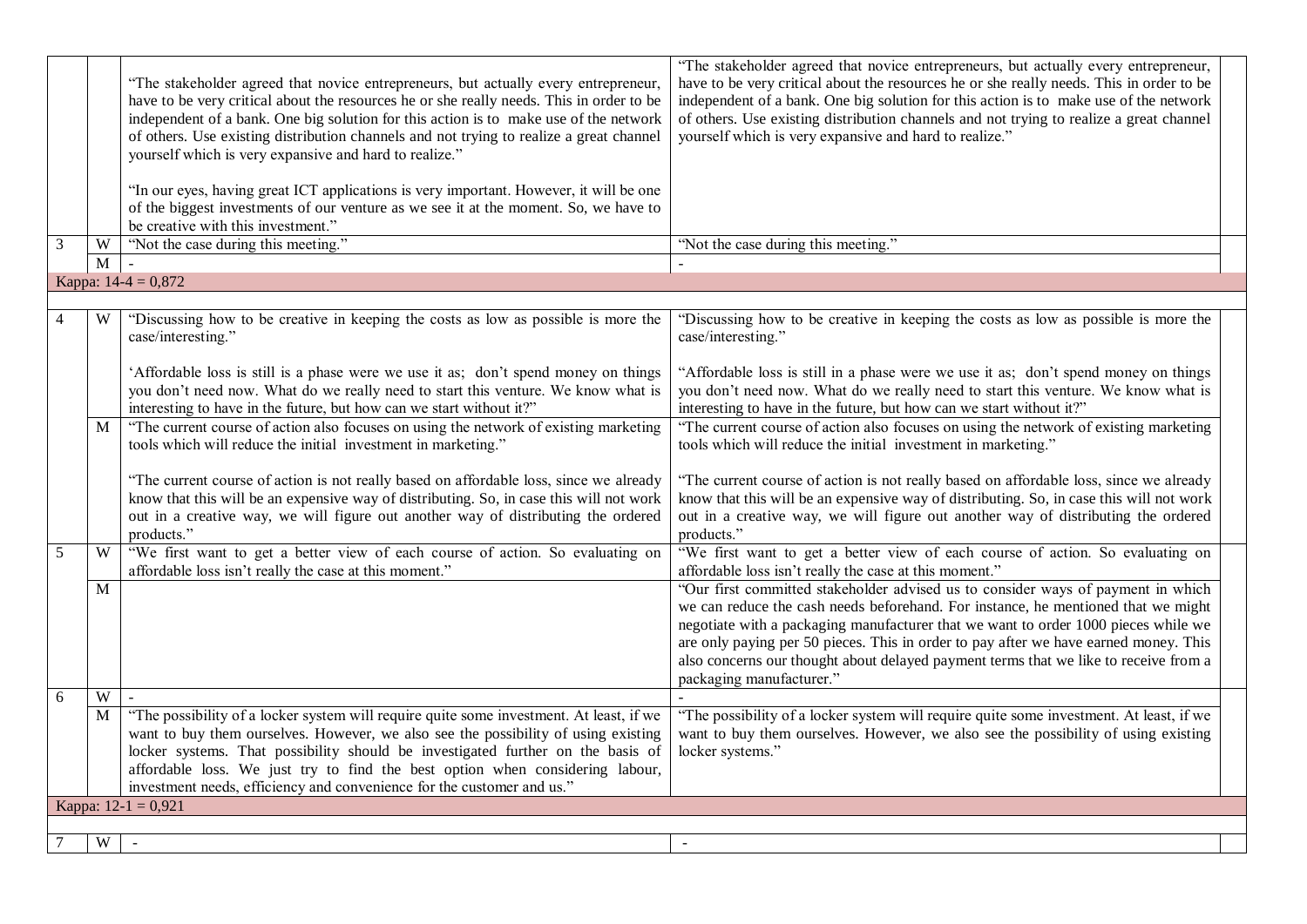|   |                  | "The stakeholder agreed that novice entrepreneurs, but actually every entrepreneur,<br>have to be very critical about the resources he or she really needs. This in order to be<br>independent of a bank. One big solution for this action is to make use of the network<br>of others. Use existing distribution channels and not trying to realize a great channel<br>yourself which is very expansive and hard to realize."<br>"In our eyes, having great ICT applications is very important. However, it will be one<br>of the biggest investments of our venture as we see it at the moment. So, we have to<br>be creative with this investment." | "The stakeholder agreed that novice entrepreneurs, but actually every entrepreneur,<br>have to be very critical about the resources he or she really needs. This in order to be<br>independent of a bank. One big solution for this action is to make use of the network<br>of others. Use existing distribution channels and not trying to realize a great channel<br>yourself which is very expansive and hard to realize."                                           |
|---|------------------|-------------------------------------------------------------------------------------------------------------------------------------------------------------------------------------------------------------------------------------------------------------------------------------------------------------------------------------------------------------------------------------------------------------------------------------------------------------------------------------------------------------------------------------------------------------------------------------------------------------------------------------------------------|-------------------------------------------------------------------------------------------------------------------------------------------------------------------------------------------------------------------------------------------------------------------------------------------------------------------------------------------------------------------------------------------------------------------------------------------------------------------------|
| 3 | W<br>$\mathbf M$ | "Not the case during this meeting."                                                                                                                                                                                                                                                                                                                                                                                                                                                                                                                                                                                                                   | "Not the case during this meeting."                                                                                                                                                                                                                                                                                                                                                                                                                                     |
|   |                  | Kappa: $14-4 = 0,872$                                                                                                                                                                                                                                                                                                                                                                                                                                                                                                                                                                                                                                 |                                                                                                                                                                                                                                                                                                                                                                                                                                                                         |
|   |                  |                                                                                                                                                                                                                                                                                                                                                                                                                                                                                                                                                                                                                                                       |                                                                                                                                                                                                                                                                                                                                                                                                                                                                         |
|   | W                | "Discussing how to be creative in keeping the costs as low as possible is more the                                                                                                                                                                                                                                                                                                                                                                                                                                                                                                                                                                    | "Discussing how to be creative in keeping the costs as low as possible is more the                                                                                                                                                                                                                                                                                                                                                                                      |
|   |                  | case/interesting."                                                                                                                                                                                                                                                                                                                                                                                                                                                                                                                                                                                                                                    | case/interesting."                                                                                                                                                                                                                                                                                                                                                                                                                                                      |
|   |                  | 'Affordable loss is still is a phase were we use it as; don't spend money on things<br>you don't need now. What do we really need to start this venture. We know what is<br>interesting to have in the future, but how can we start without it?"                                                                                                                                                                                                                                                                                                                                                                                                      | "Affordable loss is still in a phase were we use it as; don't spend money on things<br>you don't need now. What do we really need to start this venture. We know what is<br>interesting to have in the future, but how can we start without it?"                                                                                                                                                                                                                        |
|   | M                | "The current course of action also focuses on using the network of existing marketing<br>tools which will reduce the initial investment in marketing."                                                                                                                                                                                                                                                                                                                                                                                                                                                                                                | "The current course of action also focuses on using the network of existing marketing<br>tools which will reduce the initial investment in marketing."                                                                                                                                                                                                                                                                                                                  |
|   |                  | "The current course of action is not really based on affordable loss, since we already<br>know that this will be an expensive way of distributing. So, in case this will not work<br>out in a creative way, we will figure out another way of distributing the ordered<br>products."                                                                                                                                                                                                                                                                                                                                                                  | "The current course of action is not really based on affordable loss, since we already<br>know that this will be an expensive way of distributing. So, in case this will not work<br>out in a creative way, we will figure out another way of distributing the ordered<br>products."                                                                                                                                                                                    |
| 5 | W                | "We first want to get a better view of each course of action. So evaluating on<br>affordable loss isn't really the case at this moment."                                                                                                                                                                                                                                                                                                                                                                                                                                                                                                              | "We first want to get a better view of each course of action. So evaluating on<br>affordable loss isn't really the case at this moment."                                                                                                                                                                                                                                                                                                                                |
|   | M                |                                                                                                                                                                                                                                                                                                                                                                                                                                                                                                                                                                                                                                                       | "Our first committed stakeholder advised us to consider ways of payment in which<br>we can reduce the cash needs beforehand. For instance, he mentioned that we might<br>negotiate with a packaging manufacturer that we want to order 1000 pieces while we<br>are only paying per 50 pieces. This in order to pay after we have earned money. This<br>also concerns our thought about delayed payment terms that we like to receive from a<br>packaging manufacturer." |
| 6 | W                |                                                                                                                                                                                                                                                                                                                                                                                                                                                                                                                                                                                                                                                       |                                                                                                                                                                                                                                                                                                                                                                                                                                                                         |
|   | M                | "The possibility of a locker system will require quite some investment. At least, if we<br>want to buy them ourselves. However, we also see the possibility of using existing<br>locker systems. That possibility should be investigated further on the basis of<br>affordable loss. We just try to find the best option when considering labour,<br>investment needs, efficiency and convenience for the customer and us."                                                                                                                                                                                                                           | "The possibility of a locker system will require quite some investment. At least, if we<br>want to buy them ourselves. However, we also see the possibility of using existing<br>locker systems."                                                                                                                                                                                                                                                                       |
|   |                  | Kappa: $12-1 = 0,921$                                                                                                                                                                                                                                                                                                                                                                                                                                                                                                                                                                                                                                 |                                                                                                                                                                                                                                                                                                                                                                                                                                                                         |
|   |                  |                                                                                                                                                                                                                                                                                                                                                                                                                                                                                                                                                                                                                                                       |                                                                                                                                                                                                                                                                                                                                                                                                                                                                         |
|   | W                | $\sim$                                                                                                                                                                                                                                                                                                                                                                                                                                                                                                                                                                                                                                                | $\sim$                                                                                                                                                                                                                                                                                                                                                                                                                                                                  |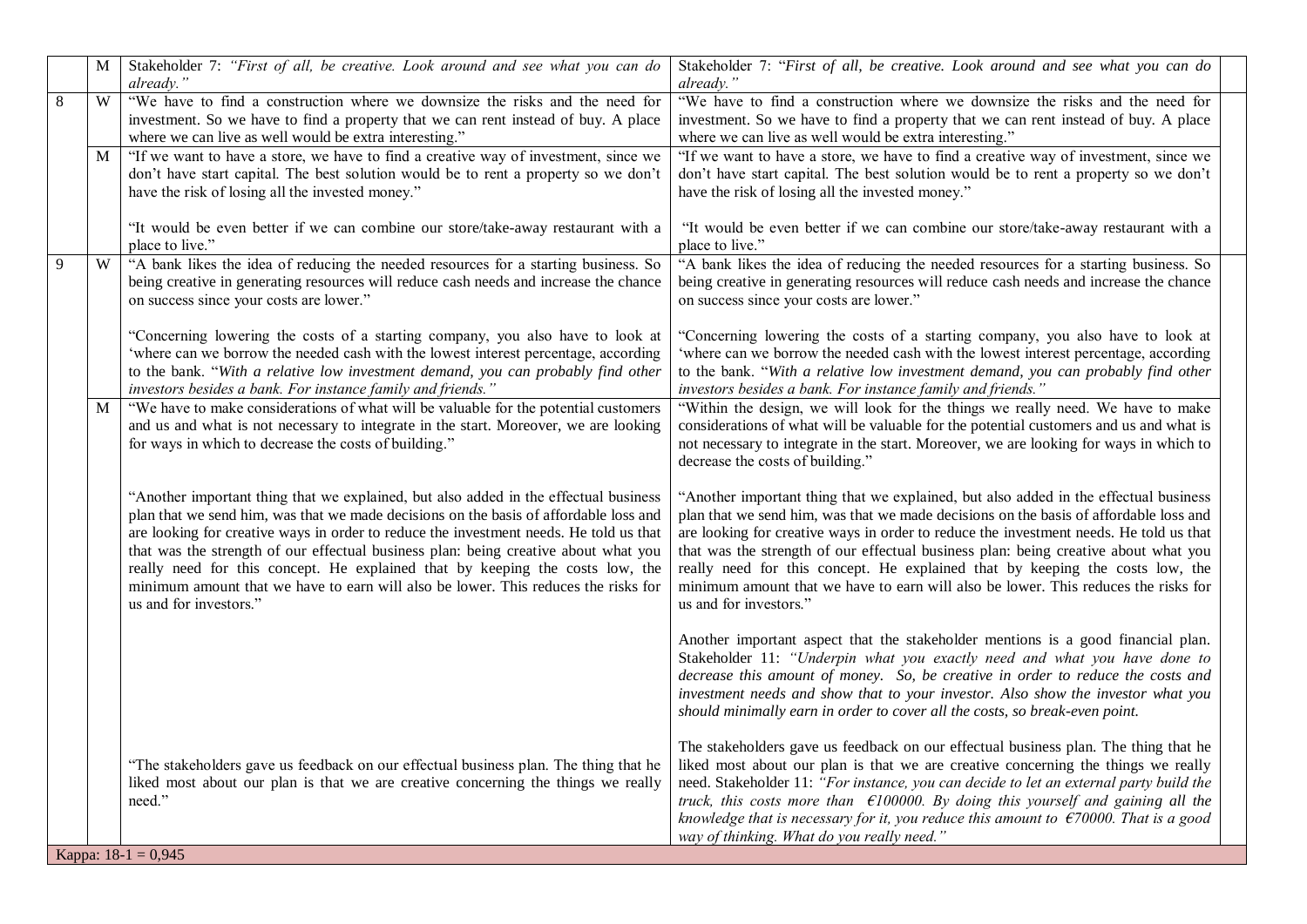|   | M | Stakeholder 7: "First of all, be creative. Look around and see what you can do<br>already."                                                                                                                                                                                                                                                                                                                                                                                                                                                                     | Stakeholder 7: "First of all, be creative. Look around and see what you can do<br>already."                                                                                                                                                                                                                                                                                                                                                                                                                                                                     |
|---|---|-----------------------------------------------------------------------------------------------------------------------------------------------------------------------------------------------------------------------------------------------------------------------------------------------------------------------------------------------------------------------------------------------------------------------------------------------------------------------------------------------------------------------------------------------------------------|-----------------------------------------------------------------------------------------------------------------------------------------------------------------------------------------------------------------------------------------------------------------------------------------------------------------------------------------------------------------------------------------------------------------------------------------------------------------------------------------------------------------------------------------------------------------|
| 8 | W | "We have to find a construction where we downsize the risks and the need for<br>investment. So we have to find a property that we can rent instead of buy. A place<br>where we can live as well would be extra interesting."                                                                                                                                                                                                                                                                                                                                    | "We have to find a construction where we downsize the risks and the need for<br>investment. So we have to find a property that we can rent instead of buy. A place<br>where we can live as well would be extra interesting."                                                                                                                                                                                                                                                                                                                                    |
|   | M | "If we want to have a store, we have to find a creative way of investment, since we<br>don't have start capital. The best solution would be to rent a property so we don't<br>have the risk of losing all the invested money."                                                                                                                                                                                                                                                                                                                                  | "If we want to have a store, we have to find a creative way of investment, since we<br>don't have start capital. The best solution would be to rent a property so we don't<br>have the risk of losing all the invested money."                                                                                                                                                                                                                                                                                                                                  |
|   |   | "It would be even better if we can combine our store/take-away restaurant with a<br>place to live."                                                                                                                                                                                                                                                                                                                                                                                                                                                             | "It would be even better if we can combine our store/take-away restaurant with a<br>place to live."                                                                                                                                                                                                                                                                                                                                                                                                                                                             |
| 9 | W | "A bank likes the idea of reducing the needed resources for a starting business. So<br>being creative in generating resources will reduce cash needs and increase the chance<br>on success since your costs are lower."                                                                                                                                                                                                                                                                                                                                         | "A bank likes the idea of reducing the needed resources for a starting business. So<br>being creative in generating resources will reduce cash needs and increase the chance<br>on success since your costs are lower."                                                                                                                                                                                                                                                                                                                                         |
|   |   | "Concerning lowering the costs of a starting company, you also have to look at<br>'where can we borrow the needed cash with the lowest interest percentage, according<br>to the bank. "With a relative low investment demand, you can probably find other<br>investors besides a bank. For instance family and friends."                                                                                                                                                                                                                                        | "Concerning lowering the costs of a starting company, you also have to look at<br>'where can we borrow the needed cash with the lowest interest percentage, according<br>to the bank. "With a relative low investment demand, you can probably find other<br>investors besides a bank. For instance family and friends."                                                                                                                                                                                                                                        |
|   | M | "We have to make considerations of what will be valuable for the potential customers<br>and us and what is not necessary to integrate in the start. Moreover, we are looking<br>for ways in which to decrease the costs of building."                                                                                                                                                                                                                                                                                                                           | "Within the design, we will look for the things we really need. We have to make<br>considerations of what will be valuable for the potential customers and us and what is<br>not necessary to integrate in the start. Moreover, we are looking for ways in which to<br>decrease the costs of building."                                                                                                                                                                                                                                                         |
|   |   | "Another important thing that we explained, but also added in the effectual business<br>plan that we send him, was that we made decisions on the basis of affordable loss and<br>are looking for creative ways in order to reduce the investment needs. He told us that<br>that was the strength of our effectual business plan: being creative about what you<br>really need for this concept. He explained that by keeping the costs low, the<br>minimum amount that we have to earn will also be lower. This reduces the risks for<br>us and for investors." | "Another important thing that we explained, but also added in the effectual business<br>plan that we send him, was that we made decisions on the basis of affordable loss and<br>are looking for creative ways in order to reduce the investment needs. He told us that<br>that was the strength of our effectual business plan: being creative about what you<br>really need for this concept. He explained that by keeping the costs low, the<br>minimum amount that we have to earn will also be lower. This reduces the risks for<br>us and for investors." |
|   |   |                                                                                                                                                                                                                                                                                                                                                                                                                                                                                                                                                                 | Another important aspect that the stakeholder mentions is a good financial plan.<br>Stakeholder 11: "Underpin what you exactly need and what you have done to<br>decrease this amount of money. So, be creative in order to reduce the costs and<br>investment needs and show that to your investor. Also show the investor what you<br>should minimally earn in order to cover all the costs, so break-even point.                                                                                                                                             |
|   |   | "The stakeholders gave us feedback on our effectual business plan. The thing that he<br>liked most about our plan is that we are creative concerning the things we really<br>need."<br>Kappa: $18-1 = 0,945$                                                                                                                                                                                                                                                                                                                                                    | The stakeholders gave us feedback on our effectual business plan. The thing that he<br>liked most about our plan is that we are creative concerning the things we really<br>need. Stakeholder 11: "For instance, you can decide to let an external party build the<br>truck, this costs more than $E100000$ . By doing this yourself and gaining all the<br>knowledge that is necessary for it, you reduce this amount to $\epsilon$ 70000. That is a good<br>way of thinking. What do you really need."                                                        |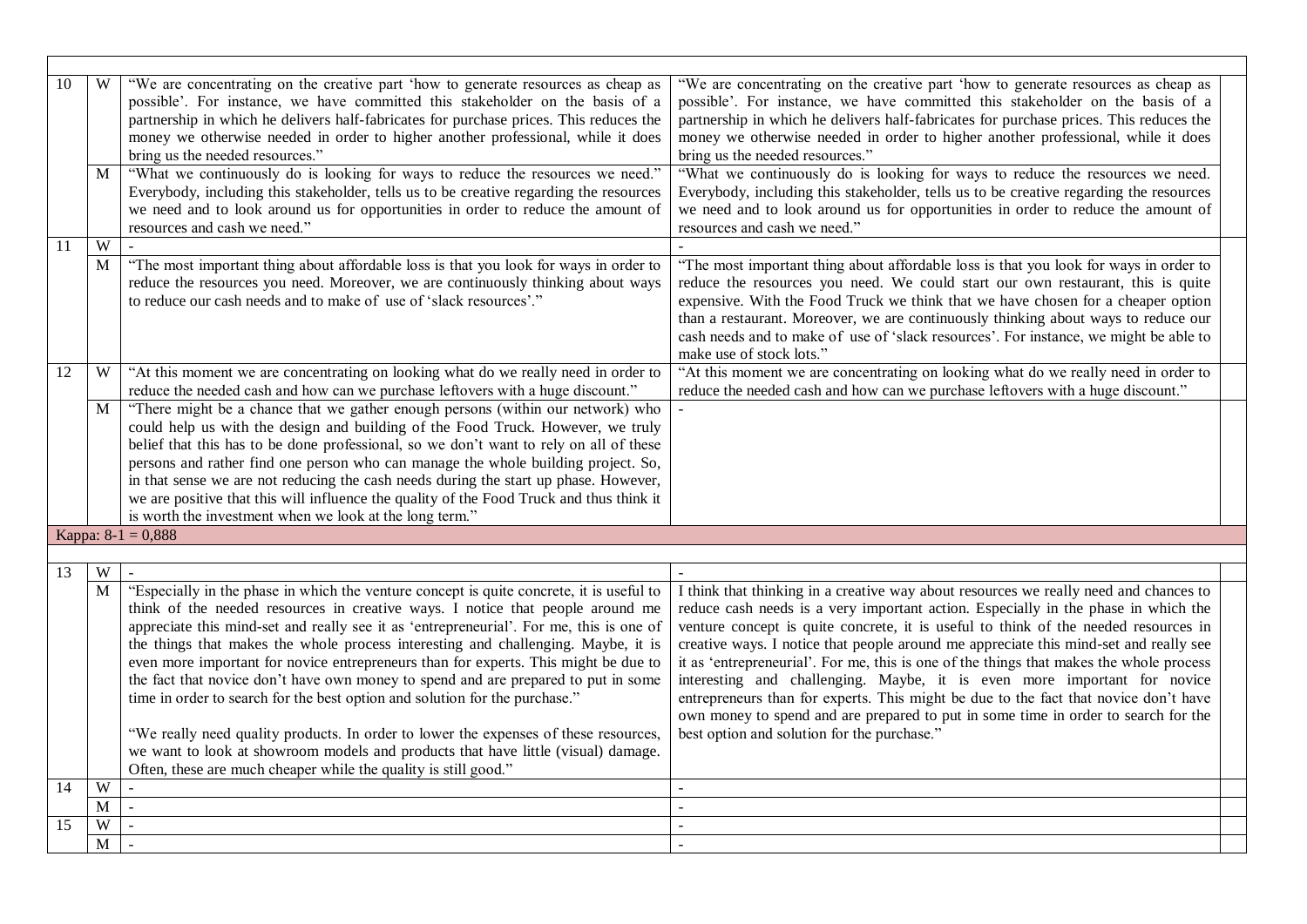| 10 | W            | "We are concentrating on the creative part 'how to generate resources as cheap as<br>possible'. For instance, we have committed this stakeholder on the basis of a<br>partnership in which he delivers half-fabricates for purchase prices. This reduces the<br>money we otherwise needed in order to higher another professional, while it does<br>bring us the needed resources."                                                                                                                                                                                                                                                                                                                                                                                                                                                                                    | "We are concentrating on the creative part 'how to generate resources as cheap as<br>possible'. For instance, we have committed this stakeholder on the basis of a<br>partnership in which he delivers half-fabricates for purchase prices. This reduces the<br>money we otherwise needed in order to higher another professional, while it does<br>bring us the needed resources."                                                                                                                                                                                                                                                                                                                                                                             |
|----|--------------|------------------------------------------------------------------------------------------------------------------------------------------------------------------------------------------------------------------------------------------------------------------------------------------------------------------------------------------------------------------------------------------------------------------------------------------------------------------------------------------------------------------------------------------------------------------------------------------------------------------------------------------------------------------------------------------------------------------------------------------------------------------------------------------------------------------------------------------------------------------------|-----------------------------------------------------------------------------------------------------------------------------------------------------------------------------------------------------------------------------------------------------------------------------------------------------------------------------------------------------------------------------------------------------------------------------------------------------------------------------------------------------------------------------------------------------------------------------------------------------------------------------------------------------------------------------------------------------------------------------------------------------------------|
|    | M            | "What we continuously do is looking for ways to reduce the resources we need."<br>Everybody, including this stakeholder, tells us to be creative regarding the resources<br>we need and to look around us for opportunities in order to reduce the amount of<br>resources and cash we need."                                                                                                                                                                                                                                                                                                                                                                                                                                                                                                                                                                           | "What we continuously do is looking for ways to reduce the resources we need.<br>Everybody, including this stakeholder, tells us to be creative regarding the resources<br>we need and to look around us for opportunities in order to reduce the amount of<br>resources and cash we need."                                                                                                                                                                                                                                                                                                                                                                                                                                                                     |
| 11 | W            |                                                                                                                                                                                                                                                                                                                                                                                                                                                                                                                                                                                                                                                                                                                                                                                                                                                                        |                                                                                                                                                                                                                                                                                                                                                                                                                                                                                                                                                                                                                                                                                                                                                                 |
|    | M            | "The most important thing about affordable loss is that you look for ways in order to<br>reduce the resources you need. Moreover, we are continuously thinking about ways<br>to reduce our cash needs and to make of use of 'slack resources'."                                                                                                                                                                                                                                                                                                                                                                                                                                                                                                                                                                                                                        | "The most important thing about affordable loss is that you look for ways in order to<br>reduce the resources you need. We could start our own restaurant, this is quite<br>expensive. With the Food Truck we think that we have chosen for a cheaper option<br>than a restaurant. Moreover, we are continuously thinking about ways to reduce our<br>cash needs and to make of use of 'slack resources'. For instance, we might be able to<br>make use of stock lots."                                                                                                                                                                                                                                                                                         |
| 12 | W            | "At this moment we are concentrating on looking what do we really need in order to<br>reduce the needed cash and how can we purchase leftovers with a huge discount."                                                                                                                                                                                                                                                                                                                                                                                                                                                                                                                                                                                                                                                                                                  | "At this moment we are concentrating on looking what do we really need in order to<br>reduce the needed cash and how can we purchase leftovers with a huge discount."                                                                                                                                                                                                                                                                                                                                                                                                                                                                                                                                                                                           |
|    | M            | "There might be a chance that we gather enough persons (within our network) who<br>could help us with the design and building of the Food Truck. However, we truly<br>belief that this has to be done professional, so we don't want to rely on all of these<br>persons and rather find one person who can manage the whole building project. So,<br>in that sense we are not reducing the cash needs during the start up phase. However,<br>we are positive that this will influence the quality of the Food Truck and thus think it<br>is worth the investment when we look at the long term."                                                                                                                                                                                                                                                                       |                                                                                                                                                                                                                                                                                                                                                                                                                                                                                                                                                                                                                                                                                                                                                                 |
|    |              | Kappa: $8-1 = 0,888$                                                                                                                                                                                                                                                                                                                                                                                                                                                                                                                                                                                                                                                                                                                                                                                                                                                   |                                                                                                                                                                                                                                                                                                                                                                                                                                                                                                                                                                                                                                                                                                                                                                 |
|    |              |                                                                                                                                                                                                                                                                                                                                                                                                                                                                                                                                                                                                                                                                                                                                                                                                                                                                        |                                                                                                                                                                                                                                                                                                                                                                                                                                                                                                                                                                                                                                                                                                                                                                 |
| 13 | W            | $\mathbf{r}$                                                                                                                                                                                                                                                                                                                                                                                                                                                                                                                                                                                                                                                                                                                                                                                                                                                           | $\sim$                                                                                                                                                                                                                                                                                                                                                                                                                                                                                                                                                                                                                                                                                                                                                          |
|    | $\mathbf{M}$ | "Especially in the phase in which the venture concept is quite concrete, it is useful to<br>think of the needed resources in creative ways. I notice that people around me<br>appreciate this mind-set and really see it as 'entrepreneurial'. For me, this is one of<br>the things that makes the whole process interesting and challenging. Maybe, it is<br>even more important for novice entrepreneurs than for experts. This might be due to<br>the fact that novice don't have own money to spend and are prepared to put in some<br>time in order to search for the best option and solution for the purchase."<br>"We really need quality products. In order to lower the expenses of these resources,<br>we want to look at showroom models and products that have little (visual) damage.<br>Often, these are much cheaper while the quality is still good." | I think that thinking in a creative way about resources we really need and chances to<br>reduce cash needs is a very important action. Especially in the phase in which the<br>venture concept is quite concrete, it is useful to think of the needed resources in<br>creative ways. I notice that people around me appreciate this mind-set and really see<br>it as 'entrepreneurial'. For me, this is one of the things that makes the whole process<br>interesting and challenging. Maybe, it is even more important for novice<br>entrepreneurs than for experts. This might be due to the fact that novice don't have<br>own money to spend and are prepared to put in some time in order to search for the<br>best option and solution for the purchase." |
| 14 | W            |                                                                                                                                                                                                                                                                                                                                                                                                                                                                                                                                                                                                                                                                                                                                                                                                                                                                        |                                                                                                                                                                                                                                                                                                                                                                                                                                                                                                                                                                                                                                                                                                                                                                 |
|    | M            |                                                                                                                                                                                                                                                                                                                                                                                                                                                                                                                                                                                                                                                                                                                                                                                                                                                                        |                                                                                                                                                                                                                                                                                                                                                                                                                                                                                                                                                                                                                                                                                                                                                                 |
| 15 | W            |                                                                                                                                                                                                                                                                                                                                                                                                                                                                                                                                                                                                                                                                                                                                                                                                                                                                        |                                                                                                                                                                                                                                                                                                                                                                                                                                                                                                                                                                                                                                                                                                                                                                 |
|    | M            |                                                                                                                                                                                                                                                                                                                                                                                                                                                                                                                                                                                                                                                                                                                                                                                                                                                                        |                                                                                                                                                                                                                                                                                                                                                                                                                                                                                                                                                                                                                                                                                                                                                                 |
|    |              |                                                                                                                                                                                                                                                                                                                                                                                                                                                                                                                                                                                                                                                                                                                                                                                                                                                                        |                                                                                                                                                                                                                                                                                                                                                                                                                                                                                                                                                                                                                                                                                                                                                                 |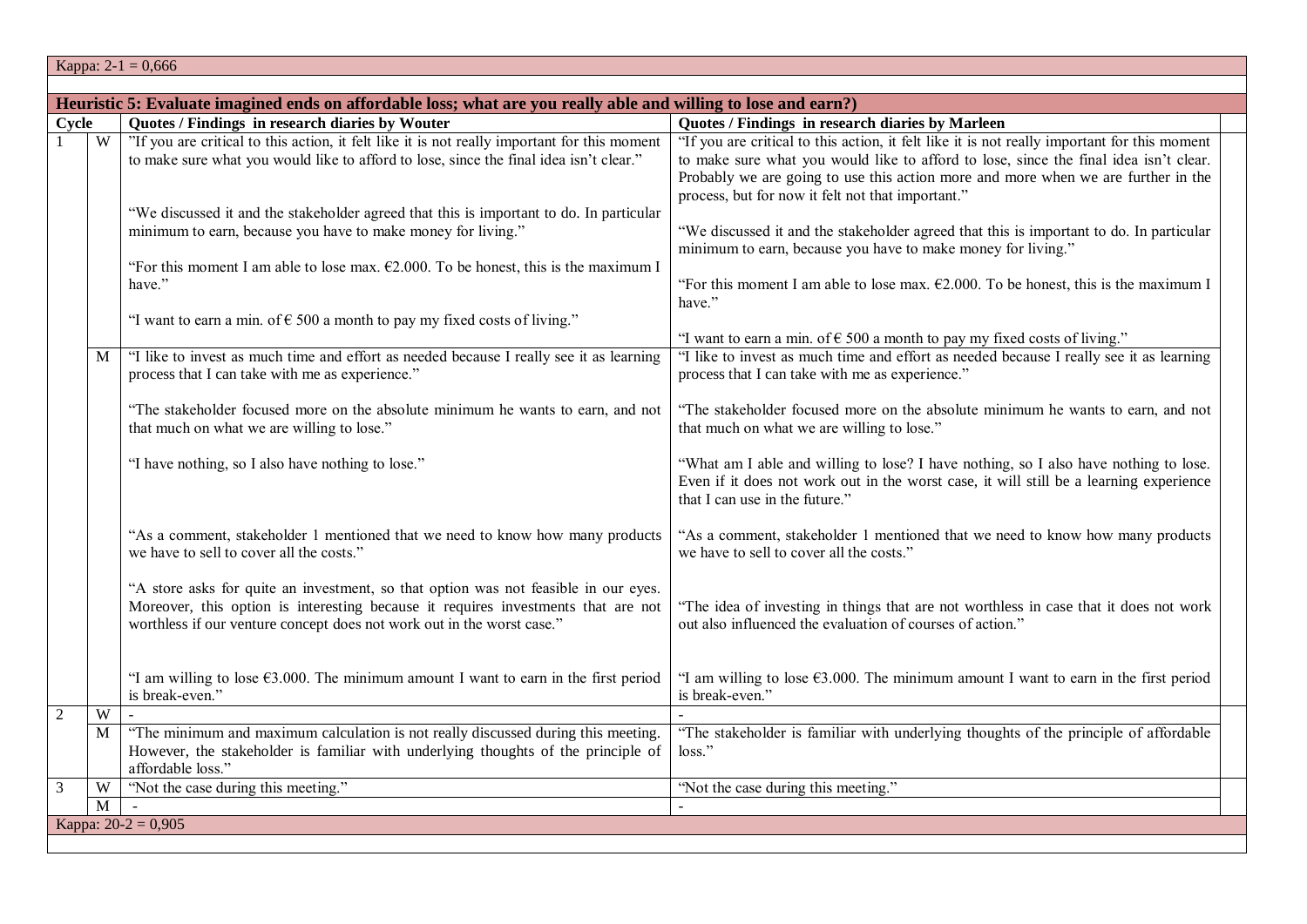|                     | Kappa: $2-1 = 0,666$                                                                                                                                                                                                                                     |                                                                                                                                                                                                                                                                                                                                 |  |  |  |
|---------------------|----------------------------------------------------------------------------------------------------------------------------------------------------------------------------------------------------------------------------------------------------------|---------------------------------------------------------------------------------------------------------------------------------------------------------------------------------------------------------------------------------------------------------------------------------------------------------------------------------|--|--|--|
|                     |                                                                                                                                                                                                                                                          |                                                                                                                                                                                                                                                                                                                                 |  |  |  |
|                     | Heuristic 5: Evaluate imagined ends on affordable loss; what are you really able and willing to lose and earn?)                                                                                                                                          |                                                                                                                                                                                                                                                                                                                                 |  |  |  |
| Cycle               | Quotes / Findings in research diaries by Wouter                                                                                                                                                                                                          | Quotes / Findings in research diaries by Marleen                                                                                                                                                                                                                                                                                |  |  |  |
| W                   | "If you are critical to this action, it felt like it is not really important for this moment<br>to make sure what you would like to afford to lose, since the final idea isn't clear."                                                                   | "If you are critical to this action, it felt like it is not really important for this moment<br>to make sure what you would like to afford to lose, since the final idea isn't clear.<br>Probably we are going to use this action more and more when we are further in the<br>process, but for now it felt not that important." |  |  |  |
|                     | "We discussed it and the stakeholder agreed that this is important to do. In particular<br>minimum to earn, because you have to make money for living."<br>"For this moment I am able to lose max. $\epsilon$ 2.000. To be honest, this is the maximum I | "We discussed it and the stakeholder agreed that this is important to do. In particular<br>minimum to earn, because you have to make money for living."                                                                                                                                                                         |  |  |  |
|                     | have."<br>"I want to earn a min. of $\epsilon$ 500 a month to pay my fixed costs of living."                                                                                                                                                             | "For this moment I am able to lose max. $\epsilon$ 2.000. To be honest, this is the maximum I<br>have."                                                                                                                                                                                                                         |  |  |  |
|                     |                                                                                                                                                                                                                                                          | "I want to earn a min. of $\epsilon$ 500 a month to pay my fixed costs of living."                                                                                                                                                                                                                                              |  |  |  |
| M                   | "I like to invest as much time and effort as needed because I really see it as learning<br>process that I can take with me as experience."                                                                                                               | "I like to invest as much time and effort as needed because I really see it as learning<br>process that I can take with me as experience."                                                                                                                                                                                      |  |  |  |
|                     | "The stakeholder focused more on the absolute minimum he wants to earn, and not<br>that much on what we are willing to lose."                                                                                                                            | "The stakeholder focused more on the absolute minimum he wants to earn, and not<br>that much on what we are willing to lose."                                                                                                                                                                                                   |  |  |  |
|                     | "I have nothing, so I also have nothing to lose."                                                                                                                                                                                                        | "What am I able and willing to lose? I have nothing, so I also have nothing to lose.<br>Even if it does not work out in the worst case, it will still be a learning experience<br>that I can use in the future."                                                                                                                |  |  |  |
|                     | "As a comment, stakeholder 1 mentioned that we need to know how many products<br>we have to sell to cover all the costs."                                                                                                                                | "As a comment, stakeholder 1 mentioned that we need to know how many products<br>we have to sell to cover all the costs."                                                                                                                                                                                                       |  |  |  |
|                     | "A store asks for quite an investment, so that option was not feasible in our eyes.<br>Moreover, this option is interesting because it requires investments that are not<br>worthless if our venture concept does not work out in the worst case."       | "The idea of investing in things that are not worthless in case that it does not work<br>out also influenced the evaluation of courses of action."                                                                                                                                                                              |  |  |  |
|                     | "I am willing to lose $63.000$ . The minimum amount I want to earn in the first period<br>is break-even."                                                                                                                                                | "I am willing to lose $63.000$ . The minimum amount I want to earn in the first period<br>is break-even."                                                                                                                                                                                                                       |  |  |  |
| $\overline{2}$<br>W |                                                                                                                                                                                                                                                          |                                                                                                                                                                                                                                                                                                                                 |  |  |  |
| M                   | "The minimum and maximum calculation is not really discussed during this meeting.<br>However, the stakeholder is familiar with underlying thoughts of the principle of<br>affordable loss."                                                              | "The stakeholder is familiar with underlying thoughts of the principle of affordable<br>loss."                                                                                                                                                                                                                                  |  |  |  |
| W<br>3              | "Not the case during this meeting."                                                                                                                                                                                                                      | "Not the case during this meeting."                                                                                                                                                                                                                                                                                             |  |  |  |
| $\overline{M}$      |                                                                                                                                                                                                                                                          |                                                                                                                                                                                                                                                                                                                                 |  |  |  |
|                     | Kappa: $20-2 = 0,905$                                                                                                                                                                                                                                    |                                                                                                                                                                                                                                                                                                                                 |  |  |  |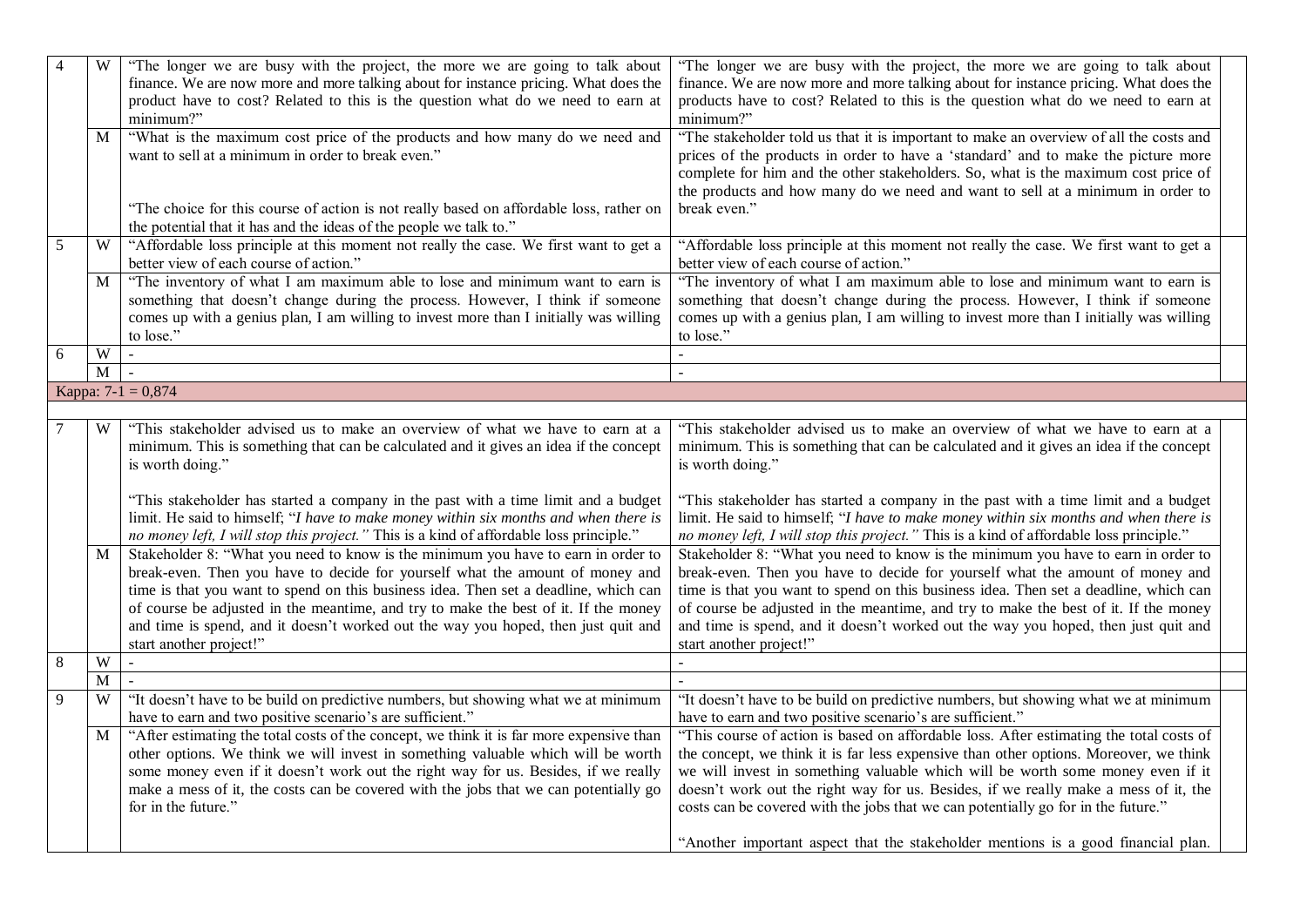| $\overline{4}$ | W | "The longer we are busy with the project, the more we are going to talk about<br>finance. We are now more and more talking about for instance pricing. What does the<br>product have to cost? Related to this is the question what do we need to earn at<br>minimum?"                                                                                                                                                                                              | "The longer we are busy with the project, the more we are going to talk about<br>finance. We are now more and more talking about for instance pricing. What does the<br>products have to cost? Related to this is the question what do we need to earn at<br>minimum?"                                                                                                                                                                                                                                                              |
|----------------|---|--------------------------------------------------------------------------------------------------------------------------------------------------------------------------------------------------------------------------------------------------------------------------------------------------------------------------------------------------------------------------------------------------------------------------------------------------------------------|-------------------------------------------------------------------------------------------------------------------------------------------------------------------------------------------------------------------------------------------------------------------------------------------------------------------------------------------------------------------------------------------------------------------------------------------------------------------------------------------------------------------------------------|
|                | M | "What is the maximum cost price of the products and how many do we need and<br>want to sell at a minimum in order to break even."                                                                                                                                                                                                                                                                                                                                  | "The stakeholder told us that it is important to make an overview of all the costs and<br>prices of the products in order to have a 'standard' and to make the picture more<br>complete for him and the other stakeholders. So, what is the maximum cost price of<br>the products and how many do we need and want to sell at a minimum in order to                                                                                                                                                                                 |
|                |   | "The choice for this course of action is not really based on affordable loss, rather on<br>the potential that it has and the ideas of the people we talk to."                                                                                                                                                                                                                                                                                                      | break even."                                                                                                                                                                                                                                                                                                                                                                                                                                                                                                                        |
| 5              | W | "Affordable loss principle at this moment not really the case. We first want to get a<br>better view of each course of action."                                                                                                                                                                                                                                                                                                                                    | "Affordable loss principle at this moment not really the case. We first want to get a<br>better view of each course of action."                                                                                                                                                                                                                                                                                                                                                                                                     |
|                | M | "The inventory of what I am maximum able to lose and minimum want to earn is<br>something that doesn't change during the process. However, I think if someone<br>comes up with a genius plan, I am willing to invest more than I initially was willing<br>to lose."                                                                                                                                                                                                | "The inventory of what I am maximum able to lose and minimum want to earn is<br>something that doesn't change during the process. However, I think if someone<br>comes up with a genius plan, I am willing to invest more than I initially was willing<br>to lose."                                                                                                                                                                                                                                                                 |
| 6              | W | $\sim$                                                                                                                                                                                                                                                                                                                                                                                                                                                             |                                                                                                                                                                                                                                                                                                                                                                                                                                                                                                                                     |
|                | M | $\sim$                                                                                                                                                                                                                                                                                                                                                                                                                                                             |                                                                                                                                                                                                                                                                                                                                                                                                                                                                                                                                     |
|                |   | Kappa: $7-1 = 0,874$                                                                                                                                                                                                                                                                                                                                                                                                                                               |                                                                                                                                                                                                                                                                                                                                                                                                                                                                                                                                     |
|                |   |                                                                                                                                                                                                                                                                                                                                                                                                                                                                    |                                                                                                                                                                                                                                                                                                                                                                                                                                                                                                                                     |
|                | W | "This stakeholder advised us to make an overview of what we have to earn at a<br>minimum. This is something that can be calculated and it gives an idea if the concept<br>is worth doing."                                                                                                                                                                                                                                                                         | "This stakeholder advised us to make an overview of what we have to earn at a<br>minimum. This is something that can be calculated and it gives an idea if the concept<br>is worth doing."                                                                                                                                                                                                                                                                                                                                          |
|                |   | "This stakeholder has started a company in the past with a time limit and a budget<br>limit. He said to himself; "I have to make money within six months and when there is<br>no money left, I will stop this project." This is a kind of affordable loss principle."                                                                                                                                                                                              | "This stakeholder has started a company in the past with a time limit and a budget<br>limit. He said to himself; "I have to make money within six months and when there is<br>no money left, I will stop this project." This is a kind of affordable loss principle."                                                                                                                                                                                                                                                               |
|                | M | Stakeholder 8: "What you need to know is the minimum you have to earn in order to<br>break-even. Then you have to decide for yourself what the amount of money and<br>time is that you want to spend on this business idea. Then set a deadline, which can<br>of course be adjusted in the meantime, and try to make the best of it. If the money<br>and time is spend, and it doesn't worked out the way you hoped, then just quit and<br>start another project!" | Stakeholder 8: "What you need to know is the minimum you have to earn in order to<br>break-even. Then you have to decide for yourself what the amount of money and<br>time is that you want to spend on this business idea. Then set a deadline, which can<br>of course be adjusted in the meantime, and try to make the best of it. If the money<br>and time is spend, and it doesn't worked out the way you hoped, then just quit and<br>start another project!"                                                                  |
| 8              | W |                                                                                                                                                                                                                                                                                                                                                                                                                                                                    |                                                                                                                                                                                                                                                                                                                                                                                                                                                                                                                                     |
|                | M |                                                                                                                                                                                                                                                                                                                                                                                                                                                                    |                                                                                                                                                                                                                                                                                                                                                                                                                                                                                                                                     |
| 9              | W | "It doesn't have to be build on predictive numbers, but showing what we at minimum<br>have to earn and two positive scenario's are sufficient."                                                                                                                                                                                                                                                                                                                    | "It doesn't have to be build on predictive numbers, but showing what we at minimum<br>have to earn and two positive scenario's are sufficient."                                                                                                                                                                                                                                                                                                                                                                                     |
|                | M | "After estimating the total costs of the concept, we think it is far more expensive than<br>other options. We think we will invest in something valuable which will be worth<br>some money even if it doesn't work out the right way for us. Besides, if we really<br>make a mess of it, the costs can be covered with the jobs that we can potentially go<br>for in the future."                                                                                  | "This course of action is based on affordable loss. After estimating the total costs of<br>the concept, we think it is far less expensive than other options. Moreover, we think<br>we will invest in something valuable which will be worth some money even if it<br>doesn't work out the right way for us. Besides, if we really make a mess of it, the<br>costs can be covered with the jobs that we can potentially go for in the future."<br>"Another important aspect that the stakeholder mentions is a good financial plan. |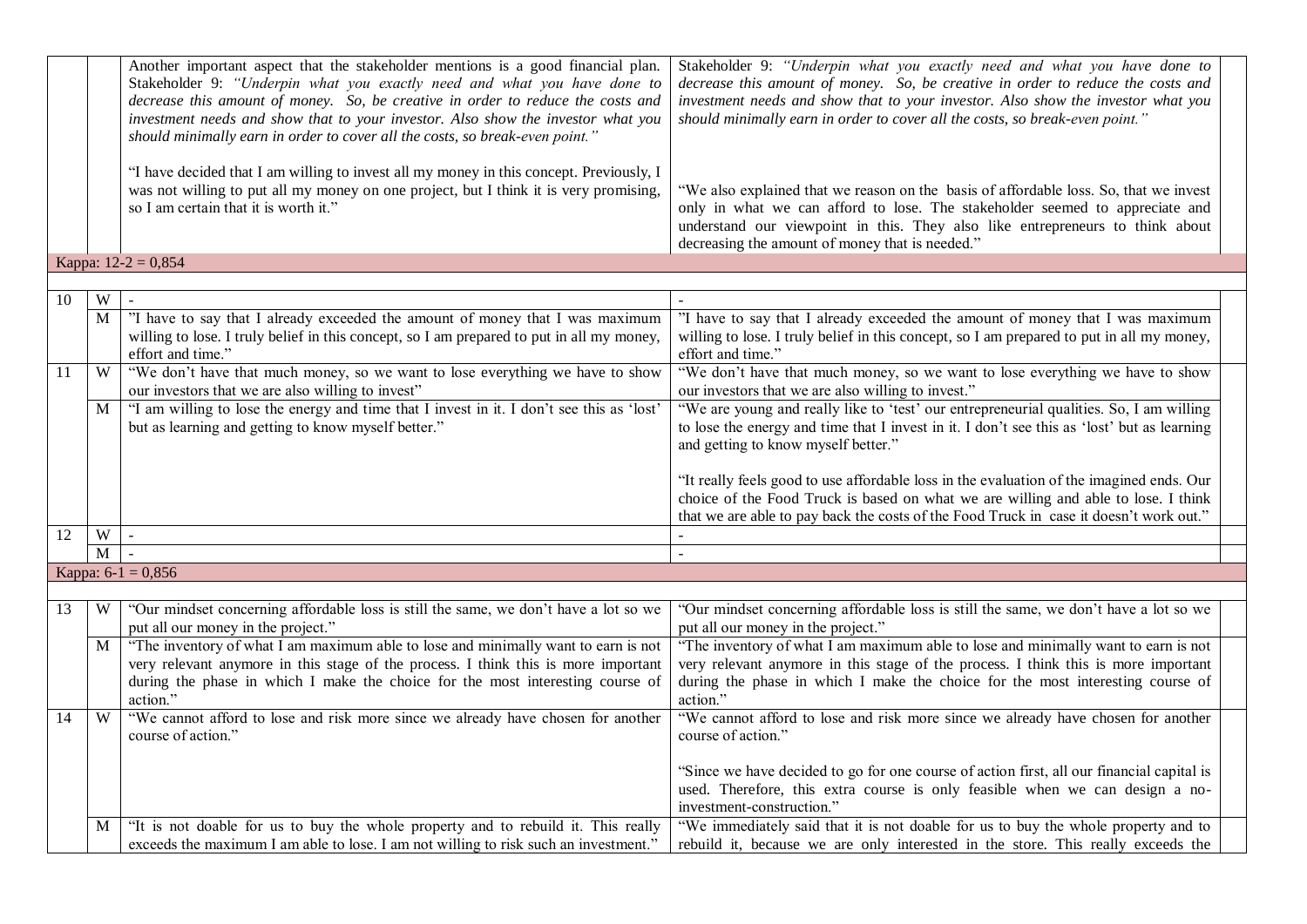|    |                | Another important aspect that the stakeholder mentions is a good financial plan.<br>Stakeholder 9: "Underpin what you exactly need and what you have done to<br>decrease this amount of money. So, be creative in order to reduce the costs and<br>investment needs and show that to your investor. Also show the investor what you<br>should minimally earn in order to cover all the costs, so break-even point." | Stakeholder 9: "Underpin what you exactly need and what you have done to<br>decrease this amount of money. So, be creative in order to reduce the costs and<br>investment needs and show that to your investor. Also show the investor what you<br>should minimally earn in order to cover all the costs, so break-even point." |
|----|----------------|---------------------------------------------------------------------------------------------------------------------------------------------------------------------------------------------------------------------------------------------------------------------------------------------------------------------------------------------------------------------------------------------------------------------|---------------------------------------------------------------------------------------------------------------------------------------------------------------------------------------------------------------------------------------------------------------------------------------------------------------------------------|
|    |                | "I have decided that I am willing to invest all my money in this concept. Previously, I<br>was not willing to put all my money on one project, but I think it is very promising,<br>so I am certain that it is worth it."                                                                                                                                                                                           | "We also explained that we reason on the basis of affordable loss. So, that we invest<br>only in what we can afford to lose. The stakeholder seemed to appreciate and<br>understand our viewpoint in this. They also like entrepreneurs to think about<br>decreasing the amount of money that is needed."                       |
|    |                | Kappa: $12-2 = 0,854$                                                                                                                                                                                                                                                                                                                                                                                               |                                                                                                                                                                                                                                                                                                                                 |
|    |                |                                                                                                                                                                                                                                                                                                                                                                                                                     |                                                                                                                                                                                                                                                                                                                                 |
| 10 | W              |                                                                                                                                                                                                                                                                                                                                                                                                                     |                                                                                                                                                                                                                                                                                                                                 |
|    | $\mathbf M$    | "I have to say that I already exceeded the amount of money that I was maximum<br>willing to lose. I truly belief in this concept, so I am prepared to put in all my money,<br>effort and time."                                                                                                                                                                                                                     | "I have to say that I already exceeded the amount of money that I was maximum<br>willing to lose. I truly belief in this concept, so I am prepared to put in all my money,<br>effort and time."                                                                                                                                 |
| 11 | W              | "We don't have that much money, so we want to lose everything we have to show<br>our investors that we are also willing to invest"                                                                                                                                                                                                                                                                                  | "We don't have that much money, so we want to lose everything we have to show<br>our investors that we are also willing to invest."                                                                                                                                                                                             |
|    | $\mathbf{M}$   | "I am willing to lose the energy and time that I invest in it. I don't see this as 'lost'<br>but as learning and getting to know myself better."                                                                                                                                                                                                                                                                    | "We are young and really like to 'test' our entrepreneurial qualities. So, I am willing<br>to lose the energy and time that I invest in it. I don't see this as 'lost' but as learning<br>and getting to know myself better."                                                                                                   |
|    |                |                                                                                                                                                                                                                                                                                                                                                                                                                     | "It really feels good to use affordable loss in the evaluation of the imagined ends. Our<br>choice of the Food Truck is based on what we are willing and able to lose. I think<br>that we are able to pay back the costs of the Food Truck in case it doesn't work out."                                                        |
| 12 | W              | $\sim$                                                                                                                                                                                                                                                                                                                                                                                                              |                                                                                                                                                                                                                                                                                                                                 |
|    | $\overline{M}$ |                                                                                                                                                                                                                                                                                                                                                                                                                     |                                                                                                                                                                                                                                                                                                                                 |
|    |                | Kappa: $6-1 = 0,856$                                                                                                                                                                                                                                                                                                                                                                                                |                                                                                                                                                                                                                                                                                                                                 |
|    |                |                                                                                                                                                                                                                                                                                                                                                                                                                     |                                                                                                                                                                                                                                                                                                                                 |
| 13 | W              | "Our mindset concerning affordable loss is still the same, we don't have a lot so we<br>put all our money in the project."                                                                                                                                                                                                                                                                                          | "Our mindset concerning affordable loss is still the same, we don't have a lot so we<br>put all our money in the project."                                                                                                                                                                                                      |
|    | $\mathbf{M}$   | "The inventory of what I am maximum able to lose and minimally want to earn is not<br>very relevant anymore in this stage of the process. I think this is more important<br>during the phase in which I make the choice for the most interesting course of<br>action."                                                                                                                                              | "The inventory of what I am maximum able to lose and minimally want to earn is not<br>very relevant anymore in this stage of the process. I think this is more important<br>during the phase in which I make the choice for the most interesting course of<br>action."                                                          |
| 14 | W              | "We cannot afford to lose and risk more since we already have chosen for another<br>course of action."                                                                                                                                                                                                                                                                                                              | "We cannot afford to lose and risk more since we already have chosen for another<br>course of action."                                                                                                                                                                                                                          |
|    |                |                                                                                                                                                                                                                                                                                                                                                                                                                     | "Since we have decided to go for one course of action first, all our financial capital is<br>used. Therefore, this extra course is only feasible when we can design a no-<br>investment-construction."                                                                                                                          |
|    | M              | "It is not doable for us to buy the whole property and to rebuild it. This really                                                                                                                                                                                                                                                                                                                                   | "We immediately said that it is not doable for us to buy the whole property and to                                                                                                                                                                                                                                              |
|    |                | exceeds the maximum I am able to lose. I am not willing to risk such an investment."                                                                                                                                                                                                                                                                                                                                | rebuild it, because we are only interested in the store. This really exceeds the                                                                                                                                                                                                                                                |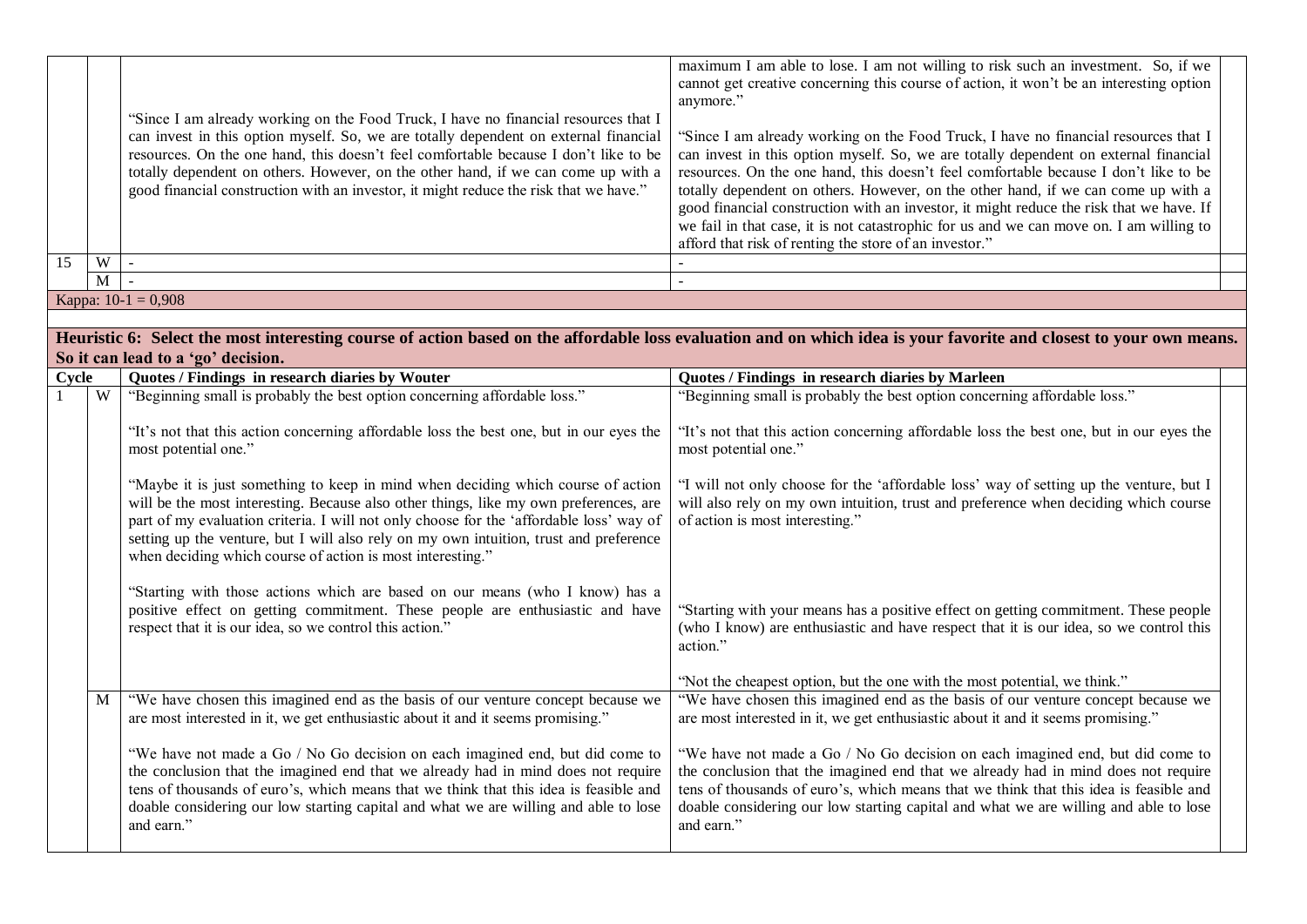| 15    | W              | "Since I am already working on the Food Truck, I have no financial resources that I<br>can invest in this option myself. So, we are totally dependent on external financial<br>resources. On the one hand, this doesn't feel comfortable because I don't like to be<br>totally dependent on others. However, on the other hand, if we can come up with a<br>good financial construction with an investor, it might reduce the risk that we have."<br>$\blacksquare$                                                                             | maximum I am able to lose. I am not willing to risk such an investment. So, if we<br>cannot get creative concerning this course of action, it won't be an interesting option<br>anymore."<br>"Since I am already working on the Food Truck, I have no financial resources that I<br>can invest in this option myself. So, we are totally dependent on external financial<br>resources. On the one hand, this doesn't feel comfortable because I don't like to be<br>totally dependent on others. However, on the other hand, if we can come up with a<br>good financial construction with an investor, it might reduce the risk that we have. If<br>we fail in that case, it is not catastrophic for us and we can move on. I am willing to<br>afford that risk of renting the store of an investor." |  |
|-------|----------------|-------------------------------------------------------------------------------------------------------------------------------------------------------------------------------------------------------------------------------------------------------------------------------------------------------------------------------------------------------------------------------------------------------------------------------------------------------------------------------------------------------------------------------------------------|-------------------------------------------------------------------------------------------------------------------------------------------------------------------------------------------------------------------------------------------------------------------------------------------------------------------------------------------------------------------------------------------------------------------------------------------------------------------------------------------------------------------------------------------------------------------------------------------------------------------------------------------------------------------------------------------------------------------------------------------------------------------------------------------------------|--|
|       | $\overline{M}$ | $\overline{\phantom{a}}$                                                                                                                                                                                                                                                                                                                                                                                                                                                                                                                        | $\mathbb{Z}^+$                                                                                                                                                                                                                                                                                                                                                                                                                                                                                                                                                                                                                                                                                                                                                                                        |  |
|       |                | Kappa: $10-1 = 0,908$                                                                                                                                                                                                                                                                                                                                                                                                                                                                                                                           |                                                                                                                                                                                                                                                                                                                                                                                                                                                                                                                                                                                                                                                                                                                                                                                                       |  |
|       |                |                                                                                                                                                                                                                                                                                                                                                                                                                                                                                                                                                 |                                                                                                                                                                                                                                                                                                                                                                                                                                                                                                                                                                                                                                                                                                                                                                                                       |  |
|       |                | So it can lead to a 'go' decision.                                                                                                                                                                                                                                                                                                                                                                                                                                                                                                              | Heuristic 6: Select the most interesting course of action based on the affordable loss evaluation and on which idea is your favorite and closest to your own means.                                                                                                                                                                                                                                                                                                                                                                                                                                                                                                                                                                                                                                   |  |
| Cycle |                | Quotes / Findings in research diaries by Wouter                                                                                                                                                                                                                                                                                                                                                                                                                                                                                                 | Quotes / Findings in research diaries by Marleen                                                                                                                                                                                                                                                                                                                                                                                                                                                                                                                                                                                                                                                                                                                                                      |  |
|       | W              | "Beginning small is probably the best option concerning affordable loss."                                                                                                                                                                                                                                                                                                                                                                                                                                                                       | "Beginning small is probably the best option concerning affordable loss."                                                                                                                                                                                                                                                                                                                                                                                                                                                                                                                                                                                                                                                                                                                             |  |
|       |                | "It's not that this action concerning affordable loss the best one, but in our eyes the<br>most potential one."<br>"Maybe it is just something to keep in mind when deciding which course of action<br>will be the most interesting. Because also other things, like my own preferences, are<br>part of my evaluation criteria. I will not only choose for the 'affordable loss' way of<br>setting up the venture, but I will also rely on my own intuition, trust and preference<br>when deciding which course of action is most interesting." | "It's not that this action concerning affordable loss the best one, but in our eyes the<br>most potential one."<br>"I will not only choose for the 'affordable loss' way of setting up the venture, but I<br>will also rely on my own intuition, trust and preference when deciding which course<br>of action is most interesting."                                                                                                                                                                                                                                                                                                                                                                                                                                                                   |  |
|       |                | "Starting with those actions which are based on our means (who I know) has a<br>positive effect on getting commitment. These people are enthusiastic and have<br>respect that it is our idea, so we control this action."                                                                                                                                                                                                                                                                                                                       | "Starting with your means has a positive effect on getting commitment. These people<br>(who I know) are enthusiastic and have respect that it is our idea, so we control this<br>action."<br>"Not the cheapest option, but the one with the most potential, we think."                                                                                                                                                                                                                                                                                                                                                                                                                                                                                                                                |  |
|       | M              | "We have chosen this imagined end as the basis of our venture concept because we<br>are most interested in it, we get enthusiastic about it and it seems promising."<br>"We have not made a Go / No Go decision on each imagined end, but did come to<br>the conclusion that the imagined end that we already had in mind does not require<br>tens of thousands of euro's, which means that we think that this idea is feasible and<br>doable considering our low starting capital and what we are willing and able to lose<br>and earn."       | "We have chosen this imagined end as the basis of our venture concept because we<br>are most interested in it, we get enthusiastic about it and it seems promising."<br>"We have not made a Go / No Go decision on each imagined end, but did come to<br>the conclusion that the imagined end that we already had in mind does not require<br>tens of thousands of euro's, which means that we think that this idea is feasible and<br>doable considering our low starting capital and what we are willing and able to lose<br>and earn."                                                                                                                                                                                                                                                             |  |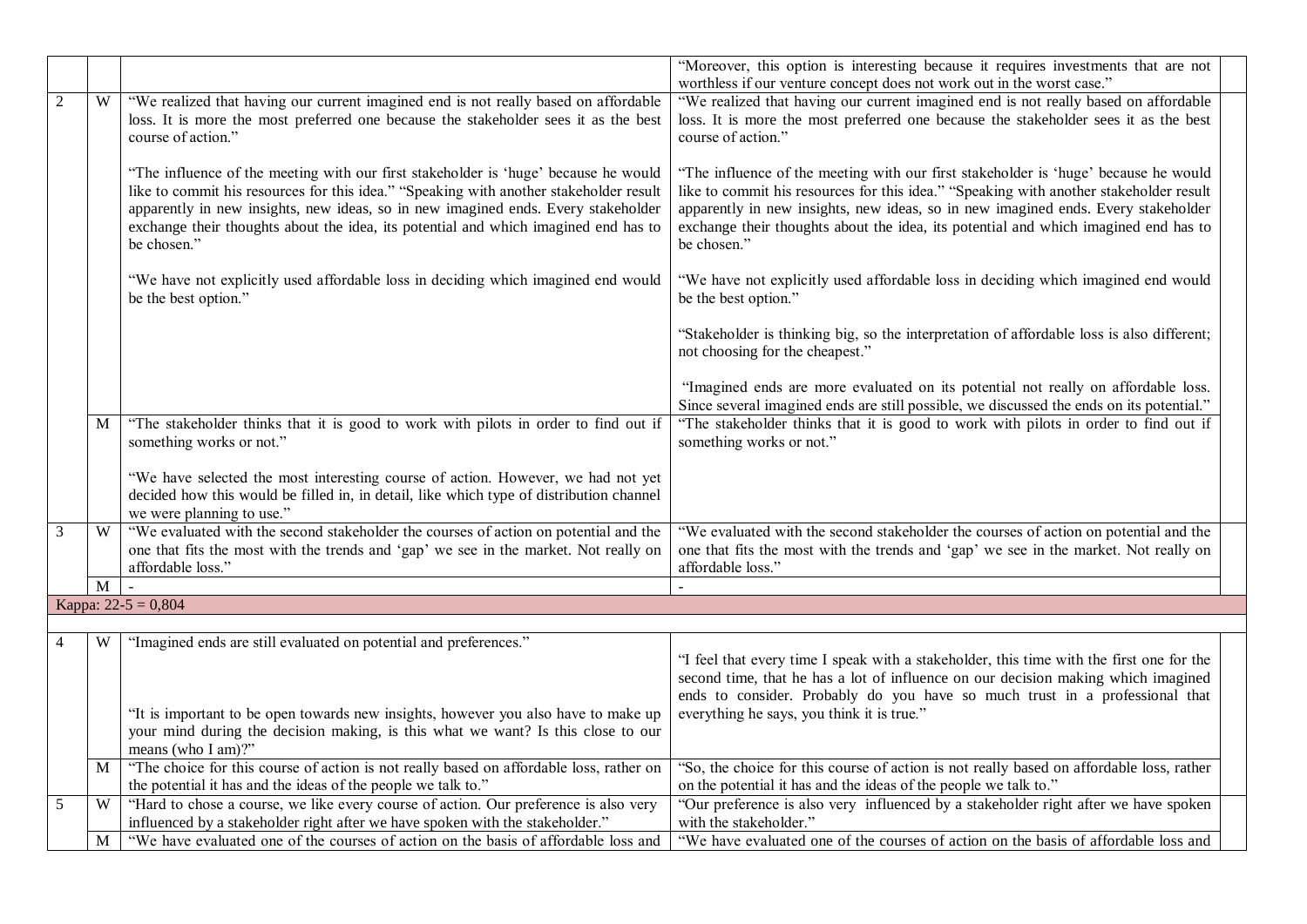|                |             |                                                                                                                                                                                                                                                                                                                                                                          | "Moreover, this option is interesting because it requires investments that are not<br>worthless if our venture concept does not work out in the worst case."                                                                                                                                                                                                             |  |
|----------------|-------------|--------------------------------------------------------------------------------------------------------------------------------------------------------------------------------------------------------------------------------------------------------------------------------------------------------------------------------------------------------------------------|--------------------------------------------------------------------------------------------------------------------------------------------------------------------------------------------------------------------------------------------------------------------------------------------------------------------------------------------------------------------------|--|
| $\overline{2}$ | W           | "We realized that having our current imagined end is not really based on affordable<br>loss. It is more the most preferred one because the stakeholder sees it as the best<br>course of action."                                                                                                                                                                         | "We realized that having our current imagined end is not really based on affordable<br>loss. It is more the most preferred one because the stakeholder sees it as the best<br>course of action."                                                                                                                                                                         |  |
|                |             | "The influence of the meeting with our first stakeholder is 'huge' because he would<br>like to commit his resources for this idea." "Speaking with another stakeholder result<br>apparently in new insights, new ideas, so in new imagined ends. Every stakeholder<br>exchange their thoughts about the idea, its potential and which imagined end has to<br>be chosen." | "The influence of the meeting with our first stakeholder is 'huge' because he would<br>like to commit his resources for this idea." "Speaking with another stakeholder result<br>apparently in new insights, new ideas, so in new imagined ends. Every stakeholder<br>exchange their thoughts about the idea, its potential and which imagined end has to<br>be chosen." |  |
|                |             | "We have not explicitly used affordable loss in deciding which imagined end would<br>be the best option."                                                                                                                                                                                                                                                                | "We have not explicitly used affordable loss in deciding which imagined end would<br>be the best option."                                                                                                                                                                                                                                                                |  |
|                |             |                                                                                                                                                                                                                                                                                                                                                                          | "Stakeholder is thinking big, so the interpretation of affordable loss is also different;<br>not choosing for the cheapest."                                                                                                                                                                                                                                             |  |
|                |             |                                                                                                                                                                                                                                                                                                                                                                          | "Imagined ends are more evaluated on its potential not really on affordable loss.<br>Since several imagined ends are still possible, we discussed the ends on its potential."                                                                                                                                                                                            |  |
|                | M           | "The stakeholder thinks that it is good to work with pilots in order to find out if<br>something works or not."                                                                                                                                                                                                                                                          | "The stakeholder thinks that it is good to work with pilots in order to find out if<br>something works or not."                                                                                                                                                                                                                                                          |  |
|                |             | "We have selected the most interesting course of action. However, we had not yet<br>decided how this would be filled in, in detail, like which type of distribution channel<br>we were planning to use."                                                                                                                                                                 |                                                                                                                                                                                                                                                                                                                                                                          |  |
| 3              | W           | "We evaluated with the second stakeholder the courses of action on potential and the<br>one that fits the most with the trends and 'gap' we see in the market. Not really on<br>affordable loss."                                                                                                                                                                        | "We evaluated with the second stakeholder the courses of action on potential and the<br>one that fits the most with the trends and 'gap' we see in the market. Not really on<br>affordable loss."                                                                                                                                                                        |  |
|                | $\mathbf M$ |                                                                                                                                                                                                                                                                                                                                                                          |                                                                                                                                                                                                                                                                                                                                                                          |  |
|                |             | Kappa: $22-5 = 0,804$                                                                                                                                                                                                                                                                                                                                                    |                                                                                                                                                                                                                                                                                                                                                                          |  |
| $\overline{4}$ | W           | "Imagined ends are still evaluated on potential and preferences."                                                                                                                                                                                                                                                                                                        | "I feel that every time I speak with a stakeholder, this time with the first one for the<br>second time, that he has a lot of influence on our decision making which imagined<br>ends to consider. Probably do you have so much trust in a professional that                                                                                                             |  |
|                |             | "It is important to be open towards new insights, however you also have to make up<br>your mind during the decision making, is this what we want? Is this close to our<br>means (who I am)?"                                                                                                                                                                             | everything he says, you think it is true."                                                                                                                                                                                                                                                                                                                               |  |
|                | M           | "The choice for this course of action is not really based on affordable loss, rather on<br>the potential it has and the ideas of the people we talk to."                                                                                                                                                                                                                 | "So, the choice for this course of action is not really based on affordable loss, rather<br>on the potential it has and the ideas of the people we talk to."                                                                                                                                                                                                             |  |
| 5              | W           | "Hard to chose a course, we like every course of action. Our preference is also very<br>influenced by a stakeholder right after we have spoken with the stakeholder."                                                                                                                                                                                                    | "Our preference is also very influenced by a stakeholder right after we have spoken<br>with the stakeholder."                                                                                                                                                                                                                                                            |  |
|                | M           | "We have evaluated one of the courses of action on the basis of affordable loss and                                                                                                                                                                                                                                                                                      | "We have evaluated one of the courses of action on the basis of affordable loss and                                                                                                                                                                                                                                                                                      |  |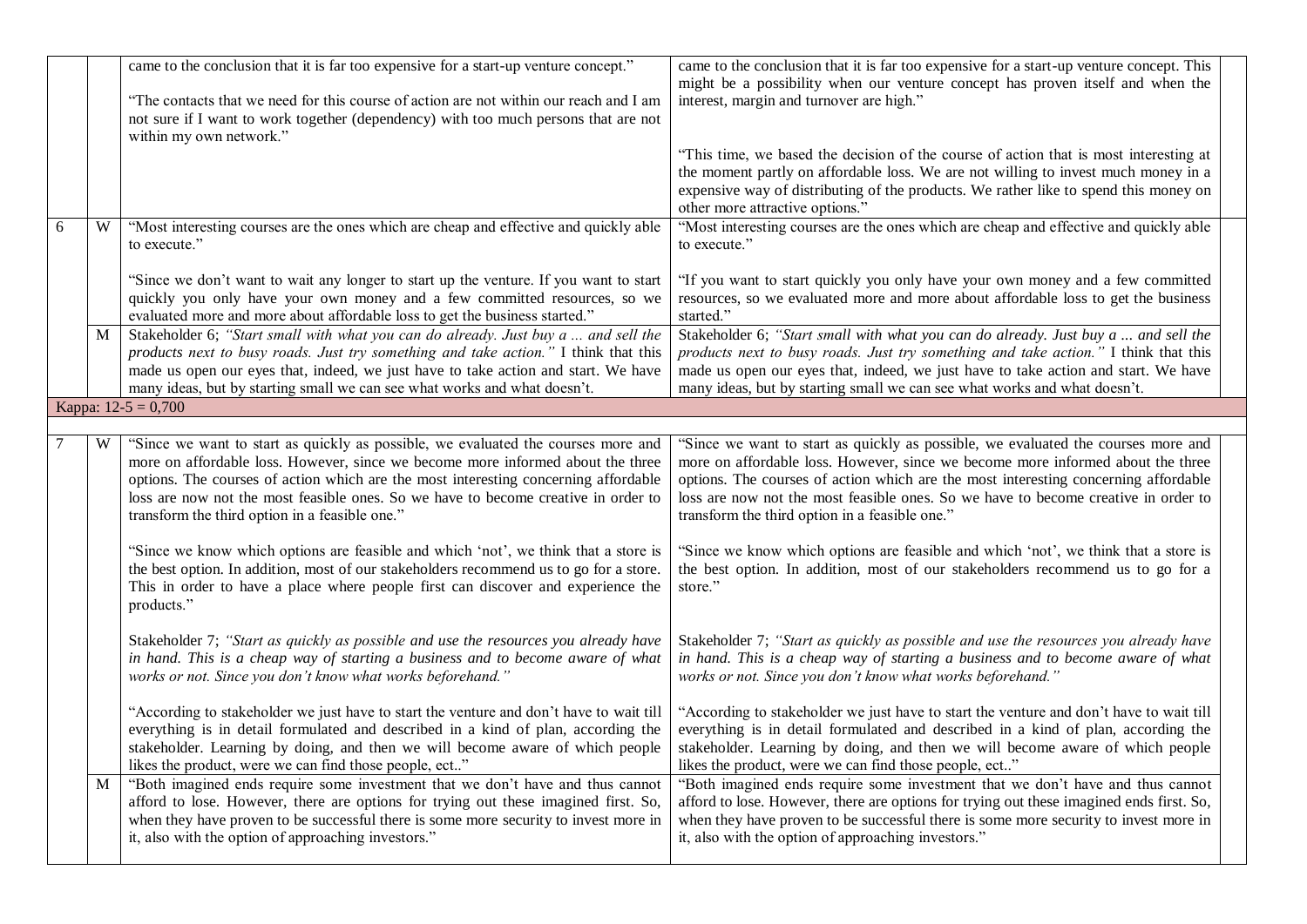|   |   | came to the conclusion that it is far too expensive for a start-up venture concept."<br>"The contacts that we need for this course of action are not within our reach and I am<br>not sure if I want to work together (dependency) with too much persons that are not<br>within my own network."                                                                                                    | came to the conclusion that it is far too expensive for a start-up venture concept. This<br>might be a possibility when our venture concept has proven itself and when the<br>interest, margin and turnover are high."<br>"This time, we based the decision of the course of action that is most interesting at                                                                                     |
|---|---|-----------------------------------------------------------------------------------------------------------------------------------------------------------------------------------------------------------------------------------------------------------------------------------------------------------------------------------------------------------------------------------------------------|-----------------------------------------------------------------------------------------------------------------------------------------------------------------------------------------------------------------------------------------------------------------------------------------------------------------------------------------------------------------------------------------------------|
|   |   |                                                                                                                                                                                                                                                                                                                                                                                                     | the moment partly on affordable loss. We are not willing to invest much money in a<br>expensive way of distributing of the products. We rather like to spend this money on<br>other more attractive options."                                                                                                                                                                                       |
| 6 | W | "Most interesting courses are the ones which are cheap and effective and quickly able<br>to execute."                                                                                                                                                                                                                                                                                               | "Most interesting courses are the ones which are cheap and effective and quickly able<br>to execute."                                                                                                                                                                                                                                                                                               |
|   |   | "Since we don't want to wait any longer to start up the venture. If you want to start<br>quickly you only have your own money and a few committed resources, so we<br>evaluated more and more about affordable loss to get the business started."                                                                                                                                                   | "If you want to start quickly you only have your own money and a few committed<br>resources, so we evaluated more and more about affordable loss to get the business<br>started."                                                                                                                                                                                                                   |
|   | M | Stakeholder 6; "Start small with what you can do already. Just buy a  and sell the<br>products next to busy roads. Just try something and take action." I think that this<br>made us open our eyes that, indeed, we just have to take action and start. We have<br>many ideas, but by starting small we can see what works and what doesn't.                                                        | Stakeholder 6; "Start small with what you can do already. Just buy a  and sell the<br>products next to busy roads. Just try something and take action." I think that this<br>made us open our eyes that, indeed, we just have to take action and start. We have<br>many ideas, but by starting small we can see what works and what doesn't.                                                        |
|   |   | Kappa: $12-5 = 0,700$                                                                                                                                                                                                                                                                                                                                                                               |                                                                                                                                                                                                                                                                                                                                                                                                     |
|   | W | "Since we want to start as quickly as possible, we evaluated the courses more and<br>more on affordable loss. However, since we become more informed about the three<br>options. The courses of action which are the most interesting concerning affordable<br>loss are now not the most feasible ones. So we have to become creative in order to<br>transform the third option in a feasible one." | "Since we want to start as quickly as possible, we evaluated the courses more and<br>more on affordable loss. However, since we become more informed about the three<br>options. The courses of action which are the most interesting concerning affordable<br>loss are now not the most feasible ones. So we have to become creative in order to<br>transform the third option in a feasible one." |
|   |   | "Since we know which options are feasible and which 'not', we think that a store is<br>the best option. In addition, most of our stakeholders recommend us to go for a store.<br>This in order to have a place where people first can discover and experience the<br>products."                                                                                                                     | "Since we know which options are feasible and which 'not', we think that a store is<br>the best option. In addition, most of our stakeholders recommend us to go for a<br>store."                                                                                                                                                                                                                   |
|   |   | Stakeholder 7; "Start as quickly as possible and use the resources you already have<br>in hand. This is a cheap way of starting a business and to become aware of what<br>works or not. Since you don't know what works beforehand."                                                                                                                                                                | Stakeholder 7; "Start as quickly as possible and use the resources you already have<br>in hand. This is a cheap way of starting a business and to become aware of what<br>works or not. Since you don't know what works beforehand."                                                                                                                                                                |
|   |   | "According to stakeholder we just have to start the venture and don't have to wait till<br>everything is in detail formulated and described in a kind of plan, according the<br>stakeholder. Learning by doing, and then we will become aware of which people<br>likes the product, were we can find those people, ect"                                                                             | "According to stakeholder we just have to start the venture and don't have to wait till<br>everything is in detail formulated and described in a kind of plan, according the<br>stakeholder. Learning by doing, and then we will become aware of which people<br>likes the product, were we can find those people, ect"                                                                             |
|   | M | "Both imagined ends require some investment that we don't have and thus cannot<br>afford to lose. However, there are options for trying out these imagined first. So,<br>when they have proven to be successful there is some more security to invest more in<br>it, also with the option of approaching investors."                                                                                | "Both imagined ends require some investment that we don't have and thus cannot<br>afford to lose. However, there are options for trying out these imagined ends first. So,<br>when they have proven to be successful there is some more security to invest more in<br>it, also with the option of approaching investors."                                                                           |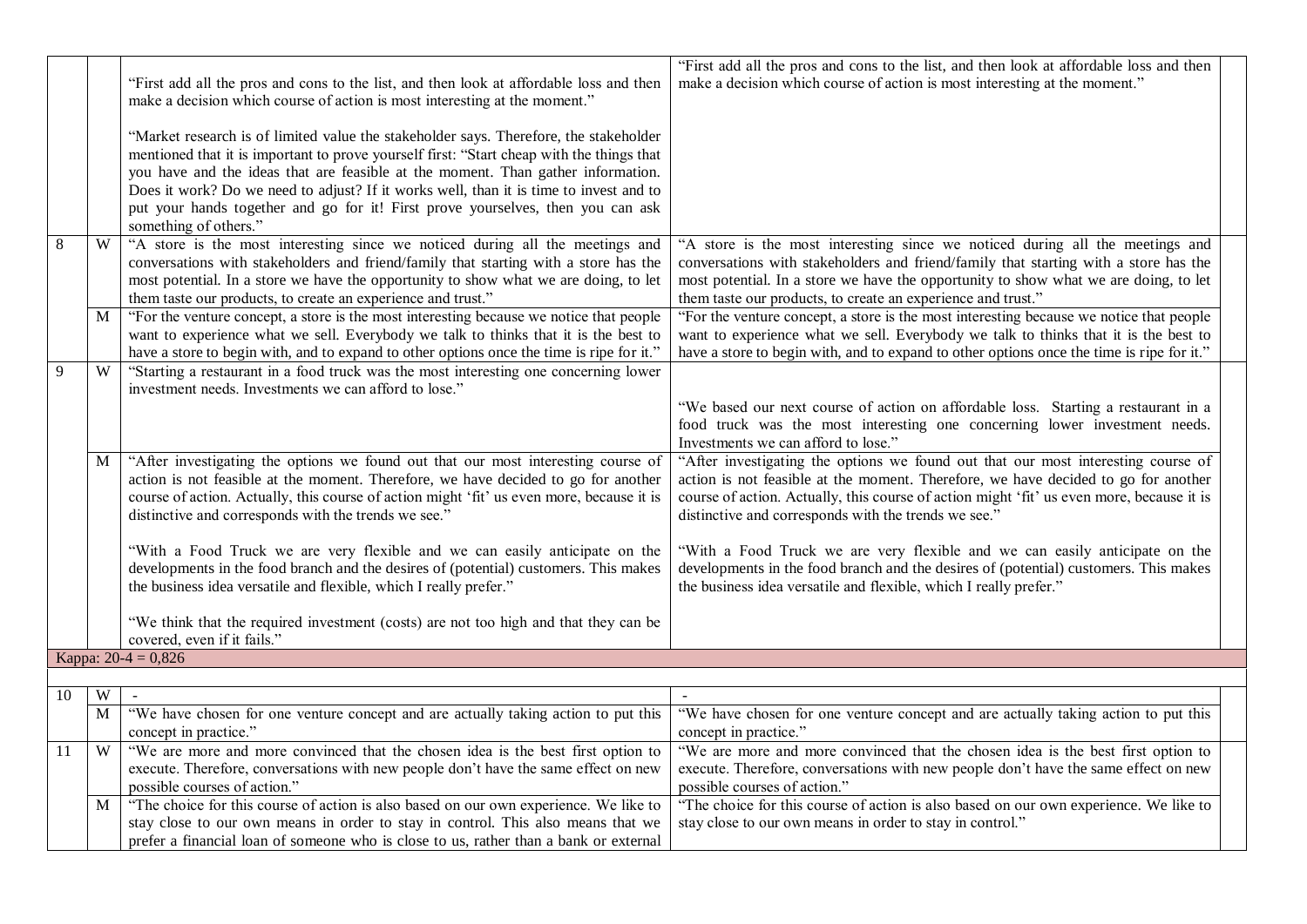|    |   | "First add all the pros and cons to the list, and then look at affordable loss and then<br>make a decision which course of action is most interesting at the moment."<br>"Market research is of limited value the stakeholder says. Therefore, the stakeholder<br>mentioned that it is important to prove yourself first: "Start cheap with the things that<br>you have and the ideas that are feasible at the moment. Than gather information.<br>Does it work? Do we need to adjust? If it works well, than it is time to invest and to | "First add all the pros and cons to the list, and then look at affordable loss and then<br>make a decision which course of action is most interesting at the moment."                                                                                                                                                         |
|----|---|-------------------------------------------------------------------------------------------------------------------------------------------------------------------------------------------------------------------------------------------------------------------------------------------------------------------------------------------------------------------------------------------------------------------------------------------------------------------------------------------------------------------------------------------|-------------------------------------------------------------------------------------------------------------------------------------------------------------------------------------------------------------------------------------------------------------------------------------------------------------------------------|
|    |   | put your hands together and go for it! First prove yourselves, then you can ask<br>something of others."                                                                                                                                                                                                                                                                                                                                                                                                                                  |                                                                                                                                                                                                                                                                                                                               |
| 8  | W | "A store is the most interesting since we noticed during all the meetings and<br>conversations with stakeholders and friend/family that starting with a store has the<br>most potential. In a store we have the opportunity to show what we are doing, to let<br>them taste our products, to create an experience and trust."                                                                                                                                                                                                             | "A store is the most interesting since we noticed during all the meetings and<br>conversations with stakeholders and friend/family that starting with a store has the<br>most potential. In a store we have the opportunity to show what we are doing, to let<br>them taste our products, to create an experience and trust." |
|    | M | "For the venture concept, a store is the most interesting because we notice that people<br>want to experience what we sell. Everybody we talk to thinks that it is the best to<br>have a store to begin with, and to expand to other options once the time is ripe for it."                                                                                                                                                                                                                                                               | "For the venture concept, a store is the most interesting because we notice that people<br>want to experience what we sell. Everybody we talk to thinks that it is the best to<br>have a store to begin with, and to expand to other options once the time is ripe for it."                                                   |
| 9  | W | "Starting a restaurant in a food truck was the most interesting one concerning lower<br>investment needs. Investments we can afford to lose."                                                                                                                                                                                                                                                                                                                                                                                             | "We based our next course of action on affordable loss. Starting a restaurant in a<br>food truck was the most interesting one concerning lower investment needs.<br>Investments we can afford to lose."                                                                                                                       |
|    | M | "After investigating the options we found out that our most interesting course of<br>action is not feasible at the moment. Therefore, we have decided to go for another<br>course of action. Actually, this course of action might 'fit' us even more, because it is<br>distinctive and corresponds with the trends we see."                                                                                                                                                                                                              | "After investigating the options we found out that our most interesting course of<br>action is not feasible at the moment. Therefore, we have decided to go for another<br>course of action. Actually, this course of action might 'fit' us even more, because it is<br>distinctive and corresponds with the trends we see."  |
|    |   | "With a Food Truck we are very flexible and we can easily anticipate on the<br>developments in the food branch and the desires of (potential) customers. This makes<br>the business idea versatile and flexible, which I really prefer."                                                                                                                                                                                                                                                                                                  | "With a Food Truck we are very flexible and we can easily anticipate on the<br>developments in the food branch and the desires of (potential) customers. This makes<br>the business idea versatile and flexible, which I really prefer."                                                                                      |
|    |   | "We think that the required investment (costs) are not too high and that they can be<br>covered, even if it fails."                                                                                                                                                                                                                                                                                                                                                                                                                       |                                                                                                                                                                                                                                                                                                                               |
|    |   | Kappa: $20-4 = 0,826$                                                                                                                                                                                                                                                                                                                                                                                                                                                                                                                     |                                                                                                                                                                                                                                                                                                                               |
| 10 | W | $\sim$                                                                                                                                                                                                                                                                                                                                                                                                                                                                                                                                    | $\sim$                                                                                                                                                                                                                                                                                                                        |
|    | M | "We have chosen for one venture concept and are actually taking action to put this<br>concept in practice."                                                                                                                                                                                                                                                                                                                                                                                                                               | "We have chosen for one venture concept and are actually taking action to put this<br>concept in practice."                                                                                                                                                                                                                   |
| 11 | W | "We are more and more convinced that the chosen idea is the best first option to<br>execute. Therefore, conversations with new people don't have the same effect on new<br>possible courses of action."                                                                                                                                                                                                                                                                                                                                   | "We are more and more convinced that the chosen idea is the best first option to<br>execute. Therefore, conversations with new people don't have the same effect on new<br>possible courses of action."                                                                                                                       |
|    | M | "The choice for this course of action is also based on our own experience. We like to<br>stay close to our own means in order to stay in control. This also means that we<br>prefer a financial loan of someone who is close to us, rather than a bank or external                                                                                                                                                                                                                                                                        | "The choice for this course of action is also based on our own experience. We like to<br>stay close to our own means in order to stay in control."                                                                                                                                                                            |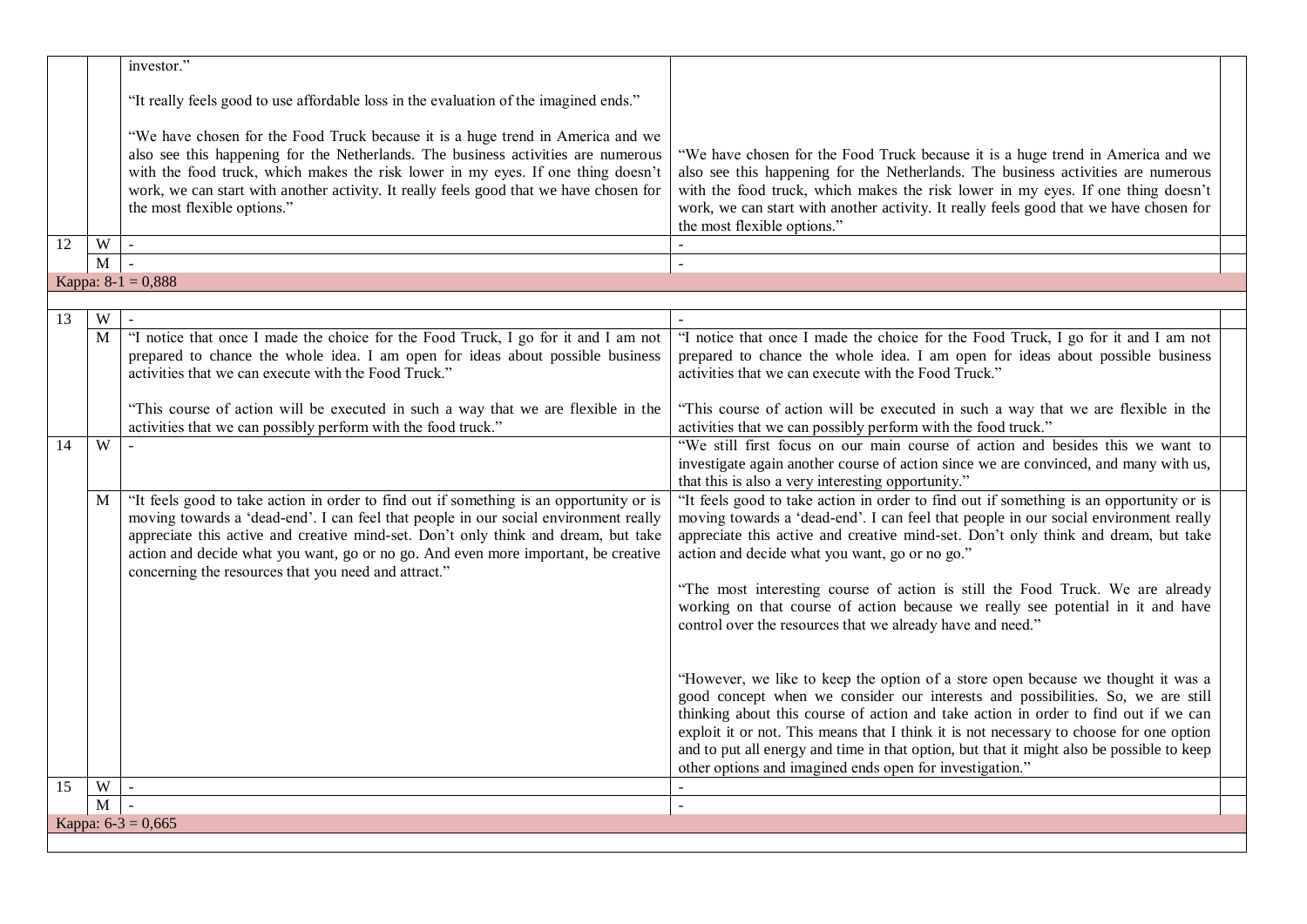|                      | investor."                                                                                                                                                                                                                                                                                                                                                                                                          |                                                                                                                                                                                                                                                                                                                                                                                                                                                                                                                                                            |
|----------------------|---------------------------------------------------------------------------------------------------------------------------------------------------------------------------------------------------------------------------------------------------------------------------------------------------------------------------------------------------------------------------------------------------------------------|------------------------------------------------------------------------------------------------------------------------------------------------------------------------------------------------------------------------------------------------------------------------------------------------------------------------------------------------------------------------------------------------------------------------------------------------------------------------------------------------------------------------------------------------------------|
|                      | "It really feels good to use affordable loss in the evaluation of the imagined ends."                                                                                                                                                                                                                                                                                                                               |                                                                                                                                                                                                                                                                                                                                                                                                                                                                                                                                                            |
|                      | "We have chosen for the Food Truck because it is a huge trend in America and we<br>also see this happening for the Netherlands. The business activities are numerous<br>with the food truck, which makes the risk lower in my eyes. If one thing doesn't<br>work, we can start with another activity. It really feels good that we have chosen for<br>the most flexible options."                                   | "We have chosen for the Food Truck because it is a huge trend in America and we<br>also see this happening for the Netherlands. The business activities are numerous<br>with the food truck, which makes the risk lower in my eyes. If one thing doesn't<br>work, we can start with another activity. It really feels good that we have chosen for<br>the most flexible options."                                                                                                                                                                          |
| 12<br>W              | $\mathbb{Z}^2$                                                                                                                                                                                                                                                                                                                                                                                                      |                                                                                                                                                                                                                                                                                                                                                                                                                                                                                                                                                            |
| $\mathbf{M}$         | $\overline{a}$                                                                                                                                                                                                                                                                                                                                                                                                      |                                                                                                                                                                                                                                                                                                                                                                                                                                                                                                                                                            |
|                      | Kappa: $8-1 = 0,888$                                                                                                                                                                                                                                                                                                                                                                                                |                                                                                                                                                                                                                                                                                                                                                                                                                                                                                                                                                            |
|                      |                                                                                                                                                                                                                                                                                                                                                                                                                     |                                                                                                                                                                                                                                                                                                                                                                                                                                                                                                                                                            |
| $\overline{W}$<br>13 | $\blacksquare$                                                                                                                                                                                                                                                                                                                                                                                                      |                                                                                                                                                                                                                                                                                                                                                                                                                                                                                                                                                            |
| M                    | "I notice that once I made the choice for the Food Truck, I go for it and I am not<br>prepared to chance the whole idea. I am open for ideas about possible business<br>activities that we can execute with the Food Truck."                                                                                                                                                                                        | "I notice that once I made the choice for the Food Truck, I go for it and I am not<br>prepared to chance the whole idea. I am open for ideas about possible business<br>activities that we can execute with the Food Truck."                                                                                                                                                                                                                                                                                                                               |
|                      | "This course of action will be executed in such a way that we are flexible in the<br>activities that we can possibly perform with the food truck."                                                                                                                                                                                                                                                                  | "This course of action will be executed in such a way that we are flexible in the<br>activities that we can possibly perform with the food truck."                                                                                                                                                                                                                                                                                                                                                                                                         |
| $\overline{W}$<br>14 |                                                                                                                                                                                                                                                                                                                                                                                                                     | "We still first focus on our main course of action and besides this we want to<br>investigate again another course of action since we are convinced, and many with us,<br>that this is also a very interesting opportunity."                                                                                                                                                                                                                                                                                                                               |
| M                    | "It feels good to take action in order to find out if something is an opportunity or is<br>moving towards a 'dead-end'. I can feel that people in our social environment really<br>appreciate this active and creative mind-set. Don't only think and dream, but take<br>action and decide what you want, go or no go. And even more important, be creative<br>concerning the resources that you need and attract." | "It feels good to take action in order to find out if something is an opportunity or is<br>moving towards a 'dead-end'. I can feel that people in our social environment really<br>appreciate this active and creative mind-set. Don't only think and dream, but take<br>action and decide what you want, go or no go."<br>"The most interesting course of action is still the Food Truck. We are already<br>working on that course of action because we really see potential in it and have<br>control over the resources that we already have and need." |
|                      |                                                                                                                                                                                                                                                                                                                                                                                                                     | "However, we like to keep the option of a store open because we thought it was a<br>good concept when we consider our interests and possibilities. So, we are still<br>thinking about this course of action and take action in order to find out if we can<br>exploit it or not. This means that I think it is not necessary to choose for one option<br>and to put all energy and time in that option, but that it might also be possible to keep<br>other options and imagined ends open for investigation."                                             |
| $\mathbf W$<br>15    | $\omega$                                                                                                                                                                                                                                                                                                                                                                                                            |                                                                                                                                                                                                                                                                                                                                                                                                                                                                                                                                                            |
| M                    | $\sim$                                                                                                                                                                                                                                                                                                                                                                                                              |                                                                                                                                                                                                                                                                                                                                                                                                                                                                                                                                                            |
|                      | Kappa: $6-3 = 0,665$                                                                                                                                                                                                                                                                                                                                                                                                |                                                                                                                                                                                                                                                                                                                                                                                                                                                                                                                                                            |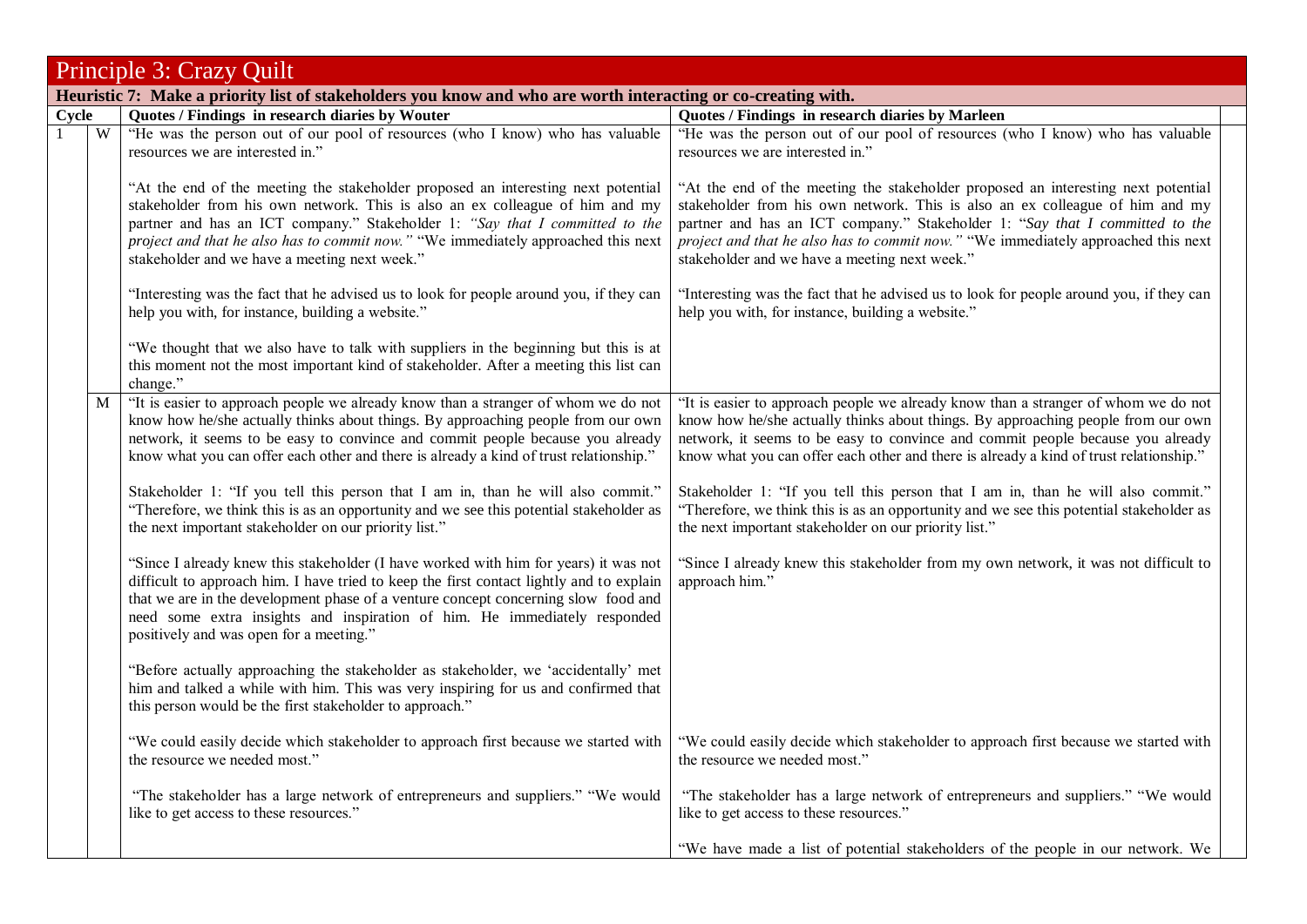|       | Principle 3: Crazy Quilt                                                                                      |                                                                                                                                                                                                                                                                                                                                                                                                |                                                                                                                                                                                                                                                                                                                                                                                         |  |
|-------|---------------------------------------------------------------------------------------------------------------|------------------------------------------------------------------------------------------------------------------------------------------------------------------------------------------------------------------------------------------------------------------------------------------------------------------------------------------------------------------------------------------------|-----------------------------------------------------------------------------------------------------------------------------------------------------------------------------------------------------------------------------------------------------------------------------------------------------------------------------------------------------------------------------------------|--|
|       | Heuristic 7: Make a priority list of stakeholders you know and who are worth interacting or co-creating with. |                                                                                                                                                                                                                                                                                                                                                                                                |                                                                                                                                                                                                                                                                                                                                                                                         |  |
| Cycle |                                                                                                               | Quotes / Findings in research diaries by Wouter                                                                                                                                                                                                                                                                                                                                                | Quotes / Findings in research diaries by Marleen                                                                                                                                                                                                                                                                                                                                        |  |
|       | W                                                                                                             | "He was the person out of our pool of resources (who I know) who has valuable<br>resources we are interested in."                                                                                                                                                                                                                                                                              | "He was the person out of our pool of resources (who I know) who has valuable<br>resources we are interested in."                                                                                                                                                                                                                                                                       |  |
|       |                                                                                                               | "At the end of the meeting the stakeholder proposed an interesting next potential<br>stakeholder from his own network. This is also an ex colleague of him and my<br>partner and has an ICT company." Stakeholder 1: "Say that I committed to the<br>project and that he also has to commit now." "We immediately approached this next<br>stakeholder and we have a meeting next week."        | "At the end of the meeting the stakeholder proposed an interesting next potential<br>stakeholder from his own network. This is also an ex colleague of him and my<br>partner and has an ICT company." Stakeholder 1: "Say that I committed to the<br>project and that he also has to commit now." "We immediately approached this next<br>stakeholder and we have a meeting next week." |  |
|       |                                                                                                               | "Interesting was the fact that he advised us to look for people around you, if they can<br>help you with, for instance, building a website."                                                                                                                                                                                                                                                   | "Interesting was the fact that he advised us to look for people around you, if they can<br>help you with, for instance, building a website."                                                                                                                                                                                                                                            |  |
|       |                                                                                                               | "We thought that we also have to talk with suppliers in the beginning but this is at<br>this moment not the most important kind of stakeholder. After a meeting this list can<br>change."                                                                                                                                                                                                      |                                                                                                                                                                                                                                                                                                                                                                                         |  |
|       | M                                                                                                             | "It is easier to approach people we already know than a stranger of whom we do not<br>know how he/she actually thinks about things. By approaching people from our own<br>network, it seems to be easy to convince and commit people because you already<br>know what you can offer each other and there is already a kind of trust relationship."                                             | "It is easier to approach people we already know than a stranger of whom we do not<br>know how he/she actually thinks about things. By approaching people from our own<br>network, it seems to be easy to convince and commit people because you already<br>know what you can offer each other and there is already a kind of trust relationship."                                      |  |
|       |                                                                                                               | Stakeholder 1: "If you tell this person that I am in, than he will also commit."<br>"Therefore, we think this is as an opportunity and we see this potential stakeholder as<br>the next important stakeholder on our priority list."                                                                                                                                                           | Stakeholder 1: "If you tell this person that I am in, than he will also commit."<br>"Therefore, we think this is as an opportunity and we see this potential stakeholder as<br>the next important stakeholder on our priority list."                                                                                                                                                    |  |
|       |                                                                                                               | "Since I already knew this stakeholder (I have worked with him for years) it was not<br>difficult to approach him. I have tried to keep the first contact lightly and to explain<br>that we are in the development phase of a venture concept concerning slow food and<br>need some extra insights and inspiration of him. He immediately responded<br>positively and was open for a meeting." | "Since I already knew this stakeholder from my own network, it was not difficult to<br>approach him."                                                                                                                                                                                                                                                                                   |  |
|       |                                                                                                               | "Before actually approaching the stakeholder as stakeholder, we 'accidentally' met<br>him and talked a while with him. This was very inspiring for us and confirmed that<br>this person would be the first stakeholder to approach."                                                                                                                                                           |                                                                                                                                                                                                                                                                                                                                                                                         |  |
|       |                                                                                                               | "We could easily decide which stakeholder to approach first because we started with<br>the resource we needed most."                                                                                                                                                                                                                                                                           | "We could easily decide which stakeholder to approach first because we started with<br>the resource we needed most."                                                                                                                                                                                                                                                                    |  |
|       |                                                                                                               | "The stakeholder has a large network of entrepreneurs and suppliers." "We would<br>like to get access to these resources."                                                                                                                                                                                                                                                                     | "The stakeholder has a large network of entrepreneurs and suppliers." "We would<br>like to get access to these resources."                                                                                                                                                                                                                                                              |  |
|       |                                                                                                               |                                                                                                                                                                                                                                                                                                                                                                                                | "We have made a list of potential stakeholders of the people in our network. We                                                                                                                                                                                                                                                                                                         |  |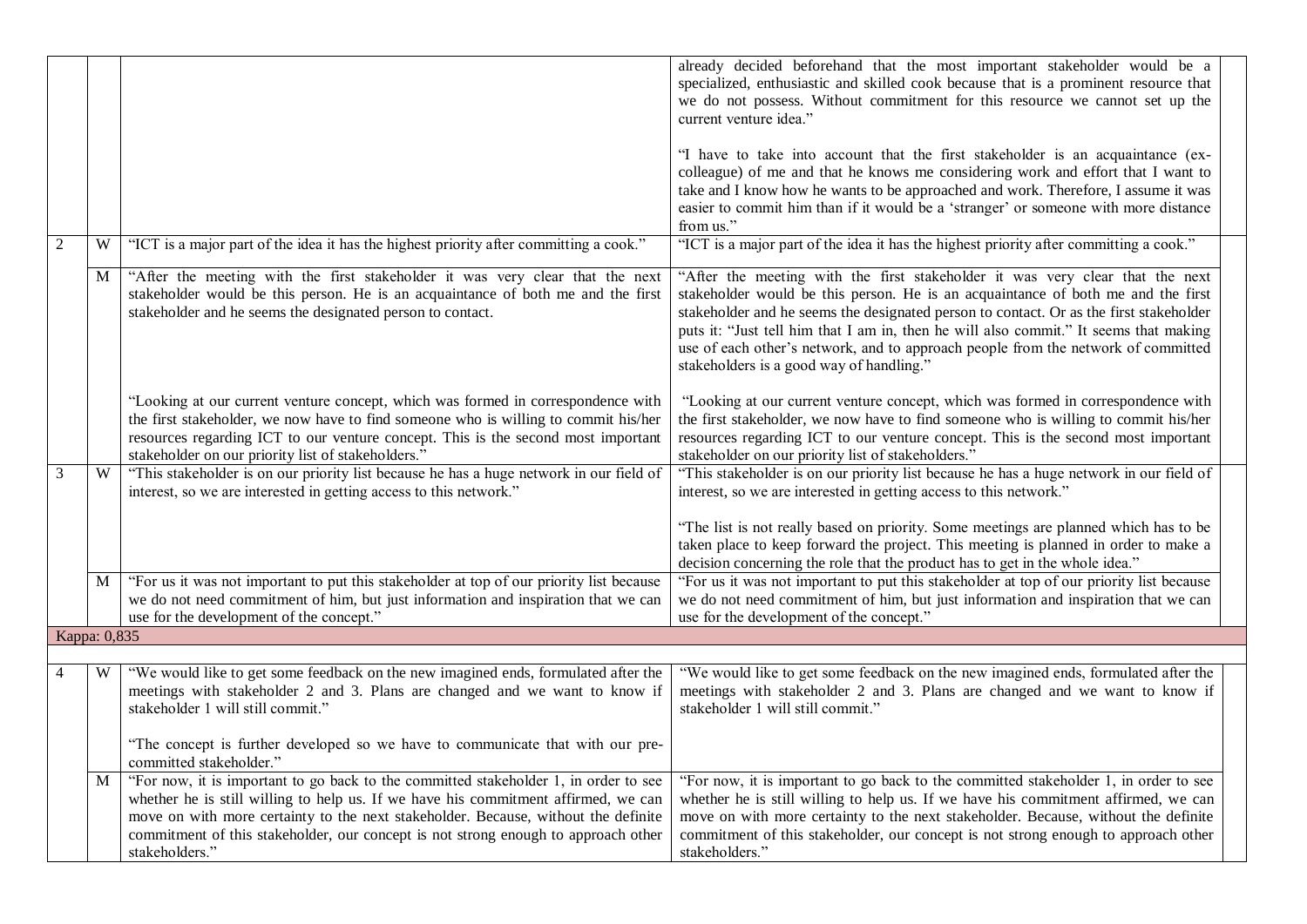|                |   |                                                                                                                                                                                                                                                                                                                                                                          | already decided beforehand that the most important stakeholder would be a<br>specialized, enthusiastic and skilled cook because that is a prominent resource that<br>we do not possess. Without commitment for this resource we cannot set up the<br>current venture idea."<br>"I have to take into account that the first stakeholder is an acquaintance (ex-<br>colleague) of me and that he knows me considering work and effort that I want to<br>take and I know how he wants to be approached and work. Therefore, I assume it was<br>easier to commit him than if it would be a 'stranger' or someone with more distance<br>from us." |
|----------------|---|--------------------------------------------------------------------------------------------------------------------------------------------------------------------------------------------------------------------------------------------------------------------------------------------------------------------------------------------------------------------------|----------------------------------------------------------------------------------------------------------------------------------------------------------------------------------------------------------------------------------------------------------------------------------------------------------------------------------------------------------------------------------------------------------------------------------------------------------------------------------------------------------------------------------------------------------------------------------------------------------------------------------------------|
| 2              | W | "ICT is a major part of the idea it has the highest priority after committing a cook."                                                                                                                                                                                                                                                                                   | "ICT is a major part of the idea it has the highest priority after committing a cook."                                                                                                                                                                                                                                                                                                                                                                                                                                                                                                                                                       |
|                | M | "After the meeting with the first stakeholder it was very clear that the next<br>stakeholder would be this person. He is an acquaintance of both me and the first<br>stakeholder and he seems the designated person to contact.                                                                                                                                          | "After the meeting with the first stakeholder it was very clear that the next<br>stakeholder would be this person. He is an acquaintance of both me and the first<br>stakeholder and he seems the designated person to contact. Or as the first stakeholder<br>puts it: "Just tell him that I am in, then he will also commit." It seems that making<br>use of each other's network, and to approach people from the network of committed<br>stakeholders is a good way of handling."                                                                                                                                                        |
|                |   | "Looking at our current venture concept, which was formed in correspondence with<br>the first stakeholder, we now have to find someone who is willing to commit his/her<br>resources regarding ICT to our venture concept. This is the second most important<br>stakeholder on our priority list of stakeholders."                                                       | "Looking at our current venture concept, which was formed in correspondence with<br>the first stakeholder, we now have to find someone who is willing to commit his/her<br>resources regarding ICT to our venture concept. This is the second most important<br>stakeholder on our priority list of stakeholders."                                                                                                                                                                                                                                                                                                                           |
| 3              | W | "This stakeholder is on our priority list because he has a huge network in our field of<br>interest, so we are interested in getting access to this network."                                                                                                                                                                                                            | "This stakeholder is on our priority list because he has a huge network in our field of<br>interest, so we are interested in getting access to this network."<br>"The list is not really based on priority. Some meetings are planned which has to be<br>taken place to keep forward the project. This meeting is planned in order to make a<br>decision concerning the role that the product has to get in the whole idea."                                                                                                                                                                                                                 |
|                | M | "For us it was not important to put this stakeholder at top of our priority list because<br>we do not need commitment of him, but just information and inspiration that we can<br>use for the development of the concept."                                                                                                                                               | "For us it was not important to put this stakeholder at top of our priority list because<br>we do not need commitment of him, but just information and inspiration that we can<br>use for the development of the concept."                                                                                                                                                                                                                                                                                                                                                                                                                   |
| Kappa: 0,835   |   |                                                                                                                                                                                                                                                                                                                                                                          |                                                                                                                                                                                                                                                                                                                                                                                                                                                                                                                                                                                                                                              |
| $\overline{4}$ | W | "We would like to get some feedback on the new imagined ends, formulated after the<br>meetings with stakeholder 2 and 3. Plans are changed and we want to know if<br>stakeholder 1 will still commit."<br>"The concept is further developed so we have to communicate that with our pre-<br>committed stakeholder."                                                      | "We would like to get some feedback on the new imagined ends, formulated after the<br>meetings with stakeholder 2 and 3. Plans are changed and we want to know if<br>stakeholder 1 will still commit."                                                                                                                                                                                                                                                                                                                                                                                                                                       |
|                | M | "For now, it is important to go back to the committed stakeholder 1, in order to see<br>whether he is still willing to help us. If we have his commitment affirmed, we can<br>move on with more certainty to the next stakeholder. Because, without the definite<br>commitment of this stakeholder, our concept is not strong enough to approach other<br>stakeholders." | "For now, it is important to go back to the committed stakeholder 1, in order to see<br>whether he is still willing to help us. If we have his commitment affirmed, we can<br>move on with more certainty to the next stakeholder. Because, without the definite<br>commitment of this stakeholder, our concept is not strong enough to approach other<br>stakeholders."                                                                                                                                                                                                                                                                     |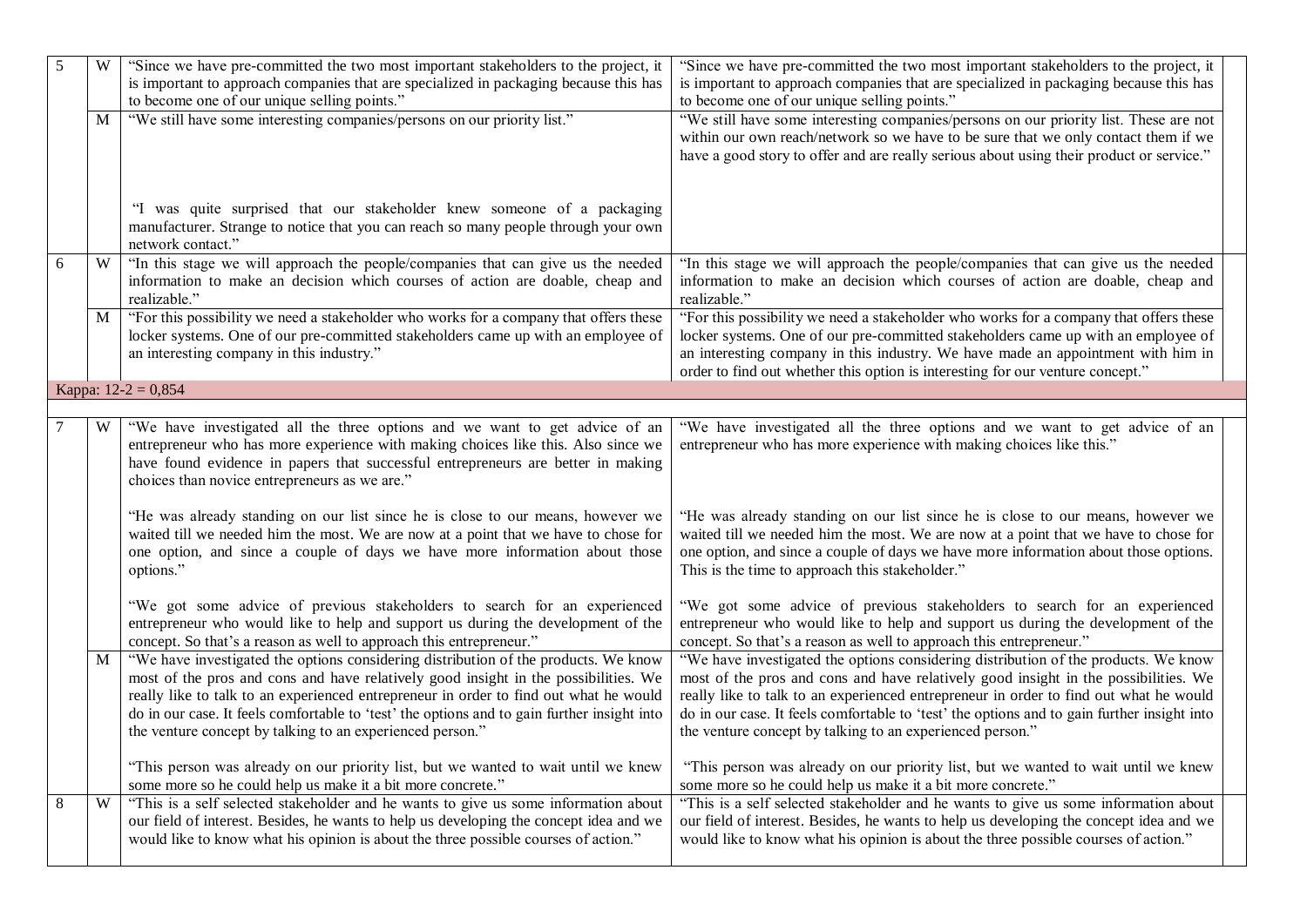| 5 | W                       | "Since we have pre-committed the two most important stakeholders to the project, it<br>is important to approach companies that are specialized in packaging because this has<br>to become one of our unique selling points."                                                                                                                                                                                                    | "Since we have pre-committed the two most important stakeholders to the project, it<br>is important to approach companies that are specialized in packaging because this has<br>to become one of our unique selling points."                                                                                                                                                                                                    |
|---|-------------------------|---------------------------------------------------------------------------------------------------------------------------------------------------------------------------------------------------------------------------------------------------------------------------------------------------------------------------------------------------------------------------------------------------------------------------------|---------------------------------------------------------------------------------------------------------------------------------------------------------------------------------------------------------------------------------------------------------------------------------------------------------------------------------------------------------------------------------------------------------------------------------|
|   | M                       | "We still have some interesting companies/persons on our priority list."                                                                                                                                                                                                                                                                                                                                                        | "We still have some interesting companies/persons on our priority list. These are not<br>within our own reach/network so we have to be sure that we only contact them if we<br>have a good story to offer and are really serious about using their product or service."                                                                                                                                                         |
|   |                         | "I was quite surprised that our stakeholder knew someone of a packaging<br>manufacturer. Strange to notice that you can reach so many people through your own<br>network contact."                                                                                                                                                                                                                                              |                                                                                                                                                                                                                                                                                                                                                                                                                                 |
| 6 | W                       | "In this stage we will approach the people/companies that can give us the needed<br>information to make an decision which courses of action are doable, cheap and<br>realizable."                                                                                                                                                                                                                                               | "In this stage we will approach the people/companies that can give us the needed<br>information to make an decision which courses of action are doable, cheap and<br>realizable."                                                                                                                                                                                                                                               |
|   | $\mathbf M$             | "For this possibility we need a stakeholder who works for a company that offers these<br>locker systems. One of our pre-committed stakeholders came up with an employee of<br>an interesting company in this industry."                                                                                                                                                                                                         | "For this possibility we need a stakeholder who works for a company that offers these<br>locker systems. One of our pre-committed stakeholders came up with an employee of<br>an interesting company in this industry. We have made an appointment with him in<br>order to find out whether this option is interesting for our venture concept."                                                                                |
|   |                         | Kappa: $12-2 = 0,854$                                                                                                                                                                                                                                                                                                                                                                                                           |                                                                                                                                                                                                                                                                                                                                                                                                                                 |
|   | W                       | "We have investigated all the three options and we want to get advice of an<br>entrepreneur who has more experience with making choices like this. Also since we<br>have found evidence in papers that successful entrepreneurs are better in making<br>choices than novice entrepreneurs as we are."                                                                                                                           | "We have investigated all the three options and we want to get advice of an<br>entrepreneur who has more experience with making choices like this."                                                                                                                                                                                                                                                                             |
|   |                         | "He was already standing on our list since he is close to our means, however we<br>waited till we needed him the most. We are now at a point that we have to chose for<br>one option, and since a couple of days we have more information about those<br>options."                                                                                                                                                              | "He was already standing on our list since he is close to our means, however we<br>waited till we needed him the most. We are now at a point that we have to chose for<br>one option, and since a couple of days we have more information about those options.<br>This is the time to approach this stakeholder."                                                                                                               |
|   |                         | "We got some advice of previous stakeholders to search for an experienced<br>entrepreneur who would like to help and support us during the development of the<br>concept. So that's a reason as well to approach this entrepreneur."                                                                                                                                                                                            | "We got some advice of previous stakeholders to search for an experienced<br>entrepreneur who would like to help and support us during the development of the<br>concept. So that's a reason as well to approach this entrepreneur."                                                                                                                                                                                            |
|   | M                       | "We have investigated the options considering distribution of the products. We know<br>most of the pros and cons and have relatively good insight in the possibilities. We<br>really like to talk to an experienced entrepreneur in order to find out what he would<br>do in our case. It feels comfortable to 'test' the options and to gain further insight into<br>the venture concept by talking to an experienced person." | "We have investigated the options considering distribution of the products. We know<br>most of the pros and cons and have relatively good insight in the possibilities. We<br>really like to talk to an experienced entrepreneur in order to find out what he would<br>do in our case. It feels comfortable to 'test' the options and to gain further insight into<br>the venture concept by talking to an experienced person." |
|   |                         | "This person was already on our priority list, but we wanted to wait until we knew<br>some more so he could help us make it a bit more concrete."                                                                                                                                                                                                                                                                               | "This person was already on our priority list, but we wanted to wait until we knew<br>some more so he could help us make it a bit more concrete."                                                                                                                                                                                                                                                                               |
| 8 | $\ensuremath{\text{W}}$ | "This is a self selected stakeholder and he wants to give us some information about<br>our field of interest. Besides, he wants to help us developing the concept idea and we<br>would like to know what his opinion is about the three possible courses of action."                                                                                                                                                            | "This is a self selected stakeholder and he wants to give us some information about<br>our field of interest. Besides, he wants to help us developing the concept idea and we<br>would like to know what his opinion is about the three possible courses of action."                                                                                                                                                            |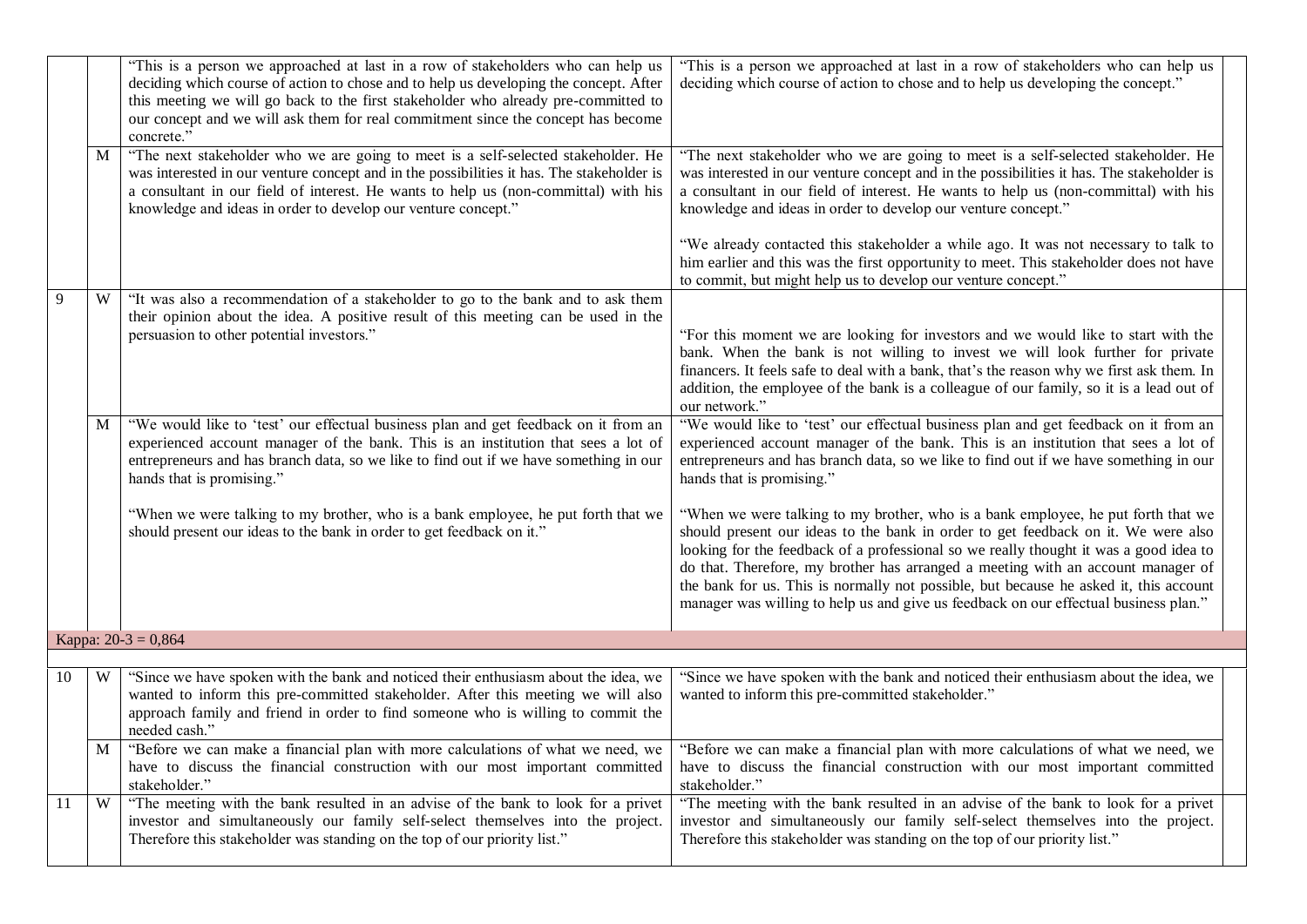|    | M | "This is a person we approached at last in a row of stakeholders who can help us<br>deciding which course of action to chose and to help us developing the concept. After<br>this meeting we will go back to the first stakeholder who already pre-committed to<br>our concept and we will ask them for real commitment since the concept has become<br>concrete."<br>"The next stakeholder who we are going to meet is a self-selected stakeholder. He<br>was interested in our venture concept and in the possibilities it has. The stakeholder is<br>a consultant in our field of interest. He wants to help us (non-committal) with his<br>knowledge and ideas in order to develop our venture concept." | "This is a person we approached at last in a row of stakeholders who can help us<br>deciding which course of action to chose and to help us developing the concept."<br>"The next stakeholder who we are going to meet is a self-selected stakeholder. He<br>was interested in our venture concept and in the possibilities it has. The stakeholder is<br>a consultant in our field of interest. He wants to help us (non-committal) with his<br>knowledge and ideas in order to develop our venture concept."                       |  |
|----|---|--------------------------------------------------------------------------------------------------------------------------------------------------------------------------------------------------------------------------------------------------------------------------------------------------------------------------------------------------------------------------------------------------------------------------------------------------------------------------------------------------------------------------------------------------------------------------------------------------------------------------------------------------------------------------------------------------------------|--------------------------------------------------------------------------------------------------------------------------------------------------------------------------------------------------------------------------------------------------------------------------------------------------------------------------------------------------------------------------------------------------------------------------------------------------------------------------------------------------------------------------------------|--|
|    |   |                                                                                                                                                                                                                                                                                                                                                                                                                                                                                                                                                                                                                                                                                                              | "We already contacted this stakeholder a while ago. It was not necessary to talk to<br>him earlier and this was the first opportunity to meet. This stakeholder does not have<br>to commit, but might help us to develop our venture concept."                                                                                                                                                                                                                                                                                       |  |
| 9  | W | "It was also a recommendation of a stakeholder to go to the bank and to ask them<br>their opinion about the idea. A positive result of this meeting can be used in the<br>persuasion to other potential investors."                                                                                                                                                                                                                                                                                                                                                                                                                                                                                          | "For this moment we are looking for investors and we would like to start with the<br>bank. When the bank is not willing to invest we will look further for private<br>financers. It feels safe to deal with a bank, that's the reason why we first ask them. In<br>addition, the employee of the bank is a colleague of our family, so it is a lead out of<br>our network."                                                                                                                                                          |  |
|    | M | "We would like to 'test' our effectual business plan and get feedback on it from an<br>experienced account manager of the bank. This is an institution that sees a lot of<br>entrepreneurs and has branch data, so we like to find out if we have something in our<br>hands that is promising."                                                                                                                                                                                                                                                                                                                                                                                                              | "We would like to 'test' our effectual business plan and get feedback on it from an<br>experienced account manager of the bank. This is an institution that sees a lot of<br>entrepreneurs and has branch data, so we like to find out if we have something in our<br>hands that is promising."                                                                                                                                                                                                                                      |  |
|    |   | "When we were talking to my brother, who is a bank employee, he put forth that we<br>should present our ideas to the bank in order to get feedback on it."                                                                                                                                                                                                                                                                                                                                                                                                                                                                                                                                                   | "When we were talking to my brother, who is a bank employee, he put forth that we<br>should present our ideas to the bank in order to get feedback on it. We were also<br>looking for the feedback of a professional so we really thought it was a good idea to<br>do that. Therefore, my brother has arranged a meeting with an account manager of<br>the bank for us. This is normally not possible, but because he asked it, this account<br>manager was willing to help us and give us feedback on our effectual business plan." |  |
|    |   | Kappa: $20-3 = 0,864$                                                                                                                                                                                                                                                                                                                                                                                                                                                                                                                                                                                                                                                                                        |                                                                                                                                                                                                                                                                                                                                                                                                                                                                                                                                      |  |
| 10 | W | "Since we have spoken with the bank and noticed their enthusiasm about the idea, we<br>wanted to inform this pre-committed stakeholder. After this meeting we will also<br>approach family and friend in order to find someone who is willing to commit the<br>needed cash."                                                                                                                                                                                                                                                                                                                                                                                                                                 | "Since we have spoken with the bank and noticed their enthusiasm about the idea, we<br>wanted to inform this pre-committed stakeholder."                                                                                                                                                                                                                                                                                                                                                                                             |  |
|    | M | "Before we can make a financial plan with more calculations of what we need, we<br>have to discuss the financial construction with our most important committed<br>stakeholder."                                                                                                                                                                                                                                                                                                                                                                                                                                                                                                                             | "Before we can make a financial plan with more calculations of what we need, we<br>have to discuss the financial construction with our most important committed<br>stakeholder."                                                                                                                                                                                                                                                                                                                                                     |  |
| 11 | W | "The meeting with the bank resulted in an advise of the bank to look for a privet<br>investor and simultaneously our family self-select themselves into the project.<br>Therefore this stakeholder was standing on the top of our priority list."                                                                                                                                                                                                                                                                                                                                                                                                                                                            | "The meeting with the bank resulted in an advise of the bank to look for a privet<br>investor and simultaneously our family self-select themselves into the project.<br>Therefore this stakeholder was standing on the top of our priority list."                                                                                                                                                                                                                                                                                    |  |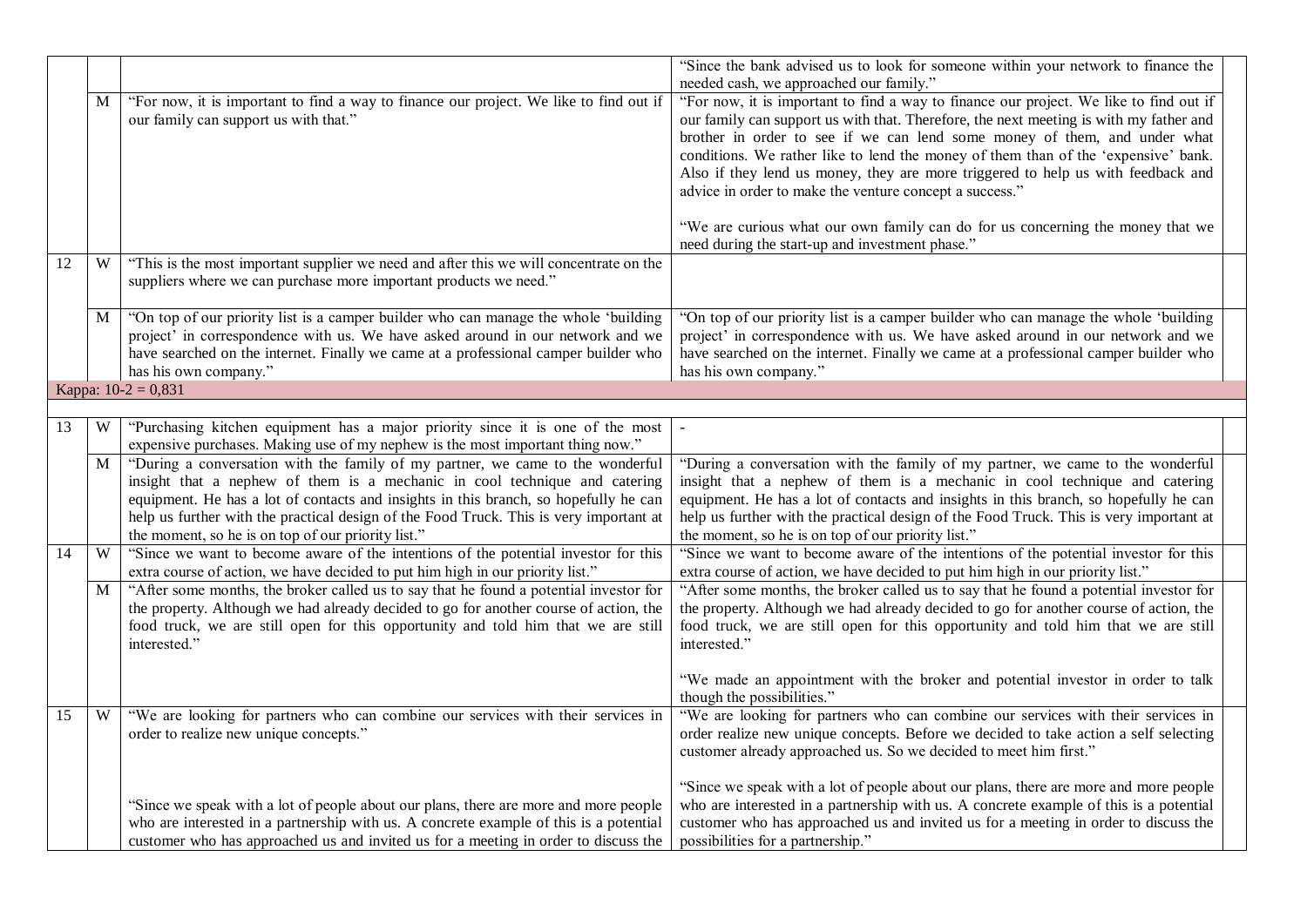|    |   |                                                                                                                                                                                                                                                                                                                                                                                                      | "Since the bank advised us to look for someone within your network to finance the<br>needed cash, we approached our family."                                                                                                                                                                                                                                                                                                                                                                                                                                                         |
|----|---|------------------------------------------------------------------------------------------------------------------------------------------------------------------------------------------------------------------------------------------------------------------------------------------------------------------------------------------------------------------------------------------------------|--------------------------------------------------------------------------------------------------------------------------------------------------------------------------------------------------------------------------------------------------------------------------------------------------------------------------------------------------------------------------------------------------------------------------------------------------------------------------------------------------------------------------------------------------------------------------------------|
|    | M | "For now, it is important to find a way to finance our project. We like to find out if<br>our family can support us with that."                                                                                                                                                                                                                                                                      | "For now, it is important to find a way to finance our project. We like to find out if<br>our family can support us with that. Therefore, the next meeting is with my father and<br>brother in order to see if we can lend some money of them, and under what<br>conditions. We rather like to lend the money of them than of the 'expensive' bank.<br>Also if they lend us money, they are more triggered to help us with feedback and<br>advice in order to make the venture concept a success."<br>"We are curious what our own family can do for us concerning the money that we |
| 12 | W | "This is the most important supplier we need and after this we will concentrate on the<br>suppliers where we can purchase more important products we need."                                                                                                                                                                                                                                          | need during the start-up and investment phase."                                                                                                                                                                                                                                                                                                                                                                                                                                                                                                                                      |
|    | M | "On top of our priority list is a camper builder who can manage the whole 'building<br>project' in correspondence with us. We have asked around in our network and we<br>have searched on the internet. Finally we came at a professional camper builder who<br>has his own company."                                                                                                                | "On top of our priority list is a camper builder who can manage the whole 'building<br>project' in correspondence with us. We have asked around in our network and we<br>have searched on the internet. Finally we came at a professional camper builder who<br>has his own company."                                                                                                                                                                                                                                                                                                |
|    |   | Kappa: $10-2 = 0,831$                                                                                                                                                                                                                                                                                                                                                                                |                                                                                                                                                                                                                                                                                                                                                                                                                                                                                                                                                                                      |
| 13 | W | "Purchasing kitchen equipment has a major priority since it is one of the most                                                                                                                                                                                                                                                                                                                       |                                                                                                                                                                                                                                                                                                                                                                                                                                                                                                                                                                                      |
|    |   | expensive purchases. Making use of my nephew is the most important thing now."                                                                                                                                                                                                                                                                                                                       |                                                                                                                                                                                                                                                                                                                                                                                                                                                                                                                                                                                      |
|    | M | "During a conversation with the family of my partner, we came to the wonderful<br>insight that a nephew of them is a mechanic in cool technique and catering<br>equipment. He has a lot of contacts and insights in this branch, so hopefully he can<br>help us further with the practical design of the Food Truck. This is very important at<br>the moment, so he is on top of our priority list." | "During a conversation with the family of my partner, we came to the wonderful<br>insight that a nephew of them is a mechanic in cool technique and catering<br>equipment. He has a lot of contacts and insights in this branch, so hopefully he can<br>help us further with the practical design of the Food Truck. This is very important at<br>the moment, so he is on top of our priority list."                                                                                                                                                                                 |
| 14 | W | "Since we want to become aware of the intentions of the potential investor for this<br>extra course of action, we have decided to put him high in our priority list."                                                                                                                                                                                                                                | "Since we want to become aware of the intentions of the potential investor for this<br>extra course of action, we have decided to put him high in our priority list."                                                                                                                                                                                                                                                                                                                                                                                                                |
|    | M | "After some months, the broker called us to say that he found a potential investor for<br>the property. Although we had already decided to go for another course of action, the<br>food truck, we are still open for this opportunity and told him that we are still<br>interested."                                                                                                                 | "After some months, the broker called us to say that he found a potential investor for<br>the property. Although we had already decided to go for another course of action, the<br>food truck, we are still open for this opportunity and told him that we are still<br>interested."<br>"We made an appointment with the broker and potential investor in order to talk                                                                                                                                                                                                              |
| 15 | W | "We are looking for partners who can combine our services with their services in<br>order to realize new unique concepts."                                                                                                                                                                                                                                                                           | though the possibilities."<br>"We are looking for partners who can combine our services with their services in<br>order realize new unique concepts. Before we decided to take action a self selecting<br>customer already approached us. So we decided to meet him first."                                                                                                                                                                                                                                                                                                          |
|    |   | "Since we speak with a lot of people about our plans, there are more and more people<br>who are interested in a partnership with us. A concrete example of this is a potential<br>customer who has approached us and invited us for a meeting in order to discuss the                                                                                                                                | "Since we speak with a lot of people about our plans, there are more and more people<br>who are interested in a partnership with us. A concrete example of this is a potential<br>customer who has approached us and invited us for a meeting in order to discuss the<br>possibilities for a partnership."                                                                                                                                                                                                                                                                           |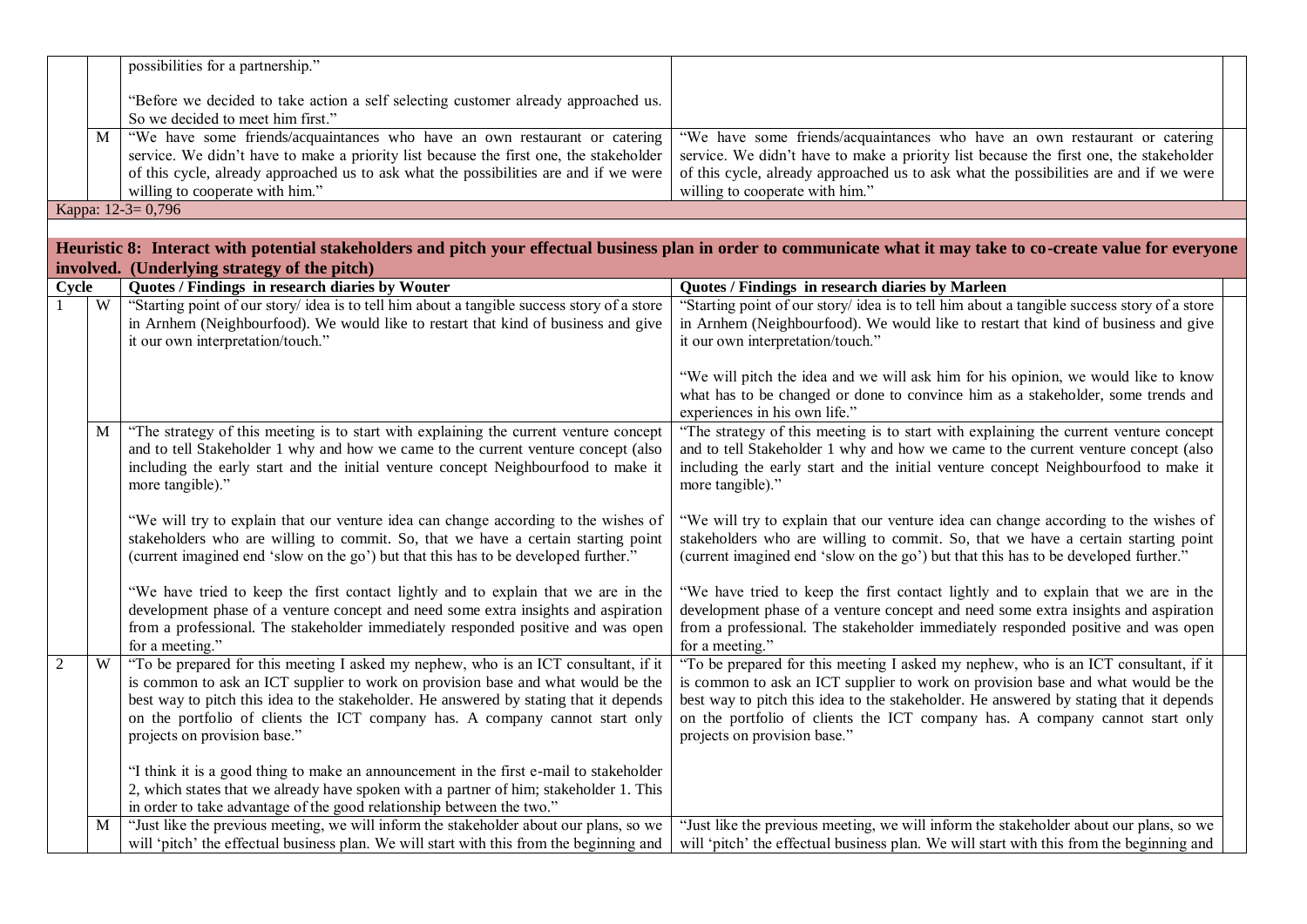|       |   | possibilities for a partnership."                                                                                                                                           |                                                                                                                                                                             |  |
|-------|---|-----------------------------------------------------------------------------------------------------------------------------------------------------------------------------|-----------------------------------------------------------------------------------------------------------------------------------------------------------------------------|--|
|       |   | "Before we decided to take action a self selecting customer already approached us.                                                                                          |                                                                                                                                                                             |  |
|       |   | So we decided to meet him first."                                                                                                                                           |                                                                                                                                                                             |  |
|       | M | "We have some friends/acquaintances who have an own restaurant or catering                                                                                                  | "We have some friends/acquaintances who have an own restaurant or catering                                                                                                  |  |
|       |   | service. We didn't have to make a priority list because the first one, the stakeholder                                                                                      | service. We didn't have to make a priority list because the first one, the stakeholder                                                                                      |  |
|       |   | of this cycle, already approached us to ask what the possibilities are and if we were                                                                                       | of this cycle, already approached us to ask what the possibilities are and if we were                                                                                       |  |
|       |   | willing to cooperate with him."                                                                                                                                             | willing to cooperate with him."                                                                                                                                             |  |
|       |   | Карра: 12-3=0,796                                                                                                                                                           |                                                                                                                                                                             |  |
|       |   |                                                                                                                                                                             |                                                                                                                                                                             |  |
|       |   |                                                                                                                                                                             | Heuristic 8: Interact with potential stakeholders and pitch your effectual business plan in order to communicate what it may take to co-create value for everyone           |  |
| Cycle |   | involved. (Underlying strategy of the pitch)<br>Quotes / Findings in research diaries by Wouter                                                                             | Quotes / Findings in research diaries by Marleen                                                                                                                            |  |
|       | W | "Starting point of our story/ idea is to tell him about a tangible success story of a store                                                                                 | "Starting point of our story/ idea is to tell him about a tangible success story of a store                                                                                 |  |
|       |   | in Arnhem (Neighbourfood). We would like to restart that kind of business and give                                                                                          | in Arnhem (Neighbourfood). We would like to restart that kind of business and give                                                                                          |  |
|       |   | it our own interpretation/touch."                                                                                                                                           | it our own interpretation/touch."                                                                                                                                           |  |
|       |   |                                                                                                                                                                             |                                                                                                                                                                             |  |
|       |   |                                                                                                                                                                             | "We will pitch the idea and we will ask him for his opinion, we would like to know                                                                                          |  |
|       |   |                                                                                                                                                                             | what has to be changed or done to convince him as a stakeholder, some trends and                                                                                            |  |
|       |   |                                                                                                                                                                             | experiences in his own life."                                                                                                                                               |  |
|       | M | "The strategy of this meeting is to start with explaining the current venture concept<br>and to tell Stakeholder 1 why and how we came to the current venture concept (also | "The strategy of this meeting is to start with explaining the current venture concept<br>and to tell Stakeholder 1 why and how we came to the current venture concept (also |  |
|       |   | including the early start and the initial venture concept Neighbourfood to make it                                                                                          | including the early start and the initial venture concept Neighbourfood to make it                                                                                          |  |
|       |   | more tangible)."                                                                                                                                                            | more tangible)."                                                                                                                                                            |  |
|       |   |                                                                                                                                                                             |                                                                                                                                                                             |  |
|       |   | "We will try to explain that our venture idea can change according to the wishes of                                                                                         | "We will try to explain that our venture idea can change according to the wishes of                                                                                         |  |
|       |   | stakeholders who are willing to commit. So, that we have a certain starting point                                                                                           | stakeholders who are willing to commit. So, that we have a certain starting point                                                                                           |  |
|       |   | (current imagined end 'slow on the go') but that this has to be developed further."                                                                                         | (current imagined end 'slow on the go') but that this has to be developed further."                                                                                         |  |
|       |   | "We have tried to keep the first contact lightly and to explain that we are in the                                                                                          | "We have tried to keep the first contact lightly and to explain that we are in the                                                                                          |  |
|       |   | development phase of a venture concept and need some extra insights and aspiration                                                                                          | development phase of a venture concept and need some extra insights and aspiration                                                                                          |  |
|       |   | from a professional. The stakeholder immediately responded positive and was open                                                                                            | from a professional. The stakeholder immediately responded positive and was open                                                                                            |  |
|       |   | for a meeting."                                                                                                                                                             | for a meeting."                                                                                                                                                             |  |
| 2     | W | "To be prepared for this meeting I asked my nephew, who is an ICT consultant, if it                                                                                         | "To be prepared for this meeting I asked my nephew, who is an ICT consultant, if it                                                                                         |  |
|       |   | is common to ask an ICT supplier to work on provision base and what would be the                                                                                            | is common to ask an ICT supplier to work on provision base and what would be the                                                                                            |  |
|       |   | best way to pitch this idea to the stakeholder. He answered by stating that it depends                                                                                      | best way to pitch this idea to the stakeholder. He answered by stating that it depends                                                                                      |  |
|       |   | on the portfolio of clients the ICT company has. A company cannot start only<br>projects on provision base."                                                                | on the portfolio of clients the ICT company has. A company cannot start only<br>projects on provision base."                                                                |  |
|       |   |                                                                                                                                                                             |                                                                                                                                                                             |  |
|       |   | "I think it is a good thing to make an announcement in the first e-mail to stakeholder                                                                                      |                                                                                                                                                                             |  |
|       |   | 2, which states that we already have spoken with a partner of him; stakeholder 1. This                                                                                      |                                                                                                                                                                             |  |
|       |   | in order to take advantage of the good relationship between the two."                                                                                                       |                                                                                                                                                                             |  |
|       | M | "Just like the previous meeting, we will inform the stakeholder about our plans, so we                                                                                      | "Just like the previous meeting, we will inform the stakeholder about our plans, so we                                                                                      |  |
|       |   | will 'pitch' the effectual business plan. We will start with this from the beginning and                                                                                    | will 'pitch' the effectual business plan. We will start with this from the beginning and                                                                                    |  |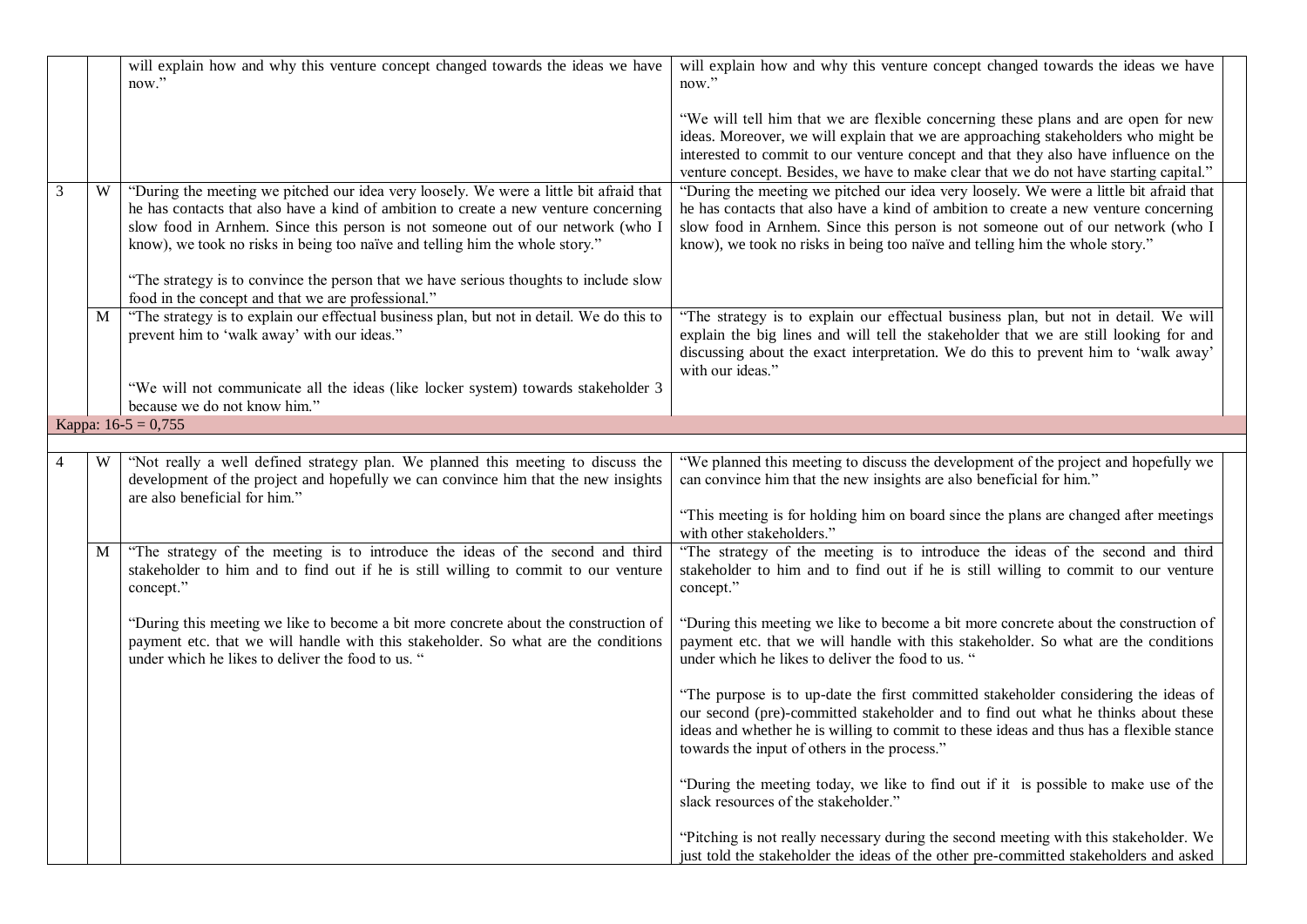|   |   | will explain how and why this venture concept changed towards the ideas we have<br>now."                                                                                                                                                                                                                                                                                                                                                   | will explain how and why this venture concept changed towards the ideas we have<br>now."                                                                                                                                                                                                                                                                   |
|---|---|--------------------------------------------------------------------------------------------------------------------------------------------------------------------------------------------------------------------------------------------------------------------------------------------------------------------------------------------------------------------------------------------------------------------------------------------|------------------------------------------------------------------------------------------------------------------------------------------------------------------------------------------------------------------------------------------------------------------------------------------------------------------------------------------------------------|
|   |   |                                                                                                                                                                                                                                                                                                                                                                                                                                            | "We will tell him that we are flexible concerning these plans and are open for new<br>ideas. Moreover, we will explain that we are approaching stakeholders who might be<br>interested to commit to our venture concept and that they also have influence on the<br>venture concept. Besides, we have to make clear that we do not have starting capital." |
| 3 | W | "During the meeting we pitched our idea very loosely. We were a little bit afraid that<br>he has contacts that also have a kind of ambition to create a new venture concerning<br>slow food in Arnhem. Since this person is not someone out of our network (who I<br>know), we took no risks in being too naïve and telling him the whole story."<br>"The strategy is to convince the person that we have serious thoughts to include slow | "During the meeting we pitched our idea very loosely. We were a little bit afraid that<br>he has contacts that also have a kind of ambition to create a new venture concerning<br>slow food in Arnhem. Since this person is not someone out of our network (who I<br>know), we took no risks in being too naïve and telling him the whole story."          |
|   | M | food in the concept and that we are professional."<br>"The strategy is to explain our effectual business plan, but not in detail. We do this to<br>prevent him to 'walk away' with our ideas."                                                                                                                                                                                                                                             | "The strategy is to explain our effectual business plan, but not in detail. We will<br>explain the big lines and will tell the stakeholder that we are still looking for and<br>discussing about the exact interpretation. We do this to prevent him to 'walk away'<br>with our ideas."                                                                    |
|   |   | "We will not communicate all the ideas (like locker system) towards stakeholder 3<br>because we do not know him."                                                                                                                                                                                                                                                                                                                          |                                                                                                                                                                                                                                                                                                                                                            |
|   |   | Kappa: $16-5 = 0,755$                                                                                                                                                                                                                                                                                                                                                                                                                      |                                                                                                                                                                                                                                                                                                                                                            |
|   |   |                                                                                                                                                                                                                                                                                                                                                                                                                                            |                                                                                                                                                                                                                                                                                                                                                            |
|   | W | "Not really a well defined strategy plan. We planned this meeting to discuss the<br>development of the project and hopefully we can convince him that the new insights<br>are also beneficial for him."                                                                                                                                                                                                                                    | "We planned this meeting to discuss the development of the project and hopefully we<br>can convince him that the new insights are also beneficial for him."                                                                                                                                                                                                |
|   |   |                                                                                                                                                                                                                                                                                                                                                                                                                                            | "This meeting is for holding him on board since the plans are changed after meetings<br>with other stakeholders."                                                                                                                                                                                                                                          |
|   | М | "The strategy of the meeting is to introduce the ideas of the second and third<br>stakeholder to him and to find out if he is still willing to commit to our venture<br>concept."                                                                                                                                                                                                                                                          | "The strategy of the meeting is to introduce the ideas of the second and third<br>stakeholder to him and to find out if he is still willing to commit to our venture<br>concept."                                                                                                                                                                          |
|   |   | "During this meeting we like to become a bit more concrete about the construction of<br>payment etc. that we will handle with this stakeholder. So what are the conditions<br>under which he likes to deliver the food to us. "                                                                                                                                                                                                            | "During this meeting we like to become a bit more concrete about the construction of<br>payment etc. that we will handle with this stakeholder. So what are the conditions<br>under which he likes to deliver the food to us. "                                                                                                                            |
|   |   |                                                                                                                                                                                                                                                                                                                                                                                                                                            | "The purpose is to up-date the first committed stakeholder considering the ideas of<br>our second (pre)-committed stakeholder and to find out what he thinks about these<br>ideas and whether he is willing to commit to these ideas and thus has a flexible stance<br>towards the input of others in the process."                                        |
|   |   |                                                                                                                                                                                                                                                                                                                                                                                                                                            | "During the meeting today, we like to find out if it is possible to make use of the<br>slack resources of the stakeholder."                                                                                                                                                                                                                                |
|   |   |                                                                                                                                                                                                                                                                                                                                                                                                                                            | "Pitching is not really necessary during the second meeting with this stakeholder. We<br>just told the stakeholder the ideas of the other pre-committed stakeholders and asked                                                                                                                                                                             |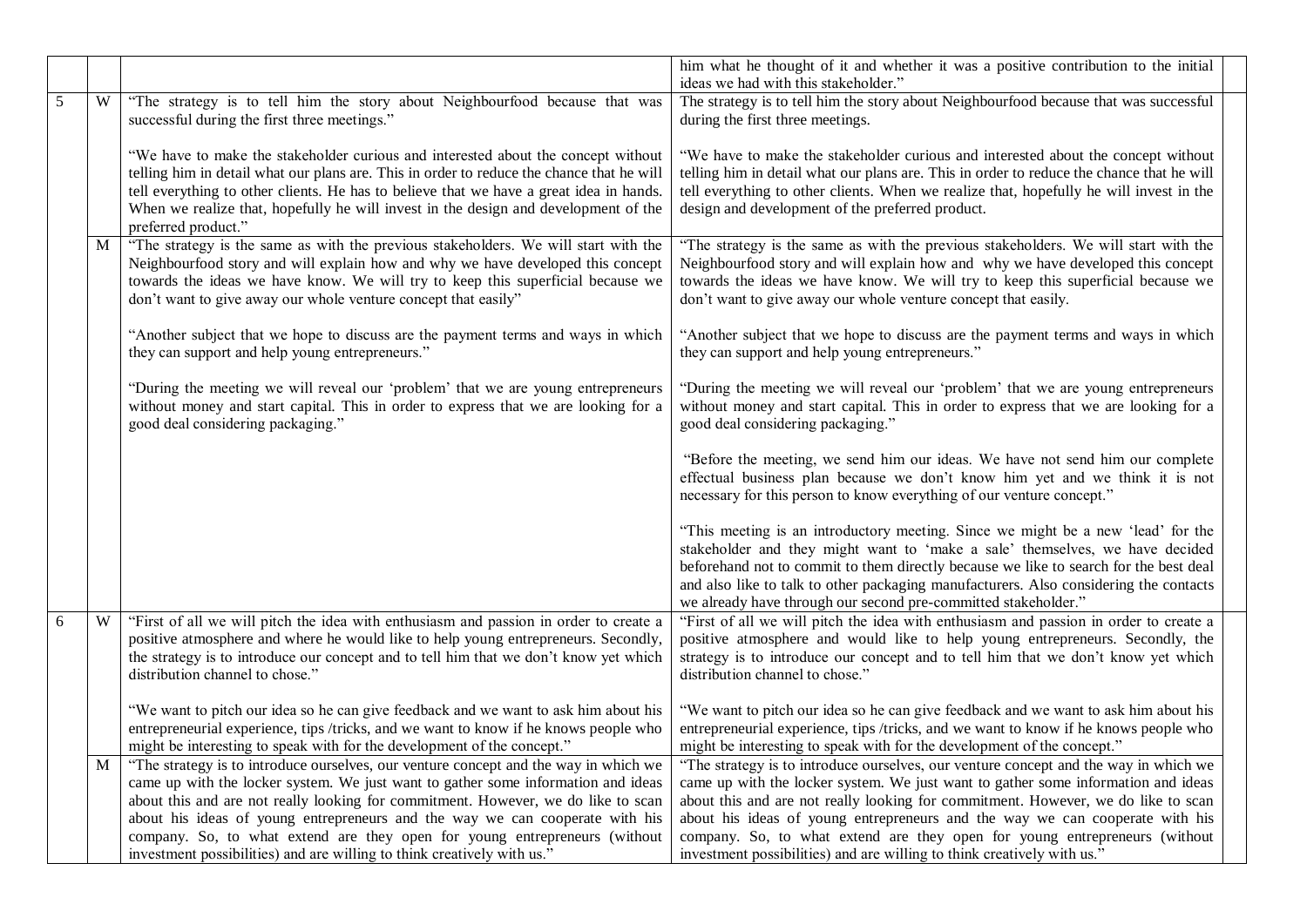|   |   |                                                                                                                                                                                                                                                                                                                                                                                                                                                                                                         | him what he thought of it and whether it was a positive contribution to the initial<br>ideas we had with this stakeholder."                                                                                                                                                                                                                                                                                                                                                                             |
|---|---|---------------------------------------------------------------------------------------------------------------------------------------------------------------------------------------------------------------------------------------------------------------------------------------------------------------------------------------------------------------------------------------------------------------------------------------------------------------------------------------------------------|---------------------------------------------------------------------------------------------------------------------------------------------------------------------------------------------------------------------------------------------------------------------------------------------------------------------------------------------------------------------------------------------------------------------------------------------------------------------------------------------------------|
| 5 | W | "The strategy is to tell him the story about Neighbourfood because that was<br>successful during the first three meetings."                                                                                                                                                                                                                                                                                                                                                                             | The strategy is to tell him the story about Neighbourfood because that was successful<br>during the first three meetings.                                                                                                                                                                                                                                                                                                                                                                               |
|   |   | "We have to make the stakeholder curious and interested about the concept without<br>telling him in detail what our plans are. This in order to reduce the chance that he will<br>tell everything to other clients. He has to believe that we have a great idea in hands.<br>When we realize that, hopefully he will invest in the design and development of the<br>preferred product."                                                                                                                 | "We have to make the stakeholder curious and interested about the concept without<br>telling him in detail what our plans are. This in order to reduce the chance that he will<br>tell everything to other clients. When we realize that, hopefully he will invest in the<br>design and development of the preferred product.                                                                                                                                                                           |
|   | M | "The strategy is the same as with the previous stakeholders. We will start with the<br>Neighbourfood story and will explain how and why we have developed this concept<br>towards the ideas we have know. We will try to keep this superficial because we<br>don't want to give away our whole venture concept that easily"                                                                                                                                                                             | "The strategy is the same as with the previous stakeholders. We will start with the<br>Neighbourfood story and will explain how and why we have developed this concept<br>towards the ideas we have know. We will try to keep this superficial because we<br>don't want to give away our whole venture concept that easily.                                                                                                                                                                             |
|   |   | "Another subject that we hope to discuss are the payment terms and ways in which<br>they can support and help young entrepreneurs."                                                                                                                                                                                                                                                                                                                                                                     | "Another subject that we hope to discuss are the payment terms and ways in which<br>they can support and help young entrepreneurs."                                                                                                                                                                                                                                                                                                                                                                     |
|   |   | "During the meeting we will reveal our 'problem' that we are young entrepreneurs<br>without money and start capital. This in order to express that we are looking for a<br>good deal considering packaging."                                                                                                                                                                                                                                                                                            | "During the meeting we will reveal our 'problem' that we are young entrepreneurs<br>without money and start capital. This in order to express that we are looking for a<br>good deal considering packaging."                                                                                                                                                                                                                                                                                            |
|   |   |                                                                                                                                                                                                                                                                                                                                                                                                                                                                                                         | "Before the meeting, we send him our ideas. We have not send him our complete<br>effectual business plan because we don't know him yet and we think it is not<br>necessary for this person to know everything of our venture concept."                                                                                                                                                                                                                                                                  |
|   |   |                                                                                                                                                                                                                                                                                                                                                                                                                                                                                                         | "This meeting is an introductory meeting. Since we might be a new 'lead' for the<br>stakeholder and they might want to 'make a sale' themselves, we have decided<br>beforehand not to commit to them directly because we like to search for the best deal<br>and also like to talk to other packaging manufacturers. Also considering the contacts<br>we already have through our second pre-committed stakeholder."                                                                                    |
| 6 | W | "First of all we will pitch the idea with enthusiasm and passion in order to create a<br>positive atmosphere and where he would like to help young entrepreneurs. Secondly,<br>the strategy is to introduce our concept and to tell him that we don't know yet which<br>distribution channel to chose."                                                                                                                                                                                                 | "First of all we will pitch the idea with enthusiasm and passion in order to create a<br>positive atmosphere and would like to help young entrepreneurs. Secondly, the<br>strategy is to introduce our concept and to tell him that we don't know yet which<br>distribution channel to chose."                                                                                                                                                                                                          |
|   |   | "We want to pitch our idea so he can give feedback and we want to ask him about his<br>entrepreneurial experience, tips /tricks, and we want to know if he knows people who<br>might be interesting to speak with for the development of the concept."                                                                                                                                                                                                                                                  | "We want to pitch our idea so he can give feedback and we want to ask him about his<br>entrepreneurial experience, tips /tricks, and we want to know if he knows people who<br>might be interesting to speak with for the development of the concept."                                                                                                                                                                                                                                                  |
|   | M | "The strategy is to introduce ourselves, our venture concept and the way in which we<br>came up with the locker system. We just want to gather some information and ideas<br>about this and are not really looking for commitment. However, we do like to scan<br>about his ideas of young entrepreneurs and the way we can cooperate with his<br>company. So, to what extend are they open for young entrepreneurs (without<br>investment possibilities) and are willing to think creatively with us." | "The strategy is to introduce ourselves, our venture concept and the way in which we<br>came up with the locker system. We just want to gather some information and ideas<br>about this and are not really looking for commitment. However, we do like to scan<br>about his ideas of young entrepreneurs and the way we can cooperate with his<br>company. So, to what extend are they open for young entrepreneurs (without<br>investment possibilities) and are willing to think creatively with us.' |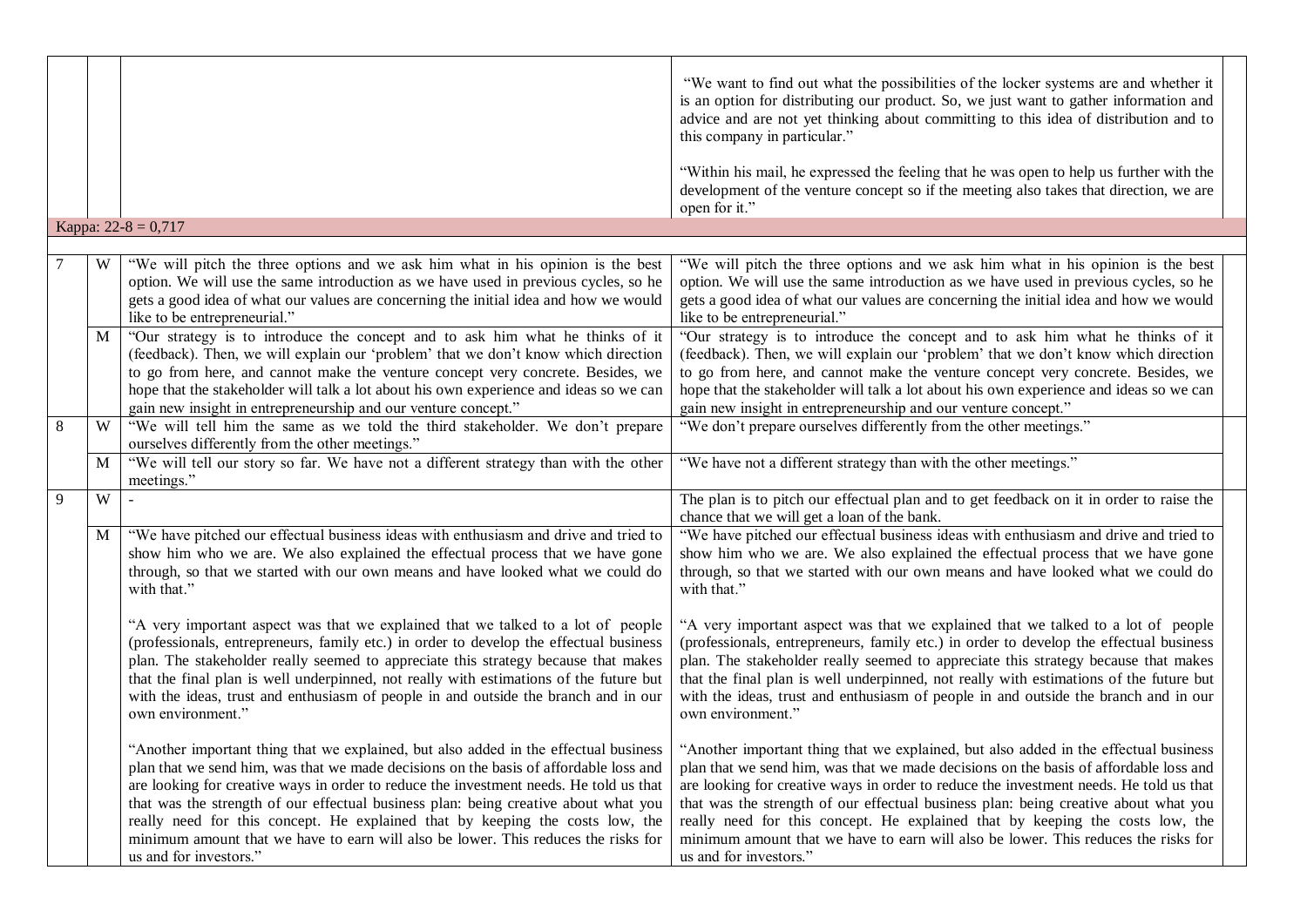|   |   |                                                                                                                                                                                                                                                                                                                                                                                                                                                                         | "We want to find out what the possibilities of the locker systems are and whether it<br>is an option for distributing our product. So, we just want to gather information and<br>advice and are not yet thinking about committing to this idea of distribution and to<br>this company in particular."<br>"Within his mail, he expressed the feeling that he was open to help us further with the<br>development of the venture concept so if the meeting also takes that direction, we are                                                                                                                                                             |  |
|---|---|-------------------------------------------------------------------------------------------------------------------------------------------------------------------------------------------------------------------------------------------------------------------------------------------------------------------------------------------------------------------------------------------------------------------------------------------------------------------------|--------------------------------------------------------------------------------------------------------------------------------------------------------------------------------------------------------------------------------------------------------------------------------------------------------------------------------------------------------------------------------------------------------------------------------------------------------------------------------------------------------------------------------------------------------------------------------------------------------------------------------------------------------|--|
|   |   |                                                                                                                                                                                                                                                                                                                                                                                                                                                                         | open for it."                                                                                                                                                                                                                                                                                                                                                                                                                                                                                                                                                                                                                                          |  |
|   |   | Kappa: $22-8 = 0,717$                                                                                                                                                                                                                                                                                                                                                                                                                                                   |                                                                                                                                                                                                                                                                                                                                                                                                                                                                                                                                                                                                                                                        |  |
|   |   |                                                                                                                                                                                                                                                                                                                                                                                                                                                                         |                                                                                                                                                                                                                                                                                                                                                                                                                                                                                                                                                                                                                                                        |  |
|   | W | "We will pitch the three options and we ask him what in his opinion is the best<br>option. We will use the same introduction as we have used in previous cycles, so he<br>gets a good idea of what our values are concerning the initial idea and how we would<br>like to be entrepreneurial."                                                                                                                                                                          | "We will pitch the three options and we ask him what in his opinion is the best<br>option. We will use the same introduction as we have used in previous cycles, so he<br>gets a good idea of what our values are concerning the initial idea and how we would<br>like to be entrepreneurial."                                                                                                                                                                                                                                                                                                                                                         |  |
|   | M | "Our strategy is to introduce the concept and to ask him what he thinks of it<br>(feedback). Then, we will explain our 'problem' that we don't know which direction<br>to go from here, and cannot make the venture concept very concrete. Besides, we                                                                                                                                                                                                                  | "Our strategy is to introduce the concept and to ask him what he thinks of it<br>(feedback). Then, we will explain our 'problem' that we don't know which direction<br>to go from here, and cannot make the venture concept very concrete. Besides, we                                                                                                                                                                                                                                                                                                                                                                                                 |  |
|   |   | hope that the stakeholder will talk a lot about his own experience and ideas so we can<br>gain new insight in entrepreneurship and our venture concept."                                                                                                                                                                                                                                                                                                                | hope that the stakeholder will talk a lot about his own experience and ideas so we can<br>gain new insight in entrepreneurship and our venture concept."                                                                                                                                                                                                                                                                                                                                                                                                                                                                                               |  |
| 8 | W | "We will tell him the same as we told the third stakeholder. We don't prepare<br>ourselves differently from the other meetings."                                                                                                                                                                                                                                                                                                                                        | "We don't prepare ourselves differently from the other meetings."                                                                                                                                                                                                                                                                                                                                                                                                                                                                                                                                                                                      |  |
|   | M | "We will tell our story so far. We have not a different strategy than with the other<br>meetings."                                                                                                                                                                                                                                                                                                                                                                      | "We have not a different strategy than with the other meetings."                                                                                                                                                                                                                                                                                                                                                                                                                                                                                                                                                                                       |  |
| 9 | W |                                                                                                                                                                                                                                                                                                                                                                                                                                                                         | The plan is to pitch our effectual plan and to get feedback on it in order to raise the<br>chance that we will get a loan of the bank.                                                                                                                                                                                                                                                                                                                                                                                                                                                                                                                 |  |
|   | M | "We have pitched our effectual business ideas with enthusiasm and drive and tried to<br>show him who we are. We also explained the effectual process that we have gone<br>through, so that we started with our own means and have looked what we could do<br>with that."                                                                                                                                                                                                | "We have pitched our effectual business ideas with enthusiasm and drive and tried to<br>show him who we are. We also explained the effectual process that we have gone<br>through, so that we started with our own means and have looked what we could do<br>with that."                                                                                                                                                                                                                                                                                                                                                                               |  |
|   |   | "A very important aspect was that we explained that we talked to a lot of people<br>(professionals, entrepreneurs, family etc.) in order to develop the effectual business<br>plan. The stakeholder really seemed to appreciate this strategy because that makes<br>that the final plan is well underpinned, not really with estimations of the future but<br>with the ideas, trust and enthusiasm of people in and outside the branch and in our<br>own environment."  | "A very important aspect was that we explained that we talked to a lot of people<br>(professionals, entrepreneurs, family etc.) in order to develop the effectual business<br>plan. The stakeholder really seemed to appreciate this strategy because that makes<br>that the final plan is well underpinned, not really with estimations of the future but<br>with the ideas, trust and enthusiasm of people in and outside the branch and in our<br>own environment."                                                                                                                                                                                 |  |
|   |   | plan that we send him, was that we made decisions on the basis of affordable loss and<br>are looking for creative ways in order to reduce the investment needs. He told us that<br>that was the strength of our effectual business plan: being creative about what you<br>really need for this concept. He explained that by keeping the costs low, the<br>minimum amount that we have to earn will also be lower. This reduces the risks for<br>us and for investors." | "Another important thing that we explained, but also added in the effectual business   "Another important thing that we explained, but also added in the effectual business<br>plan that we send him, was that we made decisions on the basis of affordable loss and<br>are looking for creative ways in order to reduce the investment needs. He told us that<br>that was the strength of our effectual business plan: being creative about what you<br>really need for this concept. He explained that by keeping the costs low, the<br>minimum amount that we have to earn will also be lower. This reduces the risks for<br>us and for investors." |  |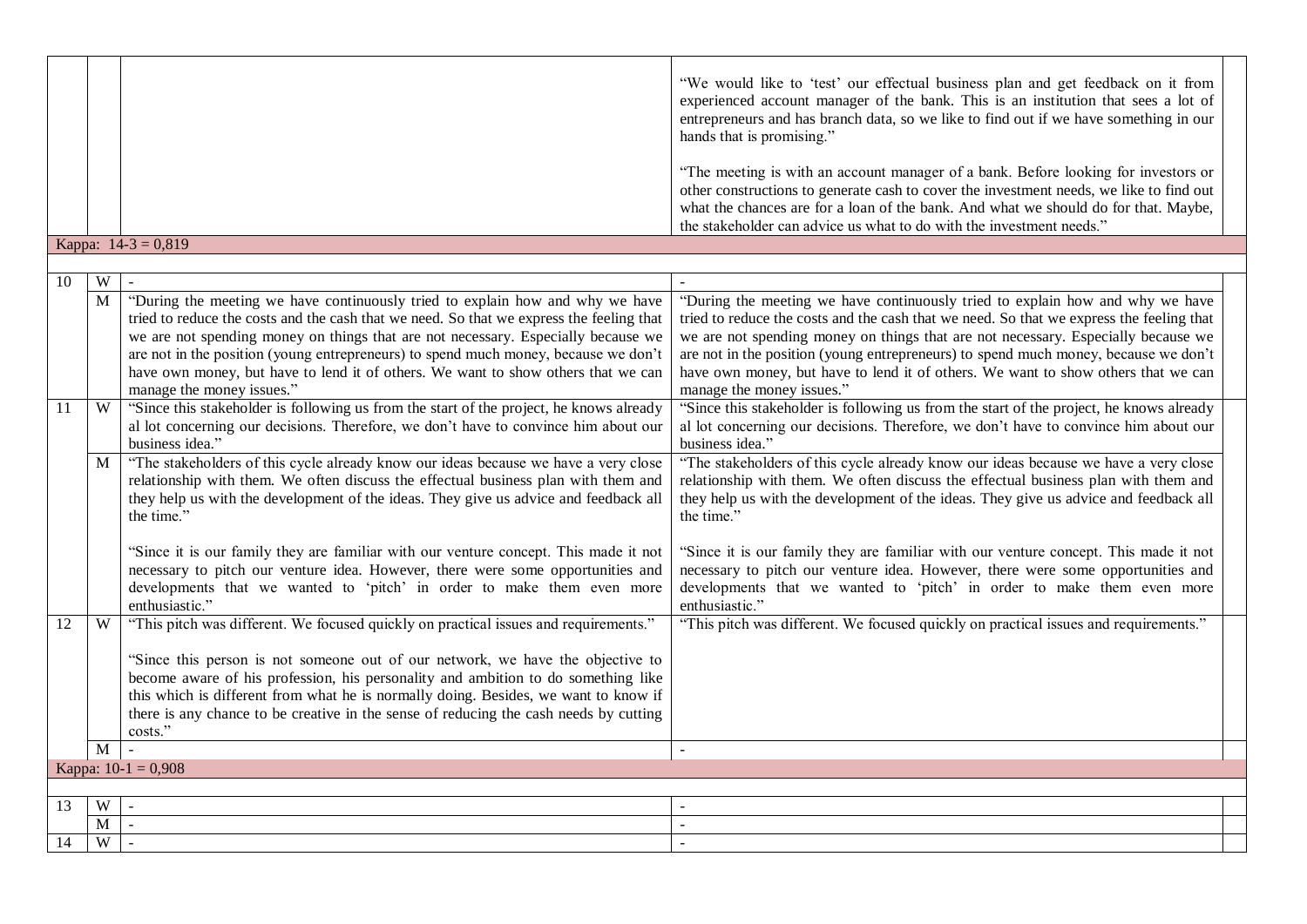|    |              |                                                                                                                                                                                                                                                                                                                                                                                                                                                                                      | "We would like to 'test' our effectual business plan and get feedback on it from<br>experienced account manager of the bank. This is an institution that sees a lot of<br>entrepreneurs and has branch data, so we like to find out if we have something in our<br>hands that is promising."                                                                                                                                                                                         |
|----|--------------|--------------------------------------------------------------------------------------------------------------------------------------------------------------------------------------------------------------------------------------------------------------------------------------------------------------------------------------------------------------------------------------------------------------------------------------------------------------------------------------|--------------------------------------------------------------------------------------------------------------------------------------------------------------------------------------------------------------------------------------------------------------------------------------------------------------------------------------------------------------------------------------------------------------------------------------------------------------------------------------|
|    |              |                                                                                                                                                                                                                                                                                                                                                                                                                                                                                      | "The meeting is with an account manager of a bank. Before looking for investors or<br>other constructions to generate cash to cover the investment needs, we like to find out<br>what the chances are for a loan of the bank. And what we should do for that. Maybe,                                                                                                                                                                                                                 |
|    |              |                                                                                                                                                                                                                                                                                                                                                                                                                                                                                      | the stakeholder can advice us what to do with the investment needs."                                                                                                                                                                                                                                                                                                                                                                                                                 |
|    |              | Kappa: $14-3 = 0,819$                                                                                                                                                                                                                                                                                                                                                                                                                                                                |                                                                                                                                                                                                                                                                                                                                                                                                                                                                                      |
|    |              |                                                                                                                                                                                                                                                                                                                                                                                                                                                                                      |                                                                                                                                                                                                                                                                                                                                                                                                                                                                                      |
| 10 | W            |                                                                                                                                                                                                                                                                                                                                                                                                                                                                                      |                                                                                                                                                                                                                                                                                                                                                                                                                                                                                      |
|    | M            | "During the meeting we have continuously tried to explain how and why we have<br>tried to reduce the costs and the cash that we need. So that we express the feeling that<br>we are not spending money on things that are not necessary. Especially because we<br>are not in the position (young entrepreneurs) to spend much money, because we don't<br>have own money, but have to lend it of others. We want to show others that we can<br>manage the money issues."              | "During the meeting we have continuously tried to explain how and why we have<br>tried to reduce the costs and the cash that we need. So that we express the feeling that<br>we are not spending money on things that are not necessary. Especially because we<br>are not in the position (young entrepreneurs) to spend much money, because we don't<br>have own money, but have to lend it of others. We want to show others that we can<br>manage the money issues."              |
| 11 | W<br>M       | "Since this stakeholder is following us from the start of the project, he knows already<br>al lot concerning our decisions. Therefore, we don't have to convince him about our<br>business idea."<br>"The stakeholders of this cycle already know our ideas because we have a very close<br>relationship with them. We often discuss the effectual business plan with them and<br>they help us with the development of the ideas. They give us advice and feedback all<br>the time." | "Since this stakeholder is following us from the start of the project, he knows already<br>al lot concerning our decisions. Therefore, we don't have to convince him about our<br>business idea."<br>"The stakeholders of this cycle already know our ideas because we have a very close<br>relationship with them. We often discuss the effectual business plan with them and<br>they help us with the development of the ideas. They give us advice and feedback all<br>the time." |
|    |              | "Since it is our family they are familiar with our venture concept. This made it not<br>necessary to pitch our venture idea. However, there were some opportunities and<br>developments that we wanted to 'pitch' in order to make them even more<br>enthusiastic."                                                                                                                                                                                                                  | "Since it is our family they are familiar with our venture concept. This made it not<br>necessary to pitch our venture idea. However, there were some opportunities and<br>developments that we wanted to 'pitch' in order to make them even more<br>enthusiastic."                                                                                                                                                                                                                  |
| 12 | W            | "This pitch was different. We focused quickly on practical issues and requirements."                                                                                                                                                                                                                                                                                                                                                                                                 | "This pitch was different. We focused quickly on practical issues and requirements."                                                                                                                                                                                                                                                                                                                                                                                                 |
|    |              | "Since this person is not someone out of our network, we have the objective to<br>become aware of his profession, his personality and ambition to do something like<br>this which is different from what he is normally doing. Besides, we want to know if<br>there is any chance to be creative in the sense of reducing the cash needs by cutting<br>costs."                                                                                                                       |                                                                                                                                                                                                                                                                                                                                                                                                                                                                                      |
|    | $\mathbf{M}$ | $\mathbf{r}$                                                                                                                                                                                                                                                                                                                                                                                                                                                                         | $\mathbf{r}$                                                                                                                                                                                                                                                                                                                                                                                                                                                                         |
|    |              | Kappa: $10-1 = 0,908$                                                                                                                                                                                                                                                                                                                                                                                                                                                                |                                                                                                                                                                                                                                                                                                                                                                                                                                                                                      |
|    |              |                                                                                                                                                                                                                                                                                                                                                                                                                                                                                      |                                                                                                                                                                                                                                                                                                                                                                                                                                                                                      |
| 13 | W            | $\sim$                                                                                                                                                                                                                                                                                                                                                                                                                                                                               |                                                                                                                                                                                                                                                                                                                                                                                                                                                                                      |
|    | $\mathbf M$  | $\omega$                                                                                                                                                                                                                                                                                                                                                                                                                                                                             | $\sim$                                                                                                                                                                                                                                                                                                                                                                                                                                                                               |
| 14 | W            | $\sim$                                                                                                                                                                                                                                                                                                                                                                                                                                                                               |                                                                                                                                                                                                                                                                                                                                                                                                                                                                                      |
|    |              |                                                                                                                                                                                                                                                                                                                                                                                                                                                                                      |                                                                                                                                                                                                                                                                                                                                                                                                                                                                                      |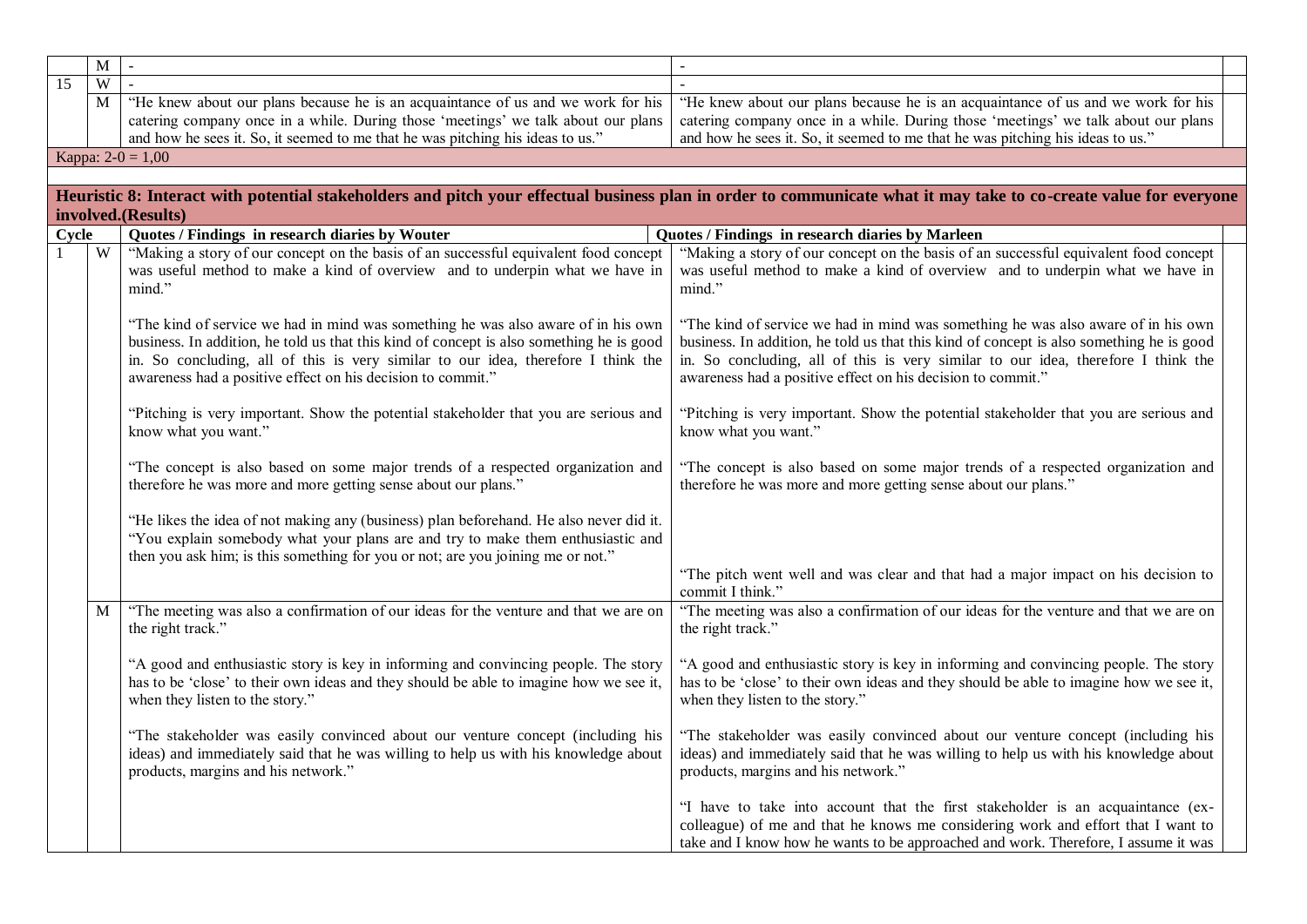|                 | $\overline{M}$ | $\sim$                                                                                   | $\mathbb{Z}^2$                                                                                                                                                    |
|-----------------|----------------|------------------------------------------------------------------------------------------|-------------------------------------------------------------------------------------------------------------------------------------------------------------------|
| $\overline{15}$ | $\overline{W}$ |                                                                                          |                                                                                                                                                                   |
|                 |                |                                                                                          |                                                                                                                                                                   |
|                 | M              | "He knew about our plans because he is an acquaintance of us and we work for his         | "He knew about our plans because he is an acquaintance of us and we work for his                                                                                  |
|                 |                | catering company once in a while. During those 'meetings' we talk about our plans        | catering company once in a while. During those 'meetings' we talk about our plans                                                                                 |
|                 |                | and how he sees it. So, it seemed to me that he was pitching his ideas to us."           | and how he sees it. So, it seemed to me that he was pitching his ideas to us."                                                                                    |
|                 |                | Kappa: $2-0 = 1,00$                                                                      |                                                                                                                                                                   |
|                 |                |                                                                                          |                                                                                                                                                                   |
|                 |                |                                                                                          | Heuristic 8: Interact with potential stakeholders and pitch your effectual business plan in order to communicate what it may take to co-create value for everyone |
|                 |                | involved.(Results)                                                                       |                                                                                                                                                                   |
| Cycle           |                | Quotes / Findings in research diaries by Wouter                                          | Quotes / Findings in research diaries by Marleen                                                                                                                  |
|                 | W              | "Making a story of our concept on the basis of an successful equivalent food concept     | "Making a story of our concept on the basis of an successful equivalent food concept                                                                              |
|                 |                | was useful method to make a kind of overview and to underpin what we have in             | was useful method to make a kind of overview and to underpin what we have in                                                                                      |
|                 |                |                                                                                          |                                                                                                                                                                   |
|                 |                | mind."                                                                                   | mind."                                                                                                                                                            |
|                 |                |                                                                                          |                                                                                                                                                                   |
|                 |                | "The kind of service we had in mind was something he was also aware of in his own        | "The kind of service we had in mind was something he was also aware of in his own                                                                                 |
|                 |                | business. In addition, he told us that this kind of concept is also something he is good | business. In addition, he told us that this kind of concept is also something he is good                                                                          |
|                 |                | in. So concluding, all of this is very similar to our idea, therefore I think the        | in. So concluding, all of this is very similar to our idea, therefore I think the                                                                                 |
|                 |                | awareness had a positive effect on his decision to commit."                              | awareness had a positive effect on his decision to commit."                                                                                                       |
|                 |                |                                                                                          |                                                                                                                                                                   |
|                 |                | "Pitching is very important. Show the potential stakeholder that you are serious and     | "Pitching is very important. Show the potential stakeholder that you are serious and                                                                              |
|                 |                | know what you want."                                                                     | know what you want."                                                                                                                                              |
|                 |                |                                                                                          |                                                                                                                                                                   |
|                 |                | "The concept is also based on some major trends of a respected organization and          | "The concept is also based on some major trends of a respected organization and                                                                                   |
|                 |                | therefore he was more and more getting sense about our plans."                           | therefore he was more and more getting sense about our plans."                                                                                                    |
|                 |                |                                                                                          |                                                                                                                                                                   |
|                 |                | "He likes the idea of not making any (business) plan beforehand. He also never did it.   |                                                                                                                                                                   |
|                 |                | "You explain somebody what your plans are and try to make them enthusiastic and          |                                                                                                                                                                   |
|                 |                | then you ask him; is this something for you or not; are you joining me or not."          |                                                                                                                                                                   |
|                 |                |                                                                                          | "The pitch went well and was clear and that had a major impact on his decision to                                                                                 |
|                 |                |                                                                                          | commit I think."                                                                                                                                                  |
|                 | M              | "The meeting was also a confirmation of our ideas for the venture and that we are on     | "The meeting was also a confirmation of our ideas for the venture and that we are on                                                                              |
|                 |                | the right track."                                                                        | the right track."                                                                                                                                                 |
|                 |                |                                                                                          |                                                                                                                                                                   |
|                 |                |                                                                                          |                                                                                                                                                                   |
|                 |                | "A good and enthusiastic story is key in informing and convincing people. The story      | "A good and enthusiastic story is key in informing and convincing people. The story                                                                               |
|                 |                | has to be 'close' to their own ideas and they should be able to imagine how we see it,   | has to be 'close' to their own ideas and they should be able to imagine how we see it,                                                                            |
|                 |                | when they listen to the story."                                                          | when they listen to the story."                                                                                                                                   |
|                 |                |                                                                                          |                                                                                                                                                                   |
|                 |                | "The stakeholder was easily convinced about our venture concept (including his           | "The stakeholder was easily convinced about our venture concept (including his                                                                                    |
|                 |                | ideas) and immediately said that he was willing to help us with his knowledge about      | ideas) and immediately said that he was willing to help us with his knowledge about                                                                               |
|                 |                | products, margins and his network."                                                      | products, margins and his network."                                                                                                                               |
|                 |                |                                                                                          |                                                                                                                                                                   |
|                 |                |                                                                                          | "I have to take into account that the first stakeholder is an acquaintance (ex-                                                                                   |
|                 |                |                                                                                          | colleague) of me and that he knows me considering work and effort that I want to                                                                                  |
|                 |                |                                                                                          | take and I know how he wants to be approached and work. Therefore, I assume it was                                                                                |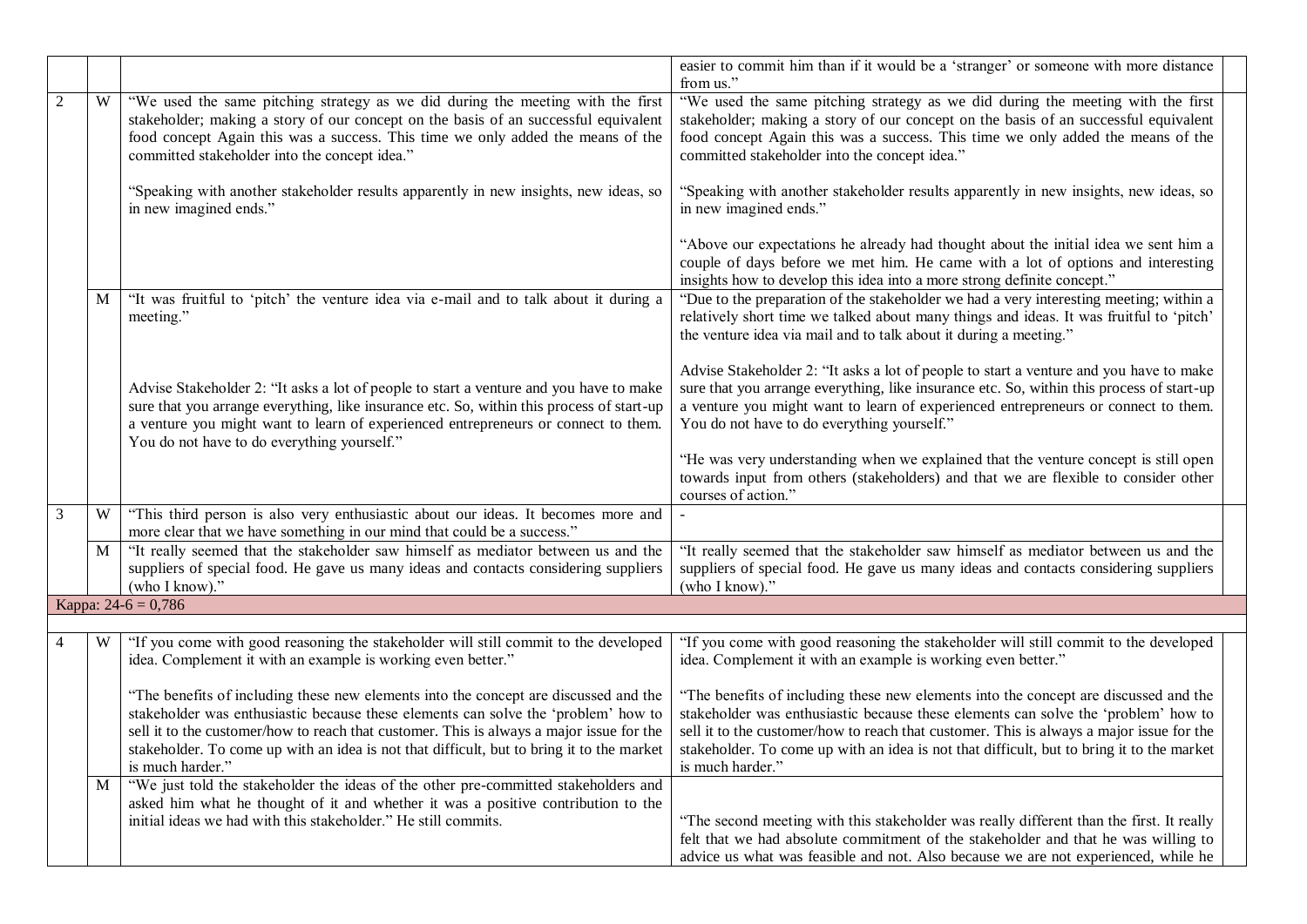|                |   |                                                                                                                                                                                                                                                                                                                          | easier to commit him than if it would be a 'stranger' or someone with more distance<br>from us."                                                                                                                                                                                                                         |  |
|----------------|---|--------------------------------------------------------------------------------------------------------------------------------------------------------------------------------------------------------------------------------------------------------------------------------------------------------------------------|--------------------------------------------------------------------------------------------------------------------------------------------------------------------------------------------------------------------------------------------------------------------------------------------------------------------------|--|
| $\overline{2}$ | W | "We used the same pitching strategy as we did during the meeting with the first<br>stakeholder; making a story of our concept on the basis of an successful equivalent<br>food concept Again this was a success. This time we only added the means of the<br>committed stakeholder into the concept idea."               | "We used the same pitching strategy as we did during the meeting with the first<br>stakeholder; making a story of our concept on the basis of an successful equivalent<br>food concept Again this was a success. This time we only added the means of the<br>committed stakeholder into the concept idea."               |  |
|                |   | "Speaking with another stakeholder results apparently in new insights, new ideas, so<br>in new imagined ends."                                                                                                                                                                                                           | "Speaking with another stakeholder results apparently in new insights, new ideas, so<br>in new imagined ends."                                                                                                                                                                                                           |  |
|                |   |                                                                                                                                                                                                                                                                                                                          | "Above our expectations he already had thought about the initial idea we sent him a<br>couple of days before we met him. He came with a lot of options and interesting<br>insights how to develop this idea into a more strong definite concept."                                                                        |  |
|                | M | "It was fruitful to 'pitch' the venture idea via e-mail and to talk about it during a<br>meeting."                                                                                                                                                                                                                       | "Due to the preparation of the stakeholder we had a very interesting meeting; within a<br>relatively short time we talked about many things and ideas. It was fruitful to 'pitch'<br>the venture idea via mail and to talk about it during a meeting."                                                                   |  |
|                |   | Advise Stakeholder 2: "It asks a lot of people to start a venture and you have to make<br>sure that you arrange everything, like insurance etc. So, within this process of start-up<br>a venture you might want to learn of experienced entrepreneurs or connect to them.<br>You do not have to do everything yourself." | Advise Stakeholder 2: "It asks a lot of people to start a venture and you have to make<br>sure that you arrange everything, like insurance etc. So, within this process of start-up<br>a venture you might want to learn of experienced entrepreneurs or connect to them.<br>You do not have to do everything yourself." |  |
|                |   |                                                                                                                                                                                                                                                                                                                          | "He was very understanding when we explained that the venture concept is still open<br>towards input from others (stakeholders) and that we are flexible to consider other<br>courses of action."                                                                                                                        |  |
| 3              | W | "This third person is also very enthusiastic about our ideas. It becomes more and<br>more clear that we have something in our mind that could be a success."                                                                                                                                                             |                                                                                                                                                                                                                                                                                                                          |  |
|                | M | "It really seemed that the stakeholder saw himself as mediator between us and the<br>suppliers of special food. He gave us many ideas and contacts considering suppliers<br>(who I know)."                                                                                                                               | "It really seemed that the stakeholder saw himself as mediator between us and the<br>suppliers of special food. He gave us many ideas and contacts considering suppliers<br>(who I know)."                                                                                                                               |  |
|                |   | Kappa: $24-6 = 0,786$                                                                                                                                                                                                                                                                                                    |                                                                                                                                                                                                                                                                                                                          |  |
|                | W | "If you come with good reasoning the stakeholder will still commit to the developed<br>idea. Complement it with an example is working even better."                                                                                                                                                                      | "If you come with good reasoning the stakeholder will still commit to the developed<br>idea. Complement it with an example is working even better."                                                                                                                                                                      |  |
|                |   | "The benefits of including these new elements into the concept are discussed and the<br>stakeholder was enthusiastic because these elements can solve the 'problem' how to                                                                                                                                               | "The benefits of including these new elements into the concept are discussed and the<br>stakeholder was enthusiastic because these elements can solve the 'problem' how to                                                                                                                                               |  |
|                |   | sell it to the customer/how to reach that customer. This is always a major issue for the<br>stakeholder. To come up with an idea is not that difficult, but to bring it to the market<br>is much harder."                                                                                                                | sell it to the customer/how to reach that customer. This is always a major issue for the<br>stakeholder. To come up with an idea is not that difficult, but to bring it to the market<br>is much harder."                                                                                                                |  |
|                | M | "We just told the stakeholder the ideas of the other pre-committed stakeholders and<br>asked him what he thought of it and whether it was a positive contribution to the<br>initial ideas we had with this stakeholder." He still commits.                                                                               | "The second meeting with this stakeholder was really different than the first. It really<br>felt that we had absolute commitment of the stakeholder and that he was willing to<br>advice us what was feasible and not. Also because we are not experienced, while he                                                     |  |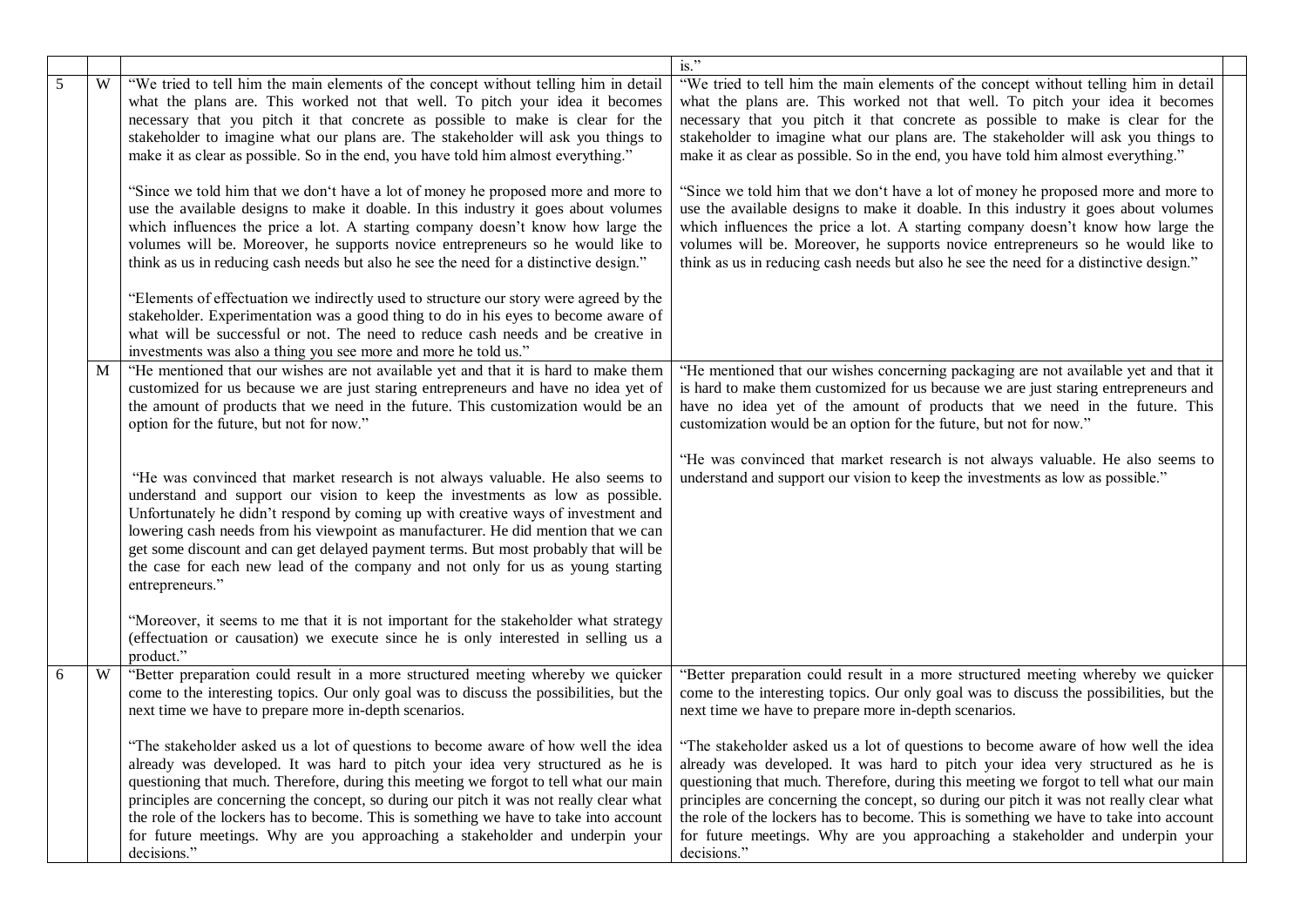|   |   |                                                                                                                                                                                                                                                                                                                                                                                                                                                                                                                                                                                                                                                                                                                                                                                                    | $is.$ "                                                                                                                                                                                                                                                                                                                                                                                                                                                                                                                                                                                                                             |
|---|---|----------------------------------------------------------------------------------------------------------------------------------------------------------------------------------------------------------------------------------------------------------------------------------------------------------------------------------------------------------------------------------------------------------------------------------------------------------------------------------------------------------------------------------------------------------------------------------------------------------------------------------------------------------------------------------------------------------------------------------------------------------------------------------------------------|-------------------------------------------------------------------------------------------------------------------------------------------------------------------------------------------------------------------------------------------------------------------------------------------------------------------------------------------------------------------------------------------------------------------------------------------------------------------------------------------------------------------------------------------------------------------------------------------------------------------------------------|
| 5 | W | "We tried to tell him the main elements of the concept without telling him in detail<br>what the plans are. This worked not that well. To pitch your idea it becomes<br>necessary that you pitch it that concrete as possible to make is clear for the<br>stakeholder to imagine what our plans are. The stakeholder will ask you things to                                                                                                                                                                                                                                                                                                                                                                                                                                                        | "We tried to tell him the main elements of the concept without telling him in detail<br>what the plans are. This worked not that well. To pitch your idea it becomes<br>necessary that you pitch it that concrete as possible to make is clear for the<br>stakeholder to imagine what our plans are. The stakeholder will ask you things to                                                                                                                                                                                                                                                                                         |
|   |   | make it as clear as possible. So in the end, you have told him almost everything."<br>"Since we told him that we don't have a lot of money he proposed more and more to<br>use the available designs to make it doable. In this industry it goes about volumes<br>which influences the price a lot. A starting company doesn't know how large the<br>volumes will be. Moreover, he supports novice entrepreneurs so he would like to<br>think as us in reducing cash needs but also he see the need for a distinctive design."<br>"Elements of effectuation we indirectly used to structure our story were agreed by the<br>stakeholder. Experimentation was a good thing to do in his eyes to become aware of<br>what will be successful or not. The need to reduce cash needs and be creative in | make it as clear as possible. So in the end, you have told him almost everything."<br>"Since we told him that we don't have a lot of money he proposed more and more to<br>use the available designs to make it doable. In this industry it goes about volumes<br>which influences the price a lot. A starting company doesn't know how large the<br>volumes will be. Moreover, he supports novice entrepreneurs so he would like to<br>think as us in reducing cash needs but also he see the need for a distinctive design."                                                                                                      |
|   | M | investments was also a thing you see more and more he told us."<br>"He mentioned that our wishes are not available yet and that it is hard to make them<br>customized for us because we are just staring entrepreneurs and have no idea yet of<br>the amount of products that we need in the future. This customization would be an<br>option for the future, but not for now."                                                                                                                                                                                                                                                                                                                                                                                                                    | "He mentioned that our wishes concerning packaging are not available yet and that it<br>is hard to make them customized for us because we are just staring entrepreneurs and<br>have no idea yet of the amount of products that we need in the future. This<br>customization would be an option for the future, but not for now."                                                                                                                                                                                                                                                                                                   |
|   |   | "He was convinced that market research is not always valuable. He also seems to<br>understand and support our vision to keep the investments as low as possible.<br>Unfortunately he didn't respond by coming up with creative ways of investment and<br>lowering cash needs from his viewpoint as manufacturer. He did mention that we can<br>get some discount and can get delayed payment terms. But most probably that will be<br>the case for each new lead of the company and not only for us as young starting<br>entrepreneurs."                                                                                                                                                                                                                                                           | "He was convinced that market research is not always valuable. He also seems to<br>understand and support our vision to keep the investments as low as possible."                                                                                                                                                                                                                                                                                                                                                                                                                                                                   |
|   |   | "Moreover, it seems to me that it is not important for the stakeholder what strategy<br>(effectuation or causation) we execute since he is only interested in selling us a<br>product."                                                                                                                                                                                                                                                                                                                                                                                                                                                                                                                                                                                                            |                                                                                                                                                                                                                                                                                                                                                                                                                                                                                                                                                                                                                                     |
| 6 | W | "Better preparation could result in a more structured meeting whereby we quicker<br>come to the interesting topics. Our only goal was to discuss the possibilities, but the<br>next time we have to prepare more in-depth scenarios.                                                                                                                                                                                                                                                                                                                                                                                                                                                                                                                                                               | "Better preparation could result in a more structured meeting whereby we quicker<br>come to the interesting topics. Our only goal was to discuss the possibilities, but the<br>next time we have to prepare more in-depth scenarios.                                                                                                                                                                                                                                                                                                                                                                                                |
|   |   | already was developed. It was hard to pitch your idea very structured as he is<br>questioning that much. Therefore, during this meeting we forgot to tell what our main<br>principles are concerning the concept, so during our pitch it was not really clear what<br>the role of the lockers has to become. This is something we have to take into account<br>for future meetings. Why are you approaching a stakeholder and underpin your<br>decisions."                                                                                                                                                                                                                                                                                                                                         | "The stakeholder asked us a lot of questions to become aware of how well the idea   "The stakeholder asked us a lot of questions to become aware of how well the idea<br>already was developed. It was hard to pitch your idea very structured as he is<br>questioning that much. Therefore, during this meeting we forgot to tell what our main<br>principles are concerning the concept, so during our pitch it was not really clear what<br>the role of the lockers has to become. This is something we have to take into account<br>for future meetings. Why are you approaching a stakeholder and underpin your<br>decisions." |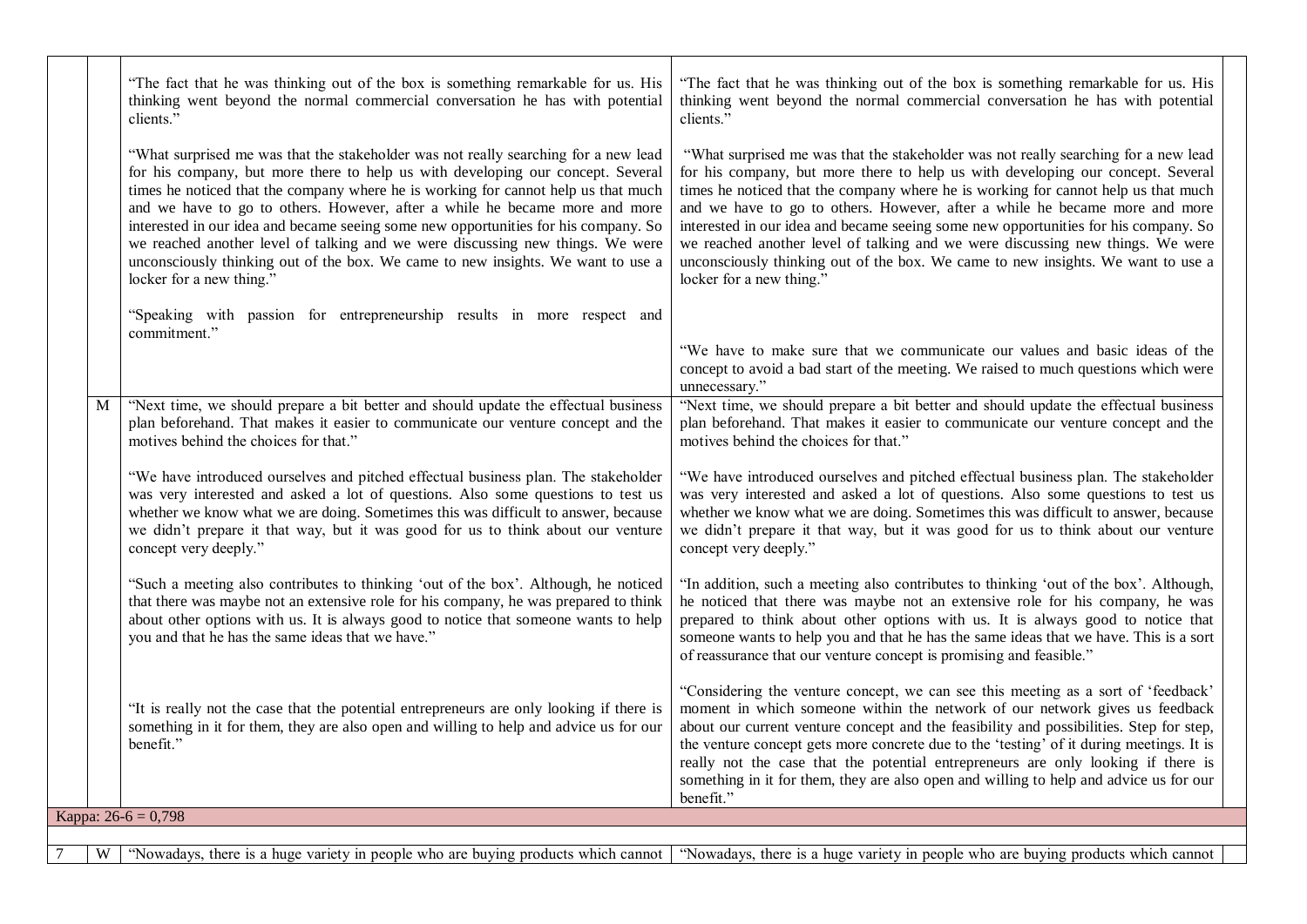|   | "The fact that he was thinking out of the box is something remarkable for us. His<br>thinking went beyond the normal commercial conversation he has with potential<br>clients."                                                                                                                                                                                                                                                                                                                                                                                                                                                      | "The fact that he was thinking out of the box is something remarkable for us. His<br>thinking went beyond the normal commercial conversation he has with potential<br>clients."                                                                                                                                                                                                                                                                                                                                                                                                                                                      |
|---|--------------------------------------------------------------------------------------------------------------------------------------------------------------------------------------------------------------------------------------------------------------------------------------------------------------------------------------------------------------------------------------------------------------------------------------------------------------------------------------------------------------------------------------------------------------------------------------------------------------------------------------|--------------------------------------------------------------------------------------------------------------------------------------------------------------------------------------------------------------------------------------------------------------------------------------------------------------------------------------------------------------------------------------------------------------------------------------------------------------------------------------------------------------------------------------------------------------------------------------------------------------------------------------|
|   | "What surprised me was that the stakeholder was not really searching for a new lead<br>for his company, but more there to help us with developing our concept. Several<br>times he noticed that the company where he is working for cannot help us that much<br>and we have to go to others. However, after a while he became more and more<br>interested in our idea and became seeing some new opportunities for his company. So<br>we reached another level of talking and we were discussing new things. We were<br>unconsciously thinking out of the box. We came to new insights. We want to use a<br>locker for a new thing." | "What surprised me was that the stakeholder was not really searching for a new lead<br>for his company, but more there to help us with developing our concept. Several<br>times he noticed that the company where he is working for cannot help us that much<br>and we have to go to others. However, after a while he became more and more<br>interested in our idea and became seeing some new opportunities for his company. So<br>we reached another level of talking and we were discussing new things. We were<br>unconsciously thinking out of the box. We came to new insights. We want to use a<br>locker for a new thing." |
|   | "Speaking with passion for entrepreneurship results in more respect and<br>commitment."                                                                                                                                                                                                                                                                                                                                                                                                                                                                                                                                              | "We have to make sure that we communicate our values and basic ideas of the<br>concept to avoid a bad start of the meeting. We raised to much questions which were<br>unnecessary."                                                                                                                                                                                                                                                                                                                                                                                                                                                  |
| M | "Next time, we should prepare a bit better and should update the effectual business<br>plan beforehand. That makes it easier to communicate our venture concept and the<br>motives behind the choices for that."                                                                                                                                                                                                                                                                                                                                                                                                                     | "Next time, we should prepare a bit better and should update the effectual business<br>plan beforehand. That makes it easier to communicate our venture concept and the<br>motives behind the choices for that."                                                                                                                                                                                                                                                                                                                                                                                                                     |
|   | "We have introduced ourselves and pitched effectual business plan. The stakeholder<br>was very interested and asked a lot of questions. Also some questions to test us<br>whether we know what we are doing. Sometimes this was difficult to answer, because<br>we didn't prepare it that way, but it was good for us to think about our venture<br>concept very deeply."                                                                                                                                                                                                                                                            | "We have introduced ourselves and pitched effectual business plan. The stakeholder<br>was very interested and asked a lot of questions. Also some questions to test us<br>whether we know what we are doing. Sometimes this was difficult to answer, because<br>we didn't prepare it that way, but it was good for us to think about our venture<br>concept very deeply."                                                                                                                                                                                                                                                            |
|   | "Such a meeting also contributes to thinking 'out of the box'. Although, he noticed<br>that there was maybe not an extensive role for his company, he was prepared to think<br>about other options with us. It is always good to notice that someone wants to help<br>you and that he has the same ideas that we have."                                                                                                                                                                                                                                                                                                              | "In addition, such a meeting also contributes to thinking 'out of the box'. Although,<br>he noticed that there was maybe not an extensive role for his company, he was<br>prepared to think about other options with us. It is always good to notice that<br>someone wants to help you and that he has the same ideas that we have. This is a sort<br>of reassurance that our venture concept is promising and feasible."                                                                                                                                                                                                            |
|   | "It is really not the case that the potential entrepreneurs are only looking if there is<br>something in it for them, they are also open and willing to help and advice us for our<br>benefit."                                                                                                                                                                                                                                                                                                                                                                                                                                      | "Considering the venture concept, we can see this meeting as a sort of 'feedback'<br>moment in which someone within the network of our network gives us feedback<br>about our current venture concept and the feasibility and possibilities. Step for step,<br>the venture concept gets more concrete due to the 'testing' of it during meetings. It is<br>really not the case that the potential entrepreneurs are only looking if there is<br>something in it for them, they are also open and willing to help and advice us for our<br>benefit."                                                                                  |
|   | Kappa: $26-6 = 0,798$                                                                                                                                                                                                                                                                                                                                                                                                                                                                                                                                                                                                                |                                                                                                                                                                                                                                                                                                                                                                                                                                                                                                                                                                                                                                      |
|   |                                                                                                                                                                                                                                                                                                                                                                                                                                                                                                                                                                                                                                      |                                                                                                                                                                                                                                                                                                                                                                                                                                                                                                                                                                                                                                      |
| W |                                                                                                                                                                                                                                                                                                                                                                                                                                                                                                                                                                                                                                      | "Nowadays, there is a huge variety in people who are buying products which cannot which cannot in Nowadays, there is a huge variety in people who are buying products which cannot                                                                                                                                                                                                                                                                                                                                                                                                                                                   |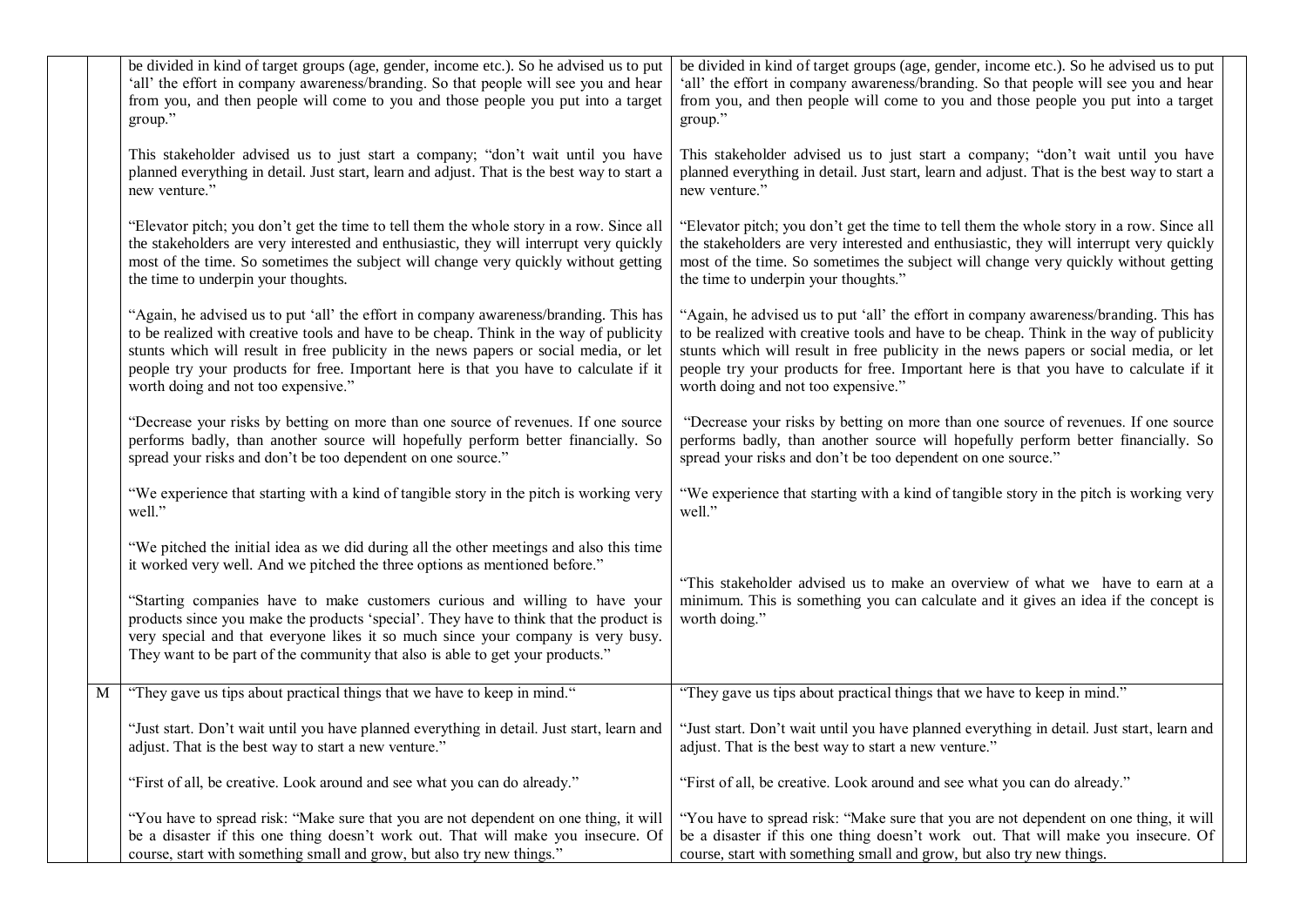|   | be divided in kind of target groups (age, gender, income etc.). So he advised us to put<br>'all' the effort in company awareness/branding. So that people will see you and hear<br>from you, and then people will come to you and those people you put into a target<br>group."                                                                                                                                                                                                                                       | be divided in kind of target groups (age, gender, income etc.). So he advised us to put<br>'all' the effort in company awareness/branding. So that people will see you and hear<br>from you, and then people will come to you and those people you put into a target<br>group."                                                                                                                          |
|---|-----------------------------------------------------------------------------------------------------------------------------------------------------------------------------------------------------------------------------------------------------------------------------------------------------------------------------------------------------------------------------------------------------------------------------------------------------------------------------------------------------------------------|----------------------------------------------------------------------------------------------------------------------------------------------------------------------------------------------------------------------------------------------------------------------------------------------------------------------------------------------------------------------------------------------------------|
|   | This stakeholder advised us to just start a company; "don't wait until you have<br>planned everything in detail. Just start, learn and adjust. That is the best way to start a<br>new venture."                                                                                                                                                                                                                                                                                                                       | This stakeholder advised us to just start a company; "don't wait until you have<br>planned everything in detail. Just start, learn and adjust. That is the best way to start a<br>new venture."                                                                                                                                                                                                          |
|   | "Elevator pitch; you don't get the time to tell them the whole story in a row. Since all<br>the stakeholders are very interested and enthusiastic, they will interrupt very quickly<br>most of the time. So sometimes the subject will change very quickly without getting<br>the time to underpin your thoughts.                                                                                                                                                                                                     | "Elevator pitch; you don't get the time to tell them the whole story in a row. Since all<br>the stakeholders are very interested and enthusiastic, they will interrupt very quickly<br>most of the time. So sometimes the subject will change very quickly without getting<br>the time to underpin your thoughts."                                                                                       |
|   | "Again, he advised us to put 'all' the effort in company awareness/branding. This has<br>to be realized with creative tools and have to be cheap. Think in the way of publicity<br>stunts which will result in free publicity in the news papers or social media, or let<br>people try your products for free. Important here is that you have to calculate if it<br>worth doing and not too expensive."                                                                                                              | "Again, he advised us to put 'all' the effort in company awareness/branding. This has<br>to be realized with creative tools and have to be cheap. Think in the way of publicity<br>stunts which will result in free publicity in the news papers or social media, or let<br>people try your products for free. Important here is that you have to calculate if it<br>worth doing and not too expensive." |
|   | "Decrease your risks by betting on more than one source of revenues. If one source<br>performs badly, than another source will hopefully perform better financially. So<br>spread your risks and don't be too dependent on one source."                                                                                                                                                                                                                                                                               | "Decrease your risks by betting on more than one source of revenues. If one source<br>performs badly, than another source will hopefully perform better financially. So<br>spread your risks and don't be too dependent on one source."                                                                                                                                                                  |
|   | "We experience that starting with a kind of tangible story in the pitch is working very<br>well."                                                                                                                                                                                                                                                                                                                                                                                                                     | "We experience that starting with a kind of tangible story in the pitch is working very<br>well."                                                                                                                                                                                                                                                                                                        |
|   | "We pitched the initial idea as we did during all the other meetings and also this time<br>it worked very well. And we pitched the three options as mentioned before."<br>"Starting companies have to make customers curious and willing to have your<br>products since you make the products 'special'. They have to think that the product is<br>very special and that everyone likes it so much since your company is very busy.<br>They want to be part of the community that also is able to get your products." | "This stakeholder advised us to make an overview of what we have to earn at a<br>minimum. This is something you can calculate and it gives an idea if the concept is<br>worth doing."                                                                                                                                                                                                                    |
| M | "They gave us tips about practical things that we have to keep in mind."                                                                                                                                                                                                                                                                                                                                                                                                                                              | "They gave us tips about practical things that we have to keep in mind."                                                                                                                                                                                                                                                                                                                                 |
|   | "Just start. Don't wait until you have planned everything in detail. Just start, learn and<br>adjust. That is the best way to start a new venture."                                                                                                                                                                                                                                                                                                                                                                   | "Just start. Don't wait until you have planned everything in detail. Just start, learn and<br>adjust. That is the best way to start a new venture."                                                                                                                                                                                                                                                      |
|   | "First of all, be creative. Look around and see what you can do already."                                                                                                                                                                                                                                                                                                                                                                                                                                             | "First of all, be creative. Look around and see what you can do already."                                                                                                                                                                                                                                                                                                                                |
|   | "You have to spread risk: "Make sure that you are not dependent on one thing, it will<br>be a disaster if this one thing doesn't work out. That will make you insecure. Of<br>course, start with something small and grow, but also try new things."                                                                                                                                                                                                                                                                  | "You have to spread risk: "Make sure that you are not dependent on one thing, it will<br>be a disaster if this one thing doesn't work out. That will make you insecure. Of<br>course, start with something small and grow, but also try new things.                                                                                                                                                      |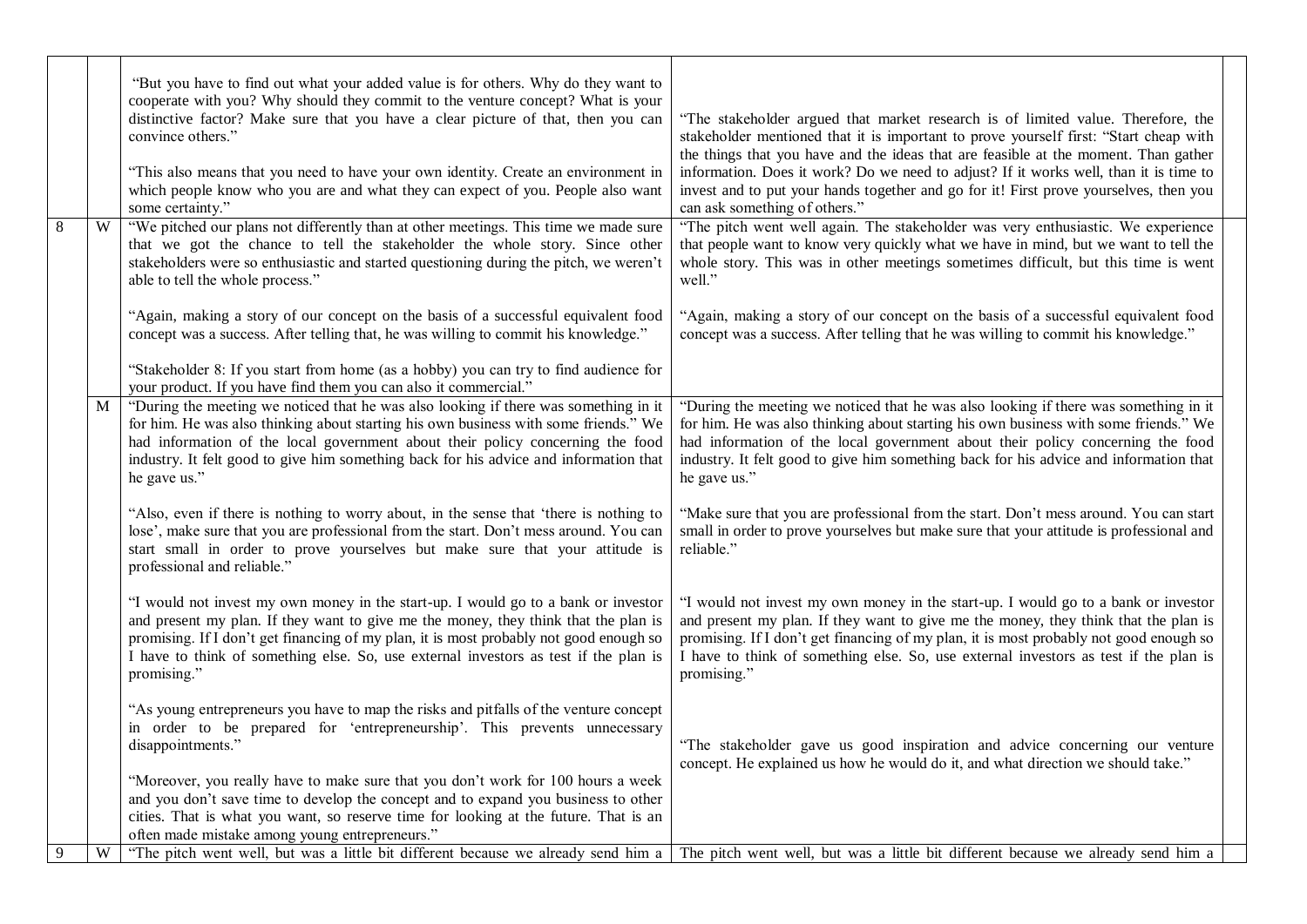|   |   | "But you have to find out what your added value is for others. Why do they want to<br>cooperate with you? Why should they commit to the venture concept? What is your<br>distinctive factor? Make sure that you have a clear picture of that, then you can<br>convince others."<br>"This also means that you need to have your own identity. Create an environment in<br>which people know who you are and what they can expect of you. People also want<br>some certainty." | "The stakeholder argued that market research is of limited value. Therefore, the<br>stakeholder mentioned that it is important to prove yourself first: "Start cheap with<br>the things that you have and the ideas that are feasible at the moment. Than gather<br>information. Does it work? Do we need to adjust? If it works well, than it is time to<br>invest and to put your hands together and go for it! First prove yourselves, then you<br>can ask something of others." |  |
|---|---|------------------------------------------------------------------------------------------------------------------------------------------------------------------------------------------------------------------------------------------------------------------------------------------------------------------------------------------------------------------------------------------------------------------------------------------------------------------------------|-------------------------------------------------------------------------------------------------------------------------------------------------------------------------------------------------------------------------------------------------------------------------------------------------------------------------------------------------------------------------------------------------------------------------------------------------------------------------------------|--|
| 8 | W | "We pitched our plans not differently than at other meetings. This time we made sure<br>that we got the chance to tell the stakeholder the whole story. Since other<br>stakeholders were so enthusiastic and started questioning during the pitch, we weren't<br>able to tell the whole process."                                                                                                                                                                            | "The pitch went well again. The stakeholder was very enthusiastic. We experience<br>that people want to know very quickly what we have in mind, but we want to tell the<br>whole story. This was in other meetings sometimes difficult, but this time is went<br>well."                                                                                                                                                                                                             |  |
|   |   | "Again, making a story of our concept on the basis of a successful equivalent food<br>concept was a success. After telling that, he was willing to commit his knowledge."                                                                                                                                                                                                                                                                                                    | "Again, making a story of our concept on the basis of a successful equivalent food<br>concept was a success. After telling that he was willing to commit his knowledge."                                                                                                                                                                                                                                                                                                            |  |
|   |   | "Stakeholder 8: If you start from home (as a hobby) you can try to find audience for<br>your product. If you have find them you can also it commercial."                                                                                                                                                                                                                                                                                                                     |                                                                                                                                                                                                                                                                                                                                                                                                                                                                                     |  |
|   | M | "During the meeting we noticed that he was also looking if there was something in it<br>for him. He was also thinking about starting his own business with some friends." We<br>had information of the local government about their policy concerning the food<br>industry. It felt good to give him something back for his advice and information that<br>he gave us."                                                                                                      | "During the meeting we noticed that he was also looking if there was something in it<br>for him. He was also thinking about starting his own business with some friends." We<br>had information of the local government about their policy concerning the food<br>industry. It felt good to give him something back for his advice and information that<br>he gave us."                                                                                                             |  |
|   |   | "Also, even if there is nothing to worry about, in the sense that 'there is nothing to<br>lose', make sure that you are professional from the start. Don't mess around. You can<br>start small in order to prove yourselves but make sure that your attitude is<br>professional and reliable."                                                                                                                                                                               | "Make sure that you are professional from the start. Don't mess around. You can start<br>small in order to prove yourselves but make sure that your attitude is professional and<br>reliable."                                                                                                                                                                                                                                                                                      |  |
|   |   | "I would not invest my own money in the start-up. I would go to a bank or investor<br>and present my plan. If they want to give me the money, they think that the plan is<br>promising. If I don't get financing of my plan, it is most probably not good enough so<br>I have to think of something else. So, use external investors as test if the plan is<br>promising."                                                                                                   | "I would not invest my own money in the start-up. I would go to a bank or investor<br>and present my plan. If they want to give me the money, they think that the plan is<br>promising. If I don't get financing of my plan, it is most probably not good enough so<br>I have to think of something else. So, use external investors as test if the plan is<br>promising."                                                                                                          |  |
|   |   | "As young entrepreneurs you have to map the risks and pitfalls of the venture concept<br>in order to be prepared for 'entrepreneurship'. This prevents unnecessary<br>disappointments."                                                                                                                                                                                                                                                                                      | "The stakeholder gave us good inspiration and advice concerning our venture<br>concept. He explained us how he would do it, and what direction we should take."                                                                                                                                                                                                                                                                                                                     |  |
|   |   | "Moreover, you really have to make sure that you don't work for 100 hours a week<br>and you don't save time to develop the concept and to expand you business to other<br>cities. That is what you want, so reserve time for looking at the future. That is an<br>often made mistake among young entrepreneurs."                                                                                                                                                             |                                                                                                                                                                                                                                                                                                                                                                                                                                                                                     |  |
| 9 | W | "The pitch went well, but was a little bit different because we already send him a                                                                                                                                                                                                                                                                                                                                                                                           | The pitch went well, but was a little bit different because we already send him a                                                                                                                                                                                                                                                                                                                                                                                                   |  |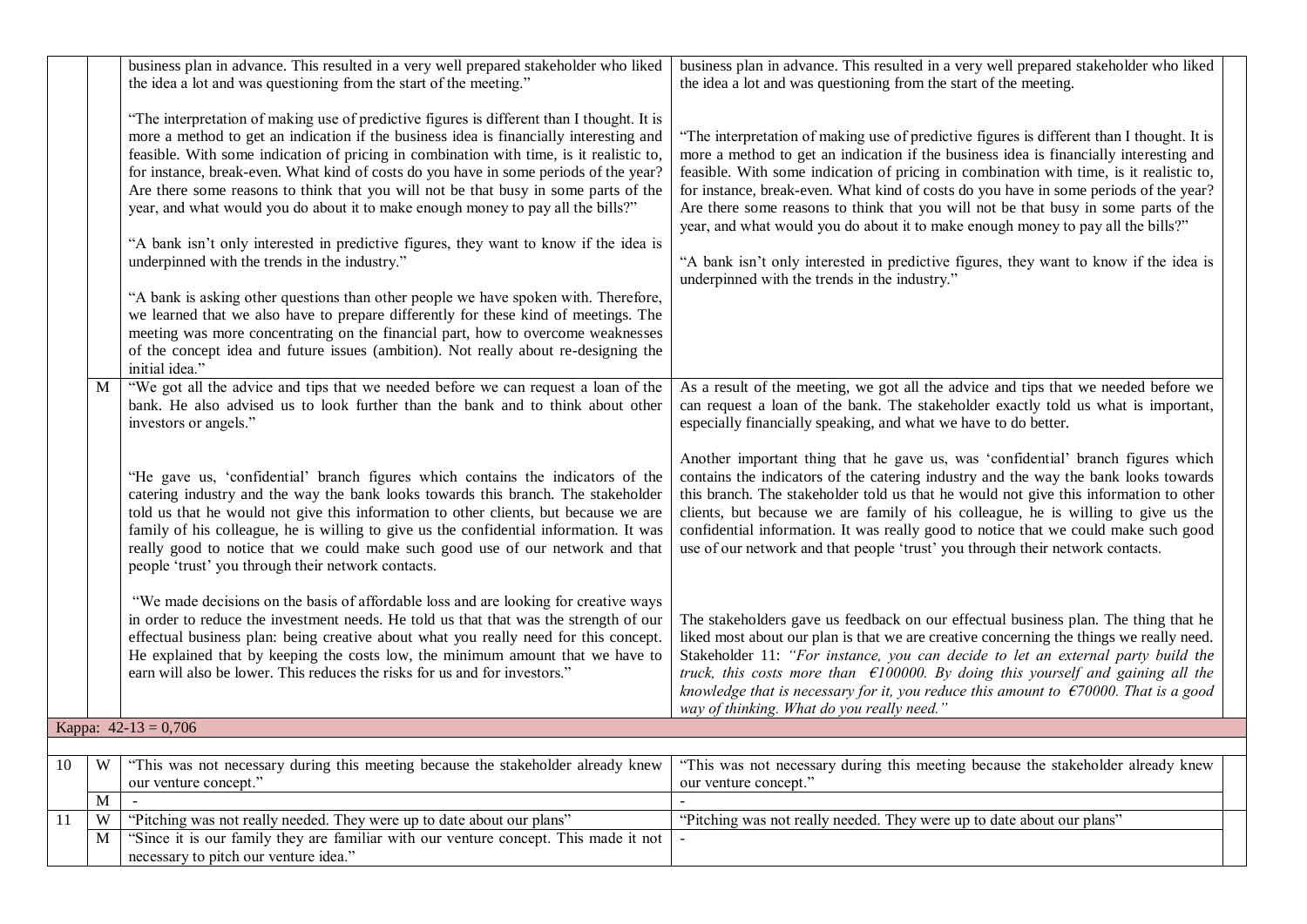|    |   | business plan in advance. This resulted in a very well prepared stakeholder who liked<br>the idea a lot and was questioning from the start of the meeting."<br>"The interpretation of making use of predictive figures is different than I thought. It is<br>more a method to get an indication if the business idea is financially interesting and<br>feasible. With some indication of pricing in combination with time, is it realistic to,<br>for instance, break-even. What kind of costs do you have in some periods of the year?<br>Are there some reasons to think that you will not be that busy in some parts of the<br>year, and what would you do about it to make enough money to pay all the bills?"<br>"A bank isn't only interested in predictive figures, they want to know if the idea is<br>underpinned with the trends in the industry."<br>"A bank is asking other questions than other people we have spoken with. Therefore,<br>we learned that we also have to prepare differently for these kind of meetings. The<br>meeting was more concentrating on the financial part, how to overcome weaknesses<br>of the concept idea and future issues (ambition). Not really about re-designing the<br>initial idea." | business plan in advance. This resulted in a very well prepared stakeholder who liked<br>the idea a lot and was questioning from the start of the meeting.<br>"The interpretation of making use of predictive figures is different than I thought. It is<br>more a method to get an indication if the business idea is financially interesting and<br>feasible. With some indication of pricing in combination with time, is it realistic to,<br>for instance, break-even. What kind of costs do you have in some periods of the year?<br>Are there some reasons to think that you will not be that busy in some parts of the<br>year, and what would you do about it to make enough money to pay all the bills?"<br>"A bank isn't only interested in predictive figures, they want to know if the idea is<br>underpinned with the trends in the industry." |  |
|----|---|-----------------------------------------------------------------------------------------------------------------------------------------------------------------------------------------------------------------------------------------------------------------------------------------------------------------------------------------------------------------------------------------------------------------------------------------------------------------------------------------------------------------------------------------------------------------------------------------------------------------------------------------------------------------------------------------------------------------------------------------------------------------------------------------------------------------------------------------------------------------------------------------------------------------------------------------------------------------------------------------------------------------------------------------------------------------------------------------------------------------------------------------------------------------------------------------------------------------------------------------|-------------------------------------------------------------------------------------------------------------------------------------------------------------------------------------------------------------------------------------------------------------------------------------------------------------------------------------------------------------------------------------------------------------------------------------------------------------------------------------------------------------------------------------------------------------------------------------------------------------------------------------------------------------------------------------------------------------------------------------------------------------------------------------------------------------------------------------------------------------|--|
|    | M | "We got all the advice and tips that we needed before we can request a loan of the<br>bank. He also advised us to look further than the bank and to think about other<br>investors or angels."<br>"He gave us, 'confidential' branch figures which contains the indicators of the<br>catering industry and the way the bank looks towards this branch. The stakeholder<br>told us that he would not give this information to other clients, but because we are<br>family of his colleague, he is willing to give us the confidential information. It was                                                                                                                                                                                                                                                                                                                                                                                                                                                                                                                                                                                                                                                                                | As a result of the meeting, we got all the advice and tips that we needed before we<br>can request a loan of the bank. The stakeholder exactly told us what is important,<br>especially financially speaking, and what we have to do better.<br>Another important thing that he gave us, was 'confidential' branch figures which<br>contains the indicators of the catering industry and the way the bank looks towards<br>this branch. The stakeholder told us that he would not give this information to other<br>clients, but because we are family of his colleague, he is willing to give us the<br>confidential information. It was really good to notice that we could make such good                                                                                                                                                                |  |
|    |   | really good to notice that we could make such good use of our network and that<br>people 'trust' you through their network contacts.<br>"We made decisions on the basis of affordable loss and are looking for creative ways<br>in order to reduce the investment needs. He told us that that was the strength of our<br>effectual business plan: being creative about what you really need for this concept.<br>He explained that by keeping the costs low, the minimum amount that we have to<br>earn will also be lower. This reduces the risks for us and for investors."                                                                                                                                                                                                                                                                                                                                                                                                                                                                                                                                                                                                                                                           | use of our network and that people 'trust' you through their network contacts.<br>The stakeholders gave us feedback on our effectual business plan. The thing that he<br>liked most about our plan is that we are creative concerning the things we really need.<br>Stakeholder 11: "For instance, you can decide to let an external party build the<br>truck, this costs more than $\epsilon$ 100000. By doing this yourself and gaining all the<br>knowledge that is necessary for it, you reduce this amount to $\epsilon$ 70000. That is a good<br>way of thinking. What do you really need."                                                                                                                                                                                                                                                           |  |
|    |   | Kappa: $42-13 = 0,706$                                                                                                                                                                                                                                                                                                                                                                                                                                                                                                                                                                                                                                                                                                                                                                                                                                                                                                                                                                                                                                                                                                                                                                                                                  |                                                                                                                                                                                                                                                                                                                                                                                                                                                                                                                                                                                                                                                                                                                                                                                                                                                             |  |
|    |   |                                                                                                                                                                                                                                                                                                                                                                                                                                                                                                                                                                                                                                                                                                                                                                                                                                                                                                                                                                                                                                                                                                                                                                                                                                         |                                                                                                                                                                                                                                                                                                                                                                                                                                                                                                                                                                                                                                                                                                                                                                                                                                                             |  |
| 10 | W | "This was not necessary during this meeting because the stakeholder already knew<br>our venture concept."                                                                                                                                                                                                                                                                                                                                                                                                                                                                                                                                                                                                                                                                                                                                                                                                                                                                                                                                                                                                                                                                                                                               | "This was not necessary during this meeting because the stakeholder already knew<br>our venture concept."                                                                                                                                                                                                                                                                                                                                                                                                                                                                                                                                                                                                                                                                                                                                                   |  |
|    | M |                                                                                                                                                                                                                                                                                                                                                                                                                                                                                                                                                                                                                                                                                                                                                                                                                                                                                                                                                                                                                                                                                                                                                                                                                                         |                                                                                                                                                                                                                                                                                                                                                                                                                                                                                                                                                                                                                                                                                                                                                                                                                                                             |  |
| 11 | W | "Pitching was not really needed. They were up to date about our plans"                                                                                                                                                                                                                                                                                                                                                                                                                                                                                                                                                                                                                                                                                                                                                                                                                                                                                                                                                                                                                                                                                                                                                                  | "Pitching was not really needed. They were up to date about our plans"                                                                                                                                                                                                                                                                                                                                                                                                                                                                                                                                                                                                                                                                                                                                                                                      |  |
|    | M | "Since it is our family they are familiar with our venture concept. This made it not<br>necessary to pitch our venture idea."                                                                                                                                                                                                                                                                                                                                                                                                                                                                                                                                                                                                                                                                                                                                                                                                                                                                                                                                                                                                                                                                                                           |                                                                                                                                                                                                                                                                                                                                                                                                                                                                                                                                                                                                                                                                                                                                                                                                                                                             |  |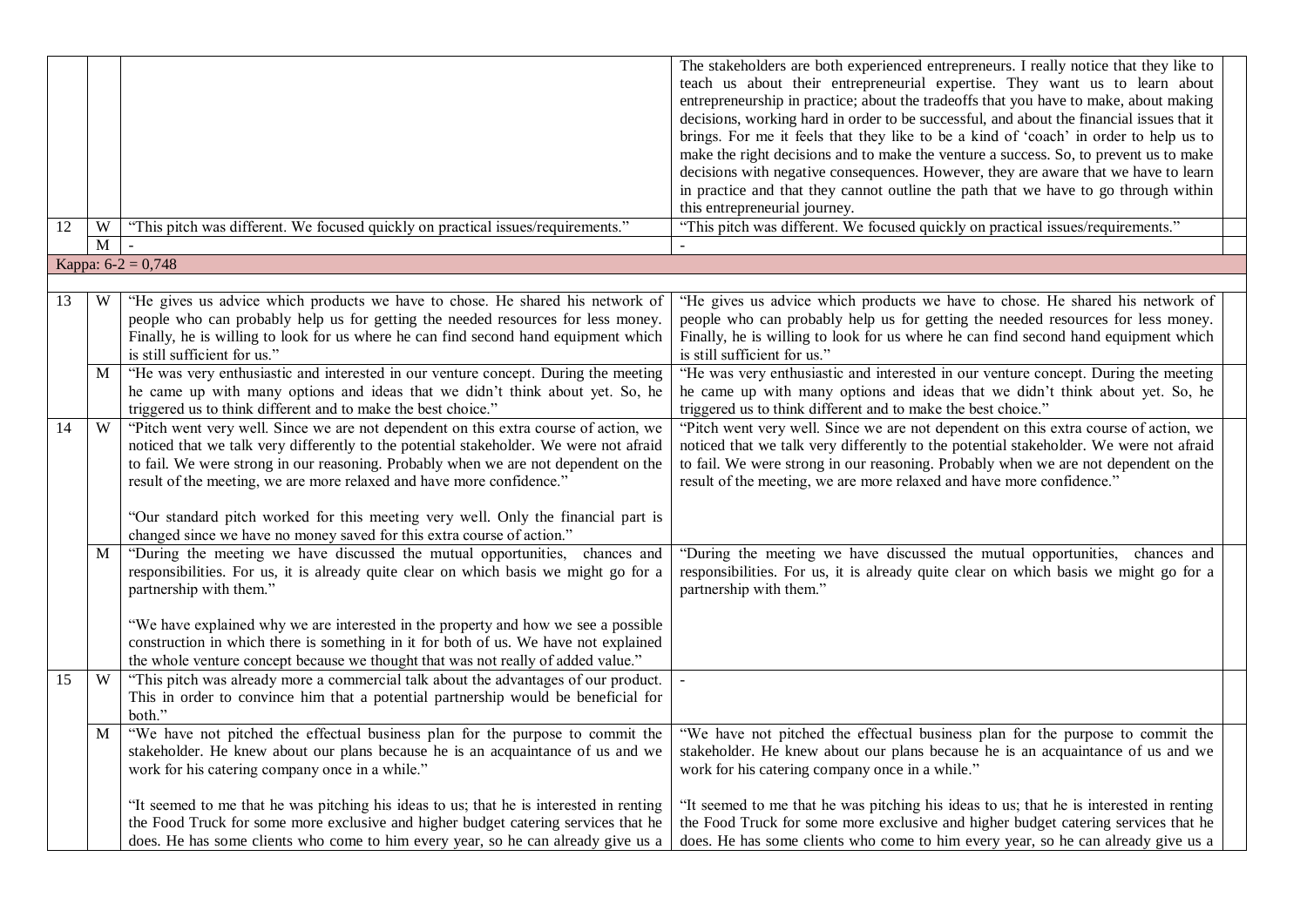| 12 | W           | "This pitch was different. We focused quickly on practical issues/requirements."                                                                                                                                                                                                                                                                                                                                                                                                                              | The stakeholders are both experienced entrepreneurs. I really notice that they like to<br>teach us about their entrepreneurial expertise. They want us to learn about<br>entrepreneurship in practice; about the tradeoffs that you have to make, about making<br>decisions, working hard in order to be successful, and about the financial issues that it<br>brings. For me it feels that they like to be a kind of 'coach' in order to help us to<br>make the right decisions and to make the venture a success. So, to prevent us to make<br>decisions with negative consequences. However, they are aware that we have to learn<br>in practice and that they cannot outline the path that we have to go through within<br>this entrepreneurial journey.<br>"This pitch was different. We focused quickly on practical issues/requirements." |
|----|-------------|---------------------------------------------------------------------------------------------------------------------------------------------------------------------------------------------------------------------------------------------------------------------------------------------------------------------------------------------------------------------------------------------------------------------------------------------------------------------------------------------------------------|--------------------------------------------------------------------------------------------------------------------------------------------------------------------------------------------------------------------------------------------------------------------------------------------------------------------------------------------------------------------------------------------------------------------------------------------------------------------------------------------------------------------------------------------------------------------------------------------------------------------------------------------------------------------------------------------------------------------------------------------------------------------------------------------------------------------------------------------------|
|    | $\mathbf M$ | $\blacksquare$                                                                                                                                                                                                                                                                                                                                                                                                                                                                                                |                                                                                                                                                                                                                                                                                                                                                                                                                                                                                                                                                                                                                                                                                                                                                                                                                                                  |
|    |             | Kappa: $6-2 = 0,748$                                                                                                                                                                                                                                                                                                                                                                                                                                                                                          |                                                                                                                                                                                                                                                                                                                                                                                                                                                                                                                                                                                                                                                                                                                                                                                                                                                  |
| 13 | W           | "He gives us advice which products we have to chose. He shared his network of<br>people who can probably help us for getting the needed resources for less money.<br>Finally, he is willing to look for us where he can find second hand equipment which<br>is still sufficient for us."                                                                                                                                                                                                                      | "He gives us advice which products we have to chose. He shared his network of<br>people who can probably help us for getting the needed resources for less money.<br>Finally, he is willing to look for us where he can find second hand equipment which<br>is still sufficient for us."                                                                                                                                                                                                                                                                                                                                                                                                                                                                                                                                                         |
|    | M           | "He was very enthusiastic and interested in our venture concept. During the meeting<br>he came up with many options and ideas that we didn't think about yet. So, he<br>triggered us to think different and to make the best choice."                                                                                                                                                                                                                                                                         | "He was very enthusiastic and interested in our venture concept. During the meeting<br>he came up with many options and ideas that we didn't think about yet. So, he<br>triggered us to think different and to make the best choice."                                                                                                                                                                                                                                                                                                                                                                                                                                                                                                                                                                                                            |
| 14 | W           | "Pitch went very well. Since we are not dependent on this extra course of action, we<br>noticed that we talk very differently to the potential stakeholder. We were not afraid<br>to fail. We were strong in our reasoning. Probably when we are not dependent on the<br>result of the meeting, we are more relaxed and have more confidence."<br>"Our standard pitch worked for this meeting very well. Only the financial part is<br>changed since we have no money saved for this extra course of action." | "Pitch went very well. Since we are not dependent on this extra course of action, we<br>noticed that we talk very differently to the potential stakeholder. We were not afraid<br>to fail. We were strong in our reasoning. Probably when we are not dependent on the<br>result of the meeting, we are more relaxed and have more confidence."                                                                                                                                                                                                                                                                                                                                                                                                                                                                                                   |
|    | M           | "During the meeting we have discussed the mutual opportunities, chances and<br>responsibilities. For us, it is already quite clear on which basis we might go for a<br>partnership with them."<br>"We have explained why we are interested in the property and how we see a possible<br>construction in which there is something in it for both of us. We have not explained<br>the whole venture concept because we thought that was not really of added value."                                             | "During the meeting we have discussed the mutual opportunities, chances and<br>responsibilities. For us, it is already quite clear on which basis we might go for a<br>partnership with them."                                                                                                                                                                                                                                                                                                                                                                                                                                                                                                                                                                                                                                                   |
| 15 | W           | "This pitch was already more a commercial talk about the advantages of our product.<br>This in order to convince him that a potential partnership would be beneficial for<br>both."                                                                                                                                                                                                                                                                                                                           |                                                                                                                                                                                                                                                                                                                                                                                                                                                                                                                                                                                                                                                                                                                                                                                                                                                  |
|    | M           | "We have not pitched the effectual business plan for the purpose to commit the<br>stakeholder. He knew about our plans because he is an acquaintance of us and we<br>work for his catering company once in a while."                                                                                                                                                                                                                                                                                          | "We have not pitched the effectual business plan for the purpose to commit the<br>stakeholder. He knew about our plans because he is an acquaintance of us and we<br>work for his catering company once in a while."                                                                                                                                                                                                                                                                                                                                                                                                                                                                                                                                                                                                                             |
|    |             | "It seemed to me that he was pitching his ideas to us; that he is interested in renting<br>the Food Truck for some more exclusive and higher budget catering services that he<br>does. He has some clients who come to him every year, so he can already give us a                                                                                                                                                                                                                                            | "It seemed to me that he was pitching his ideas to us; that he is interested in renting<br>the Food Truck for some more exclusive and higher budget catering services that he<br>does. He has some clients who come to him every year, so he can already give us a                                                                                                                                                                                                                                                                                                                                                                                                                                                                                                                                                                               |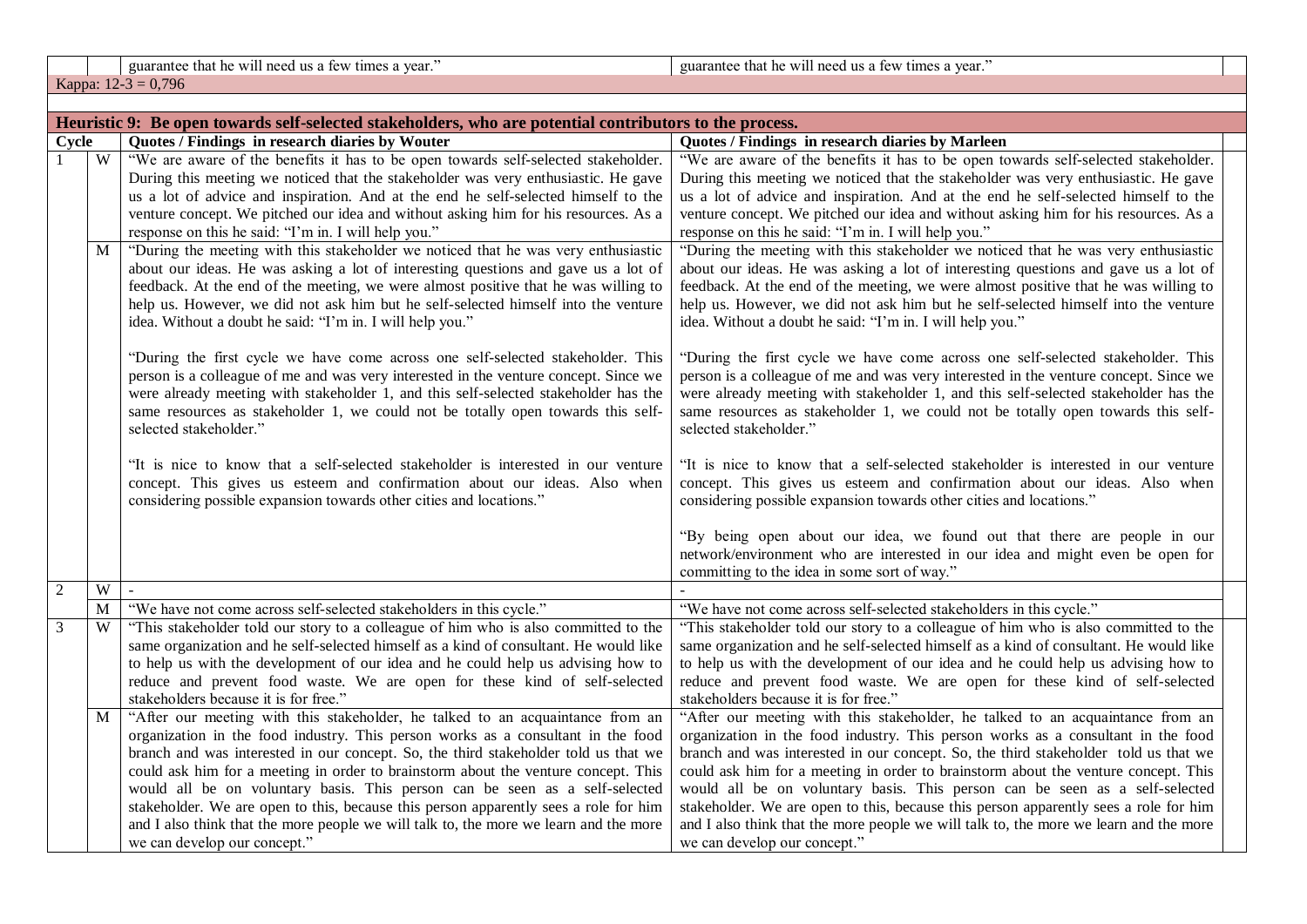guarantee that he will need us a few times a year." guarantee that he will need us a few times a year."

Kappa: 12-3 = 0,796

|            | Heuristic 9: Be open towards self-selected stakeholders, who are potential contributors to the process. |                                                                                                                                                                                                                                                                                                                                                                                                                                                                                                                                                                                                                                                 |                                                                                                                                                                                                                                                                                                                                                                                                                                                                                                                                                                                                                                                 |  |
|------------|---------------------------------------------------------------------------------------------------------|-------------------------------------------------------------------------------------------------------------------------------------------------------------------------------------------------------------------------------------------------------------------------------------------------------------------------------------------------------------------------------------------------------------------------------------------------------------------------------------------------------------------------------------------------------------------------------------------------------------------------------------------------|-------------------------------------------------------------------------------------------------------------------------------------------------------------------------------------------------------------------------------------------------------------------------------------------------------------------------------------------------------------------------------------------------------------------------------------------------------------------------------------------------------------------------------------------------------------------------------------------------------------------------------------------------|--|
| Cycle      |                                                                                                         | Quotes / Findings in research diaries by Wouter                                                                                                                                                                                                                                                                                                                                                                                                                                                                                                                                                                                                 | Quotes / Findings in research diaries by Marleen                                                                                                                                                                                                                                                                                                                                                                                                                                                                                                                                                                                                |  |
|            | $\overline{W}$                                                                                          | "We are aware of the benefits it has to be open towards self-selected stakeholder.<br>During this meeting we noticed that the stakeholder was very enthusiastic. He gave<br>us a lot of advice and inspiration. And at the end he self-selected himself to the<br>venture concept. We pitched our idea and without asking him for his resources. As a                                                                                                                                                                                                                                                                                           | "We are aware of the benefits it has to be open towards self-selected stakeholder.<br>During this meeting we noticed that the stakeholder was very enthusiastic. He gave<br>us a lot of advice and inspiration. And at the end he self-selected himself to the<br>venture concept. We pitched our idea and without asking him for his resources. As a                                                                                                                                                                                                                                                                                           |  |
|            | M                                                                                                       | response on this he said: "I'm in. I will help you."<br>"During the meeting with this stakeholder we noticed that he was very enthusiastic<br>about our ideas. He was asking a lot of interesting questions and gave us a lot of<br>feedback. At the end of the meeting, we were almost positive that he was willing to<br>help us. However, we did not ask him but he self-selected himself into the venture<br>idea. Without a doubt he said: "I'm in. I will help you."<br>"During the first cycle we have come across one self-selected stakeholder. This                                                                                   | response on this he said: "I'm in. I will help you."<br>"During the meeting with this stakeholder we noticed that he was very enthusiastic<br>about our ideas. He was asking a lot of interesting questions and gave us a lot of<br>feedback. At the end of the meeting, we were almost positive that he was willing to<br>help us. However, we did not ask him but he self-selected himself into the venture<br>idea. Without a doubt he said: "I'm in. I will help you."<br>"During the first cycle we have come across one self-selected stakeholder. This                                                                                   |  |
|            |                                                                                                         | person is a colleague of me and was very interested in the venture concept. Since we<br>were already meeting with stakeholder 1, and this self-selected stakeholder has the<br>same resources as stakeholder 1, we could not be totally open towards this self-<br>selected stakeholder."<br>"It is nice to know that a self-selected stakeholder is interested in our venture<br>concept. This gives us esteem and confirmation about our ideas. Also when<br>considering possible expansion towards other cities and locations."                                                                                                              | person is a colleague of me and was very interested in the venture concept. Since we<br>were already meeting with stakeholder 1, and this self-selected stakeholder has the<br>same resources as stakeholder 1, we could not be totally open towards this self-<br>selected stakeholder."<br>"It is nice to know that a self-selected stakeholder is interested in our venture<br>concept. This gives us esteem and confirmation about our ideas. Also when<br>considering possible expansion towards other cities and locations."<br>"By being open about our idea, we found out that there are people in our                                  |  |
|            |                                                                                                         |                                                                                                                                                                                                                                                                                                                                                                                                                                                                                                                                                                                                                                                 | network/environment who are interested in our idea and might even be open for<br>committing to the idea in some sort of way."                                                                                                                                                                                                                                                                                                                                                                                                                                                                                                                   |  |
| $\sqrt{2}$ | W                                                                                                       |                                                                                                                                                                                                                                                                                                                                                                                                                                                                                                                                                                                                                                                 |                                                                                                                                                                                                                                                                                                                                                                                                                                                                                                                                                                                                                                                 |  |
|            | M                                                                                                       | "We have not come across self-selected stakeholders in this cycle."                                                                                                                                                                                                                                                                                                                                                                                                                                                                                                                                                                             | "We have not come across self-selected stakeholders in this cycle."                                                                                                                                                                                                                                                                                                                                                                                                                                                                                                                                                                             |  |
| 3          | W                                                                                                       | "This stakeholder told our story to a colleague of him who is also committed to the<br>same organization and he self-selected himself as a kind of consultant. He would like<br>to help us with the development of our idea and he could help us advising how to<br>reduce and prevent food waste. We are open for these kind of self-selected<br>stakeholders because it is for free."                                                                                                                                                                                                                                                         | "This stakeholder told our story to a colleague of him who is also committed to the<br>same organization and he self-selected himself as a kind of consultant. He would like<br>to help us with the development of our idea and he could help us advising how to<br>reduce and prevent food waste. We are open for these kind of self-selected<br>stakeholders because it is for free."                                                                                                                                                                                                                                                         |  |
|            | M                                                                                                       | "After our meeting with this stakeholder, he talked to an acquaintance from an<br>organization in the food industry. This person works as a consultant in the food<br>branch and was interested in our concept. So, the third stakeholder told us that we<br>could ask him for a meeting in order to brainstorm about the venture concept. This<br>would all be on voluntary basis. This person can be seen as a self-selected<br>stakeholder. We are open to this, because this person apparently sees a role for him<br>and I also think that the more people we will talk to, the more we learn and the more<br>we can develop our concept." | "After our meeting with this stakeholder, he talked to an acquaintance from an<br>organization in the food industry. This person works as a consultant in the food<br>branch and was interested in our concept. So, the third stakeholder told us that we<br>could ask him for a meeting in order to brainstorm about the venture concept. This<br>would all be on voluntary basis. This person can be seen as a self-selected<br>stakeholder. We are open to this, because this person apparently sees a role for him<br>and I also think that the more people we will talk to, the more we learn and the more<br>we can develop our concept." |  |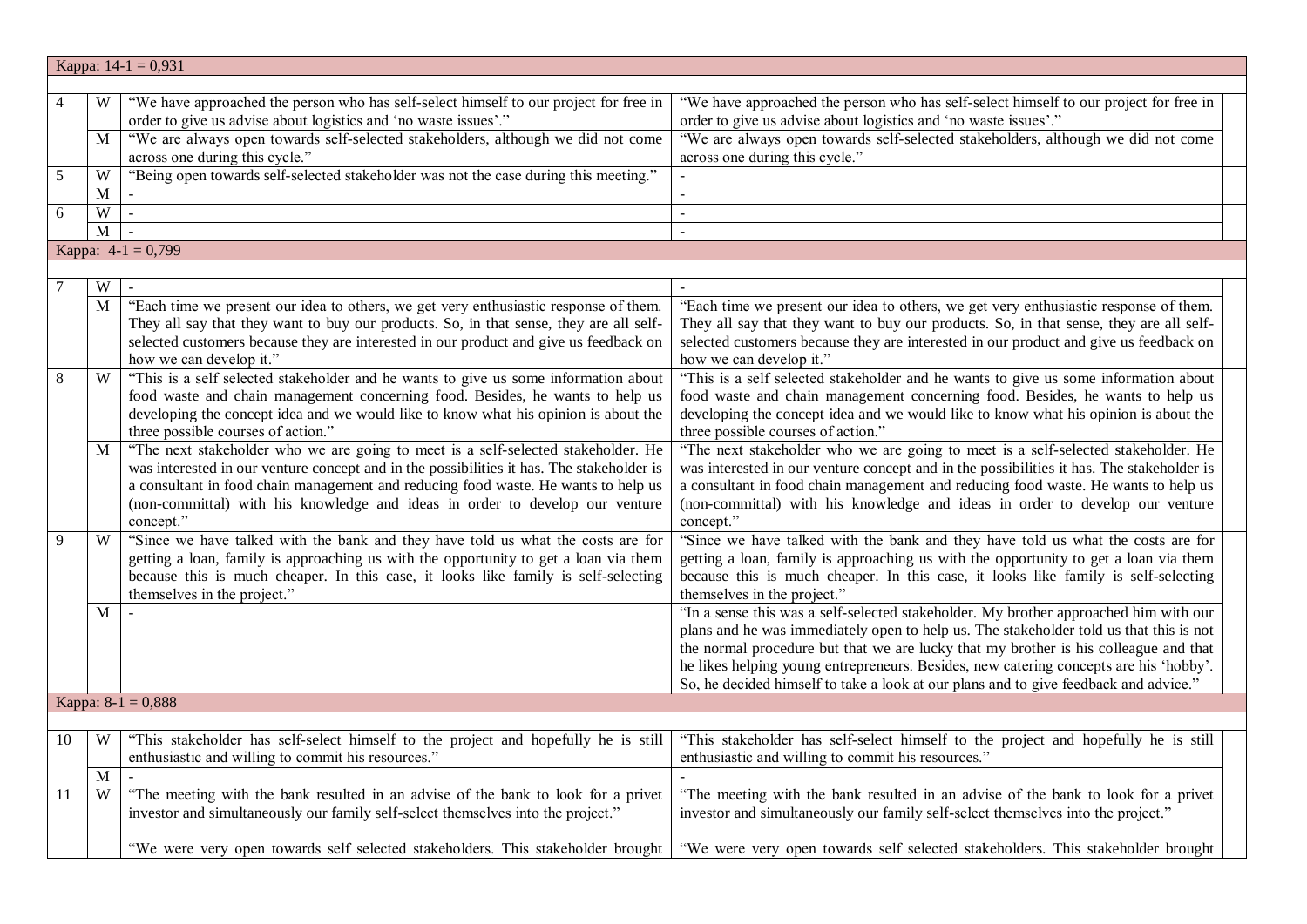|            | Kappa: $14-1 = 0,931$   |                                                                                           |                                                                                           |  |  |
|------------|-------------------------|-------------------------------------------------------------------------------------------|-------------------------------------------------------------------------------------------|--|--|
|            |                         |                                                                                           |                                                                                           |  |  |
|            | W                       | "We have approached the person who has self-select himself to our project for free in     | "We have approached the person who has self-select himself to our project for free in     |  |  |
|            |                         | order to give us advise about logistics and 'no waste issues'."                           | order to give us advise about logistics and 'no waste issues'."                           |  |  |
|            | M                       | "We are always open towards self-selected stakeholders, although we did not come          | "We are always open towards self-selected stakeholders, although we did not come          |  |  |
|            |                         | across one during this cycle."                                                            | across one during this cycle."                                                            |  |  |
| $\sqrt{5}$ | W                       | "Being open towards self-selected stakeholder was not the case during this meeting."      |                                                                                           |  |  |
|            | M                       |                                                                                           |                                                                                           |  |  |
| 6          | $\ensuremath{\text{W}}$ |                                                                                           | $\mathbf{r}$                                                                              |  |  |
|            | M                       |                                                                                           | $\overline{a}$                                                                            |  |  |
|            |                         | Kappa: $4-1 = 0,799$                                                                      |                                                                                           |  |  |
|            |                         |                                                                                           |                                                                                           |  |  |
|            | W                       |                                                                                           |                                                                                           |  |  |
|            | M                       | "Each time we present our idea to others, we get very enthusiastic response of them.      | "Each time we present our idea to others, we get very enthusiastic response of them.      |  |  |
|            |                         | They all say that they want to buy our products. So, in that sense, they are all self-    | They all say that they want to buy our products. So, in that sense, they are all self-    |  |  |
|            |                         | selected customers because they are interested in our product and give us feedback on     | selected customers because they are interested in our product and give us feedback on     |  |  |
|            |                         | how we can develop it."                                                                   | how we can develop it."                                                                   |  |  |
| 8          | W                       | "This is a self selected stakeholder and he wants to give us some information about       | "This is a self selected stakeholder and he wants to give us some information about       |  |  |
|            |                         | food waste and chain management concerning food. Besides, he wants to help us             | food waste and chain management concerning food. Besides, he wants to help us             |  |  |
|            |                         | developing the concept idea and we would like to know what his opinion is about the       | developing the concept idea and we would like to know what his opinion is about the       |  |  |
|            |                         | three possible courses of action."                                                        | three possible courses of action."                                                        |  |  |
|            | M                       | "The next stakeholder who we are going to meet is a self-selected stakeholder. He         | "The next stakeholder who we are going to meet is a self-selected stakeholder. He         |  |  |
|            |                         | was interested in our venture concept and in the possibilities it has. The stakeholder is | was interested in our venture concept and in the possibilities it has. The stakeholder is |  |  |
|            |                         | a consultant in food chain management and reducing food waste. He wants to help us        | a consultant in food chain management and reducing food waste. He wants to help us        |  |  |
|            |                         | (non-committal) with his knowledge and ideas in order to develop our venture              | (non-committal) with his knowledge and ideas in order to develop our venture              |  |  |
|            |                         | concept."                                                                                 | concept."                                                                                 |  |  |
| 9          | W                       | "Since we have talked with the bank and they have told us what the costs are for          | "Since we have talked with the bank and they have told us what the costs are for          |  |  |
|            |                         | getting a loan, family is approaching us with the opportunity to get a loan via them      | getting a loan, family is approaching us with the opportunity to get a loan via them      |  |  |
|            |                         | because this is much cheaper. In this case, it looks like family is self-selecting        | because this is much cheaper. In this case, it looks like family is self-selecting        |  |  |
|            |                         | themselves in the project."                                                               | themselves in the project."                                                               |  |  |
|            | M                       |                                                                                           | "In a sense this was a self-selected stakeholder. My brother approached him with our      |  |  |
|            |                         |                                                                                           | plans and he was immediately open to help us. The stakeholder told us that this is not    |  |  |
|            |                         |                                                                                           | the normal procedure but that we are lucky that my brother is his colleague and that      |  |  |
|            |                         |                                                                                           | he likes helping young entrepreneurs. Besides, new catering concepts are his 'hobby'.     |  |  |
|            |                         |                                                                                           | So, he decided himself to take a look at our plans and to give feedback and advice."      |  |  |
|            |                         | Kappa: $8-1 = 0,888$                                                                      |                                                                                           |  |  |
|            |                         |                                                                                           |                                                                                           |  |  |
| 10         | W                       | "This stakeholder has self-select himself to the project and hopefully he is still        | "This stakeholder has self-select himself to the project and hopefully he is still        |  |  |
|            |                         | enthusiastic and willing to commit his resources."                                        | enthusiastic and willing to commit his resources."                                        |  |  |
|            | M                       |                                                                                           |                                                                                           |  |  |
| 11         | W                       | "The meeting with the bank resulted in an advise of the bank to look for a privet         | "The meeting with the bank resulted in an advise of the bank to look for a privet         |  |  |
|            |                         | investor and simultaneously our family self-select themselves into the project."          | investor and simultaneously our family self-select themselves into the project."          |  |  |
|            |                         |                                                                                           |                                                                                           |  |  |
|            |                         | "We were very open towards self selected stakeholders. This stakeholder brought           | "We were very open towards self selected stakeholders. This stakeholder brought           |  |  |
|            |                         |                                                                                           |                                                                                           |  |  |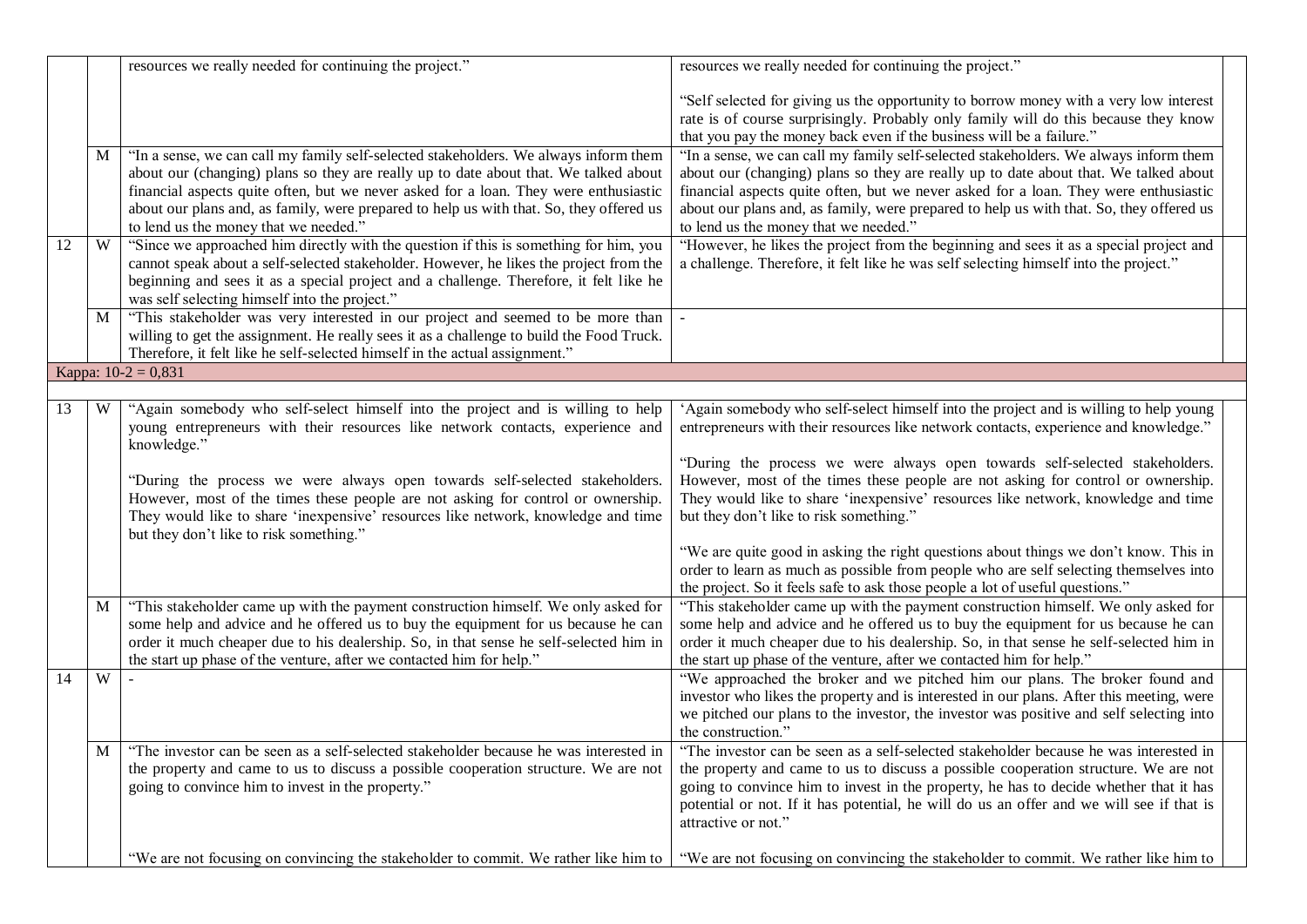|    |             | resources we really needed for continuing the project."                                                                                                                                                                                                                                                                                                                                                                                                                             | resources we really needed for continuing the project."                                                                                                                                                                                                                                                                                                                                                                                                                          |
|----|-------------|-------------------------------------------------------------------------------------------------------------------------------------------------------------------------------------------------------------------------------------------------------------------------------------------------------------------------------------------------------------------------------------------------------------------------------------------------------------------------------------|----------------------------------------------------------------------------------------------------------------------------------------------------------------------------------------------------------------------------------------------------------------------------------------------------------------------------------------------------------------------------------------------------------------------------------------------------------------------------------|
|    |             |                                                                                                                                                                                                                                                                                                                                                                                                                                                                                     | "Self selected for giving us the opportunity to borrow money with a very low interest<br>rate is of course surprisingly. Probably only family will do this because they know<br>that you pay the money back even if the business will be a failure."                                                                                                                                                                                                                             |
|    | M           | "In a sense, we can call my family self-selected stakeholders. We always inform them<br>about our (changing) plans so they are really up to date about that. We talked about<br>financial aspects quite often, but we never asked for a loan. They were enthusiastic<br>about our plans and, as family, were prepared to help us with that. So, they offered us<br>to lend us the money that we needed."                                                                            | "In a sense, we can call my family self-selected stakeholders. We always inform them<br>about our (changing) plans so they are really up to date about that. We talked about<br>financial aspects quite often, but we never asked for a loan. They were enthusiastic<br>about our plans and, as family, were prepared to help us with that. So, they offered us<br>to lend us the money that we needed."                                                                         |
| 12 | W           | "Since we approached him directly with the question if this is something for him, you<br>cannot speak about a self-selected stakeholder. However, he likes the project from the<br>beginning and sees it as a special project and a challenge. Therefore, it felt like he<br>was self selecting himself into the project."                                                                                                                                                          | "However, he likes the project from the beginning and sees it as a special project and<br>a challenge. Therefore, it felt like he was self selecting himself into the project."                                                                                                                                                                                                                                                                                                  |
|    | M           | "This stakeholder was very interested in our project and seemed to be more than<br>willing to get the assignment. He really sees it as a challenge to build the Food Truck.<br>Therefore, it felt like he self-selected himself in the actual assignment."                                                                                                                                                                                                                          |                                                                                                                                                                                                                                                                                                                                                                                                                                                                                  |
|    |             | Kappa: $10-2 = 0,831$                                                                                                                                                                                                                                                                                                                                                                                                                                                               |                                                                                                                                                                                                                                                                                                                                                                                                                                                                                  |
| 13 | W           | "Again somebody who self-select himself into the project and is willing to help<br>young entrepreneurs with their resources like network contacts, experience and<br>knowledge."<br>"During the process we were always open towards self-selected stakeholders.<br>However, most of the times these people are not asking for control or ownership.<br>They would like to share 'inexpensive' resources like network, knowledge and time<br>but they don't like to risk something." | 'Again somebody who self-select himself into the project and is willing to help young<br>entrepreneurs with their resources like network contacts, experience and knowledge."<br>"During the process we were always open towards self-selected stakeholders.<br>However, most of the times these people are not asking for control or ownership.<br>They would like to share 'inexpensive' resources like network, knowledge and time<br>but they don't like to risk something." |
|    |             |                                                                                                                                                                                                                                                                                                                                                                                                                                                                                     | "We are quite good in asking the right questions about things we don't know. This in<br>order to learn as much as possible from people who are self selecting themselves into<br>the project. So it feels safe to ask those people a lot of useful questions."                                                                                                                                                                                                                   |
|    | M           | "This stakeholder came up with the payment construction himself. We only asked for<br>some help and advice and he offered us to buy the equipment for us because he can<br>order it much cheaper due to his dealership. So, in that sense he self-selected him in<br>the start up phase of the venture, after we contacted him for help."                                                                                                                                           | "This stakeholder came up with the payment construction himself. We only asked for<br>some help and advice and he offered us to buy the equipment for us because he can<br>order it much cheaper due to his dealership. So, in that sense he self-selected him in<br>the start up phase of the venture, after we contacted him for help."                                                                                                                                        |
| 14 | W           |                                                                                                                                                                                                                                                                                                                                                                                                                                                                                     | "We approached the broker and we pitched him our plans. The broker found and<br>investor who likes the property and is interested in our plans. After this meeting, were<br>we pitched our plans to the investor, the investor was positive and self selecting into<br>the construction."                                                                                                                                                                                        |
|    | $\mathbf M$ | "The investor can be seen as a self-selected stakeholder because he was interested in<br>the property and came to us to discuss a possible cooperation structure. We are not<br>going to convince him to invest in the property."                                                                                                                                                                                                                                                   | "The investor can be seen as a self-selected stakeholder because he was interested in<br>the property and came to us to discuss a possible cooperation structure. We are not<br>going to convince him to invest in the property, he has to decide whether that it has<br>potential or not. If it has potential, he will do us an offer and we will see if that is<br>attractive or not."                                                                                         |
|    |             | "We are not focusing on convincing the stakeholder to commit. We rather like him to                                                                                                                                                                                                                                                                                                                                                                                                 | "We are not focusing on convincing the stakeholder to commit. We rather like him to                                                                                                                                                                                                                                                                                                                                                                                              |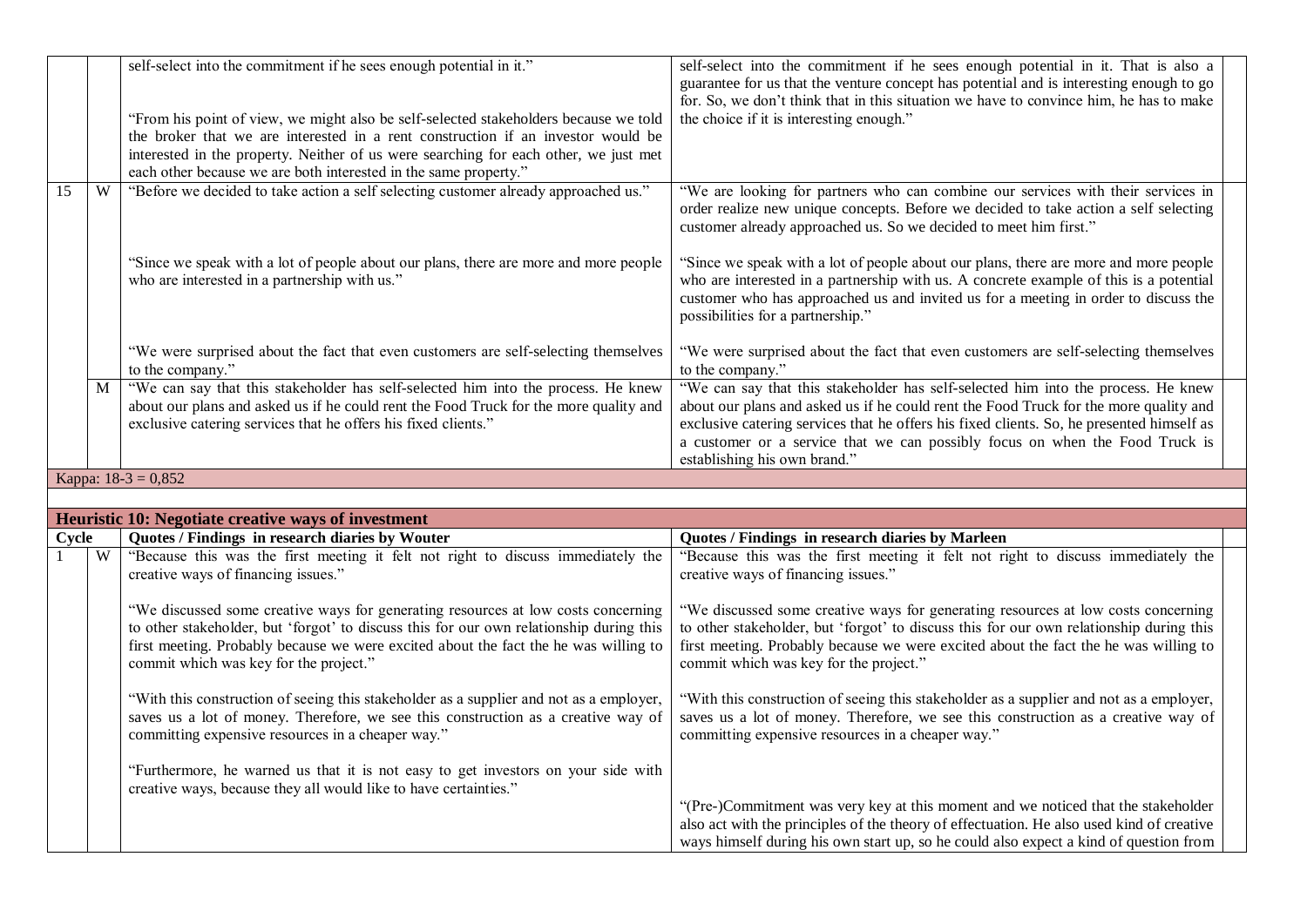|              |   | self-select into the commitment if he sees enough potential in it."                                                                                                                                                                                                                                            | self-select into the commitment if he sees enough potential in it. That is also a<br>guarantee for us that the venture concept has potential and is interesting enough to go<br>for. So, we don't think that in this situation we have to convince him, he has to make                                                                                                                  |  |
|--------------|---|----------------------------------------------------------------------------------------------------------------------------------------------------------------------------------------------------------------------------------------------------------------------------------------------------------------|-----------------------------------------------------------------------------------------------------------------------------------------------------------------------------------------------------------------------------------------------------------------------------------------------------------------------------------------------------------------------------------------|--|
|              |   | "From his point of view, we might also be self-selected stakeholders because we told                                                                                                                                                                                                                           | the choice if it is interesting enough."                                                                                                                                                                                                                                                                                                                                                |  |
|              |   | the broker that we are interested in a rent construction if an investor would be                                                                                                                                                                                                                               |                                                                                                                                                                                                                                                                                                                                                                                         |  |
|              |   | interested in the property. Neither of us were searching for each other, we just met                                                                                                                                                                                                                           |                                                                                                                                                                                                                                                                                                                                                                                         |  |
|              |   | each other because we are both interested in the same property."                                                                                                                                                                                                                                               |                                                                                                                                                                                                                                                                                                                                                                                         |  |
| 15           | W | "Before we decided to take action a self selecting customer already approached us."                                                                                                                                                                                                                            | "We are looking for partners who can combine our services with their services in<br>order realize new unique concepts. Before we decided to take action a self selecting<br>customer already approached us. So we decided to meet him first."                                                                                                                                           |  |
|              |   | "Since we speak with a lot of people about our plans, there are more and more people<br>who are interested in a partnership with us."                                                                                                                                                                          | "Since we speak with a lot of people about our plans, there are more and more people<br>who are interested in a partnership with us. A concrete example of this is a potential<br>customer who has approached us and invited us for a meeting in order to discuss the<br>possibilities for a partnership."                                                                              |  |
|              |   | "We were surprised about the fact that even customers are self-selecting themselves<br>to the company."                                                                                                                                                                                                        | "We were surprised about the fact that even customers are self-selecting themselves<br>to the company."                                                                                                                                                                                                                                                                                 |  |
|              | M | "We can say that this stakeholder has self-selected him into the process. He knew<br>about our plans and asked us if he could rent the Food Truck for the more quality and<br>exclusive catering services that he offers his fixed clients."                                                                   | "We can say that this stakeholder has self-selected him into the process. He knew<br>about our plans and asked us if he could rent the Food Truck for the more quality and<br>exclusive catering services that he offers his fixed clients. So, he presented himself as<br>a customer or a service that we can possibly focus on when the Food Truck is<br>establishing his own brand." |  |
|              |   | Kappa: $18-3 = 0,852$                                                                                                                                                                                                                                                                                          |                                                                                                                                                                                                                                                                                                                                                                                         |  |
|              |   |                                                                                                                                                                                                                                                                                                                |                                                                                                                                                                                                                                                                                                                                                                                         |  |
|              |   | Heuristic 10: Negotiate creative ways of investment                                                                                                                                                                                                                                                            |                                                                                                                                                                                                                                                                                                                                                                                         |  |
| Cycle        |   | Quotes / Findings in research diaries by Wouter                                                                                                                                                                                                                                                                | Quotes / Findings in research diaries by Marleen                                                                                                                                                                                                                                                                                                                                        |  |
| $\mathbf{1}$ | W | "Because this was the first meeting it felt not right to discuss immediately the                                                                                                                                                                                                                               | "Because this was the first meeting it felt not right to discuss immediately the                                                                                                                                                                                                                                                                                                        |  |
|              |   | creative ways of financing issues."                                                                                                                                                                                                                                                                            | creative ways of financing issues."                                                                                                                                                                                                                                                                                                                                                     |  |
|              |   | "We discussed some creative ways for generating resources at low costs concerning<br>to other stakeholder, but 'forgot' to discuss this for our own relationship during this<br>first meeting. Probably because we were excited about the fact the he was willing to<br>commit which was key for the project." | "We discussed some creative ways for generating resources at low costs concerning<br>to other stakeholder, but 'forgot' to discuss this for our own relationship during this<br>first meeting. Probably because we were excited about the fact the he was willing to<br>commit which was key for the project."                                                                          |  |
|              |   | "With this construction of seeing this stakeholder as a supplier and not as a employer,<br>saves us a lot of money. Therefore, we see this construction as a creative way of<br>committing expensive resources in a cheaper way."                                                                              | "With this construction of seeing this stakeholder as a supplier and not as a employer,<br>saves us a lot of money. Therefore, we see this construction as a creative way of<br>committing expensive resources in a cheaper way."                                                                                                                                                       |  |
|              |   | "Furthermore, he warned us that it is not easy to get investors on your side with<br>creative ways, because they all would like to have certainties."                                                                                                                                                          |                                                                                                                                                                                                                                                                                                                                                                                         |  |
|              |   |                                                                                                                                                                                                                                                                                                                | "(Pre-)Commitment was very key at this moment and we noticed that the stakeholder<br>also act with the principles of the theory of effectuation. He also used kind of creative<br>ways himself during his own start up, so he could also expect a kind of question from                                                                                                                 |  |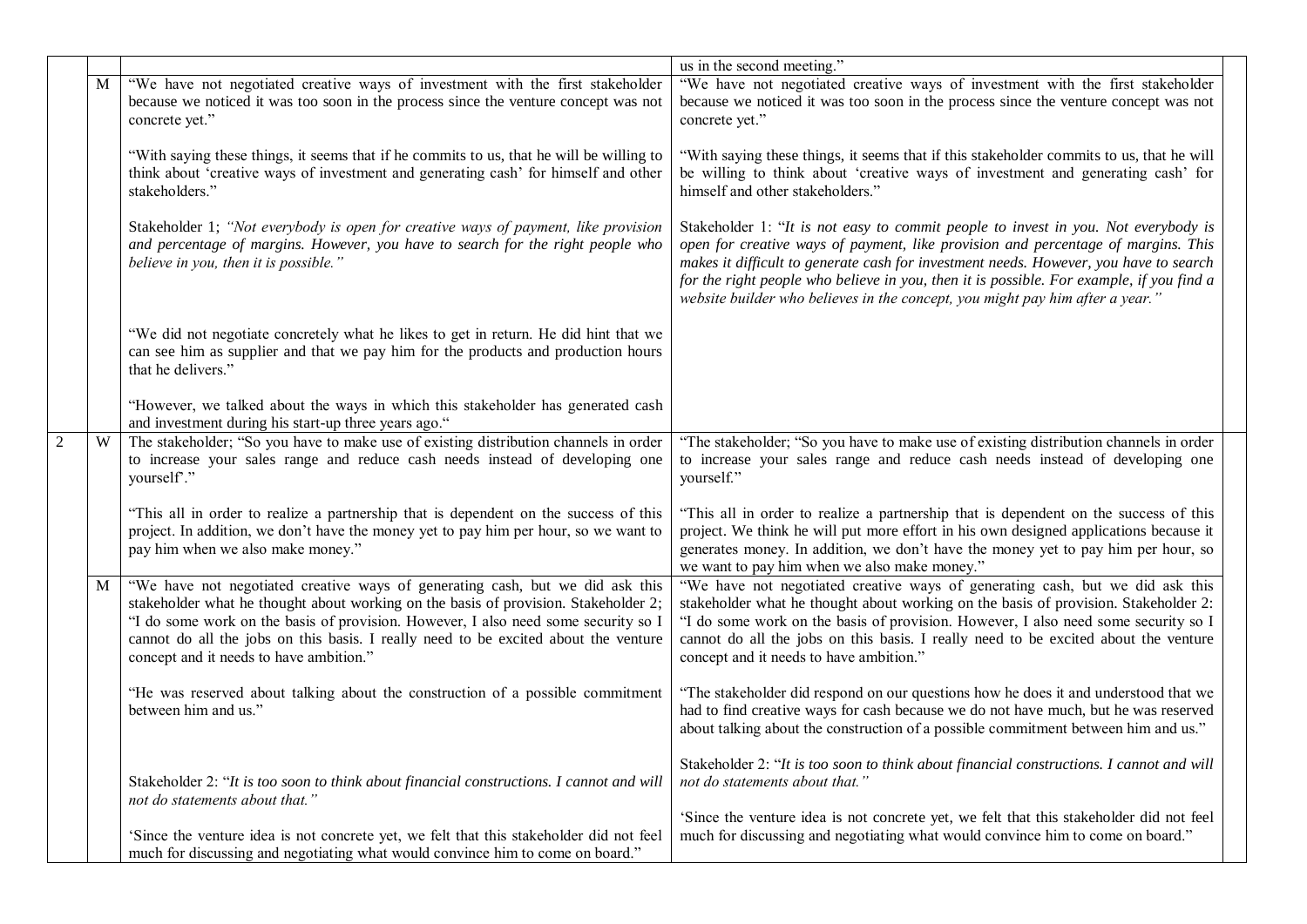|                |   |                                                                                                                                                                                                                                                                                                                                                                                              | us in the second meeting."                                                                                                                                                                                                                                                                                                                                                                                                                    |
|----------------|---|----------------------------------------------------------------------------------------------------------------------------------------------------------------------------------------------------------------------------------------------------------------------------------------------------------------------------------------------------------------------------------------------|-----------------------------------------------------------------------------------------------------------------------------------------------------------------------------------------------------------------------------------------------------------------------------------------------------------------------------------------------------------------------------------------------------------------------------------------------|
|                | M | "We have not negotiated creative ways of investment with the first stakeholder                                                                                                                                                                                                                                                                                                               | "We have not negotiated creative ways of investment with the first stakeholder                                                                                                                                                                                                                                                                                                                                                                |
|                |   | because we noticed it was too soon in the process since the venture concept was not<br>concrete yet."                                                                                                                                                                                                                                                                                        | because we noticed it was too soon in the process since the venture concept was not<br>concrete yet."                                                                                                                                                                                                                                                                                                                                         |
|                |   | "With saying these things, it seems that if he commits to us, that he will be willing to<br>think about 'creative ways of investment and generating cash' for himself and other<br>stakeholders."                                                                                                                                                                                            | "With saying these things, it seems that if this stakeholder commits to us, that he will<br>be willing to think about 'creative ways of investment and generating cash' for<br>himself and other stakeholders."                                                                                                                                                                                                                               |
|                |   | Stakeholder 1; "Not everybody is open for creative ways of payment, like provision<br>and percentage of margins. However, you have to search for the right people who<br>believe in you, then it is possible."                                                                                                                                                                               | Stakeholder 1: "It is not easy to commit people to invest in you. Not everybody is<br>open for creative ways of payment, like provision and percentage of margins. This<br>makes it difficult to generate cash for investment needs. However, you have to search<br>for the right people who believe in you, then it is possible. For example, if you find a<br>website builder who believes in the concept, you might pay him after a year." |
|                |   | "We did not negotiate concretely what he likes to get in return. He did hint that we<br>can see him as supplier and that we pay him for the products and production hours<br>that he delivers."                                                                                                                                                                                              |                                                                                                                                                                                                                                                                                                                                                                                                                                               |
|                |   | "However, we talked about the ways in which this stakeholder has generated cash<br>and investment during his start-up three years ago."                                                                                                                                                                                                                                                      |                                                                                                                                                                                                                                                                                                                                                                                                                                               |
| $\overline{2}$ | W | The stakeholder; "So you have to make use of existing distribution channels in order<br>to increase your sales range and reduce cash needs instead of developing one<br>yourself"."                                                                                                                                                                                                          | "The stakeholder; "So you have to make use of existing distribution channels in order<br>to increase your sales range and reduce cash needs instead of developing one<br>yourself."                                                                                                                                                                                                                                                           |
|                |   | "This all in order to realize a partnership that is dependent on the success of this<br>project. In addition, we don't have the money yet to pay him per hour, so we want to<br>pay him when we also make money."                                                                                                                                                                            | "This all in order to realize a partnership that is dependent on the success of this<br>project. We think he will put more effort in his own designed applications because it<br>generates money. In addition, we don't have the money yet to pay him per hour, so<br>we want to pay him when we also make money."                                                                                                                            |
|                | M | "We have not negotiated creative ways of generating cash, but we did ask this<br>stakeholder what he thought about working on the basis of provision. Stakeholder 2;<br>"I do some work on the basis of provision. However, I also need some security so I<br>cannot do all the jobs on this basis. I really need to be excited about the venture<br>concept and it needs to have ambition." | "We have not negotiated creative ways of generating cash, but we did ask this<br>stakeholder what he thought about working on the basis of provision. Stakeholder 2:<br>"I do some work on the basis of provision. However, I also need some security so I<br>cannot do all the jobs on this basis. I really need to be excited about the venture<br>concept and it needs to have ambition."                                                  |
|                |   | "He was reserved about talking about the construction of a possible commitment<br>between him and us."                                                                                                                                                                                                                                                                                       | "The stakeholder did respond on our questions how he does it and understood that we<br>had to find creative ways for cash because we do not have much, but he was reserved<br>about talking about the construction of a possible commitment between him and us."                                                                                                                                                                              |
|                |   | Stakeholder 2: "It is too soon to think about financial constructions. I cannot and will<br>not do statements about that."                                                                                                                                                                                                                                                                   | Stakeholder 2: "It is too soon to think about financial constructions. I cannot and will<br>not do statements about that."                                                                                                                                                                                                                                                                                                                    |
|                |   | 'Since the venture idea is not concrete yet, we felt that this stakeholder did not feel<br>much for discussing and negotiating what would convince him to come on board."                                                                                                                                                                                                                    | 'Since the venture idea is not concrete yet, we felt that this stakeholder did not feel<br>much for discussing and negotiating what would convince him to come on board."                                                                                                                                                                                                                                                                     |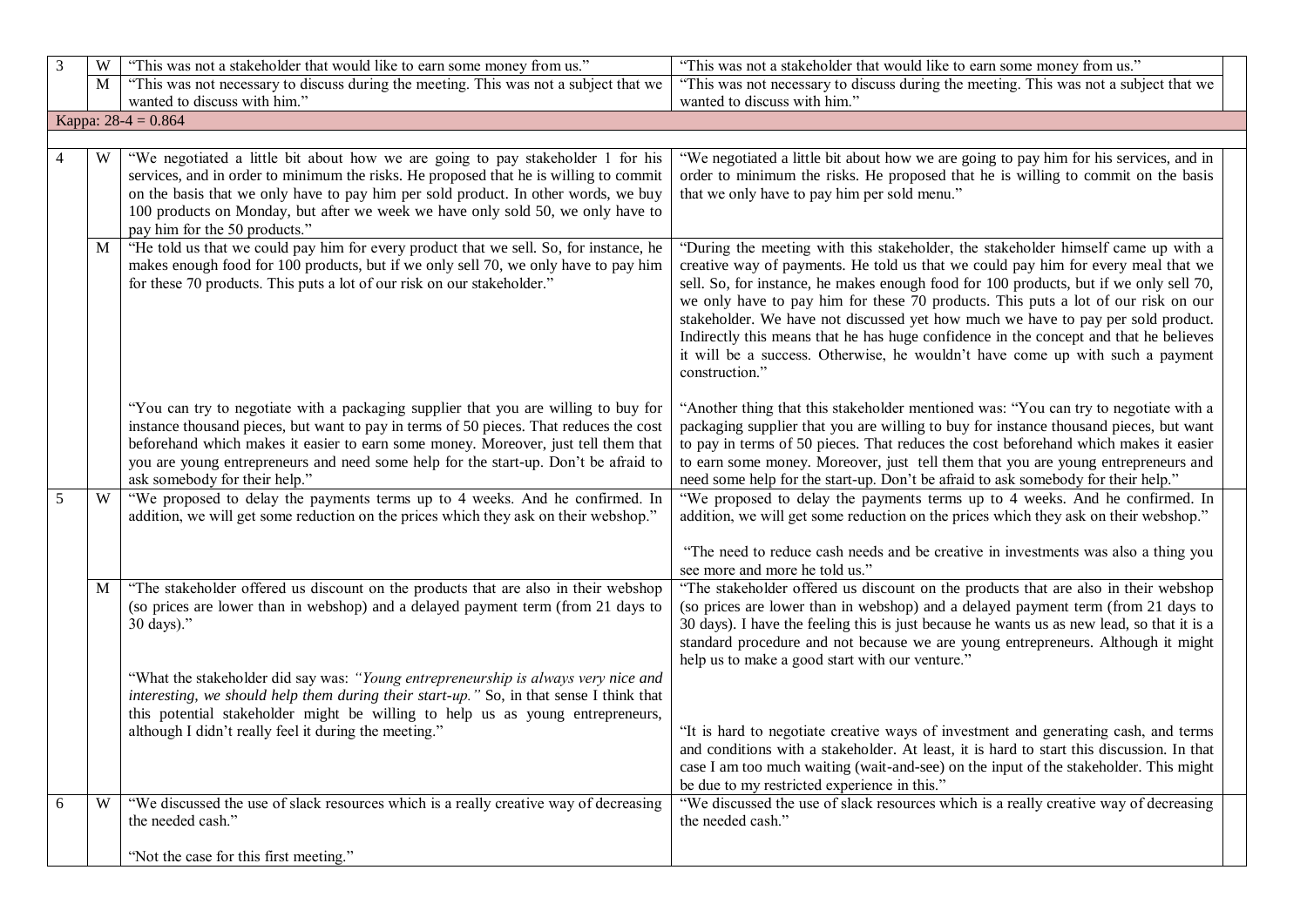| 3 | W | "This was not a stakeholder that would like to earn some money from us."                                                                                                                                                                                                                                                                                                                    | "This was not a stakeholder that would like to earn some money from us."                                                                                                                                                                                                                                                                                                                                                                                                                                                                                                                                                              |  |
|---|---|---------------------------------------------------------------------------------------------------------------------------------------------------------------------------------------------------------------------------------------------------------------------------------------------------------------------------------------------------------------------------------------------|---------------------------------------------------------------------------------------------------------------------------------------------------------------------------------------------------------------------------------------------------------------------------------------------------------------------------------------------------------------------------------------------------------------------------------------------------------------------------------------------------------------------------------------------------------------------------------------------------------------------------------------|--|
|   | M | "This was not necessary to discuss during the meeting. This was not a subject that we                                                                                                                                                                                                                                                                                                       | "This was not necessary to discuss during the meeting. This was not a subject that we                                                                                                                                                                                                                                                                                                                                                                                                                                                                                                                                                 |  |
|   |   | wanted to discuss with him."                                                                                                                                                                                                                                                                                                                                                                | wanted to discuss with him."                                                                                                                                                                                                                                                                                                                                                                                                                                                                                                                                                                                                          |  |
|   |   | Kappa: $28-4 = 0.864$                                                                                                                                                                                                                                                                                                                                                                       |                                                                                                                                                                                                                                                                                                                                                                                                                                                                                                                                                                                                                                       |  |
|   |   |                                                                                                                                                                                                                                                                                                                                                                                             |                                                                                                                                                                                                                                                                                                                                                                                                                                                                                                                                                                                                                                       |  |
|   | W | "We negotiated a little bit about how we are going to pay stakeholder 1 for his<br>services, and in order to minimum the risks. He proposed that he is willing to commit<br>on the basis that we only have to pay him per sold product. In other words, we buy<br>100 products on Monday, but after we week we have only sold 50, we only have to<br>pay him for the 50 products."          | "We negotiated a little bit about how we are going to pay him for his services, and in<br>order to minimum the risks. He proposed that he is willing to commit on the basis<br>that we only have to pay him per sold menu."                                                                                                                                                                                                                                                                                                                                                                                                           |  |
|   | M | "He told us that we could pay him for every product that we sell. So, for instance, he<br>makes enough food for 100 products, but if we only sell 70, we only have to pay him<br>for these 70 products. This puts a lot of our risk on our stakeholder."                                                                                                                                    | "During the meeting with this stakeholder, the stakeholder himself came up with a<br>creative way of payments. He told us that we could pay him for every meal that we<br>sell. So, for instance, he makes enough food for 100 products, but if we only sell 70,<br>we only have to pay him for these 70 products. This puts a lot of our risk on our<br>stakeholder. We have not discussed yet how much we have to pay per sold product.<br>Indirectly this means that he has huge confidence in the concept and that he believes<br>it will be a success. Otherwise, he wouldn't have come up with such a payment<br>construction." |  |
|   |   | "You can try to negotiate with a packaging supplier that you are willing to buy for<br>instance thousand pieces, but want to pay in terms of 50 pieces. That reduces the cost<br>beforehand which makes it easier to earn some money. Moreover, just tell them that<br>you are young entrepreneurs and need some help for the start-up. Don't be afraid to<br>ask somebody for their help." | "Another thing that this stakeholder mentioned was: "You can try to negotiate with a<br>packaging supplier that you are willing to buy for instance thousand pieces, but want<br>to pay in terms of 50 pieces. That reduces the cost beforehand which makes it easier<br>to earn some money. Moreover, just tell them that you are young entrepreneurs and<br>need some help for the start-up. Don't be afraid to ask somebody for their help."                                                                                                                                                                                       |  |
| 5 | W | "We proposed to delay the payments terms up to 4 weeks. And he confirmed. In<br>addition, we will get some reduction on the prices which they ask on their webshop."                                                                                                                                                                                                                        | "We proposed to delay the payments terms up to 4 weeks. And he confirmed. In<br>addition, we will get some reduction on the prices which they ask on their webshop."                                                                                                                                                                                                                                                                                                                                                                                                                                                                  |  |
|   |   |                                                                                                                                                                                                                                                                                                                                                                                             | "The need to reduce cash needs and be creative in investments was also a thing you<br>see more and more he told us."                                                                                                                                                                                                                                                                                                                                                                                                                                                                                                                  |  |
|   | M | "The stakeholder offered us discount on the products that are also in their webshop<br>(so prices are lower than in webshop) and a delayed payment term (from 21 days to<br>30 days)."                                                                                                                                                                                                      | "The stakeholder offered us discount on the products that are also in their webshop<br>(so prices are lower than in webshop) and a delayed payment term (from 21 days to<br>30 days). I have the feeling this is just because he wants us as new lead, so that it is a<br>standard procedure and not because we are young entrepreneurs. Although it might<br>help us to make a good start with our venture."                                                                                                                                                                                                                         |  |
|   |   | "What the stakeholder did say was: "Young entrepreneurship is always very nice and<br>interesting, we should help them during their start-up." So, in that sense I think that<br>this potential stakeholder might be willing to help us as young entrepreneurs,<br>although I didn't really feel it during the meeting."                                                                    | "It is hard to negotiate creative ways of investment and generating cash, and terms                                                                                                                                                                                                                                                                                                                                                                                                                                                                                                                                                   |  |
|   |   |                                                                                                                                                                                                                                                                                                                                                                                             | and conditions with a stakeholder. At least, it is hard to start this discussion. In that<br>case I am too much waiting (wait-and-see) on the input of the stakeholder. This might<br>be due to my restricted experience in this."                                                                                                                                                                                                                                                                                                                                                                                                    |  |
| 6 | W | "We discussed the use of slack resources which is a really creative way of decreasing<br>the needed cash."                                                                                                                                                                                                                                                                                  | "We discussed the use of slack resources which is a really creative way of decreasing<br>the needed cash."                                                                                                                                                                                                                                                                                                                                                                                                                                                                                                                            |  |
|   |   | "Not the case for this first meeting."                                                                                                                                                                                                                                                                                                                                                      |                                                                                                                                                                                                                                                                                                                                                                                                                                                                                                                                                                                                                                       |  |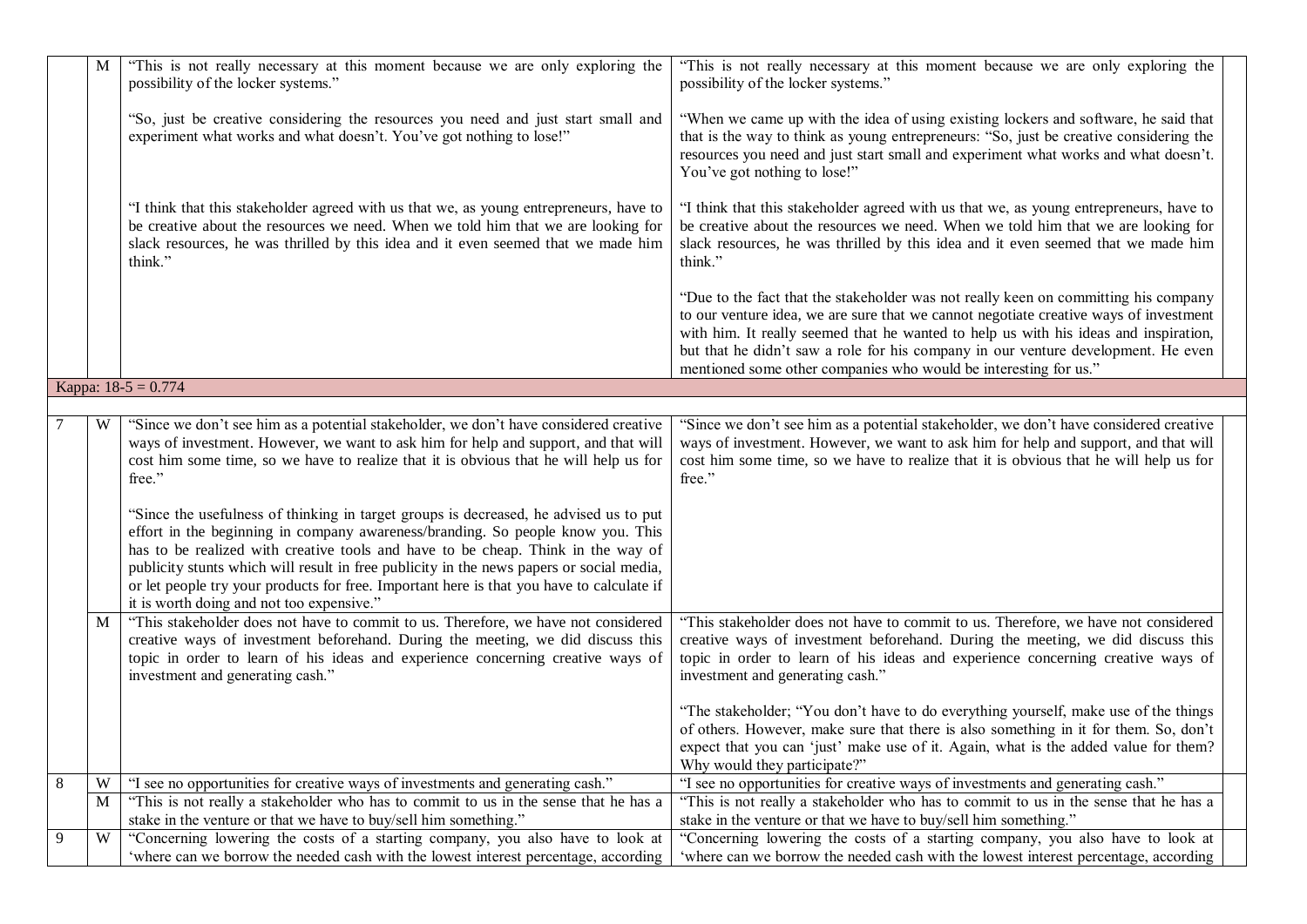|         | M | "This is not really necessary at this moment because we are only exploring the<br>possibility of the locker systems."                                                                                                                                                                                                                                                                                                                                                                              | "This is not really necessary at this moment because we are only exploring the<br>possibility of the locker systems."                                                                                                                                                                                                                                                                                                         |  |
|---------|---|----------------------------------------------------------------------------------------------------------------------------------------------------------------------------------------------------------------------------------------------------------------------------------------------------------------------------------------------------------------------------------------------------------------------------------------------------------------------------------------------------|-------------------------------------------------------------------------------------------------------------------------------------------------------------------------------------------------------------------------------------------------------------------------------------------------------------------------------------------------------------------------------------------------------------------------------|--|
|         |   | "So, just be creative considering the resources you need and just start small and<br>experiment what works and what doesn't. You've got nothing to lose!"                                                                                                                                                                                                                                                                                                                                          | "When we came up with the idea of using existing lockers and software, he said that<br>that is the way to think as young entrepreneurs: "So, just be creative considering the<br>resources you need and just start small and experiment what works and what doesn't.<br>You've got nothing to lose!"                                                                                                                          |  |
|         |   | "I think that this stakeholder agreed with us that we, as young entrepreneurs, have to<br>be creative about the resources we need. When we told him that we are looking for<br>slack resources, he was thrilled by this idea and it even seemed that we made him<br>think."                                                                                                                                                                                                                        | "I think that this stakeholder agreed with us that we, as young entrepreneurs, have to<br>be creative about the resources we need. When we told him that we are looking for<br>slack resources, he was thrilled by this idea and it even seemed that we made him<br>think."                                                                                                                                                   |  |
|         |   |                                                                                                                                                                                                                                                                                                                                                                                                                                                                                                    | "Due to the fact that the stakeholder was not really keen on committing his company<br>to our venture idea, we are sure that we cannot negotiate creative ways of investment<br>with him. It really seemed that he wanted to help us with his ideas and inspiration,<br>but that he didn't saw a role for his company in our venture development. He even<br>mentioned some other companies who would be interesting for us." |  |
|         |   | Kappa: $18-5 = 0.774$                                                                                                                                                                                                                                                                                                                                                                                                                                                                              |                                                                                                                                                                                                                                                                                                                                                                                                                               |  |
|         |   |                                                                                                                                                                                                                                                                                                                                                                                                                                                                                                    |                                                                                                                                                                                                                                                                                                                                                                                                                               |  |
|         | W | "Since we don't see him as a potential stakeholder, we don't have considered creative<br>ways of investment. However, we want to ask him for help and support, and that will<br>cost him some time, so we have to realize that it is obvious that he will help us for<br>free."                                                                                                                                                                                                                    | "Since we don't see him as a potential stakeholder, we don't have considered creative<br>ways of investment. However, we want to ask him for help and support, and that will<br>cost him some time, so we have to realize that it is obvious that he will help us for<br>free."                                                                                                                                               |  |
|         |   | "Since the usefulness of thinking in target groups is decreased, he advised us to put<br>effort in the beginning in company awareness/branding. So people know you. This<br>has to be realized with creative tools and have to be cheap. Think in the way of<br>publicity stunts which will result in free publicity in the news papers or social media,<br>or let people try your products for free. Important here is that you have to calculate if<br>it is worth doing and not too expensive." |                                                                                                                                                                                                                                                                                                                                                                                                                               |  |
|         | M | "This stakeholder does not have to commit to us. Therefore, we have not considered<br>creative ways of investment beforehand. During the meeting, we did discuss this<br>topic in order to learn of his ideas and experience concerning creative ways of<br>investment and generating cash."                                                                                                                                                                                                       | "This stakeholder does not have to commit to us. Therefore, we have not considered<br>creative ways of investment beforehand. During the meeting, we did discuss this<br>topic in order to learn of his ideas and experience concerning creative ways of<br>investment and generating cash."                                                                                                                                  |  |
|         |   |                                                                                                                                                                                                                                                                                                                                                                                                                                                                                                    | "The stakeholder; "You don't have to do everything yourself, make use of the things<br>of others. However, make sure that there is also something in it for them. So, don't<br>expect that you can 'just' make use of it. Again, what is the added value for them?<br>Why would they participate?"                                                                                                                            |  |
| $\,8\,$ | W | "I see no opportunities for creative ways of investments and generating cash."                                                                                                                                                                                                                                                                                                                                                                                                                     | "I see no opportunities for creative ways of investments and generating cash."                                                                                                                                                                                                                                                                                                                                                |  |
|         | M | "This is not really a stakeholder who has to commit to us in the sense that he has a                                                                                                                                                                                                                                                                                                                                                                                                               | "This is not really a stakeholder who has to commit to us in the sense that he has a                                                                                                                                                                                                                                                                                                                                          |  |
| 9       | W | stake in the venture or that we have to buy/sell him something."<br>"Concerning lowering the costs of a starting company, you also have to look at                                                                                                                                                                                                                                                                                                                                                 | stake in the venture or that we have to buy/sell him something."<br>"Concerning lowering the costs of a starting company, you also have to look at                                                                                                                                                                                                                                                                            |  |
|         |   | 'where can we borrow the needed cash with the lowest interest percentage, according                                                                                                                                                                                                                                                                                                                                                                                                                | 'where can we borrow the needed cash with the lowest interest percentage, according                                                                                                                                                                                                                                                                                                                                           |  |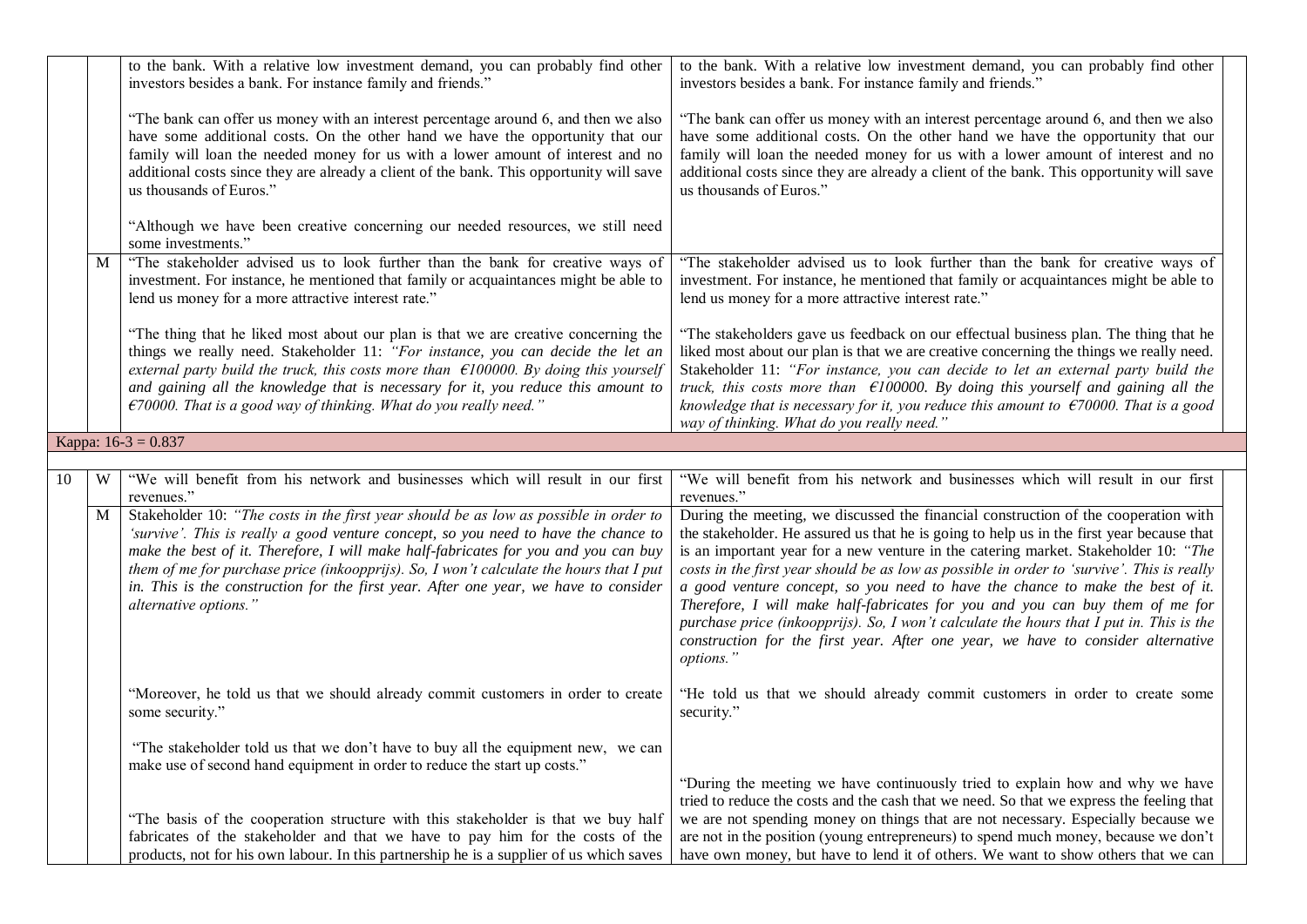|    |   | to the bank. With a relative low investment demand, you can probably find other<br>investors besides a bank. For instance family and friends."                                                                                                                                                                                                                                                                                                                                  | to the bank. With a relative low investment demand, you can probably find other<br>investors besides a bank. For instance family and friends."                                                                                                                                                                                                                                                                                                                                                                                                                                                                                                                                                                                        |
|----|---|---------------------------------------------------------------------------------------------------------------------------------------------------------------------------------------------------------------------------------------------------------------------------------------------------------------------------------------------------------------------------------------------------------------------------------------------------------------------------------|---------------------------------------------------------------------------------------------------------------------------------------------------------------------------------------------------------------------------------------------------------------------------------------------------------------------------------------------------------------------------------------------------------------------------------------------------------------------------------------------------------------------------------------------------------------------------------------------------------------------------------------------------------------------------------------------------------------------------------------|
|    |   | "The bank can offer us money with an interest percentage around 6, and then we also<br>have some additional costs. On the other hand we have the opportunity that our<br>family will loan the needed money for us with a lower amount of interest and no<br>additional costs since they are already a client of the bank. This opportunity will save<br>us thousands of Euros."                                                                                                 | "The bank can offer us money with an interest percentage around 6, and then we also<br>have some additional costs. On the other hand we have the opportunity that our<br>family will loan the needed money for us with a lower amount of interest and no<br>additional costs since they are already a client of the bank. This opportunity will save<br>us thousands of Euros."                                                                                                                                                                                                                                                                                                                                                       |
|    |   | "Although we have been creative concerning our needed resources, we still need<br>some investments."                                                                                                                                                                                                                                                                                                                                                                            |                                                                                                                                                                                                                                                                                                                                                                                                                                                                                                                                                                                                                                                                                                                                       |
|    | M | "The stakeholder advised us to look further than the bank for creative ways of<br>investment. For instance, he mentioned that family or acquaintances might be able to<br>lend us money for a more attractive interest rate."                                                                                                                                                                                                                                                   | "The stakeholder advised us to look further than the bank for creative ways of<br>investment. For instance, he mentioned that family or acquaintances might be able to<br>lend us money for a more attractive interest rate."                                                                                                                                                                                                                                                                                                                                                                                                                                                                                                         |
|    |   | "The thing that he liked most about our plan is that we are creative concerning the<br>things we really need. Stakeholder 11: "For instance, you can decide the let an<br>external party build the truck, this costs more than $\epsilon$ 100000. By doing this yourself<br>and gaining all the knowledge that is necessary for it, you reduce this amount to<br>$\epsilon$ 70000. That is a good way of thinking. What do you really need."                                    | "The stakeholders gave us feedback on our effectual business plan. The thing that he<br>liked most about our plan is that we are creative concerning the things we really need.<br>Stakeholder 11: "For instance, you can decide to let an external party build the<br>truck, this costs more than $\epsilon$ 100000. By doing this yourself and gaining all the<br>knowledge that is necessary for it, you reduce this amount to $\epsilon$ 70000. That is a good<br>way of thinking. What do you really need."                                                                                                                                                                                                                      |
|    |   | Kappa: $16-3 = 0.837$                                                                                                                                                                                                                                                                                                                                                                                                                                                           |                                                                                                                                                                                                                                                                                                                                                                                                                                                                                                                                                                                                                                                                                                                                       |
| 10 | W | "We will benefit from his network and businesses which will result in our first                                                                                                                                                                                                                                                                                                                                                                                                 | "We will benefit from his network and businesses which will result in our first                                                                                                                                                                                                                                                                                                                                                                                                                                                                                                                                                                                                                                                       |
|    |   | revenues."                                                                                                                                                                                                                                                                                                                                                                                                                                                                      | revenues."                                                                                                                                                                                                                                                                                                                                                                                                                                                                                                                                                                                                                                                                                                                            |
|    | M | Stakeholder 10: "The costs in the first year should be as low as possible in order to<br>'survive'. This is really a good venture concept, so you need to have the chance to<br>make the best of it. Therefore, I will make half-fabricates for you and you can buy<br>them of me for purchase price (inkoopprijs). So, I won't calculate the hours that I put<br>in. This is the construction for the first year. After one year, we have to consider<br>alternative options." | During the meeting, we discussed the financial construction of the cooperation with<br>the stakeholder. He assured us that he is going to help us in the first year because that<br>is an important year for a new venture in the catering market. Stakeholder 10: "The<br>costs in the first year should be as low as possible in order to 'survive'. This is really<br>a good venture concept, so you need to have the chance to make the best of it.<br>Therefore, I will make half-fabricates for you and you can buy them of me for<br>purchase price (inkoopprijs). So, I won't calculate the hours that I put in. This is the<br>construction for the first year. After one year, we have to consider alternative<br>options." |
|    |   | "Moreover, he told us that we should already commit customers in order to create<br>some security."                                                                                                                                                                                                                                                                                                                                                                             | "He told us that we should already commit customers in order to create some<br>security."                                                                                                                                                                                                                                                                                                                                                                                                                                                                                                                                                                                                                                             |
|    |   | "The stakeholder told us that we don't have to buy all the equipment new, we can<br>make use of second hand equipment in order to reduce the start up costs."                                                                                                                                                                                                                                                                                                                   | "During the meeting we have continuously tried to explain how and why we have<br>tried to reduce the costs and the cash that we need. So that we express the feeling that                                                                                                                                                                                                                                                                                                                                                                                                                                                                                                                                                             |
|    |   | "The basis of the cooperation structure with this stakeholder is that we buy half<br>fabricates of the stakeholder and that we have to pay him for the costs of the<br>products, not for his own labour. In this partnership he is a supplier of us which saves                                                                                                                                                                                                                 | we are not spending money on things that are not necessary. Especially because we<br>are not in the position (young entrepreneurs) to spend much money, because we don't<br>have own money, but have to lend it of others. We want to show others that we can                                                                                                                                                                                                                                                                                                                                                                                                                                                                         |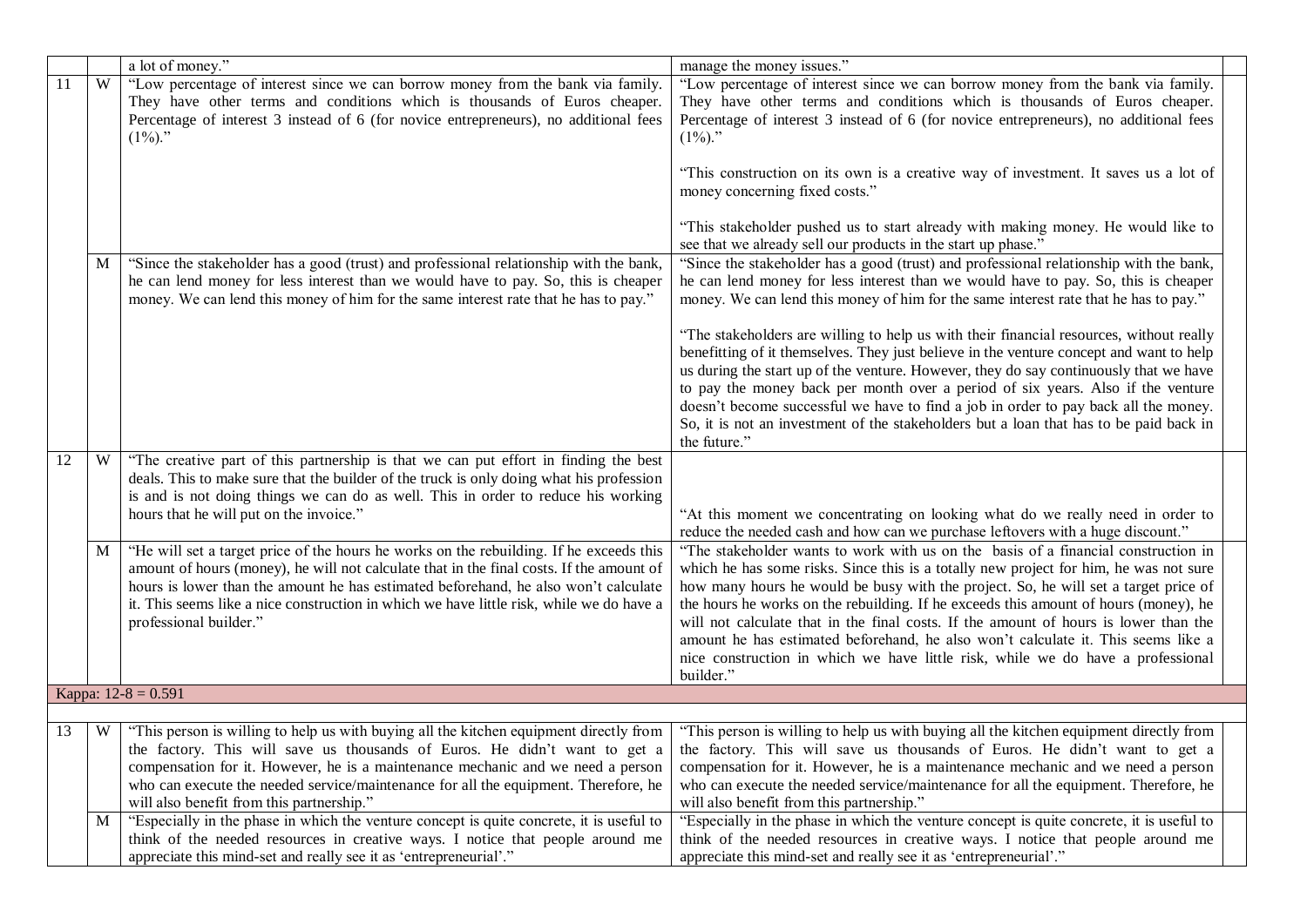|    |   | a lot of money."                                                                                                                                                                                                                                                                                                                                                                                 | manage the money issues."                                                                                                                                                                                                                                                                                                                                                                                                                                                                                                                                                                                                               |
|----|---|--------------------------------------------------------------------------------------------------------------------------------------------------------------------------------------------------------------------------------------------------------------------------------------------------------------------------------------------------------------------------------------------------|-----------------------------------------------------------------------------------------------------------------------------------------------------------------------------------------------------------------------------------------------------------------------------------------------------------------------------------------------------------------------------------------------------------------------------------------------------------------------------------------------------------------------------------------------------------------------------------------------------------------------------------------|
| 11 | W | "Low percentage of interest since we can borrow money from the bank via family.<br>They have other terms and conditions which is thousands of Euros cheaper.<br>Percentage of interest 3 instead of 6 (for novice entrepreneurs), no additional fees<br>$(1\%)$ ."                                                                                                                               | "Low percentage of interest since we can borrow money from the bank via family.<br>They have other terms and conditions which is thousands of Euros cheaper.<br>Percentage of interest 3 instead of 6 (for novice entrepreneurs), no additional fees<br>$(1\%)$ ."                                                                                                                                                                                                                                                                                                                                                                      |
|    |   |                                                                                                                                                                                                                                                                                                                                                                                                  | "This construction on its own is a creative way of investment. It saves us a lot of<br>money concerning fixed costs."                                                                                                                                                                                                                                                                                                                                                                                                                                                                                                                   |
|    |   |                                                                                                                                                                                                                                                                                                                                                                                                  | "This stakeholder pushed us to start already with making money. He would like to<br>see that we already sell our products in the start up phase."                                                                                                                                                                                                                                                                                                                                                                                                                                                                                       |
|    | M | "Since the stakeholder has a good (trust) and professional relationship with the bank,<br>he can lend money for less interest than we would have to pay. So, this is cheaper<br>money. We can lend this money of him for the same interest rate that he has to pay."                                                                                                                             | "Since the stakeholder has a good (trust) and professional relationship with the bank,<br>he can lend money for less interest than we would have to pay. So, this is cheaper<br>money. We can lend this money of him for the same interest rate that he has to pay."                                                                                                                                                                                                                                                                                                                                                                    |
|    |   |                                                                                                                                                                                                                                                                                                                                                                                                  | "The stakeholders are willing to help us with their financial resources, without really<br>benefitting of it themselves. They just believe in the venture concept and want to help<br>us during the start up of the venture. However, they do say continuously that we have<br>to pay the money back per month over a period of six years. Also if the venture<br>doesn't become successful we have to find a job in order to pay back all the money.<br>So, it is not an investment of the stakeholders but a loan that has to be paid back in<br>the future."                                                                         |
| 12 | W | "The creative part of this partnership is that we can put effort in finding the best<br>deals. This to make sure that the builder of the truck is only doing what his profession<br>is and is not doing things we can do as well. This in order to reduce his working<br>hours that he will put on the invoice."                                                                                 | "At this moment we concentrating on looking what do we really need in order to<br>reduce the needed cash and how can we purchase leftovers with a huge discount."                                                                                                                                                                                                                                                                                                                                                                                                                                                                       |
|    | M | "He will set a target price of the hours he works on the rebuilding. If he exceeds this<br>amount of hours (money), he will not calculate that in the final costs. If the amount of<br>hours is lower than the amount he has estimated beforehand, he also won't calculate<br>it. This seems like a nice construction in which we have little risk, while we do have a<br>professional builder." | "The stakeholder wants to work with us on the basis of a financial construction in<br>which he has some risks. Since this is a totally new project for him, he was not sure<br>how many hours he would be busy with the project. So, he will set a target price of<br>the hours he works on the rebuilding. If he exceeds this amount of hours (money), he<br>will not calculate that in the final costs. If the amount of hours is lower than the<br>amount he has estimated beforehand, he also won't calculate it. This seems like a<br>nice construction in which we have little risk, while we do have a professional<br>builder." |
|    |   | Kappa: $12-8 = 0.591$                                                                                                                                                                                                                                                                                                                                                                            |                                                                                                                                                                                                                                                                                                                                                                                                                                                                                                                                                                                                                                         |
| 13 | W | "This person is willing to help us with buying all the kitchen equipment directly from                                                                                                                                                                                                                                                                                                           | "This person is willing to help us with buying all the kitchen equipment directly from                                                                                                                                                                                                                                                                                                                                                                                                                                                                                                                                                  |
|    |   | compensation for it. However, he is a maintenance mechanic and we need a person<br>who can execute the needed service/maintenance for all the equipment. Therefore, he<br>will also benefit from this partnership."                                                                                                                                                                              | the factory. This will save us thousands of Euros. He didn't want to get a the factory. This will save us thousands of Euros. He didn't want to get a<br>compensation for it. However, he is a maintenance mechanic and we need a person<br>who can execute the needed service/maintenance for all the equipment. Therefore, he<br>will also benefit from this partnership."                                                                                                                                                                                                                                                            |
|    | M | "Especially in the phase in which the venture concept is quite concrete, it is useful to<br>think of the needed resources in creative ways. I notice that people around me<br>appreciate this mind-set and really see it as 'entrepreneurial'."                                                                                                                                                  | "Especially in the phase in which the venture concept is quite concrete, it is useful to<br>think of the needed resources in creative ways. I notice that people around me<br>appreciate this mind-set and really see it as 'entrepreneurial'."                                                                                                                                                                                                                                                                                                                                                                                         |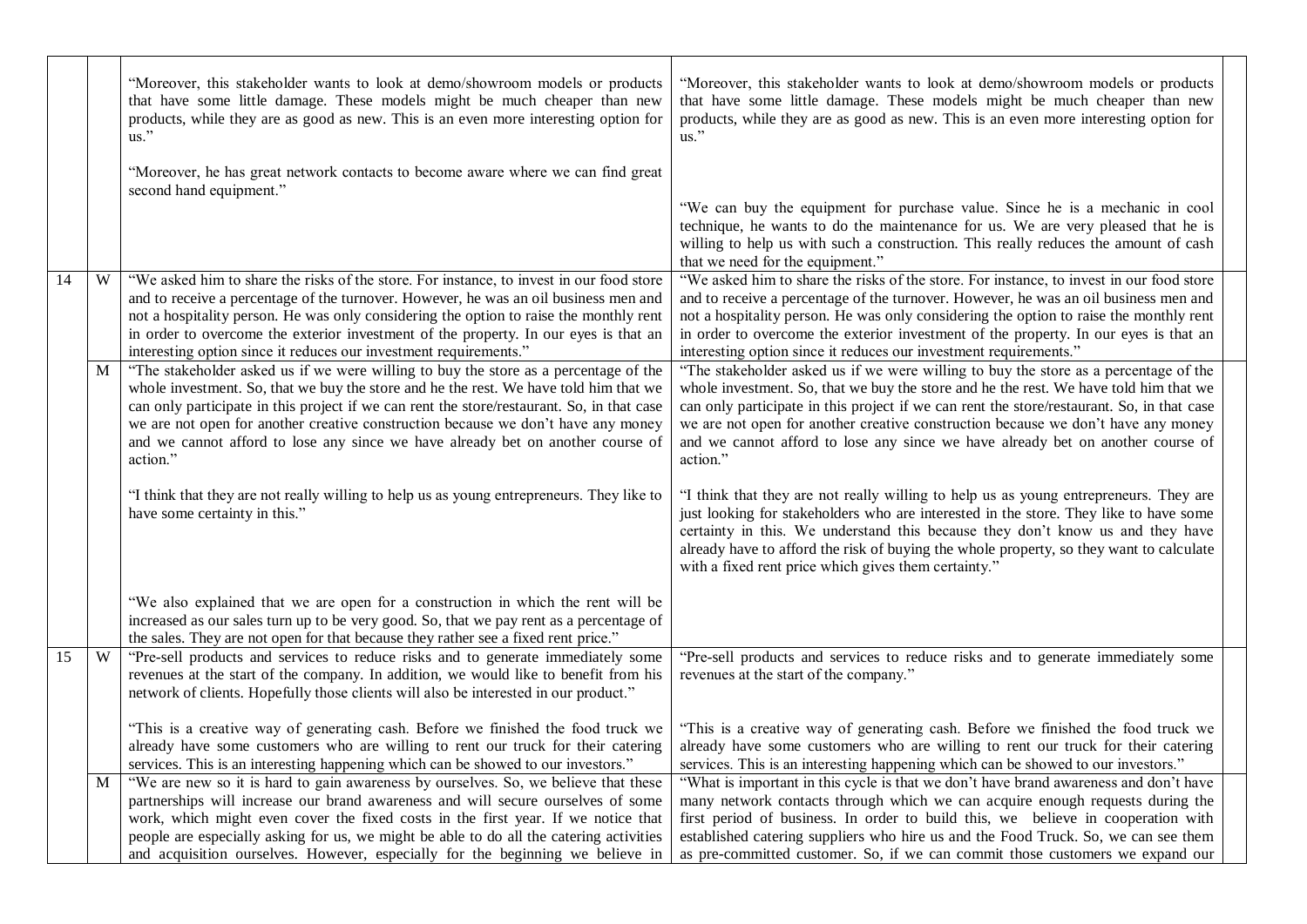|                 |   | "Moreover, this stakeholder wants to look at demo/showroom models or products<br>that have some little damage. These models might be much cheaper than new<br>products, while they are as good as new. This is an even more interesting option for<br>us."                                                                                                                                                                                                      | "Moreover, this stakeholder wants to look at demo/showroom models or products<br>that have some little damage. These models might be much cheaper than new<br>products, while they are as good as new. This is an even more interesting option for<br>us."                                                                                                                                                                                                      |  |
|-----------------|---|-----------------------------------------------------------------------------------------------------------------------------------------------------------------------------------------------------------------------------------------------------------------------------------------------------------------------------------------------------------------------------------------------------------------------------------------------------------------|-----------------------------------------------------------------------------------------------------------------------------------------------------------------------------------------------------------------------------------------------------------------------------------------------------------------------------------------------------------------------------------------------------------------------------------------------------------------|--|
|                 |   | "Moreover, he has great network contacts to become aware where we can find great<br>second hand equipment."                                                                                                                                                                                                                                                                                                                                                     | "We can buy the equipment for purchase value. Since he is a mechanic in cool<br>technique, he wants to do the maintenance for us. We are very pleased that he is<br>willing to help us with such a construction. This really reduces the amount of cash<br>that we need for the equipment."                                                                                                                                                                     |  |
| 14              | W | "We asked him to share the risks of the store. For instance, to invest in our food store<br>and to receive a percentage of the turnover. However, he was an oil business men and<br>not a hospitality person. He was only considering the option to raise the monthly rent<br>in order to overcome the exterior investment of the property. In our eyes is that an<br>interesting option since it reduces our investment requirements."                         | "We asked him to share the risks of the store. For instance, to invest in our food store<br>and to receive a percentage of the turnover. However, he was an oil business men and<br>not a hospitality person. He was only considering the option to raise the monthly rent<br>in order to overcome the exterior investment of the property. In our eyes is that an<br>interesting option since it reduces our investment requirements."                         |  |
|                 | M | "The stakeholder asked us if we were willing to buy the store as a percentage of the<br>whole investment. So, that we buy the store and he the rest. We have told him that we<br>can only participate in this project if we can rent the store/restaurant. So, in that case<br>we are not open for another creative construction because we don't have any money<br>and we cannot afford to lose any since we have already bet on another course of<br>action." | "The stakeholder asked us if we were willing to buy the store as a percentage of the<br>whole investment. So, that we buy the store and he the rest. We have told him that we<br>can only participate in this project if we can rent the store/restaurant. So, in that case<br>we are not open for another creative construction because we don't have any money<br>and we cannot afford to lose any since we have already bet on another course of<br>action." |  |
|                 |   | "I think that they are not really willing to help us as young entrepreneurs. They like to<br>have some certainty in this."                                                                                                                                                                                                                                                                                                                                      | "I think that they are not really willing to help us as young entrepreneurs. They are<br>just looking for stakeholders who are interested in the store. They like to have some<br>certainty in this. We understand this because they don't know us and they have<br>already have to afford the risk of buying the whole property, so they want to calculate<br>with a fixed rent price which gives them certainty."                                             |  |
|                 |   | "We also explained that we are open for a construction in which the rent will be<br>increased as our sales turn up to be very good. So, that we pay rent as a percentage of<br>the sales. They are not open for that because they rather see a fixed rent price."                                                                                                                                                                                               |                                                                                                                                                                                                                                                                                                                                                                                                                                                                 |  |
| $\overline{15}$ | W | "Pre-sell products and services to reduce risks and to generate immediately some<br>revenues at the start of the company. In addition, we would like to benefit from his<br>network of clients. Hopefully those clients will also be interested in our product."                                                                                                                                                                                                | "Pre-sell products and services to reduce risks and to generate immediately some<br>revenues at the start of the company."                                                                                                                                                                                                                                                                                                                                      |  |
|                 |   | "This is a creative way of generating cash. Before we finished the food truck we<br>already have some customers who are willing to rent our truck for their catering<br>services. This is an interesting happening which can be showed to our investors."                                                                                                                                                                                                       | "This is a creative way of generating cash. Before we finished the food truck we<br>already have some customers who are willing to rent our truck for their catering<br>services. This is an interesting happening which can be showed to our investors."                                                                                                                                                                                                       |  |
|                 | M | "We are new so it is hard to gain awareness by ourselves. So, we believe that these<br>partnerships will increase our brand awareness and will secure ourselves of some<br>work, which might even cover the fixed costs in the first year. If we notice that<br>people are especially asking for us, we might be able to do all the catering activities<br>and acquisition ourselves. However, especially for the beginning we believe in                       | "What is important in this cycle is that we don't have brand awareness and don't have<br>many network contacts through which we can acquire enough requests during the<br>first period of business. In order to build this, we believe in cooperation with<br>established catering suppliers who hire us and the Food Truck. So, we can see them<br>as pre-committed customer. So, if we can commit those customers we expand our                               |  |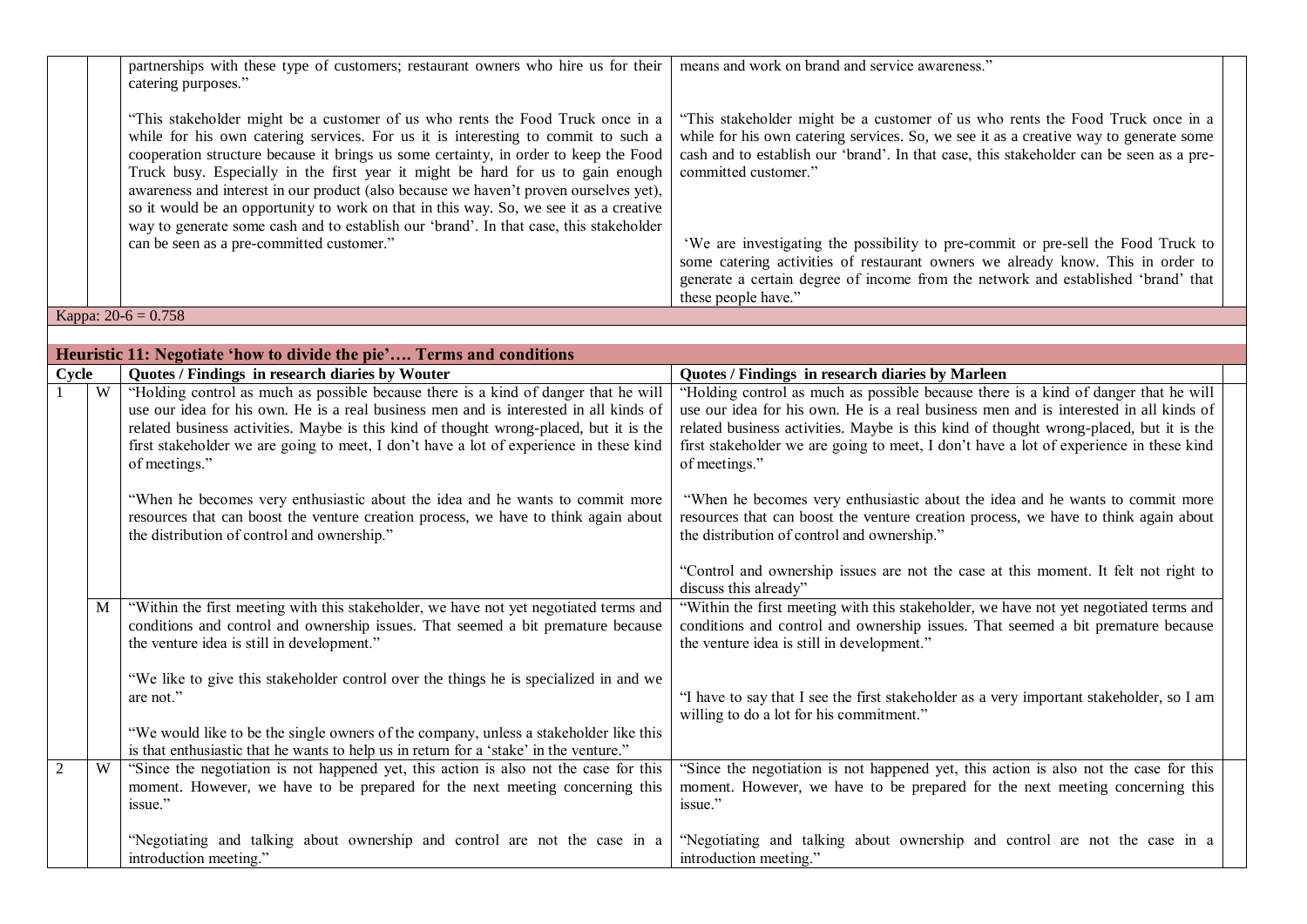|                |   | partnerships with these type of customers; restaurant owners who hire us for their<br>catering purposes."                                                                                                                                                                                                                                                                                                                                                                                                                         | means and work on brand and service awareness."                                                                                                                                                                                                                                            |  |
|----------------|---|-----------------------------------------------------------------------------------------------------------------------------------------------------------------------------------------------------------------------------------------------------------------------------------------------------------------------------------------------------------------------------------------------------------------------------------------------------------------------------------------------------------------------------------|--------------------------------------------------------------------------------------------------------------------------------------------------------------------------------------------------------------------------------------------------------------------------------------------|--|
|                |   | "This stakeholder might be a customer of us who rents the Food Truck once in a<br>while for his own catering services. For us it is interesting to commit to such a<br>cooperation structure because it brings us some certainty, in order to keep the Food<br>Truck busy. Especially in the first year it might be hard for us to gain enough<br>awareness and interest in our product (also because we haven't proven ourselves yet),<br>so it would be an opportunity to work on that in this way. So, we see it as a creative | "This stakeholder might be a customer of us who rents the Food Truck once in a<br>while for his own catering services. So, we see it as a creative way to generate some<br>cash and to establish our 'brand'. In that case, this stakeholder can be seen as a pre-<br>committed customer." |  |
|                |   | way to generate some cash and to establish our 'brand'. In that case, this stakeholder<br>can be seen as a pre-committed customer."                                                                                                                                                                                                                                                                                                                                                                                               | 'We are investigating the possibility to pre-commit or pre-sell the Food Truck to<br>some catering activities of restaurant owners we already know. This in order to<br>generate a certain degree of income from the network and established 'brand' that                                  |  |
|                |   |                                                                                                                                                                                                                                                                                                                                                                                                                                                                                                                                   | these people have."                                                                                                                                                                                                                                                                        |  |
|                |   | Kappa: $20-6 = 0.758$                                                                                                                                                                                                                                                                                                                                                                                                                                                                                                             |                                                                                                                                                                                                                                                                                            |  |
|                |   |                                                                                                                                                                                                                                                                                                                                                                                                                                                                                                                                   |                                                                                                                                                                                                                                                                                            |  |
| Cycle          |   | Heuristic 11: Negotiate 'how to divide the pie' Terms and conditions<br>Quotes / Findings in research diaries by Wouter                                                                                                                                                                                                                                                                                                                                                                                                           | Quotes / Findings in research diaries by Marleen                                                                                                                                                                                                                                           |  |
|                | W | "Holding control as much as possible because there is a kind of danger that he will                                                                                                                                                                                                                                                                                                                                                                                                                                               | "Holding control as much as possible because there is a kind of danger that he will                                                                                                                                                                                                        |  |
|                |   | use our idea for his own. He is a real business men and is interested in all kinds of<br>related business activities. Maybe is this kind of thought wrong-placed, but it is the<br>first stakeholder we are going to meet, I don't have a lot of experience in these kind<br>of meetings."                                                                                                                                                                                                                                        | use our idea for his own. He is a real business men and is interested in all kinds of<br>related business activities. Maybe is this kind of thought wrong-placed, but it is the<br>first stakeholder we are going to meet, I don't have a lot of experience in these kind<br>of meetings." |  |
|                |   | "When he becomes very enthusiastic about the idea and he wants to commit more<br>resources that can boost the venture creation process, we have to think again about<br>the distribution of control and ownership."                                                                                                                                                                                                                                                                                                               | "When he becomes very enthusiastic about the idea and he wants to commit more<br>resources that can boost the venture creation process, we have to think again about<br>the distribution of control and ownership."                                                                        |  |
|                |   |                                                                                                                                                                                                                                                                                                                                                                                                                                                                                                                                   | "Control and ownership issues are not the case at this moment. It felt not right to<br>discuss this already"                                                                                                                                                                               |  |
|                | M | "Within the first meeting with this stakeholder, we have not yet negotiated terms and<br>conditions and control and ownership issues. That seemed a bit premature because<br>the venture idea is still in development."                                                                                                                                                                                                                                                                                                           | "Within the first meeting with this stakeholder, we have not yet negotiated terms and<br>conditions and control and ownership issues. That seemed a bit premature because<br>the venture idea is still in development."                                                                    |  |
|                |   | "We like to give this stakeholder control over the things he is specialized in and we<br>are not."                                                                                                                                                                                                                                                                                                                                                                                                                                | "I have to say that I see the first stakeholder as a very important stakeholder, so I am<br>willing to do a lot for his commitment."                                                                                                                                                       |  |
|                |   | "We would like to be the single owners of the company, unless a stakeholder like this<br>is that enthusiastic that he wants to help us in return for a 'stake' in the venture."                                                                                                                                                                                                                                                                                                                                                   |                                                                                                                                                                                                                                                                                            |  |
| $\overline{2}$ | W | "Since the negotiation is not happened yet, this action is also not the case for this<br>moment. However, we have to be prepared for the next meeting concerning this<br>issue."                                                                                                                                                                                                                                                                                                                                                  | "Since the negotiation is not happened yet, this action is also not the case for this<br>moment. However, we have to be prepared for the next meeting concerning this<br>issue."                                                                                                           |  |
|                |   | "Negotiating and talking about ownership and control are not the case in a<br>introduction meeting."                                                                                                                                                                                                                                                                                                                                                                                                                              | "Negotiating and talking about ownership and control are not the case in a<br>introduction meeting."                                                                                                                                                                                       |  |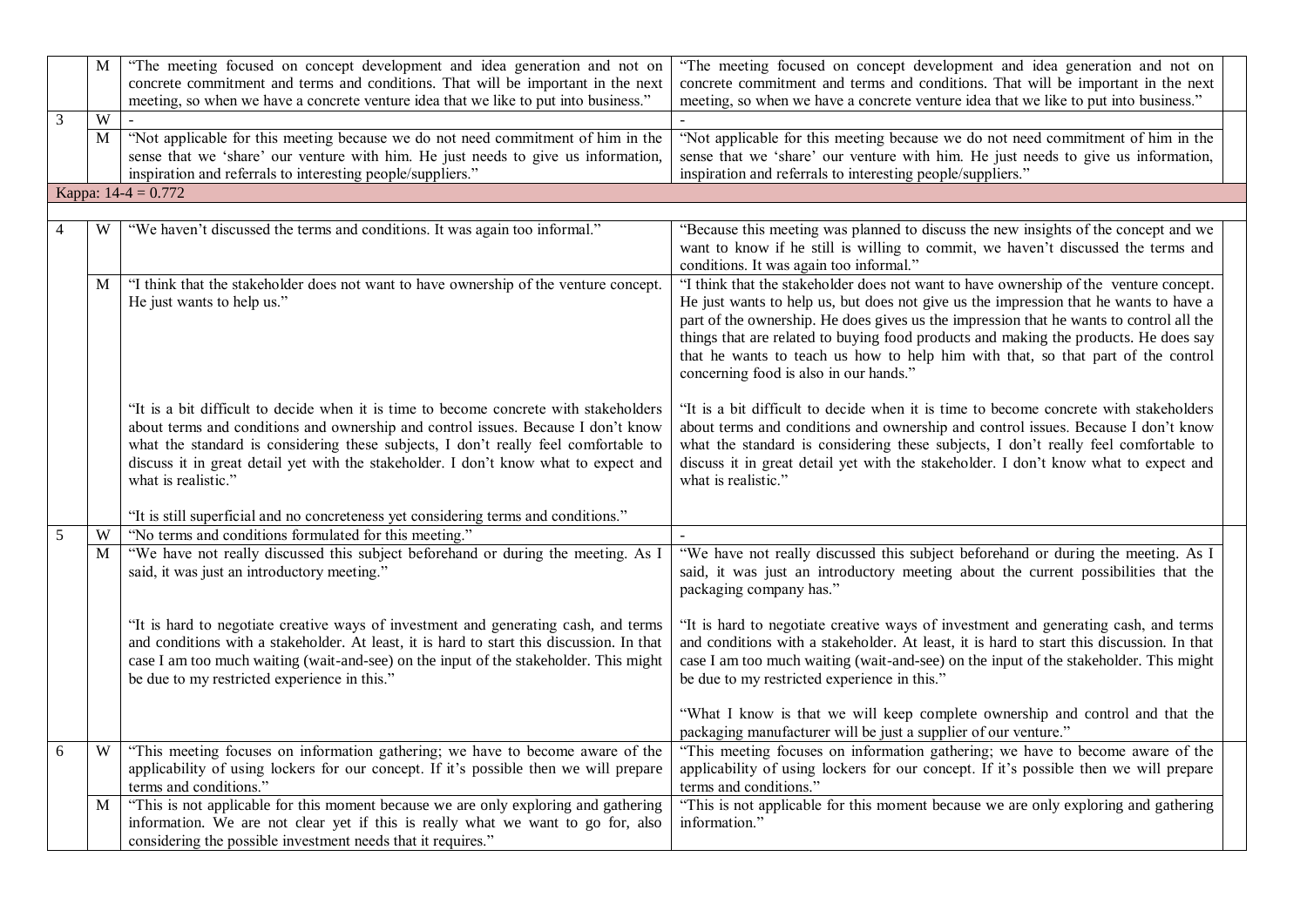|   | M              | "The meeting focused on concept development and idea generation and not on<br>concrete commitment and terms and conditions. That will be important in the next<br>meeting, so when we have a concrete venture idea that we like to put into business."                                                                                                                           | "The meeting focused on concept development and idea generation and not on<br>concrete commitment and terms and conditions. That will be important in the next<br>meeting, so when we have a concrete venture idea that we like to put into business."                                                                                                                                                                                                                                          |  |
|---|----------------|----------------------------------------------------------------------------------------------------------------------------------------------------------------------------------------------------------------------------------------------------------------------------------------------------------------------------------------------------------------------------------|-------------------------------------------------------------------------------------------------------------------------------------------------------------------------------------------------------------------------------------------------------------------------------------------------------------------------------------------------------------------------------------------------------------------------------------------------------------------------------------------------|--|
| 3 | $\overline{W}$ |                                                                                                                                                                                                                                                                                                                                                                                  |                                                                                                                                                                                                                                                                                                                                                                                                                                                                                                 |  |
|   | M              | "Not applicable for this meeting because we do not need commitment of him in the<br>sense that we 'share' our venture with him. He just needs to give us information,<br>inspiration and referrals to interesting people/suppliers."                                                                                                                                             | "Not applicable for this meeting because we do not need commitment of him in the<br>sense that we 'share' our venture with him. He just needs to give us information,<br>inspiration and referrals to interesting people/suppliers."                                                                                                                                                                                                                                                            |  |
|   |                | Kappa: $14-4 = 0.772$                                                                                                                                                                                                                                                                                                                                                            |                                                                                                                                                                                                                                                                                                                                                                                                                                                                                                 |  |
|   |                |                                                                                                                                                                                                                                                                                                                                                                                  |                                                                                                                                                                                                                                                                                                                                                                                                                                                                                                 |  |
|   | W              | "We haven't discussed the terms and conditions. It was again too informal."                                                                                                                                                                                                                                                                                                      | "Because this meeting was planned to discuss the new insights of the concept and we<br>want to know if he still is willing to commit, we haven't discussed the terms and<br>conditions. It was again too informal."                                                                                                                                                                                                                                                                             |  |
|   | M              | "I think that the stakeholder does not want to have ownership of the venture concept.<br>He just wants to help us."                                                                                                                                                                                                                                                              | "I think that the stakeholder does not want to have ownership of the venture concept.<br>He just wants to help us, but does not give us the impression that he wants to have a<br>part of the ownership. He does gives us the impression that he wants to control all the<br>things that are related to buying food products and making the products. He does say<br>that he wants to teach us how to help him with that, so that part of the control<br>concerning food is also in our hands." |  |
|   |                | "It is a bit difficult to decide when it is time to become concrete with stakeholders<br>about terms and conditions and ownership and control issues. Because I don't know<br>what the standard is considering these subjects, I don't really feel comfortable to<br>discuss it in great detail yet with the stakeholder. I don't know what to expect and<br>what is realistic." | "It is a bit difficult to decide when it is time to become concrete with stakeholders<br>about terms and conditions and ownership and control issues. Because I don't know<br>what the standard is considering these subjects, I don't really feel comfortable to<br>discuss it in great detail yet with the stakeholder. I don't know what to expect and<br>what is realistic."                                                                                                                |  |
|   |                | "It is still superficial and no concreteness yet considering terms and conditions."                                                                                                                                                                                                                                                                                              |                                                                                                                                                                                                                                                                                                                                                                                                                                                                                                 |  |
| 5 | W              | "No terms and conditions formulated for this meeting."                                                                                                                                                                                                                                                                                                                           |                                                                                                                                                                                                                                                                                                                                                                                                                                                                                                 |  |
|   | M              | "We have not really discussed this subject beforehand or during the meeting. As I<br>said, it was just an introductory meeting."                                                                                                                                                                                                                                                 | "We have not really discussed this subject beforehand or during the meeting. As I<br>said, it was just an introductory meeting about the current possibilities that the<br>packaging company has."                                                                                                                                                                                                                                                                                              |  |
|   |                | "It is hard to negotiate creative ways of investment and generating cash, and terms<br>and conditions with a stakeholder. At least, it is hard to start this discussion. In that<br>case I am too much waiting (wait-and-see) on the input of the stakeholder. This might<br>be due to my restricted experience in this."                                                        | "It is hard to negotiate creative ways of investment and generating cash, and terms<br>and conditions with a stakeholder. At least, it is hard to start this discussion. In that<br>case I am too much waiting (wait-and-see) on the input of the stakeholder. This might<br>be due to my restricted experience in this."                                                                                                                                                                       |  |
|   |                |                                                                                                                                                                                                                                                                                                                                                                                  | "What I know is that we will keep complete ownership and control and that the<br>packaging manufacturer will be just a supplier of our venture."                                                                                                                                                                                                                                                                                                                                                |  |
| 6 | W              | "This meeting focuses on information gathering; we have to become aware of the<br>applicability of using lockers for our concept. If it's possible then we will prepare<br>terms and conditions."                                                                                                                                                                                | "This meeting focuses on information gathering; we have to become aware of the<br>applicability of using lockers for our concept. If it's possible then we will prepare<br>terms and conditions."                                                                                                                                                                                                                                                                                               |  |
|   | M              | "This is not applicable for this moment because we are only exploring and gathering<br>information. We are not clear yet if this is really what we want to go for, also<br>considering the possible investment needs that it requires."                                                                                                                                          | "This is not applicable for this moment because we are only exploring and gathering<br>information."                                                                                                                                                                                                                                                                                                                                                                                            |  |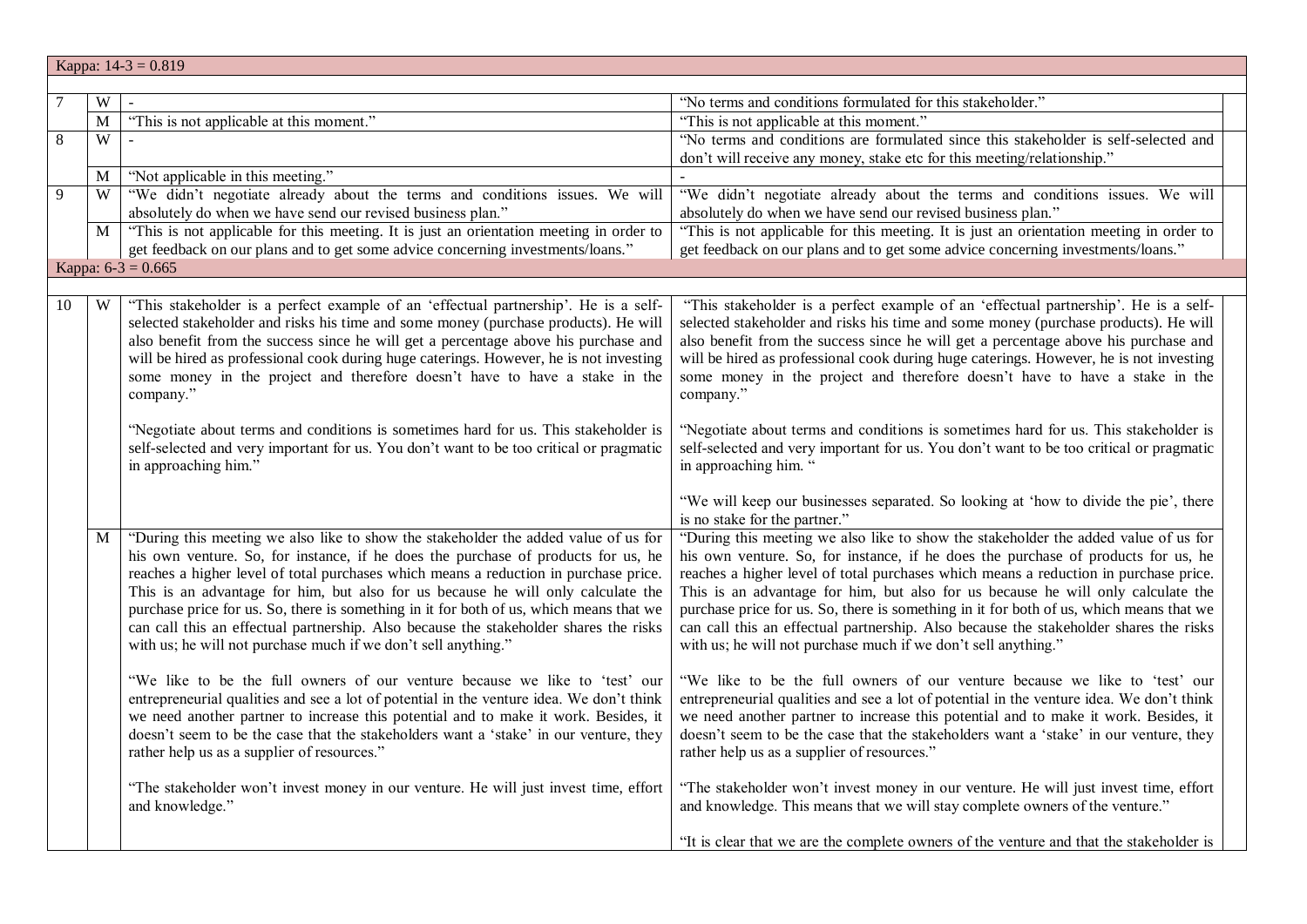|                | Kappa: $14-3 = 0.819$ |                                                                                                                                                                                                                                                                                                                                                                                                                                                                                                                                                                                                            |                                                                                                                                                                                                                                                                                                                                                                                                                                                                                                                                                                                                            |  |
|----------------|-----------------------|------------------------------------------------------------------------------------------------------------------------------------------------------------------------------------------------------------------------------------------------------------------------------------------------------------------------------------------------------------------------------------------------------------------------------------------------------------------------------------------------------------------------------------------------------------------------------------------------------------|------------------------------------------------------------------------------------------------------------------------------------------------------------------------------------------------------------------------------------------------------------------------------------------------------------------------------------------------------------------------------------------------------------------------------------------------------------------------------------------------------------------------------------------------------------------------------------------------------------|--|
|                |                       |                                                                                                                                                                                                                                                                                                                                                                                                                                                                                                                                                                                                            |                                                                                                                                                                                                                                                                                                                                                                                                                                                                                                                                                                                                            |  |
| $\overline{7}$ | W                     |                                                                                                                                                                                                                                                                                                                                                                                                                                                                                                                                                                                                            | "No terms and conditions formulated for this stakeholder."                                                                                                                                                                                                                                                                                                                                                                                                                                                                                                                                                 |  |
|                | $\overline{M}$        | "This is not applicable at this moment."                                                                                                                                                                                                                                                                                                                                                                                                                                                                                                                                                                   | "This is not applicable at this moment."                                                                                                                                                                                                                                                                                                                                                                                                                                                                                                                                                                   |  |
| $\sqrt{8}$     | W                     |                                                                                                                                                                                                                                                                                                                                                                                                                                                                                                                                                                                                            | "No terms and conditions are formulated since this stakeholder is self-selected and                                                                                                                                                                                                                                                                                                                                                                                                                                                                                                                        |  |
|                |                       |                                                                                                                                                                                                                                                                                                                                                                                                                                                                                                                                                                                                            | don't will receive any money, stake etc for this meeting/relationship."                                                                                                                                                                                                                                                                                                                                                                                                                                                                                                                                    |  |
|                | M                     | "Not applicable in this meeting."                                                                                                                                                                                                                                                                                                                                                                                                                                                                                                                                                                          |                                                                                                                                                                                                                                                                                                                                                                                                                                                                                                                                                                                                            |  |
| $\overline{9}$ | W                     | "We didn't negotiate already about the terms and conditions issues. We will                                                                                                                                                                                                                                                                                                                                                                                                                                                                                                                                | "We didn't negotiate already about the terms and conditions issues. We will                                                                                                                                                                                                                                                                                                                                                                                                                                                                                                                                |  |
|                |                       | absolutely do when we have send our revised business plan."                                                                                                                                                                                                                                                                                                                                                                                                                                                                                                                                                | absolutely do when we have send our revised business plan."                                                                                                                                                                                                                                                                                                                                                                                                                                                                                                                                                |  |
|                | M                     | "This is not applicable for this meeting. It is just an orientation meeting in order to                                                                                                                                                                                                                                                                                                                                                                                                                                                                                                                    | "This is not applicable for this meeting. It is just an orientation meeting in order to                                                                                                                                                                                                                                                                                                                                                                                                                                                                                                                    |  |
|                |                       | get feedback on our plans and to get some advice concerning investments/loans."                                                                                                                                                                                                                                                                                                                                                                                                                                                                                                                            | get feedback on our plans and to get some advice concerning investments/loans."                                                                                                                                                                                                                                                                                                                                                                                                                                                                                                                            |  |
|                |                       | Kappa: $6-3 = 0.665$                                                                                                                                                                                                                                                                                                                                                                                                                                                                                                                                                                                       |                                                                                                                                                                                                                                                                                                                                                                                                                                                                                                                                                                                                            |  |
|                |                       |                                                                                                                                                                                                                                                                                                                                                                                                                                                                                                                                                                                                            |                                                                                                                                                                                                                                                                                                                                                                                                                                                                                                                                                                                                            |  |
| 10             | W                     | "This stakeholder is a perfect example of an 'effectual partnership'. He is a self-<br>selected stakeholder and risks his time and some money (purchase products). He will<br>also benefit from the success since he will get a percentage above his purchase and<br>will be hired as professional cook during huge caterings. However, he is not investing<br>some money in the project and therefore doesn't have to have a stake in the<br>company."                                                                                                                                                    | "This stakeholder is a perfect example of an 'effectual partnership'. He is a self-<br>selected stakeholder and risks his time and some money (purchase products). He will<br>also benefit from the success since he will get a percentage above his purchase and<br>will be hired as professional cook during huge caterings. However, he is not investing<br>some money in the project and therefore doesn't have to have a stake in the<br>company."                                                                                                                                                    |  |
|                |                       | "Negotiate about terms and conditions is sometimes hard for us. This stakeholder is<br>self-selected and very important for us. You don't want to be too critical or pragmatic<br>in approaching him."                                                                                                                                                                                                                                                                                                                                                                                                     | "Negotiate about terms and conditions is sometimes hard for us. This stakeholder is<br>self-selected and very important for us. You don't want to be too critical or pragmatic<br>in approaching him. "                                                                                                                                                                                                                                                                                                                                                                                                    |  |
|                |                       |                                                                                                                                                                                                                                                                                                                                                                                                                                                                                                                                                                                                            | "We will keep our businesses separated. So looking at 'how to divide the pie', there<br>is no stake for the partner."                                                                                                                                                                                                                                                                                                                                                                                                                                                                                      |  |
|                | M                     | "During this meeting we also like to show the stakeholder the added value of us for<br>his own venture. So, for instance, if he does the purchase of products for us, he<br>reaches a higher level of total purchases which means a reduction in purchase price.<br>This is an advantage for him, but also for us because he will only calculate the<br>purchase price for us. So, there is something in it for both of us, which means that we<br>can call this an effectual partnership. Also because the stakeholder shares the risks<br>with us; he will not purchase much if we don't sell anything." | "During this meeting we also like to show the stakeholder the added value of us for<br>his own venture. So, for instance, if he does the purchase of products for us, he<br>reaches a higher level of total purchases which means a reduction in purchase price.<br>This is an advantage for him, but also for us because he will only calculate the<br>purchase price for us. So, there is something in it for both of us, which means that we<br>can call this an effectual partnership. Also because the stakeholder shares the risks<br>with us; he will not purchase much if we don't sell anything." |  |
|                |                       | "We like to be the full owners of our venture because we like to 'test' our<br>entrepreneurial qualities and see a lot of potential in the venture idea. We don't think<br>we need another partner to increase this potential and to make it work. Besides, it<br>doesn't seem to be the case that the stakeholders want a 'stake' in our venture, they<br>rather help us as a supplier of resources."                                                                                                                                                                                                     | "We like to be the full owners of our venture because we like to 'test' our<br>entrepreneurial qualities and see a lot of potential in the venture idea. We don't think<br>we need another partner to increase this potential and to make it work. Besides, it<br>doesn't seem to be the case that the stakeholders want a 'stake' in our venture, they<br>rather help us as a supplier of resources."                                                                                                                                                                                                     |  |
|                |                       | "The stakeholder won't invest money in our venture. He will just invest time, effort<br>and knowledge."                                                                                                                                                                                                                                                                                                                                                                                                                                                                                                    | "The stakeholder won't invest money in our venture. He will just invest time, effort<br>and knowledge. This means that we will stay complete owners of the venture."                                                                                                                                                                                                                                                                                                                                                                                                                                       |  |
|                |                       |                                                                                                                                                                                                                                                                                                                                                                                                                                                                                                                                                                                                            | "It is clear that we are the complete owners of the venture and that the stakeholder is                                                                                                                                                                                                                                                                                                                                                                                                                                                                                                                    |  |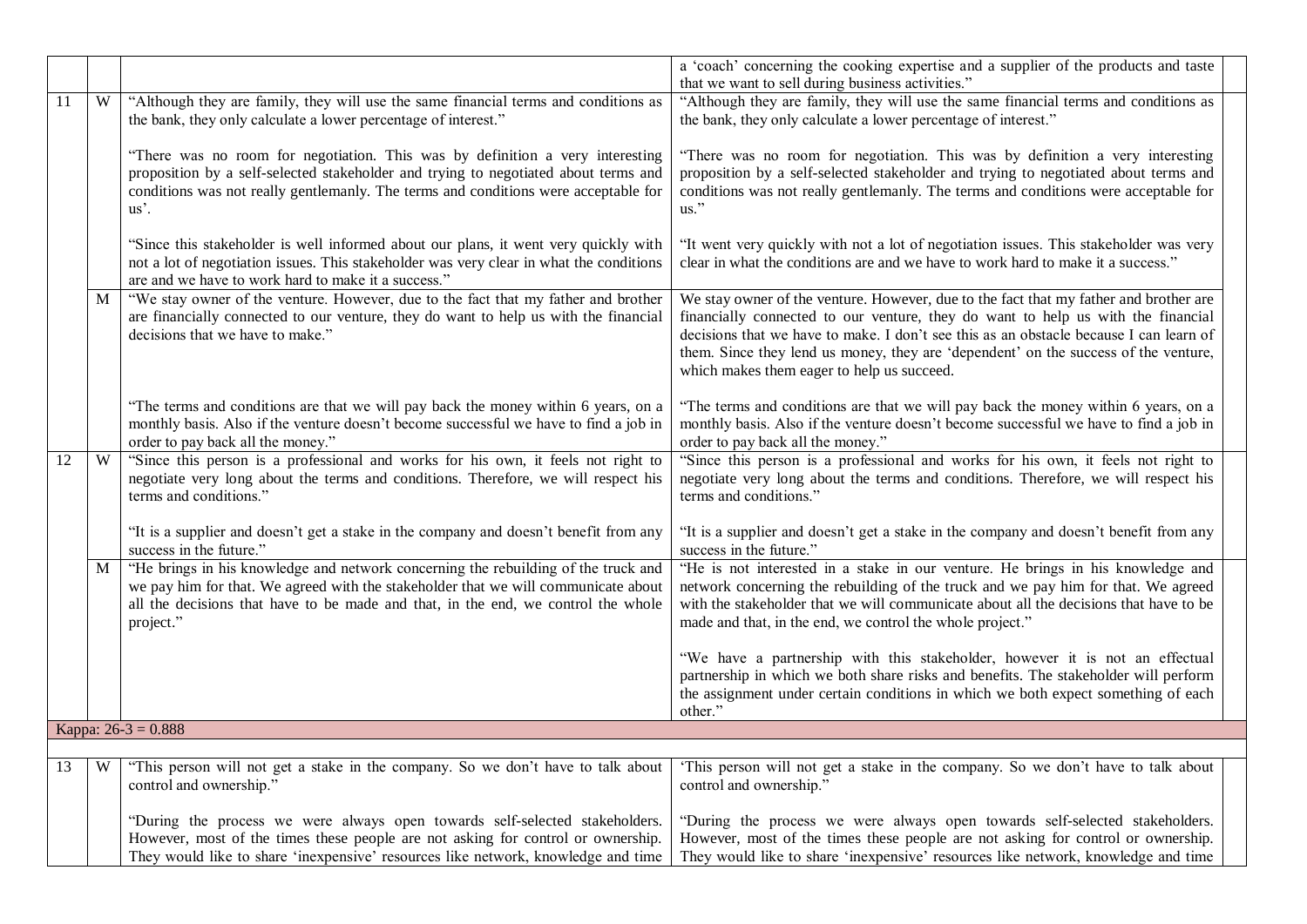|    |   |                                                                                                                                                                                                                                                                                | a 'coach' concerning the cooking expertise and a supplier of the products and taste<br>that we want to sell during business activities."                                                                                                                                                                                                                                                                 |
|----|---|--------------------------------------------------------------------------------------------------------------------------------------------------------------------------------------------------------------------------------------------------------------------------------|----------------------------------------------------------------------------------------------------------------------------------------------------------------------------------------------------------------------------------------------------------------------------------------------------------------------------------------------------------------------------------------------------------|
| 11 | W | "Although they are family, they will use the same financial terms and conditions as<br>the bank, they only calculate a lower percentage of interest."                                                                                                                          | "Although they are family, they will use the same financial terms and conditions as<br>the bank, they only calculate a lower percentage of interest."                                                                                                                                                                                                                                                    |
|    |   | "There was no room for negotiation. This was by definition a very interesting<br>proposition by a self-selected stakeholder and trying to negotiated about terms and<br>conditions was not really gentlemanly. The terms and conditions were acceptable for<br>$us^{\prime}$ . | "There was no room for negotiation. This was by definition a very interesting<br>proposition by a self-selected stakeholder and trying to negotiated about terms and<br>conditions was not really gentlemanly. The terms and conditions were acceptable for<br>$\mathrm{us}$ ."                                                                                                                          |
|    |   | "Since this stakeholder is well informed about our plans, it went very quickly with<br>not a lot of negotiation issues. This stakeholder was very clear in what the conditions<br>are and we have to work hard to make it a success."                                          | "It went very quickly with not a lot of negotiation issues. This stakeholder was very<br>clear in what the conditions are and we have to work hard to make it a success."                                                                                                                                                                                                                                |
|    | M | "We stay owner of the venture. However, due to the fact that my father and brother<br>are financially connected to our venture, they do want to help us with the financial<br>decisions that we have to make."                                                                 | We stay owner of the venture. However, due to the fact that my father and brother are<br>financially connected to our venture, they do want to help us with the financial<br>decisions that we have to make. I don't see this as an obstacle because I can learn of<br>them. Since they lend us money, they are 'dependent' on the success of the venture,<br>which makes them eager to help us succeed. |
|    |   | "The terms and conditions are that we will pay back the money within 6 years, on a<br>monthly basis. Also if the venture doesn't become successful we have to find a job in<br>order to pay back all the money."                                                               | "The terms and conditions are that we will pay back the money within 6 years, on a<br>monthly basis. Also if the venture doesn't become successful we have to find a job in<br>order to pay back all the money."                                                                                                                                                                                         |
| 12 | W | "Since this person is a professional and works for his own, it feels not right to<br>negotiate very long about the terms and conditions. Therefore, we will respect his<br>terms and conditions."                                                                              | "Since this person is a professional and works for his own, it feels not right to<br>negotiate very long about the terms and conditions. Therefore, we will respect his<br>terms and conditions."                                                                                                                                                                                                        |
|    |   | "It is a supplier and doesn't get a stake in the company and doesn't benefit from any<br>success in the future."                                                                                                                                                               | "It is a supplier and doesn't get a stake in the company and doesn't benefit from any<br>success in the future."                                                                                                                                                                                                                                                                                         |
|    | M | "He brings in his knowledge and network concerning the rebuilding of the truck and<br>we pay him for that. We agreed with the stakeholder that we will communicate about<br>all the decisions that have to be made and that, in the end, we control the whole<br>project."     | "He is not interested in a stake in our venture. He brings in his knowledge and<br>network concerning the rebuilding of the truck and we pay him for that. We agreed<br>with the stakeholder that we will communicate about all the decisions that have to be<br>made and that, in the end, we control the whole project."                                                                               |
|    |   |                                                                                                                                                                                                                                                                                | "We have a partnership with this stakeholder, however it is not an effectual<br>partnership in which we both share risks and benefits. The stakeholder will perform<br>the assignment under certain conditions in which we both expect something of each<br>other."                                                                                                                                      |
|    |   | Kappa: $26-3 = 0.888$                                                                                                                                                                                                                                                          |                                                                                                                                                                                                                                                                                                                                                                                                          |
| 13 | W | "This person will not get a stake in the company. So we don't have to talk about<br>control and ownership."                                                                                                                                                                    | 'This person will not get a stake in the company. So we don't have to talk about<br>control and ownership."                                                                                                                                                                                                                                                                                              |
|    |   | "During the process we were always open towards self-selected stakeholders.<br>However, most of the times these people are not asking for control or ownership.<br>They would like to share 'inexpensive' resources like network, knowledge and time                           | "During the process we were always open towards self-selected stakeholders.<br>However, most of the times these people are not asking for control or ownership.<br>They would like to share 'inexpensive' resources like network, knowledge and time                                                                                                                                                     |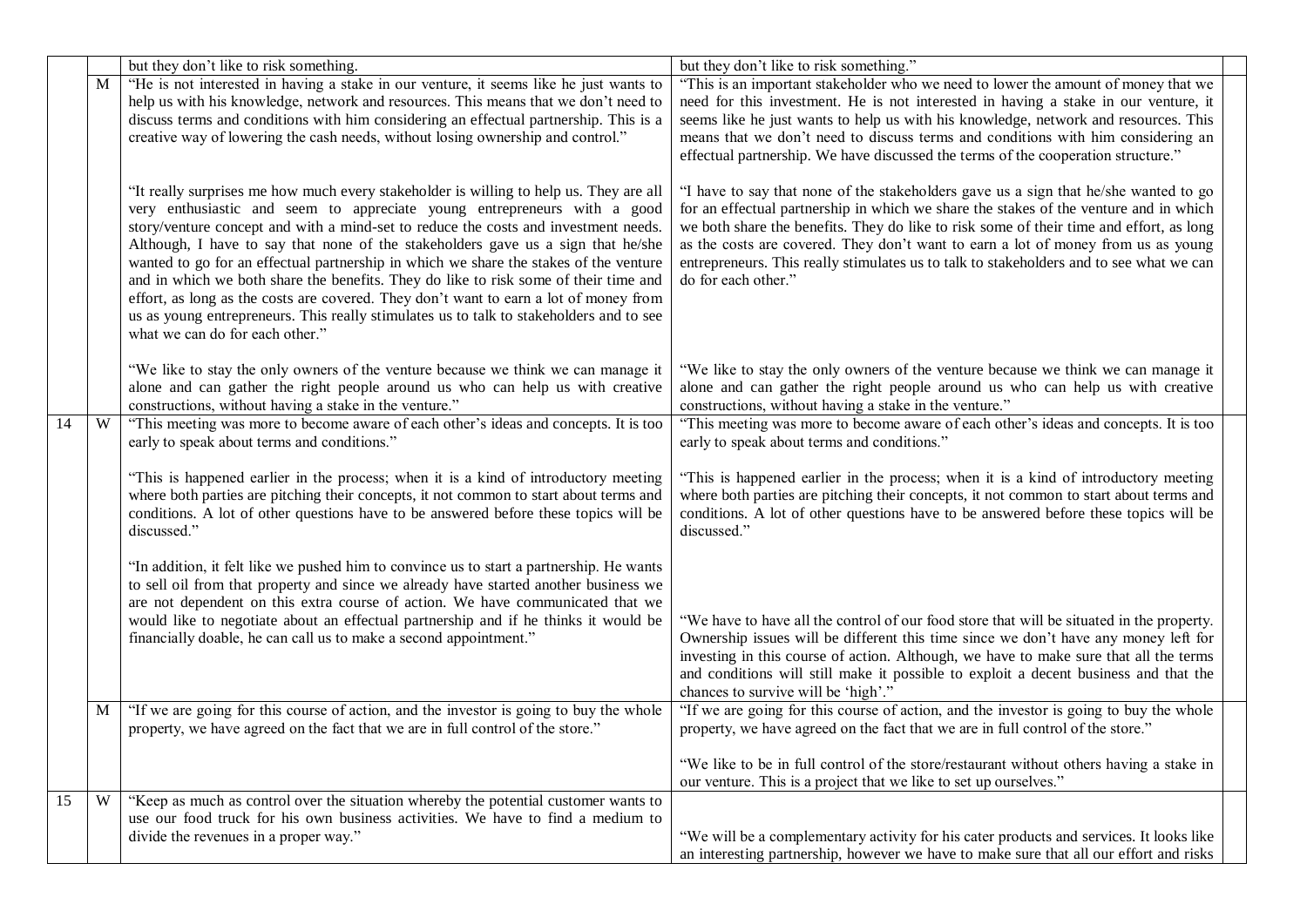|    |   | but they don't like to risk something.                                                                                                                                                                                                                                                                                                                                                                                                                                                                                                                                                                                                                                                                                                                | but they don't like to risk something."                                                                                                                                                                                                                                                                                                                                                                                                                                         |  |
|----|---|-------------------------------------------------------------------------------------------------------------------------------------------------------------------------------------------------------------------------------------------------------------------------------------------------------------------------------------------------------------------------------------------------------------------------------------------------------------------------------------------------------------------------------------------------------------------------------------------------------------------------------------------------------------------------------------------------------------------------------------------------------|---------------------------------------------------------------------------------------------------------------------------------------------------------------------------------------------------------------------------------------------------------------------------------------------------------------------------------------------------------------------------------------------------------------------------------------------------------------------------------|--|
|    | M | "He is not interested in having a stake in our venture, it seems like he just wants to                                                                                                                                                                                                                                                                                                                                                                                                                                                                                                                                                                                                                                                                | "This is an important stakeholder who we need to lower the amount of money that we                                                                                                                                                                                                                                                                                                                                                                                              |  |
|    |   | help us with his knowledge, network and resources. This means that we don't need to                                                                                                                                                                                                                                                                                                                                                                                                                                                                                                                                                                                                                                                                   | need for this investment. He is not interested in having a stake in our venture, it                                                                                                                                                                                                                                                                                                                                                                                             |  |
|    |   | discuss terms and conditions with him considering an effectual partnership. This is a                                                                                                                                                                                                                                                                                                                                                                                                                                                                                                                                                                                                                                                                 | seems like he just wants to help us with his knowledge, network and resources. This                                                                                                                                                                                                                                                                                                                                                                                             |  |
|    |   | creative way of lowering the cash needs, without losing ownership and control."                                                                                                                                                                                                                                                                                                                                                                                                                                                                                                                                                                                                                                                                       | means that we don't need to discuss terms and conditions with him considering an                                                                                                                                                                                                                                                                                                                                                                                                |  |
|    |   |                                                                                                                                                                                                                                                                                                                                                                                                                                                                                                                                                                                                                                                                                                                                                       | effectual partnership. We have discussed the terms of the cooperation structure."                                                                                                                                                                                                                                                                                                                                                                                               |  |
|    |   | "It really surprises me how much every stakeholder is willing to help us. They are all<br>very enthusiastic and seem to appreciate young entrepreneurs with a good<br>story/venture concept and with a mind-set to reduce the costs and investment needs.<br>Although, I have to say that none of the stakeholders gave us a sign that he/she<br>wanted to go for an effectual partnership in which we share the stakes of the venture<br>and in which we both share the benefits. They do like to risk some of their time and<br>effort, as long as the costs are covered. They don't want to earn a lot of money from<br>us as young entrepreneurs. This really stimulates us to talk to stakeholders and to see<br>what we can do for each other." | "I have to say that none of the stakeholders gave us a sign that he/she wanted to go<br>for an effectual partnership in which we share the stakes of the venture and in which<br>we both share the benefits. They do like to risk some of their time and effort, as long<br>as the costs are covered. They don't want to earn a lot of money from us as young<br>entrepreneurs. This really stimulates us to talk to stakeholders and to see what we can<br>do for each other." |  |
|    |   | "We like to stay the only owners of the venture because we think we can manage it                                                                                                                                                                                                                                                                                                                                                                                                                                                                                                                                                                                                                                                                     | "We like to stay the only owners of the venture because we think we can manage it                                                                                                                                                                                                                                                                                                                                                                                               |  |
|    |   | alone and can gather the right people around us who can help us with creative                                                                                                                                                                                                                                                                                                                                                                                                                                                                                                                                                                                                                                                                         | alone and can gather the right people around us who can help us with creative                                                                                                                                                                                                                                                                                                                                                                                                   |  |
|    |   | constructions, without having a stake in the venture."                                                                                                                                                                                                                                                                                                                                                                                                                                                                                                                                                                                                                                                                                                | constructions, without having a stake in the venture."                                                                                                                                                                                                                                                                                                                                                                                                                          |  |
| 14 | W | "This meeting was more to become aware of each other's ideas and concepts. It is too                                                                                                                                                                                                                                                                                                                                                                                                                                                                                                                                                                                                                                                                  | "This meeting was more to become aware of each other's ideas and concepts. It is too                                                                                                                                                                                                                                                                                                                                                                                            |  |
|    |   | early to speak about terms and conditions."                                                                                                                                                                                                                                                                                                                                                                                                                                                                                                                                                                                                                                                                                                           | early to speak about terms and conditions."                                                                                                                                                                                                                                                                                                                                                                                                                                     |  |
|    |   |                                                                                                                                                                                                                                                                                                                                                                                                                                                                                                                                                                                                                                                                                                                                                       |                                                                                                                                                                                                                                                                                                                                                                                                                                                                                 |  |
|    |   | "This is happened earlier in the process; when it is a kind of introductory meeting<br>where both parties are pitching their concepts, it not common to start about terms and<br>conditions. A lot of other questions have to be answered before these topics will be<br>discussed."                                                                                                                                                                                                                                                                                                                                                                                                                                                                  | "This is happened earlier in the process; when it is a kind of introductory meeting<br>where both parties are pitching their concepts, it not common to start about terms and<br>conditions. A lot of other questions have to be answered before these topics will be<br>discussed."                                                                                                                                                                                            |  |
|    |   | "In addition, it felt like we pushed him to convince us to start a partnership. He wants                                                                                                                                                                                                                                                                                                                                                                                                                                                                                                                                                                                                                                                              |                                                                                                                                                                                                                                                                                                                                                                                                                                                                                 |  |
|    |   | to sell oil from that property and since we already have started another business we                                                                                                                                                                                                                                                                                                                                                                                                                                                                                                                                                                                                                                                                  |                                                                                                                                                                                                                                                                                                                                                                                                                                                                                 |  |
|    |   | are not dependent on this extra course of action. We have communicated that we                                                                                                                                                                                                                                                                                                                                                                                                                                                                                                                                                                                                                                                                        |                                                                                                                                                                                                                                                                                                                                                                                                                                                                                 |  |
|    |   | would like to negotiate about an effectual partnership and if he thinks it would be                                                                                                                                                                                                                                                                                                                                                                                                                                                                                                                                                                                                                                                                   | "We have to have all the control of our food store that will be situated in the property.                                                                                                                                                                                                                                                                                                                                                                                       |  |
|    |   | financially doable, he can call us to make a second appointment."                                                                                                                                                                                                                                                                                                                                                                                                                                                                                                                                                                                                                                                                                     | Ownership issues will be different this time since we don't have any money left for<br>investing in this course of action. Although, we have to make sure that all the terms<br>and conditions will still make it possible to exploit a decent business and that the                                                                                                                                                                                                            |  |
|    |   |                                                                                                                                                                                                                                                                                                                                                                                                                                                                                                                                                                                                                                                                                                                                                       | chances to survive will be 'high'."                                                                                                                                                                                                                                                                                                                                                                                                                                             |  |
|    | M | "If we are going for this course of action, and the investor is going to buy the whole<br>property, we have agreed on the fact that we are in full control of the store."                                                                                                                                                                                                                                                                                                                                                                                                                                                                                                                                                                             | "If we are going for this course of action, and the investor is going to buy the whole<br>property, we have agreed on the fact that we are in full control of the store."                                                                                                                                                                                                                                                                                                       |  |
|    |   |                                                                                                                                                                                                                                                                                                                                                                                                                                                                                                                                                                                                                                                                                                                                                       |                                                                                                                                                                                                                                                                                                                                                                                                                                                                                 |  |
|    |   |                                                                                                                                                                                                                                                                                                                                                                                                                                                                                                                                                                                                                                                                                                                                                       | "We like to be in full control of the store/restaurant without others having a stake in                                                                                                                                                                                                                                                                                                                                                                                         |  |
| 15 | W |                                                                                                                                                                                                                                                                                                                                                                                                                                                                                                                                                                                                                                                                                                                                                       | our venture. This is a project that we like to set up ourselves."                                                                                                                                                                                                                                                                                                                                                                                                               |  |
|    |   | "Keep as much as control over the situation whereby the potential customer wants to<br>use our food truck for his own business activities. We have to find a medium to                                                                                                                                                                                                                                                                                                                                                                                                                                                                                                                                                                                |                                                                                                                                                                                                                                                                                                                                                                                                                                                                                 |  |
|    |   | divide the revenues in a proper way."                                                                                                                                                                                                                                                                                                                                                                                                                                                                                                                                                                                                                                                                                                                 | "We will be a complementary activity for his cater products and services. It looks like                                                                                                                                                                                                                                                                                                                                                                                         |  |
|    |   |                                                                                                                                                                                                                                                                                                                                                                                                                                                                                                                                                                                                                                                                                                                                                       | an interesting partnership, however we have to make sure that all our effort and risks                                                                                                                                                                                                                                                                                                                                                                                          |  |
|    |   |                                                                                                                                                                                                                                                                                                                                                                                                                                                                                                                                                                                                                                                                                                                                                       |                                                                                                                                                                                                                                                                                                                                                                                                                                                                                 |  |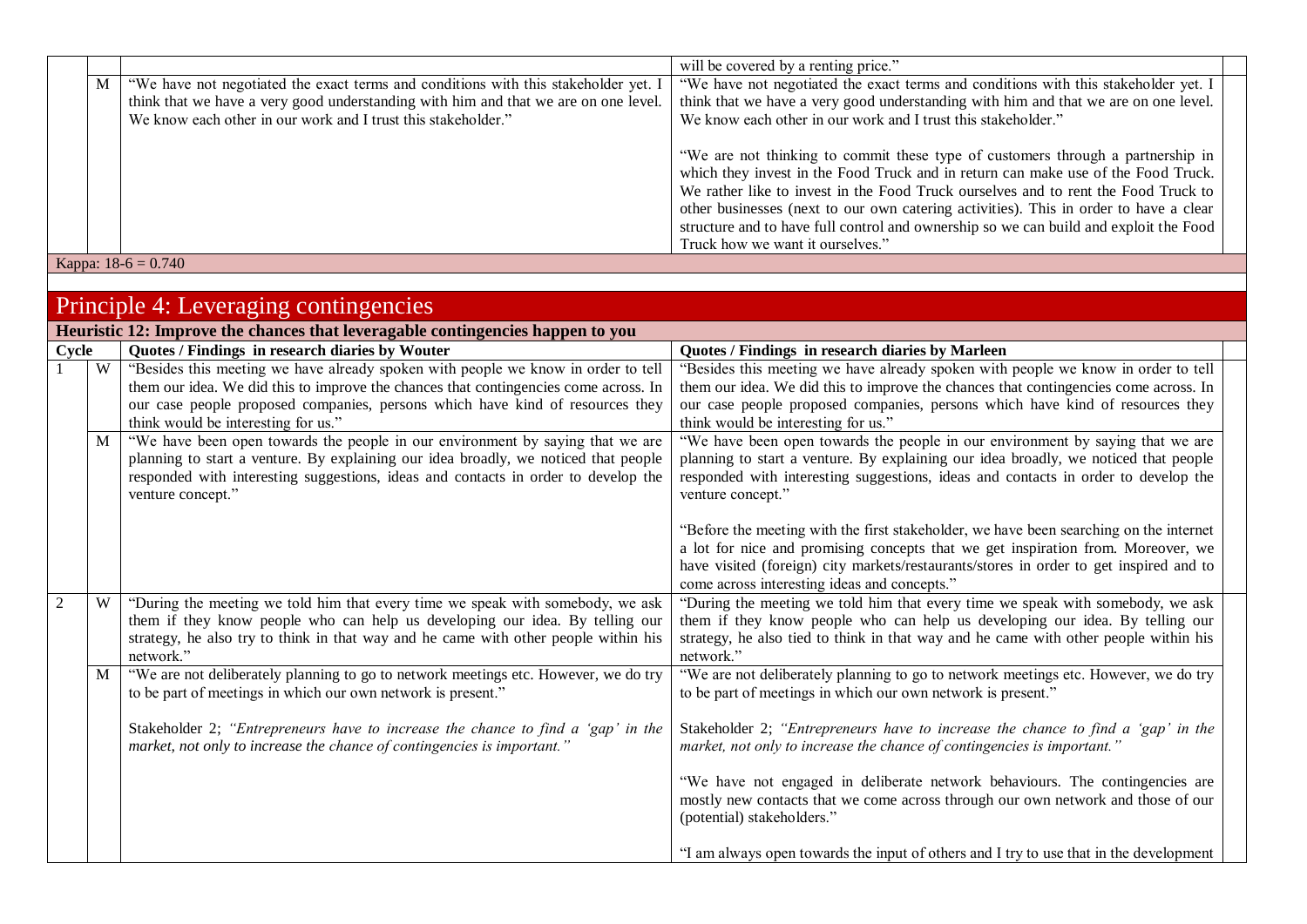|   |                                                                                     | will be covered by a renting price."                                                  |  |
|---|-------------------------------------------------------------------------------------|---------------------------------------------------------------------------------------|--|
| M | "We have not negotiated the exact terms and conditions with this stakeholder yet. I | "We have not negotiated the exact terms and conditions with this stakeholder yet. I   |  |
|   | think that we have a very good understanding with him and that we are on one level. | think that we have a very good understanding with him and that we are on one level.   |  |
|   | We know each other in our work and I trust this stakeholder."                       | We know each other in our work and I trust this stakeholder."                         |  |
|   |                                                                                     |                                                                                       |  |
|   |                                                                                     | "We are not thinking to commit these type of customers through a partnership in       |  |
|   |                                                                                     | which they invest in the Food Truck and in return can make use of the Food Truck.     |  |
|   |                                                                                     | We rather like to invest in the Food Truck ourselves and to rent the Food Truck to    |  |
|   |                                                                                     | other businesses (next to our own catering activities). This in order to have a clear |  |
|   |                                                                                     | structure and to have full control and ownership so we can build and exploit the Food |  |
|   |                                                                                     | Truck how we want it ourselves."                                                      |  |
|   | Kappa: $18-6 = 0.740$                                                               |                                                                                       |  |

|       | Principle 4: Leveraging contingencies |                                                                                                                                                                                                                                                                                                   |                                                                                                                                                                                                                                                                                                                      |  |
|-------|---------------------------------------|---------------------------------------------------------------------------------------------------------------------------------------------------------------------------------------------------------------------------------------------------------------------------------------------------|----------------------------------------------------------------------------------------------------------------------------------------------------------------------------------------------------------------------------------------------------------------------------------------------------------------------|--|
|       |                                       | Heuristic 12: Improve the chances that leveragable contingencies happen to you                                                                                                                                                                                                                    |                                                                                                                                                                                                                                                                                                                      |  |
| Cycle |                                       | Quotes / Findings in research diaries by Wouter                                                                                                                                                                                                                                                   | Quotes / Findings in research diaries by Marleen                                                                                                                                                                                                                                                                     |  |
|       | W                                     | "Besides this meeting we have already spoken with people we know in order to tell<br>them our idea. We did this to improve the chances that contingencies come across. In<br>our case people proposed companies, persons which have kind of resources they<br>think would be interesting for us." | "Besides this meeting we have already spoken with people we know in order to tell<br>them our idea. We did this to improve the chances that contingencies come across. In<br>our case people proposed companies, persons which have kind of resources they<br>think would be interesting for us."                    |  |
|       | M                                     | "We have been open towards the people in our environment by saying that we are<br>planning to start a venture. By explaining our idea broadly, we noticed that people<br>responded with interesting suggestions, ideas and contacts in order to develop the<br>venture concept."                  | "We have been open towards the people in our environment by saying that we are<br>planning to start a venture. By explaining our idea broadly, we noticed that people<br>responded with interesting suggestions, ideas and contacts in order to develop the<br>venture concept."                                     |  |
|       |                                       |                                                                                                                                                                                                                                                                                                   | "Before the meeting with the first stakeholder, we have been searching on the internet<br>a lot for nice and promising concepts that we get inspiration from. Moreover, we<br>have visited (foreign) city markets/restaurants/stores in order to get inspired and to<br>come across interesting ideas and concepts." |  |
| 2     | W                                     | "During the meeting we told him that every time we speak with somebody, we ask<br>them if they know people who can help us developing our idea. By telling our<br>strategy, he also try to think in that way and he came with other people within his<br>network."                                | "During the meeting we told him that every time we speak with somebody, we ask<br>them if they know people who can help us developing our idea. By telling our<br>strategy, he also tied to think in that way and he came with other people within his<br>network."                                                  |  |
|       | M                                     | "We are not deliberately planning to go to network meetings etc. However, we do try<br>to be part of meetings in which our own network is present."                                                                                                                                               | "We are not deliberately planning to go to network meetings etc. However, we do try<br>to be part of meetings in which our own network is present."                                                                                                                                                                  |  |
|       |                                       | Stakeholder 2; "Entrepreneurs have to increase the chance to find a 'gap' in the<br>market, not only to increase the chance of contingencies is important.'                                                                                                                                       | Stakeholder 2; "Entrepreneurs have to increase the chance to find a 'gap' in the<br>market, not only to increase the chance of contingencies is important."                                                                                                                                                          |  |
|       |                                       |                                                                                                                                                                                                                                                                                                   | "We have not engaged in deliberate network behaviours. The contingencies are<br>mostly new contacts that we come across through our own network and those of our<br>(potential) stakeholders."                                                                                                                       |  |
|       |                                       |                                                                                                                                                                                                                                                                                                   | "I am always open towards the input of others and I try to use that in the development                                                                                                                                                                                                                               |  |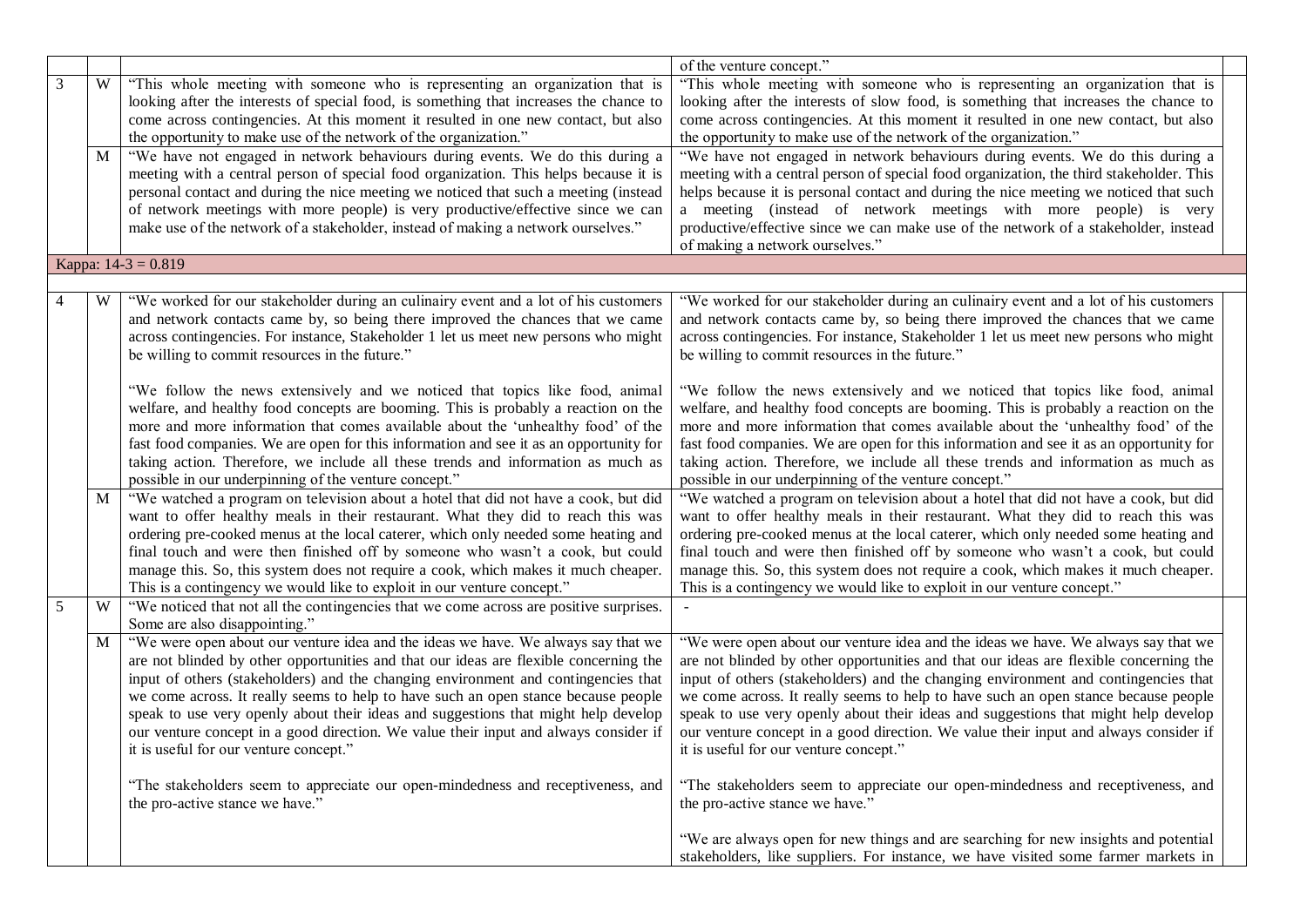|   |   |                                                                                        | of the venture concept."                                                                |  |
|---|---|----------------------------------------------------------------------------------------|-----------------------------------------------------------------------------------------|--|
| 3 | W | "This whole meeting with someone who is representing an organization that is           | "This whole meeting with someone who is representing an organization that is            |  |
|   |   | looking after the interests of special food, is something that increases the chance to | looking after the interests of slow food, is something that increases the chance to     |  |
|   |   | come across contingencies. At this moment it resulted in one new contact, but also     | come across contingencies. At this moment it resulted in one new contact, but also      |  |
|   |   | the opportunity to make use of the network of the organization."                       | the opportunity to make use of the network of the organization."                        |  |
|   | М | "We have not engaged in network behaviours during events. We do this during a          | "We have not engaged in network behaviours during events. We do this during a           |  |
|   |   | meeting with a central person of special food organization. This helps because it is   | meeting with a central person of special food organization, the third stakeholder. This |  |
|   |   | personal contact and during the nice meeting we noticed that such a meeting (instead   | helps because it is personal contact and during the nice meeting we noticed that such   |  |
|   |   | of network meetings with more people) is very productive/effective since we can        | a meeting (instead of network meetings with more people) is very                        |  |
|   |   | make use of the network of a stakeholder, instead of making a network ourselves."      | productive/effective since we can make use of the network of a stakeholder, instead     |  |
|   |   |                                                                                        | of making a network ourselves."                                                         |  |
|   |   | Kappa: 14-3 = 0.819                                                                    |                                                                                         |  |
|   |   |                                                                                        |                                                                                         |  |
|   | W | "We worked for our stakeholder during an culinairy event and a lot of his customers    | "We worked for our stakeholder during an culinairy event and a lot of his customers     |  |
|   |   | and network contacts came by, so being there improved the chances that we came         | and network contacts came by, so being there improved the chances that we came          |  |
|   |   | across contingencies. For instance, Stakeholder 1 let us meet new persons who might    | across contingencies. For instance, Stakeholder 1 let us meet new persons who might     |  |
|   |   | be willing to commit resources in the future."                                         | be willing to commit resources in the future."                                          |  |
|   |   |                                                                                        |                                                                                         |  |
|   |   | "We follow the news extensively and we noticed that topics like food, animal           | "We follow the news extensively and we noticed that topics like food, animal            |  |
|   |   | welfare, and healthy food concepts are booming. This is probably a reaction on the     | welfare, and healthy food concepts are booming. This is probably a reaction on the      |  |
|   |   | more and more information that comes available about the 'unhealthy food' of the       | more and more information that comes available about the 'unhealthy food' of the        |  |
|   |   | fast food companies. We are open for this information and see it as an opportunity for | fast food companies. We are open for this information and see it as an opportunity for  |  |
|   |   | taking action. Therefore, we include all these trends and information as much as       | taking action. Therefore, we include all these trends and information as much as        |  |
|   |   | possible in our underpinning of the venture concept."                                  | possible in our underpinning of the venture concept."                                   |  |
|   | M | "We watched a program on television about a hotel that did not have a cook, but did    | "We watched a program on television about a hotel that did not have a cook, but did     |  |
|   |   | want to offer healthy meals in their restaurant. What they did to reach this was       | want to offer healthy meals in their restaurant. What they did to reach this was        |  |
|   |   | ordering pre-cooked menus at the local caterer, which only needed some heating and     | ordering pre-cooked menus at the local caterer, which only needed some heating and      |  |
|   |   | final touch and were then finished off by someone who wasn't a cook, but could         | final touch and were then finished off by someone who wasn't a cook, but could          |  |
|   |   | manage this. So, this system does not require a cook, which makes it much cheaper.     | manage this. So, this system does not require a cook, which makes it much cheaper.      |  |
|   |   | This is a contingency we would like to exploit in our venture concept."                | This is a contingency we would like to exploit in our venture concept."                 |  |
| 5 | W | "We noticed that not all the contingencies that we come across are positive surprises. |                                                                                         |  |
|   |   | Some are also disappointing."                                                          |                                                                                         |  |
|   | M | "We were open about our venture idea and the ideas we have. We always say that we      | "We were open about our venture idea and the ideas we have. We always say that we       |  |
|   |   | are not blinded by other opportunities and that our ideas are flexible concerning the  | are not blinded by other opportunities and that our ideas are flexible concerning the   |  |
|   |   | input of others (stakeholders) and the changing environment and contingencies that     | input of others (stakeholders) and the changing environment and contingencies that      |  |
|   |   | we come across. It really seems to help to have such an open stance because people     | we come across. It really seems to help to have such an open stance because people      |  |
|   |   | speak to use very openly about their ideas and suggestions that might help develop     | speak to use very openly about their ideas and suggestions that might help develop      |  |
|   |   | our venture concept in a good direction. We value their input and always consider if   | our venture concept in a good direction. We value their input and always consider if    |  |
|   |   | it is useful for our venture concept."                                                 | it is useful for our venture concept."                                                  |  |
|   |   |                                                                                        |                                                                                         |  |
|   |   | "The stakeholders seem to appreciate our open-mindedness and receptiveness, and        | "The stakeholders seem to appreciate our open-mindedness and receptiveness, and         |  |
|   |   | the pro-active stance we have."                                                        | the pro-active stance we have."                                                         |  |
|   |   |                                                                                        |                                                                                         |  |
|   |   |                                                                                        | "We are always open for new things and are searching for new insights and potential     |  |
|   |   |                                                                                        | stakeholders, like suppliers. For instance, we have visited some farmer markets in      |  |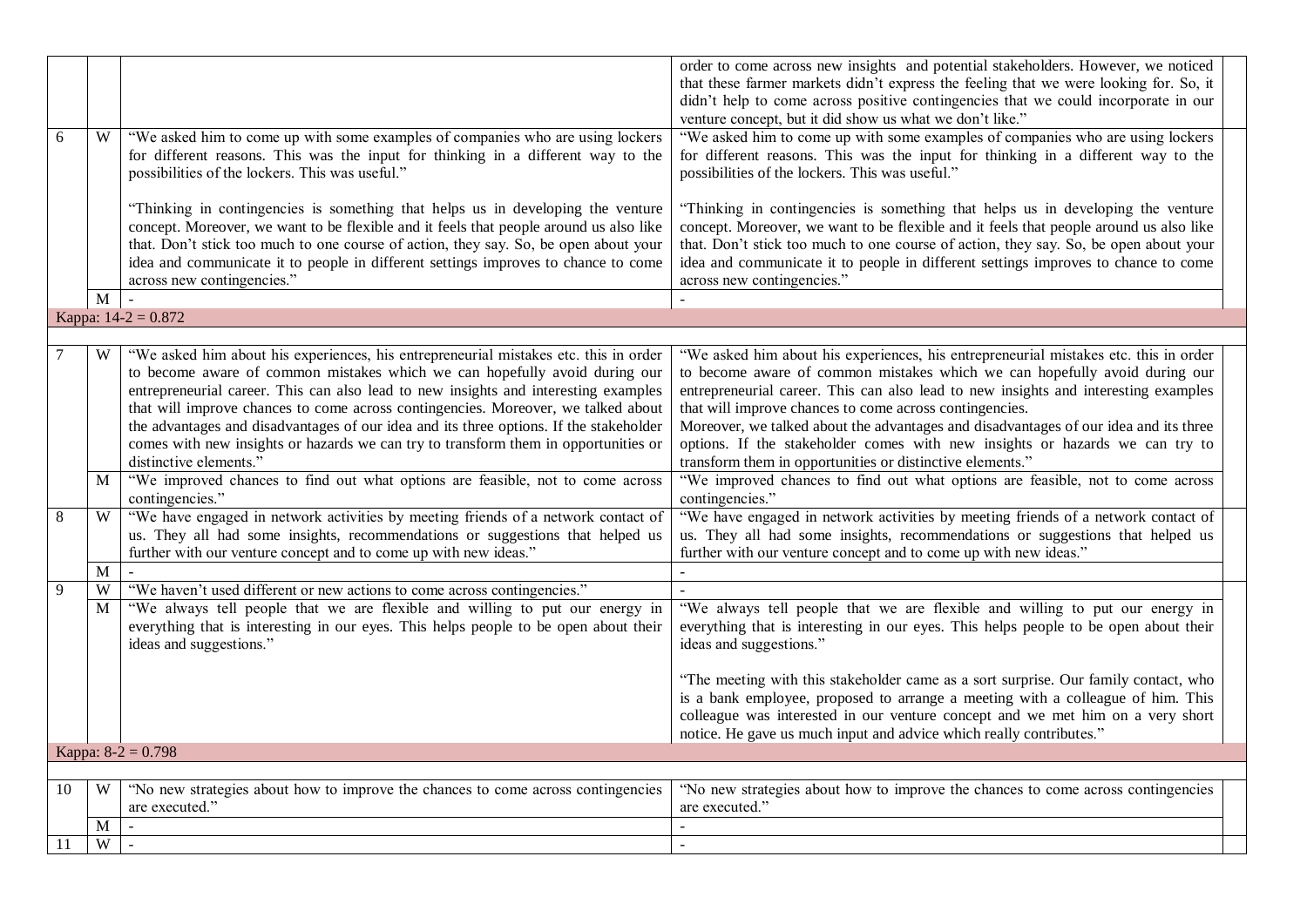| 6  | W | "We asked him to come up with some examples of companies who are using lockers                                                                                                                                                                                                                                                                                                                                                                                                                                                                            | order to come across new insights and potential stakeholders. However, we noticed<br>that these farmer markets didn't express the feeling that we were looking for. So, it<br>didn't help to come across positive contingencies that we could incorporate in our<br>venture concept, but it did show us what we don't like."<br>"We asked him to come up with some examples of companies who are using lockers                                                                                                                                            |
|----|---|-----------------------------------------------------------------------------------------------------------------------------------------------------------------------------------------------------------------------------------------------------------------------------------------------------------------------------------------------------------------------------------------------------------------------------------------------------------------------------------------------------------------------------------------------------------|-----------------------------------------------------------------------------------------------------------------------------------------------------------------------------------------------------------------------------------------------------------------------------------------------------------------------------------------------------------------------------------------------------------------------------------------------------------------------------------------------------------------------------------------------------------|
|    |   | for different reasons. This was the input for thinking in a different way to the<br>possibilities of the lockers. This was useful."                                                                                                                                                                                                                                                                                                                                                                                                                       | for different reasons. This was the input for thinking in a different way to the<br>possibilities of the lockers. This was useful."                                                                                                                                                                                                                                                                                                                                                                                                                       |
|    |   | "Thinking in contingencies is something that helps us in developing the venture<br>concept. Moreover, we want to be flexible and it feels that people around us also like<br>that. Don't stick too much to one course of action, they say. So, be open about your<br>idea and communicate it to people in different settings improves to chance to come<br>across new contingencies."                                                                                                                                                                     | "Thinking in contingencies is something that helps us in developing the venture<br>concept. Moreover, we want to be flexible and it feels that people around us also like<br>that. Don't stick too much to one course of action, they say. So, be open about your<br>idea and communicate it to people in different settings improves to chance to come<br>across new contingencies."                                                                                                                                                                     |
|    | M |                                                                                                                                                                                                                                                                                                                                                                                                                                                                                                                                                           |                                                                                                                                                                                                                                                                                                                                                                                                                                                                                                                                                           |
|    |   | Kappa: $14-2 = 0.872$                                                                                                                                                                                                                                                                                                                                                                                                                                                                                                                                     |                                                                                                                                                                                                                                                                                                                                                                                                                                                                                                                                                           |
|    | W | "We asked him about his experiences, his entrepreneurial mistakes etc. this in order<br>to become aware of common mistakes which we can hopefully avoid during our<br>entrepreneurial career. This can also lead to new insights and interesting examples<br>that will improve chances to come across contingencies. Moreover, we talked about<br>the advantages and disadvantages of our idea and its three options. If the stakeholder<br>comes with new insights or hazards we can try to transform them in opportunities or<br>distinctive elements." | "We asked him about his experiences, his entrepreneurial mistakes etc. this in order<br>to become aware of common mistakes which we can hopefully avoid during our<br>entrepreneurial career. This can also lead to new insights and interesting examples<br>that will improve chances to come across contingencies.<br>Moreover, we talked about the advantages and disadvantages of our idea and its three<br>options. If the stakeholder comes with new insights or hazards we can try to<br>transform them in opportunities or distinctive elements." |
|    | M | "We improved chances to find out what options are feasible, not to come across<br>contingencies."                                                                                                                                                                                                                                                                                                                                                                                                                                                         | "We improved chances to find out what options are feasible, not to come across<br>contingencies."                                                                                                                                                                                                                                                                                                                                                                                                                                                         |
| 8  | W | "We have engaged in network activities by meeting friends of a network contact of<br>us. They all had some insights, recommendations or suggestions that helped us<br>further with our venture concept and to come up with new ideas."                                                                                                                                                                                                                                                                                                                    | "We have engaged in network activities by meeting friends of a network contact of<br>us. They all had some insights, recommendations or suggestions that helped us<br>further with our venture concept and to come up with new ideas."                                                                                                                                                                                                                                                                                                                    |
|    | M |                                                                                                                                                                                                                                                                                                                                                                                                                                                                                                                                                           |                                                                                                                                                                                                                                                                                                                                                                                                                                                                                                                                                           |
| 9  | W | "We haven't used different or new actions to come across contingencies."                                                                                                                                                                                                                                                                                                                                                                                                                                                                                  | $\overline{a}$                                                                                                                                                                                                                                                                                                                                                                                                                                                                                                                                            |
|    | M | "We always tell people that we are flexible and willing to put our energy in<br>everything that is interesting in our eyes. This helps people to be open about their<br>ideas and suggestions."                                                                                                                                                                                                                                                                                                                                                           | "We always tell people that we are flexible and willing to put our energy in<br>everything that is interesting in our eyes. This helps people to be open about their<br>ideas and suggestions."                                                                                                                                                                                                                                                                                                                                                           |
|    |   |                                                                                                                                                                                                                                                                                                                                                                                                                                                                                                                                                           | "The meeting with this stakeholder came as a sort surprise. Our family contact, who<br>is a bank employee, proposed to arrange a meeting with a colleague of him. This<br>colleague was interested in our venture concept and we met him on a very short<br>notice. He gave us much input and advice which really contributes."                                                                                                                                                                                                                           |
|    |   | Kappa: $8-2 = 0.798$                                                                                                                                                                                                                                                                                                                                                                                                                                                                                                                                      |                                                                                                                                                                                                                                                                                                                                                                                                                                                                                                                                                           |
|    |   |                                                                                                                                                                                                                                                                                                                                                                                                                                                                                                                                                           |                                                                                                                                                                                                                                                                                                                                                                                                                                                                                                                                                           |
| 10 | W | "No new strategies about how to improve the chances to come across contingencies<br>are executed."                                                                                                                                                                                                                                                                                                                                                                                                                                                        | "No new strategies about how to improve the chances to come across contingencies<br>are executed."                                                                                                                                                                                                                                                                                                                                                                                                                                                        |
|    | M |                                                                                                                                                                                                                                                                                                                                                                                                                                                                                                                                                           |                                                                                                                                                                                                                                                                                                                                                                                                                                                                                                                                                           |
| 11 | W |                                                                                                                                                                                                                                                                                                                                                                                                                                                                                                                                                           | $\sim$                                                                                                                                                                                                                                                                                                                                                                                                                                                                                                                                                    |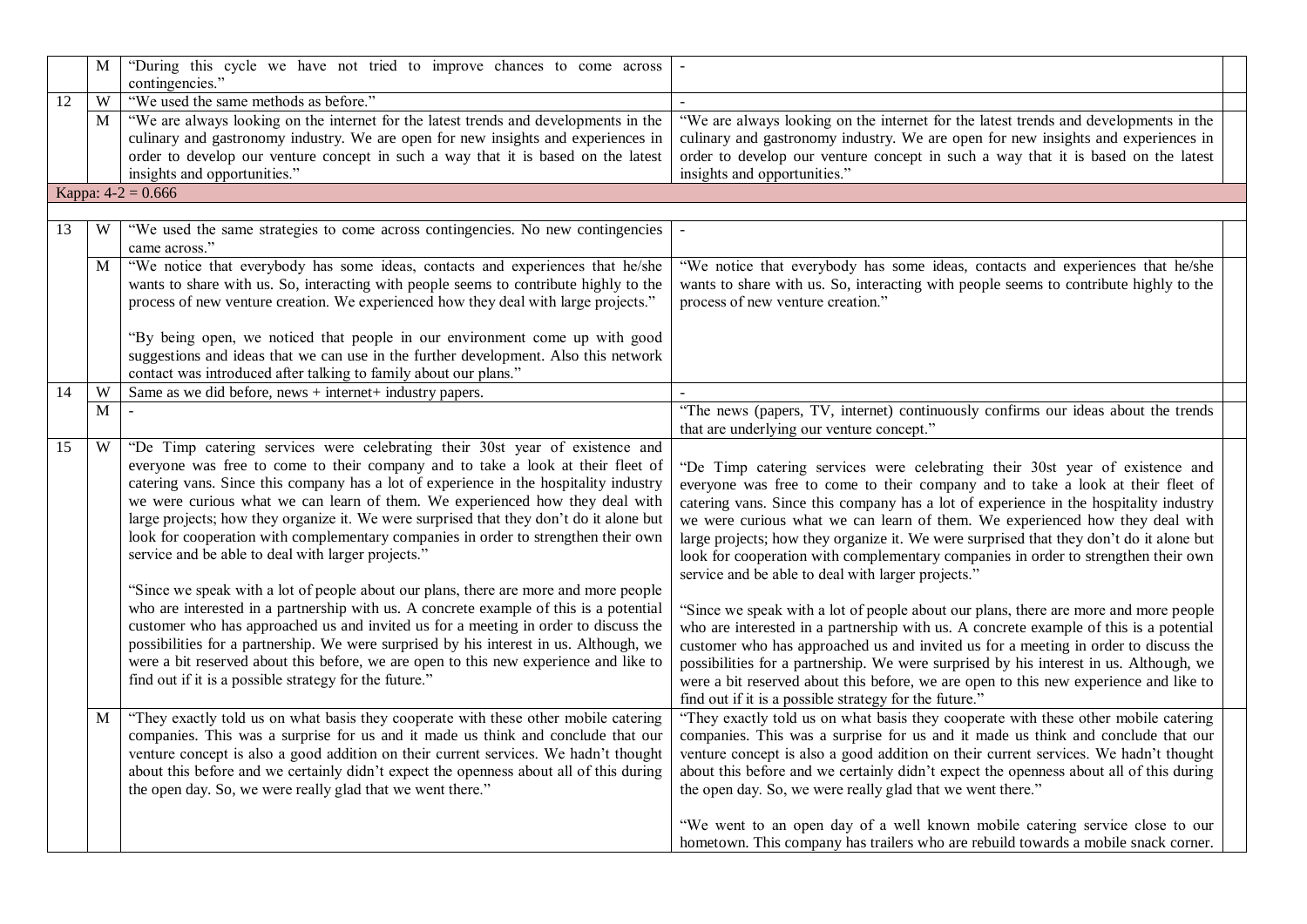|    | M            | "During this cycle we have not tried to improve chances to come across<br>contingencies."                                                                                                                                                                                                                                                                                                                                                                                                                                                                                                                                                                                                                                                                                                                                                                                                                                                                                                                                                                                                             |                                                                                                                                                                                                                                                                                                                                                                                                                                                                                                                                                                                                                                                                                                                                                                                                                                                                                                                                                                                                                                                                                                       |
|----|--------------|-------------------------------------------------------------------------------------------------------------------------------------------------------------------------------------------------------------------------------------------------------------------------------------------------------------------------------------------------------------------------------------------------------------------------------------------------------------------------------------------------------------------------------------------------------------------------------------------------------------------------------------------------------------------------------------------------------------------------------------------------------------------------------------------------------------------------------------------------------------------------------------------------------------------------------------------------------------------------------------------------------------------------------------------------------------------------------------------------------|-------------------------------------------------------------------------------------------------------------------------------------------------------------------------------------------------------------------------------------------------------------------------------------------------------------------------------------------------------------------------------------------------------------------------------------------------------------------------------------------------------------------------------------------------------------------------------------------------------------------------------------------------------------------------------------------------------------------------------------------------------------------------------------------------------------------------------------------------------------------------------------------------------------------------------------------------------------------------------------------------------------------------------------------------------------------------------------------------------|
| 12 | W            | "We used the same methods as before."                                                                                                                                                                                                                                                                                                                                                                                                                                                                                                                                                                                                                                                                                                                                                                                                                                                                                                                                                                                                                                                                 |                                                                                                                                                                                                                                                                                                                                                                                                                                                                                                                                                                                                                                                                                                                                                                                                                                                                                                                                                                                                                                                                                                       |
|    | M            | "We are always looking on the internet for the latest trends and developments in the<br>culinary and gastronomy industry. We are open for new insights and experiences in<br>order to develop our venture concept in such a way that it is based on the latest                                                                                                                                                                                                                                                                                                                                                                                                                                                                                                                                                                                                                                                                                                                                                                                                                                        | "We are always looking on the internet for the latest trends and developments in the<br>culinary and gastronomy industry. We are open for new insights and experiences in<br>order to develop our venture concept in such a way that it is based on the latest                                                                                                                                                                                                                                                                                                                                                                                                                                                                                                                                                                                                                                                                                                                                                                                                                                        |
|    |              | insights and opportunities."                                                                                                                                                                                                                                                                                                                                                                                                                                                                                                                                                                                                                                                                                                                                                                                                                                                                                                                                                                                                                                                                          | insights and opportunities."                                                                                                                                                                                                                                                                                                                                                                                                                                                                                                                                                                                                                                                                                                                                                                                                                                                                                                                                                                                                                                                                          |
|    |              | Kappa: $4-2 = 0.666$                                                                                                                                                                                                                                                                                                                                                                                                                                                                                                                                                                                                                                                                                                                                                                                                                                                                                                                                                                                                                                                                                  |                                                                                                                                                                                                                                                                                                                                                                                                                                                                                                                                                                                                                                                                                                                                                                                                                                                                                                                                                                                                                                                                                                       |
|    |              |                                                                                                                                                                                                                                                                                                                                                                                                                                                                                                                                                                                                                                                                                                                                                                                                                                                                                                                                                                                                                                                                                                       |                                                                                                                                                                                                                                                                                                                                                                                                                                                                                                                                                                                                                                                                                                                                                                                                                                                                                                                                                                                                                                                                                                       |
| 13 | W            | "We used the same strategies to come across contingencies. No new contingencies<br>came across."                                                                                                                                                                                                                                                                                                                                                                                                                                                                                                                                                                                                                                                                                                                                                                                                                                                                                                                                                                                                      |                                                                                                                                                                                                                                                                                                                                                                                                                                                                                                                                                                                                                                                                                                                                                                                                                                                                                                                                                                                                                                                                                                       |
|    | $\mathbf{M}$ | "We notice that everybody has some ideas, contacts and experiences that he/she                                                                                                                                                                                                                                                                                                                                                                                                                                                                                                                                                                                                                                                                                                                                                                                                                                                                                                                                                                                                                        | "We notice that everybody has some ideas, contacts and experiences that he/she                                                                                                                                                                                                                                                                                                                                                                                                                                                                                                                                                                                                                                                                                                                                                                                                                                                                                                                                                                                                                        |
|    |              | wants to share with us. So, interacting with people seems to contribute highly to the                                                                                                                                                                                                                                                                                                                                                                                                                                                                                                                                                                                                                                                                                                                                                                                                                                                                                                                                                                                                                 | wants to share with us. So, interacting with people seems to contribute highly to the                                                                                                                                                                                                                                                                                                                                                                                                                                                                                                                                                                                                                                                                                                                                                                                                                                                                                                                                                                                                                 |
|    |              | process of new venture creation. We experienced how they deal with large projects."                                                                                                                                                                                                                                                                                                                                                                                                                                                                                                                                                                                                                                                                                                                                                                                                                                                                                                                                                                                                                   | process of new venture creation."                                                                                                                                                                                                                                                                                                                                                                                                                                                                                                                                                                                                                                                                                                                                                                                                                                                                                                                                                                                                                                                                     |
|    |              |                                                                                                                                                                                                                                                                                                                                                                                                                                                                                                                                                                                                                                                                                                                                                                                                                                                                                                                                                                                                                                                                                                       |                                                                                                                                                                                                                                                                                                                                                                                                                                                                                                                                                                                                                                                                                                                                                                                                                                                                                                                                                                                                                                                                                                       |
|    |              | "By being open, we noticed that people in our environment come up with good                                                                                                                                                                                                                                                                                                                                                                                                                                                                                                                                                                                                                                                                                                                                                                                                                                                                                                                                                                                                                           |                                                                                                                                                                                                                                                                                                                                                                                                                                                                                                                                                                                                                                                                                                                                                                                                                                                                                                                                                                                                                                                                                                       |
|    |              | suggestions and ideas that we can use in the further development. Also this network                                                                                                                                                                                                                                                                                                                                                                                                                                                                                                                                                                                                                                                                                                                                                                                                                                                                                                                                                                                                                   |                                                                                                                                                                                                                                                                                                                                                                                                                                                                                                                                                                                                                                                                                                                                                                                                                                                                                                                                                                                                                                                                                                       |
|    |              | contact was introduced after talking to family about our plans."                                                                                                                                                                                                                                                                                                                                                                                                                                                                                                                                                                                                                                                                                                                                                                                                                                                                                                                                                                                                                                      |                                                                                                                                                                                                                                                                                                                                                                                                                                                                                                                                                                                                                                                                                                                                                                                                                                                                                                                                                                                                                                                                                                       |
| 14 | W            | Same as we did before, news $+$ internet $+$ industry papers.                                                                                                                                                                                                                                                                                                                                                                                                                                                                                                                                                                                                                                                                                                                                                                                                                                                                                                                                                                                                                                         |                                                                                                                                                                                                                                                                                                                                                                                                                                                                                                                                                                                                                                                                                                                                                                                                                                                                                                                                                                                                                                                                                                       |
|    | M            |                                                                                                                                                                                                                                                                                                                                                                                                                                                                                                                                                                                                                                                                                                                                                                                                                                                                                                                                                                                                                                                                                                       | "The news (papers, TV, internet) continuously confirms our ideas about the trends<br>that are underlying our venture concept."                                                                                                                                                                                                                                                                                                                                                                                                                                                                                                                                                                                                                                                                                                                                                                                                                                                                                                                                                                        |
| 15 | W            | "De Timp catering services were celebrating their 30st year of existence and<br>everyone was free to come to their company and to take a look at their fleet of<br>catering vans. Since this company has a lot of experience in the hospitality industry<br>we were curious what we can learn of them. We experienced how they deal with<br>large projects; how they organize it. We were surprised that they don't do it alone but<br>look for cooperation with complementary companies in order to strengthen their own<br>service and be able to deal with larger projects."<br>"Since we speak with a lot of people about our plans, there are more and more people<br>who are interested in a partnership with us. A concrete example of this is a potential<br>customer who has approached us and invited us for a meeting in order to discuss the<br>possibilities for a partnership. We were surprised by his interest in us. Although, we<br>were a bit reserved about this before, we are open to this new experience and like to<br>find out if it is a possible strategy for the future." | "De Timp catering services were celebrating their 30st year of existence and<br>everyone was free to come to their company and to take a look at their fleet of<br>catering vans. Since this company has a lot of experience in the hospitality industry<br>we were curious what we can learn of them. We experienced how they deal with<br>large projects; how they organize it. We were surprised that they don't do it alone but<br>look for cooperation with complementary companies in order to strengthen their own<br>service and be able to deal with larger projects."<br>"Since we speak with a lot of people about our plans, there are more and more people<br>who are interested in a partnership with us. A concrete example of this is a potential<br>customer who has approached us and invited us for a meeting in order to discuss the<br>possibilities for a partnership. We were surprised by his interest in us. Although, we<br>were a bit reserved about this before, we are open to this new experience and like to<br>find out if it is a possible strategy for the future." |
|    | M            | "They exactly told us on what basis they cooperate with these other mobile catering<br>companies. This was a surprise for us and it made us think and conclude that our<br>venture concept is also a good addition on their current services. We hadn't thought<br>about this before and we certainly didn't expect the openness about all of this during<br>the open day. So, we were really glad that we went there."                                                                                                                                                                                                                                                                                                                                                                                                                                                                                                                                                                                                                                                                               | "They exactly told us on what basis they cooperate with these other mobile catering<br>companies. This was a surprise for us and it made us think and conclude that our<br>venture concept is also a good addition on their current services. We hadn't thought<br>about this before and we certainly didn't expect the openness about all of this during<br>the open day. So, we were really glad that we went there."<br>"We went to an open day of a well known mobile catering service close to our<br>hometown. This company has trailers who are rebuild towards a mobile snack corner.                                                                                                                                                                                                                                                                                                                                                                                                                                                                                                         |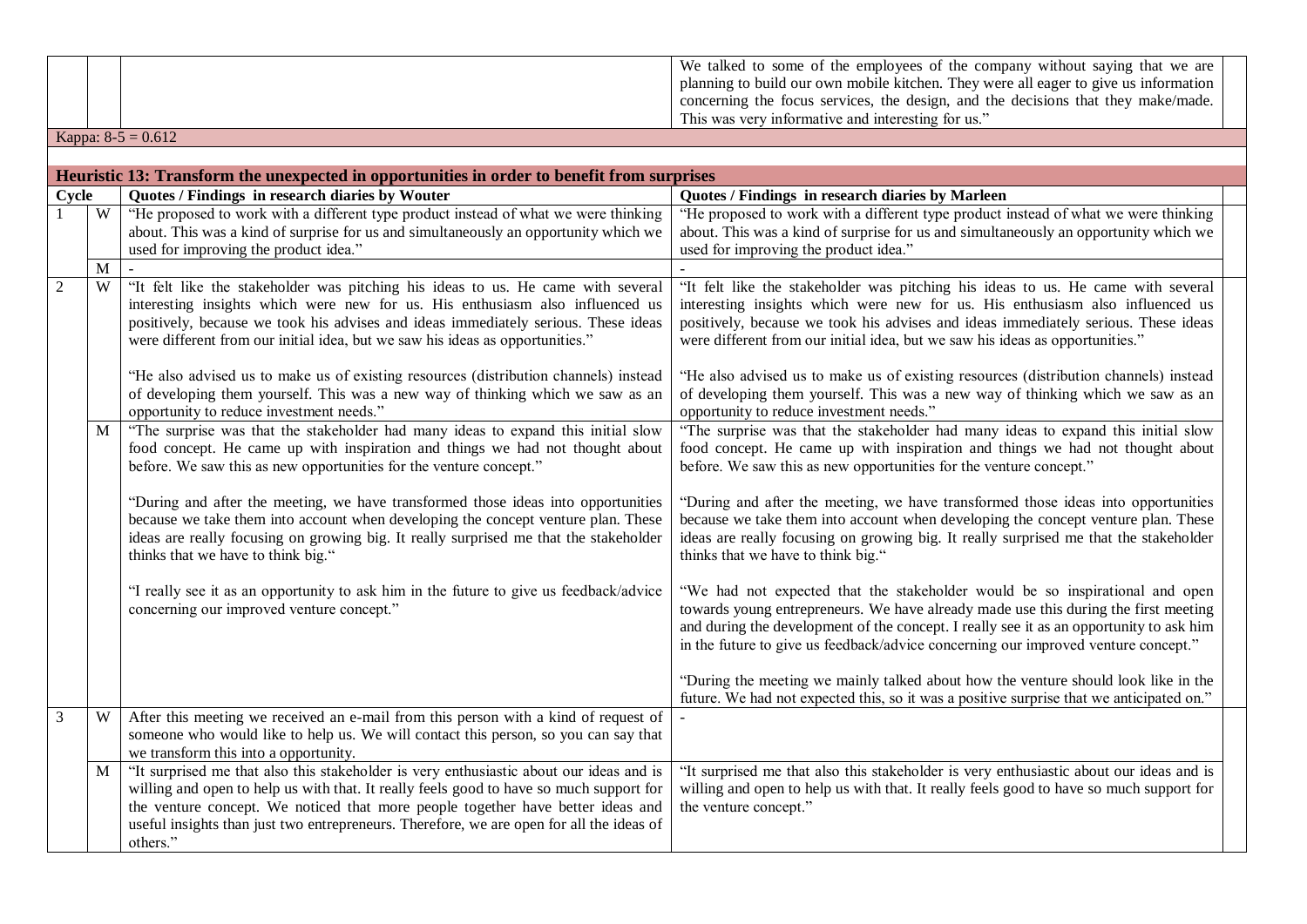|       |                                                                                                                                                                                                                                                                                                                                          | We talked to some of the employees of the company without saying that we are<br>planning to build our own mobile kitchen. They were all eager to give us information<br>concerning the focus services, the design, and the decisions that they make/made.<br>This was very informative and interesting for us."                          |
|-------|------------------------------------------------------------------------------------------------------------------------------------------------------------------------------------------------------------------------------------------------------------------------------------------------------------------------------------------|------------------------------------------------------------------------------------------------------------------------------------------------------------------------------------------------------------------------------------------------------------------------------------------------------------------------------------------|
|       | Kappa: $8-5 = 0.612$                                                                                                                                                                                                                                                                                                                     |                                                                                                                                                                                                                                                                                                                                          |
|       | Heuristic 13: Transform the unexpected in opportunities in order to benefit from surprises                                                                                                                                                                                                                                               |                                                                                                                                                                                                                                                                                                                                          |
| Cycle | Quotes / Findings in research diaries by Wouter                                                                                                                                                                                                                                                                                          | Quotes / Findings in research diaries by Marleen                                                                                                                                                                                                                                                                                         |
| W     | "He proposed to work with a different type product instead of what we were thinking<br>about. This was a kind of surprise for us and simultaneously an opportunity which we<br>used for improving the product idea."                                                                                                                     | "He proposed to work with a different type product instead of what we were thinking<br>about. This was a kind of surprise for us and simultaneously an opportunity which we<br>used for improving the product idea."                                                                                                                     |
| M     |                                                                                                                                                                                                                                                                                                                                          |                                                                                                                                                                                                                                                                                                                                          |
| W     | "It felt like the stakeholder was pitching his ideas to us. He came with several<br>interesting insights which were new for us. His enthusiasm also influenced us<br>positively, because we took his advises and ideas immediately serious. These ideas<br>were different from our initial idea, but we saw his ideas as opportunities." | "It felt like the stakeholder was pitching his ideas to us. He came with several<br>interesting insights which were new for us. His enthusiasm also influenced us<br>positively, because we took his advises and ideas immediately serious. These ideas<br>were different from our initial idea, but we saw his ideas as opportunities." |
|       | "He also advised us to make us of existing resources (distribution channels) instead<br>of developing them yourself. This was a new way of thinking which we saw as an<br>opportunity to reduce investment needs."                                                                                                                       | "He also advised us to make us of existing resources (distribution channels) instead<br>of developing them yourself. This was a new way of thinking which we saw as an<br>opportunity to reduce investment needs."                                                                                                                       |
| M     | "The surprise was that the stakeholder had many ideas to expand this initial slow<br>food concept. He came up with inspiration and things we had not thought about<br>before. We saw this as new opportunities for the venture concept."                                                                                                 | "The surprise was that the stakeholder had many ideas to expand this initial slow<br>food concept. He came up with inspiration and things we had not thought about<br>before. We saw this as new opportunities for the venture concept."                                                                                                 |
|       | "During and after the meeting, we have transformed those ideas into opportunities<br>because we take them into account when developing the concept venture plan. These<br>ideas are really focusing on growing big. It really surprised me that the stakeholder<br>thinks that we have to think big."                                    | "During and after the meeting, we have transformed those ideas into opportunities<br>because we take them into account when developing the concept venture plan. These<br>ideas are really focusing on growing big. It really surprised me that the stakeholder<br>thinks that we have to think big."                                    |
|       | "I really see it as an opportunity to ask him in the future to give us feedback/advice<br>concerning our improved venture concept."                                                                                                                                                                                                      | "We had not expected that the stakeholder would be so inspirational and open<br>towards young entrepreneurs. We have already made use this during the first meeting                                                                                                                                                                      |

|   |   | I really see it as all opportunity to ask fill in the future to give us recuback/auvice | we had not expected that the stakeholder would be so msphational and open                |
|---|---|-----------------------------------------------------------------------------------------|------------------------------------------------------------------------------------------|
|   |   | concerning our improved venture concept."                                               | towards young entrepreneurs. We have already made use this during the first meeting      |
|   |   |                                                                                         | and during the development of the concept. I really see it as an opportunity to ask him  |
|   |   |                                                                                         | in the future to give us feedback/advice concerning our improved venture concept."       |
|   |   |                                                                                         |                                                                                          |
|   |   |                                                                                         | "During the meeting we mainly talked about how the venture should look like in the       |
|   |   |                                                                                         | future. We had not expected this, so it was a positive surprise that we anticipated on." |
| 3 | W | After this meeting we received an e-mail from this person with a kind of request of     |                                                                                          |
|   |   | someone who would like to help us. We will contact this person, so you can say that     |                                                                                          |
|   |   | we transform this into a opportunity                                                    |                                                                                          |

|  | we transform this into a opportunity.                                                                                                                                             |  |
|--|-----------------------------------------------------------------------------------------------------------------------------------------------------------------------------------|--|
|  | "It surprised me that also this stakeholder is very enthusiastic about our ideas and is   "It surprised me that also this stakeholder is very enthusiastic about our ideas and is |  |
|  | willing and open to help us with that. It really feels good to have so much support for willing and open to help us with that. It really feels good to have so much support for   |  |
|  | the venture concept. We noticed that more people together have better ideas and the venture concept."                                                                             |  |
|  | useful insights than just two entrepreneurs. Therefore, we are open for all the ideas of $\vert$                                                                                  |  |
|  | others."                                                                                                                                                                          |  |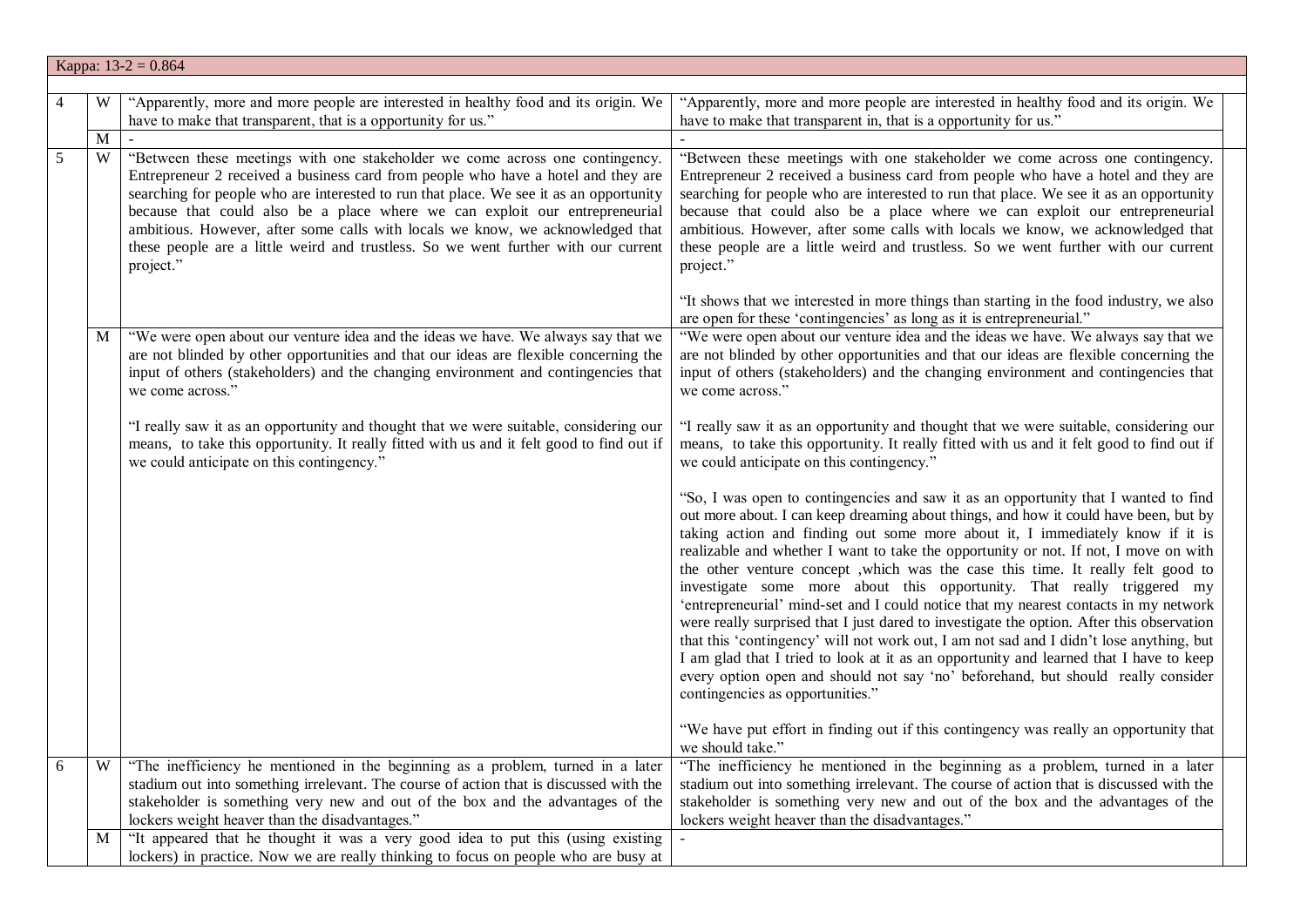|   | Kappa: $13-2 = 0.864$ |                                                                                                                                                                                                                                                                                                                                                                                                                                                                                                                                 |                                                                                                                                                                                                                                                                                                                                                                                                                                                                                                                                                                                                                                                                                                                                                                                                                                                                                                                                                                                                                      |  |
|---|-----------------------|---------------------------------------------------------------------------------------------------------------------------------------------------------------------------------------------------------------------------------------------------------------------------------------------------------------------------------------------------------------------------------------------------------------------------------------------------------------------------------------------------------------------------------|----------------------------------------------------------------------------------------------------------------------------------------------------------------------------------------------------------------------------------------------------------------------------------------------------------------------------------------------------------------------------------------------------------------------------------------------------------------------------------------------------------------------------------------------------------------------------------------------------------------------------------------------------------------------------------------------------------------------------------------------------------------------------------------------------------------------------------------------------------------------------------------------------------------------------------------------------------------------------------------------------------------------|--|
|   |                       |                                                                                                                                                                                                                                                                                                                                                                                                                                                                                                                                 |                                                                                                                                                                                                                                                                                                                                                                                                                                                                                                                                                                                                                                                                                                                                                                                                                                                                                                                                                                                                                      |  |
| 4 | W                     | "Apparently, more and more people are interested in healthy food and its origin. We<br>have to make that transparent, that is a opportunity for us."                                                                                                                                                                                                                                                                                                                                                                            | "Apparently, more and more people are interested in healthy food and its origin. We<br>have to make that transparent in, that is a opportunity for us."                                                                                                                                                                                                                                                                                                                                                                                                                                                                                                                                                                                                                                                                                                                                                                                                                                                              |  |
|   | M                     |                                                                                                                                                                                                                                                                                                                                                                                                                                                                                                                                 |                                                                                                                                                                                                                                                                                                                                                                                                                                                                                                                                                                                                                                                                                                                                                                                                                                                                                                                                                                                                                      |  |
| 5 | W                     | "Between these meetings with one stakeholder we come across one contingency.<br>Entrepreneur 2 received a business card from people who have a hotel and they are<br>searching for people who are interested to run that place. We see it as an opportunity<br>because that could also be a place where we can exploit our entrepreneurial<br>ambitious. However, after some calls with locals we know, we acknowledged that<br>these people are a little weird and trustless. So we went further with our current<br>project." | "Between these meetings with one stakeholder we come across one contingency.<br>Entrepreneur 2 received a business card from people who have a hotel and they are<br>searching for people who are interested to run that place. We see it as an opportunity<br>because that could also be a place where we can exploit our entrepreneurial<br>ambitious. However, after some calls with locals we know, we acknowledged that<br>these people are a little weird and trustless. So we went further with our current<br>project."                                                                                                                                                                                                                                                                                                                                                                                                                                                                                      |  |
|   | M                     | "We were open about our venture idea and the ideas we have. We always say that we<br>are not blinded by other opportunities and that our ideas are flexible concerning the<br>input of others (stakeholders) and the changing environment and contingencies that<br>we come across."                                                                                                                                                                                                                                            | "It shows that we interested in more things than starting in the food industry, we also<br>are open for these 'contingencies' as long as it is entrepreneurial."<br>"We were open about our venture idea and the ideas we have. We always say that we<br>are not blinded by other opportunities and that our ideas are flexible concerning the<br>input of others (stakeholders) and the changing environment and contingencies that<br>we come across."                                                                                                                                                                                                                                                                                                                                                                                                                                                                                                                                                             |  |
|   |                       | "I really saw it as an opportunity and thought that we were suitable, considering our<br>means, to take this opportunity. It really fitted with us and it felt good to find out if<br>we could anticipate on this contingency."                                                                                                                                                                                                                                                                                                 | "I really saw it as an opportunity and thought that we were suitable, considering our<br>means, to take this opportunity. It really fitted with us and it felt good to find out if<br>we could anticipate on this contingency."                                                                                                                                                                                                                                                                                                                                                                                                                                                                                                                                                                                                                                                                                                                                                                                      |  |
|   |                       |                                                                                                                                                                                                                                                                                                                                                                                                                                                                                                                                 | "So, I was open to contingencies and saw it as an opportunity that I wanted to find<br>out more about. I can keep dreaming about things, and how it could have been, but by<br>taking action and finding out some more about it, I immediately know if it is<br>realizable and whether I want to take the opportunity or not. If not, I move on with<br>the other venture concept , which was the case this time. It really felt good to<br>investigate some more about this opportunity. That really triggered my<br>'entrepreneurial' mind-set and I could notice that my nearest contacts in my network<br>were really surprised that I just dared to investigate the option. After this observation<br>that this 'contingency' will not work out, I am not sad and I didn't lose anything, but<br>I am glad that I tried to look at it as an opportunity and learned that I have to keep<br>every option open and should not say 'no' beforehand, but should really consider<br>contingencies as opportunities." |  |
|   |                       |                                                                                                                                                                                                                                                                                                                                                                                                                                                                                                                                 | "We have put effort in finding out if this contingency was really an opportunity that<br>we should take."                                                                                                                                                                                                                                                                                                                                                                                                                                                                                                                                                                                                                                                                                                                                                                                                                                                                                                            |  |
| 6 | W                     | "The inefficiency he mentioned in the beginning as a problem, turned in a later<br>stadium out into something irrelevant. The course of action that is discussed with the<br>stakeholder is something very new and out of the box and the advantages of the<br>lockers weight heaver than the disadvantages."                                                                                                                                                                                                                   | "The inefficiency he mentioned in the beginning as a problem, turned in a later<br>stadium out into something irrelevant. The course of action that is discussed with the<br>stakeholder is something very new and out of the box and the advantages of the<br>lockers weight heaver than the disadvantages."                                                                                                                                                                                                                                                                                                                                                                                                                                                                                                                                                                                                                                                                                                        |  |
|   | M                     | "It appeared that he thought it was a very good idea to put this (using existing<br>lockers) in practice. Now we are really thinking to focus on people who are busy at                                                                                                                                                                                                                                                                                                                                                         |                                                                                                                                                                                                                                                                                                                                                                                                                                                                                                                                                                                                                                                                                                                                                                                                                                                                                                                                                                                                                      |  |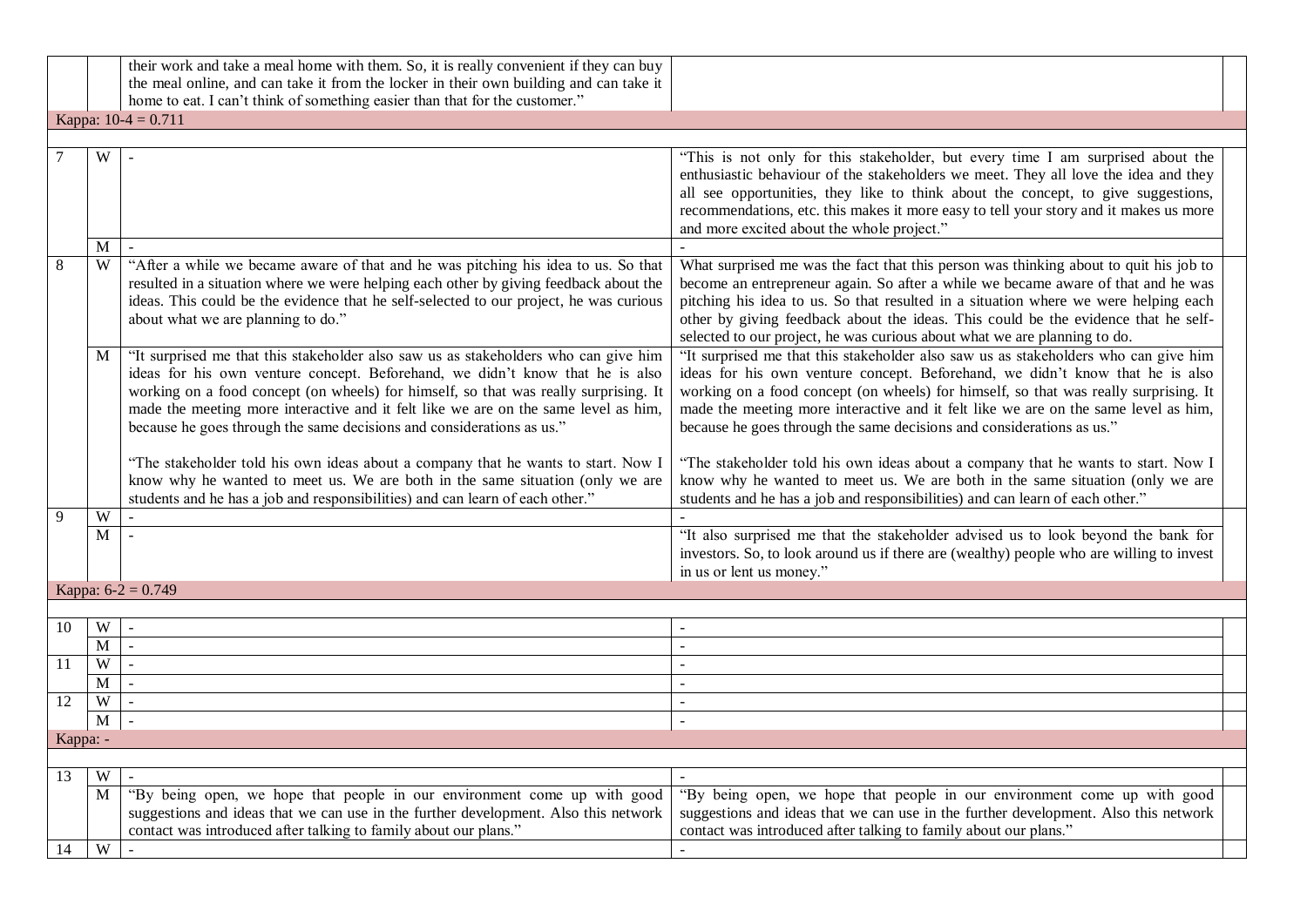|                |                       | their work and take a meal home with them. So, it is really convenient if they can buy<br>the meal online, and can take it from the locker in their own building and can take it<br>home to eat. I can't think of something easier than that for the customer."                                                                                                                                                              |                                                                                                                                                                                                                                                                                                                                                                                                                                      |  |  |
|----------------|-----------------------|------------------------------------------------------------------------------------------------------------------------------------------------------------------------------------------------------------------------------------------------------------------------------------------------------------------------------------------------------------------------------------------------------------------------------|--------------------------------------------------------------------------------------------------------------------------------------------------------------------------------------------------------------------------------------------------------------------------------------------------------------------------------------------------------------------------------------------------------------------------------------|--|--|
|                | Kappa: $10-4 = 0.711$ |                                                                                                                                                                                                                                                                                                                                                                                                                              |                                                                                                                                                                                                                                                                                                                                                                                                                                      |  |  |
|                |                       |                                                                                                                                                                                                                                                                                                                                                                                                                              |                                                                                                                                                                                                                                                                                                                                                                                                                                      |  |  |
|                | W                     |                                                                                                                                                                                                                                                                                                                                                                                                                              | "This is not only for this stakeholder, but every time I am surprised about the<br>enthusiastic behaviour of the stakeholders we meet. They all love the idea and they<br>all see opportunities, they like to think about the concept, to give suggestions,<br>recommendations, etc. this makes it more easy to tell your story and it makes us more<br>and more excited about the whole project."                                   |  |  |
|                | $\overline{M}$        |                                                                                                                                                                                                                                                                                                                                                                                                                              |                                                                                                                                                                                                                                                                                                                                                                                                                                      |  |  |
| $\overline{8}$ | W                     | "After a while we became aware of that and he was pitching his idea to us. So that<br>resulted in a situation where we were helping each other by giving feedback about the<br>ideas. This could be the evidence that he self-selected to our project, he was curious<br>about what we are planning to do."                                                                                                                  | What surprised me was the fact that this person was thinking about to quit his job to<br>become an entrepreneur again. So after a while we became aware of that and he was<br>pitching his idea to us. So that resulted in a situation where we were helping each<br>other by giving feedback about the ideas. This could be the evidence that he self-<br>selected to our project, he was curious about what we are planning to do. |  |  |
|                | M                     | "It surprised me that this stakeholder also saw us as stakeholders who can give him<br>ideas for his own venture concept. Beforehand, we didn't know that he is also<br>working on a food concept (on wheels) for himself, so that was really surprising. It<br>made the meeting more interactive and it felt like we are on the same level as him,<br>because he goes through the same decisions and considerations as us." | "It surprised me that this stakeholder also saw us as stakeholders who can give him<br>ideas for his own venture concept. Beforehand, we didn't know that he is also<br>working on a food concept (on wheels) for himself, so that was really surprising. It<br>made the meeting more interactive and it felt like we are on the same level as him,<br>because he goes through the same decisions and considerations as us."         |  |  |
|                |                       | "The stakeholder told his own ideas about a company that he wants to start. Now I<br>know why he wanted to meet us. We are both in the same situation (only we are<br>students and he has a job and responsibilities) and can learn of each other."                                                                                                                                                                          | "The stakeholder told his own ideas about a company that he wants to start. Now I<br>know why he wanted to meet us. We are both in the same situation (only we are<br>students and he has a job and responsibilities) and can learn of each other."                                                                                                                                                                                  |  |  |
| 9              | $\overline{W}$        |                                                                                                                                                                                                                                                                                                                                                                                                                              |                                                                                                                                                                                                                                                                                                                                                                                                                                      |  |  |
|                | $\overline{M}$        |                                                                                                                                                                                                                                                                                                                                                                                                                              | "It also surprised me that the stakeholder advised us to look beyond the bank for<br>investors. So, to look around us if there are (wealthy) people who are willing to invest<br>in us or lent us money."                                                                                                                                                                                                                            |  |  |
|                |                       | Kappa: $6-2 = 0.749$                                                                                                                                                                                                                                                                                                                                                                                                         |                                                                                                                                                                                                                                                                                                                                                                                                                                      |  |  |
|                |                       |                                                                                                                                                                                                                                                                                                                                                                                                                              |                                                                                                                                                                                                                                                                                                                                                                                                                                      |  |  |
| 10             | W                     |                                                                                                                                                                                                                                                                                                                                                                                                                              |                                                                                                                                                                                                                                                                                                                                                                                                                                      |  |  |
|                | M                     | $\sim$                                                                                                                                                                                                                                                                                                                                                                                                                       | $\overline{a}$                                                                                                                                                                                                                                                                                                                                                                                                                       |  |  |
| 11             | $\overline{W}$        |                                                                                                                                                                                                                                                                                                                                                                                                                              |                                                                                                                                                                                                                                                                                                                                                                                                                                      |  |  |
|                | $\mathbf{M}$          | $\mathbf{r}$                                                                                                                                                                                                                                                                                                                                                                                                                 | $\mathbf{r}$                                                                                                                                                                                                                                                                                                                                                                                                                         |  |  |
| 12             | W<br>$\mathbf{M}$     | $\mathbb{Z}^2$<br>$\blacksquare$                                                                                                                                                                                                                                                                                                                                                                                             | $\mathbb{Z}^2$<br>$\sim$                                                                                                                                                                                                                                                                                                                                                                                                             |  |  |
|                |                       |                                                                                                                                                                                                                                                                                                                                                                                                                              |                                                                                                                                                                                                                                                                                                                                                                                                                                      |  |  |
| Kappa: -       |                       |                                                                                                                                                                                                                                                                                                                                                                                                                              |                                                                                                                                                                                                                                                                                                                                                                                                                                      |  |  |
| 13             | W                     |                                                                                                                                                                                                                                                                                                                                                                                                                              |                                                                                                                                                                                                                                                                                                                                                                                                                                      |  |  |
|                | M                     | "By being open, we hope that people in our environment come up with good<br>suggestions and ideas that we can use in the further development. Also this network<br>contact was introduced after talking to family about our plans."                                                                                                                                                                                          | "By being open, we hope that people in our environment come up with good<br>suggestions and ideas that we can use in the further development. Also this network<br>contact was introduced after talking to family about our plans."                                                                                                                                                                                                  |  |  |
| 14             | $\overline{W}$        | $\mathbf{r}$                                                                                                                                                                                                                                                                                                                                                                                                                 | $\mathbf{r}$                                                                                                                                                                                                                                                                                                                                                                                                                         |  |  |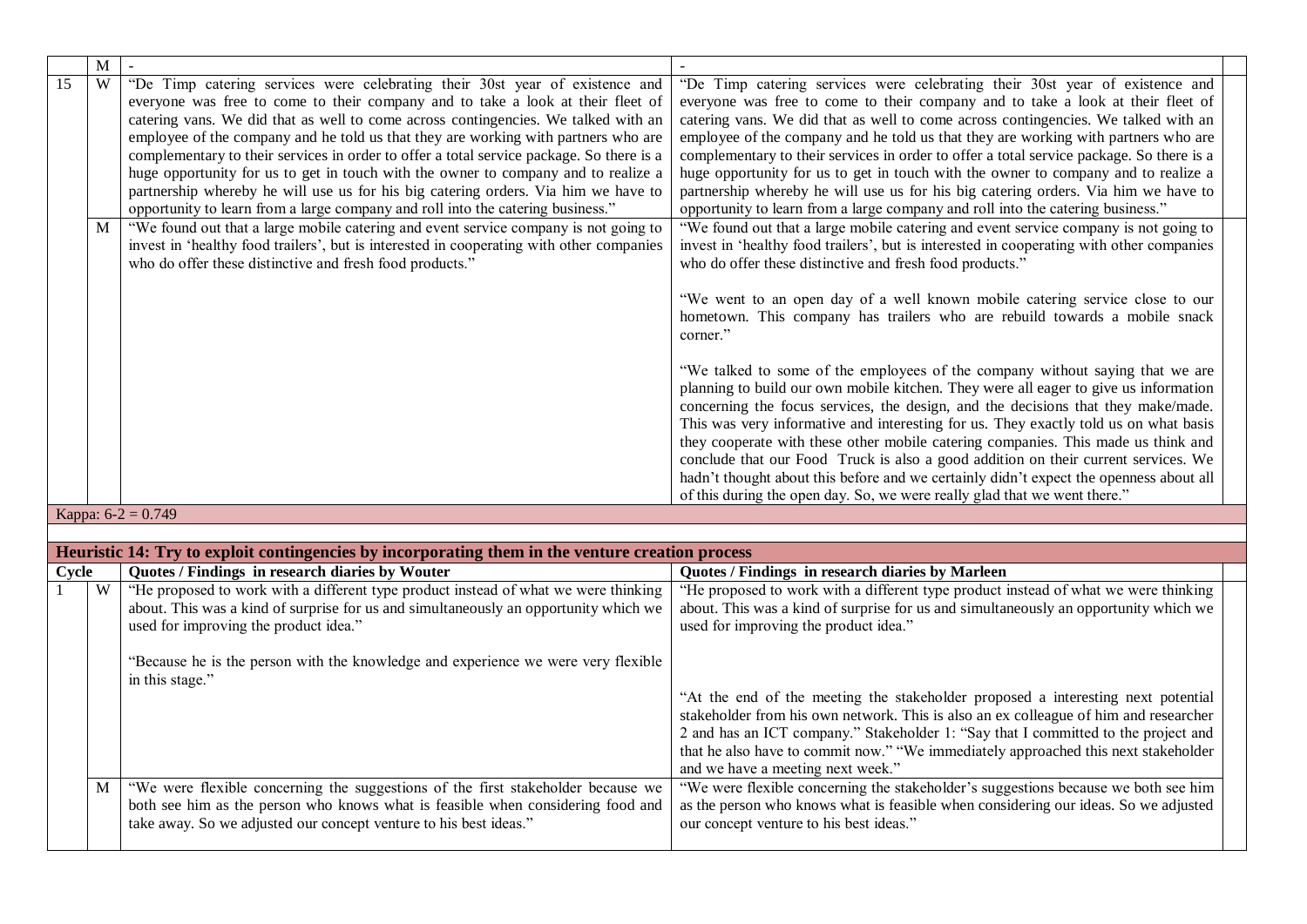|                 | M |                                                                                                                                                                                                                                                                                                                                                                                                                                                                                                                                                                                                                                                                                                        |                                                                                                                                                                                                                                                                                                                                                                                                                                                                                                                                                                                                                                                                                                        |
|-----------------|---|--------------------------------------------------------------------------------------------------------------------------------------------------------------------------------------------------------------------------------------------------------------------------------------------------------------------------------------------------------------------------------------------------------------------------------------------------------------------------------------------------------------------------------------------------------------------------------------------------------------------------------------------------------------------------------------------------------|--------------------------------------------------------------------------------------------------------------------------------------------------------------------------------------------------------------------------------------------------------------------------------------------------------------------------------------------------------------------------------------------------------------------------------------------------------------------------------------------------------------------------------------------------------------------------------------------------------------------------------------------------------------------------------------------------------|
| $\overline{15}$ | W | "De Timp catering services were celebrating their 30st year of existence and<br>everyone was free to come to their company and to take a look at their fleet of<br>catering vans. We did that as well to come across contingencies. We talked with an<br>employee of the company and he told us that they are working with partners who are<br>complementary to their services in order to offer a total service package. So there is a<br>huge opportunity for us to get in touch with the owner to company and to realize a<br>partnership whereby he will use us for his big catering orders. Via him we have to<br>opportunity to learn from a large company and roll into the catering business." | "De Timp catering services were celebrating their 30st year of existence and<br>everyone was free to come to their company and to take a look at their fleet of<br>catering vans. We did that as well to come across contingencies. We talked with an<br>employee of the company and he told us that they are working with partners who are<br>complementary to their services in order to offer a total service package. So there is a<br>huge opportunity for us to get in touch with the owner to company and to realize a<br>partnership whereby he will use us for his big catering orders. Via him we have to<br>opportunity to learn from a large company and roll into the catering business." |
|                 | M | "We found out that a large mobile catering and event service company is not going to<br>invest in 'healthy food trailers', but is interested in cooperating with other companies<br>who do offer these distinctive and fresh food products."                                                                                                                                                                                                                                                                                                                                                                                                                                                           | "We found out that a large mobile catering and event service company is not going to<br>invest in 'healthy food trailers', but is interested in cooperating with other companies<br>who do offer these distinctive and fresh food products."                                                                                                                                                                                                                                                                                                                                                                                                                                                           |
|                 |   |                                                                                                                                                                                                                                                                                                                                                                                                                                                                                                                                                                                                                                                                                                        | "We went to an open day of a well known mobile catering service close to our<br>hometown. This company has trailers who are rebuild towards a mobile snack<br>corner."                                                                                                                                                                                                                                                                                                                                                                                                                                                                                                                                 |
|                 |   |                                                                                                                                                                                                                                                                                                                                                                                                                                                                                                                                                                                                                                                                                                        | "We talked to some of the employees of the company without saying that we are<br>planning to build our own mobile kitchen. They were all eager to give us information<br>concerning the focus services, the design, and the decisions that they make/made.<br>This was very informative and interesting for us. They exactly told us on what basis<br>they cooperate with these other mobile catering companies. This made us think and<br>conclude that our Food Truck is also a good addition on their current services. We<br>hadn't thought about this before and we certainly didn't expect the openness about all                                                                                |
|                 |   |                                                                                                                                                                                                                                                                                                                                                                                                                                                                                                                                                                                                                                                                                                        | of this during the open day. So, we were really glad that we went there."                                                                                                                                                                                                                                                                                                                                                                                                                                                                                                                                                                                                                              |
|                 |   | Kappa: $6-2 = 0.749$                                                                                                                                                                                                                                                                                                                                                                                                                                                                                                                                                                                                                                                                                   |                                                                                                                                                                                                                                                                                                                                                                                                                                                                                                                                                                                                                                                                                                        |
|                 |   |                                                                                                                                                                                                                                                                                                                                                                                                                                                                                                                                                                                                                                                                                                        |                                                                                                                                                                                                                                                                                                                                                                                                                                                                                                                                                                                                                                                                                                        |
|                 |   | Heuristic 14: Try to exploit contingencies by incorporating them in the venture creation process                                                                                                                                                                                                                                                                                                                                                                                                                                                                                                                                                                                                       |                                                                                                                                                                                                                                                                                                                                                                                                                                                                                                                                                                                                                                                                                                        |
| Cycle           |   | Quotes / Findings in research diaries by Wouter                                                                                                                                                                                                                                                                                                                                                                                                                                                                                                                                                                                                                                                        | Quotes / Findings in research diaries by Marleen                                                                                                                                                                                                                                                                                                                                                                                                                                                                                                                                                                                                                                                       |
|                 | W | "He proposed to work with a different type product instead of what we were thinking<br>about. This was a kind of surprise for us and simultaneously an opportunity which we<br>used for improving the product idea."                                                                                                                                                                                                                                                                                                                                                                                                                                                                                   | "He proposed to work with a different type product instead of what we were thinking<br>about. This was a kind of surprise for us and simultaneously an opportunity which we<br>used for improving the product idea."                                                                                                                                                                                                                                                                                                                                                                                                                                                                                   |
|                 |   | "Because he is the person with the knowledge and experience we were very flexible<br>in this stage."                                                                                                                                                                                                                                                                                                                                                                                                                                                                                                                                                                                                   |                                                                                                                                                                                                                                                                                                                                                                                                                                                                                                                                                                                                                                                                                                        |
|                 |   |                                                                                                                                                                                                                                                                                                                                                                                                                                                                                                                                                                                                                                                                                                        | "At the end of the meeting the stakeholder proposed a interesting next potential<br>stakeholder from his own network. This is also an ex colleague of him and researcher<br>2 and has an ICT company." Stakeholder 1: "Say that I committed to the project and<br>that he also have to commit now." "We immediately approached this next stakeholder<br>and we have a meeting next week."                                                                                                                                                                                                                                                                                                              |
|                 | M | "We were flexible concerning the suggestions of the first stakeholder because we<br>both see him as the person who knows what is feasible when considering food and<br>take away. So we adjusted our concept venture to his best ideas."                                                                                                                                                                                                                                                                                                                                                                                                                                                               | "We were flexible concerning the stakeholder's suggestions because we both see him<br>as the person who knows what is feasible when considering our ideas. So we adjusted<br>our concept venture to his best ideas."                                                                                                                                                                                                                                                                                                                                                                                                                                                                                   |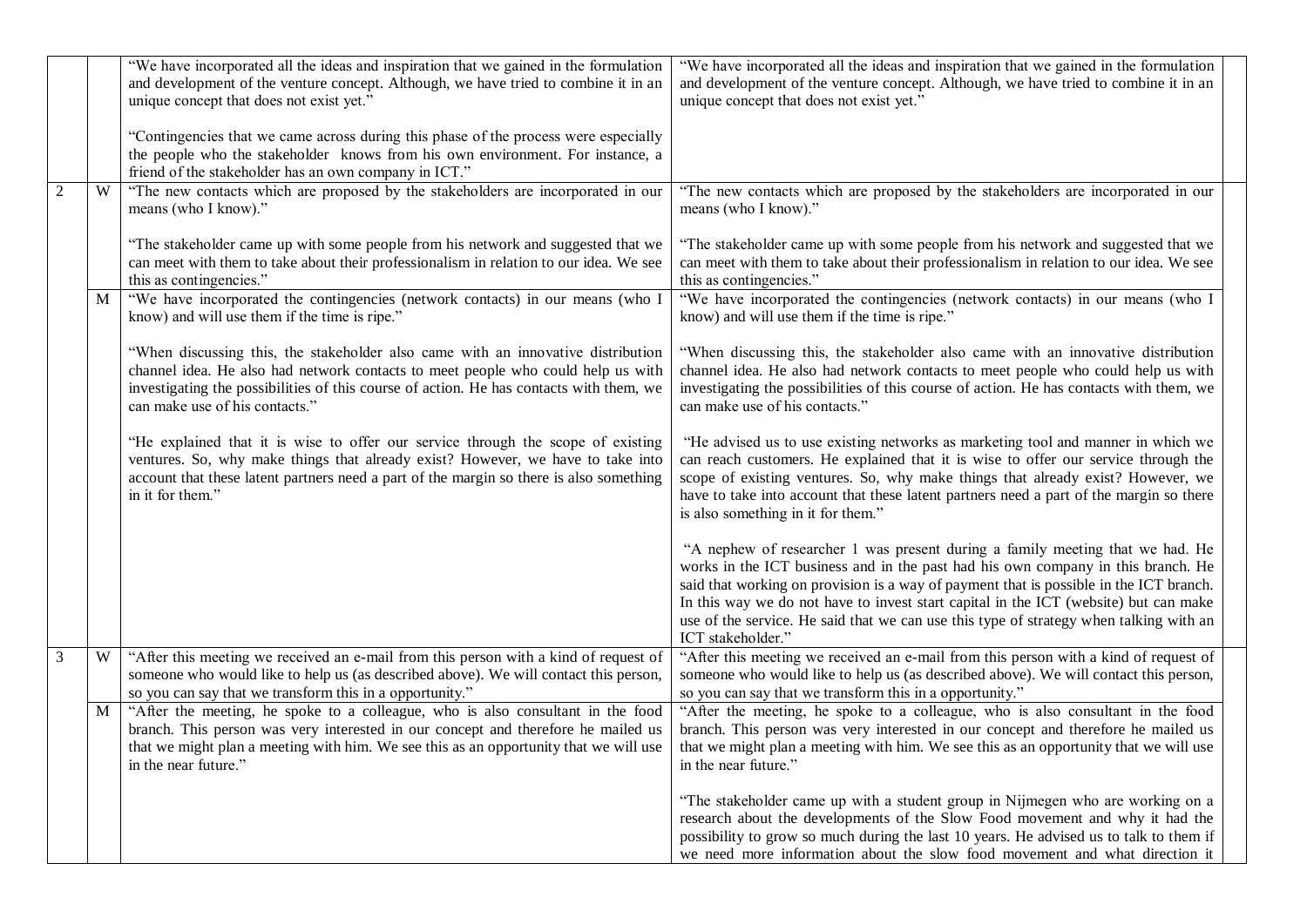|                |                | "We have incorporated all the ideas and inspiration that we gained in the formulation<br>and development of the venture concept. Although, we have tried to combine it in an<br>unique concept that does not exist yet."                                                                          | "We have incorporated all the ideas and inspiration that we gained in the formulation<br>and development of the venture concept. Although, we have tried to combine it in an<br>unique concept that does not exist yet."                                                                                                                                                                                                                                           |
|----------------|----------------|---------------------------------------------------------------------------------------------------------------------------------------------------------------------------------------------------------------------------------------------------------------------------------------------------|--------------------------------------------------------------------------------------------------------------------------------------------------------------------------------------------------------------------------------------------------------------------------------------------------------------------------------------------------------------------------------------------------------------------------------------------------------------------|
|                |                | "Contingencies that we came across during this phase of the process were especially<br>the people who the stakeholder knows from his own environment. For instance, a<br>friend of the stakeholder has an own company in ICT."                                                                    |                                                                                                                                                                                                                                                                                                                                                                                                                                                                    |
| $\overline{2}$ | W              | "The new contacts which are proposed by the stakeholders are incorporated in our<br>means (who I know)."                                                                                                                                                                                          | "The new contacts which are proposed by the stakeholders are incorporated in our<br>means (who I know)."                                                                                                                                                                                                                                                                                                                                                           |
|                |                | "The stakeholder came up with some people from his network and suggested that we<br>can meet with them to take about their professionalism in relation to our idea. We see<br>this as contingencies."                                                                                             | "The stakeholder came up with some people from his network and suggested that we<br>can meet with them to take about their professionalism in relation to our idea. We see<br>this as contingencies."                                                                                                                                                                                                                                                              |
|                | M              | "We have incorporated the contingencies (network contacts) in our means (who I<br>know) and will use them if the time is ripe."                                                                                                                                                                   | "We have incorporated the contingencies (network contacts) in our means (who I<br>know) and will use them if the time is ripe."                                                                                                                                                                                                                                                                                                                                    |
|                |                | "When discussing this, the stakeholder also came with an innovative distribution<br>channel idea. He also had network contacts to meet people who could help us with<br>investigating the possibilities of this course of action. He has contacts with them, we<br>can make use of his contacts." | "When discussing this, the stakeholder also came with an innovative distribution<br>channel idea. He also had network contacts to meet people who could help us with<br>investigating the possibilities of this course of action. He has contacts with them, we<br>can make use of his contacts."                                                                                                                                                                  |
|                |                | "He explained that it is wise to offer our service through the scope of existing<br>ventures. So, why make things that already exist? However, we have to take into<br>account that these latent partners need a part of the margin so there is also something<br>in it for them."                | "He advised us to use existing networks as marketing tool and manner in which we<br>can reach customers. He explained that it is wise to offer our service through the<br>scope of existing ventures. So, why make things that already exist? However, we<br>have to take into account that these latent partners need a part of the margin so there<br>is also something in it for them."                                                                         |
|                |                |                                                                                                                                                                                                                                                                                                   | "A nephew of researcher 1 was present during a family meeting that we had. He<br>works in the ICT business and in the past had his own company in this branch. He<br>said that working on provision is a way of payment that is possible in the ICT branch.<br>In this way we do not have to invest start capital in the ICT (website) but can make<br>use of the service. He said that we can use this type of strategy when talking with an<br>ICT stakeholder." |
| 3              | W              | "After this meeting we received an e-mail from this person with a kind of request of<br>someone who would like to help us (as described above). We will contact this person,<br>so you can say that we transform this in a opportunity."                                                          | "After this meeting we received an e-mail from this person with a kind of request of<br>someone who would like to help us (as described above). We will contact this person,<br>so you can say that we transform this in a opportunity."                                                                                                                                                                                                                           |
|                | M <sub>1</sub> | "After the meeting, he spoke to a colleague, who is also consultant in the food<br>branch. This person was very interested in our concept and therefore he mailed us<br>that we might plan a meeting with him. We see this as an opportunity that we will use<br>in the near future."             | "After the meeting, he spoke to a colleague, who is also consultant in the food<br>branch. This person was very interested in our concept and therefore he mailed us<br>that we might plan a meeting with him. We see this as an opportunity that we will use<br>in the near future."                                                                                                                                                                              |
|                |                |                                                                                                                                                                                                                                                                                                   | "The stakeholder came up with a student group in Nijmegen who are working on a<br>research about the developments of the Slow Food movement and why it had the<br>possibility to grow so much during the last 10 years. He advised us to talk to them if<br>we need more information about the slow food movement and what direction it                                                                                                                            |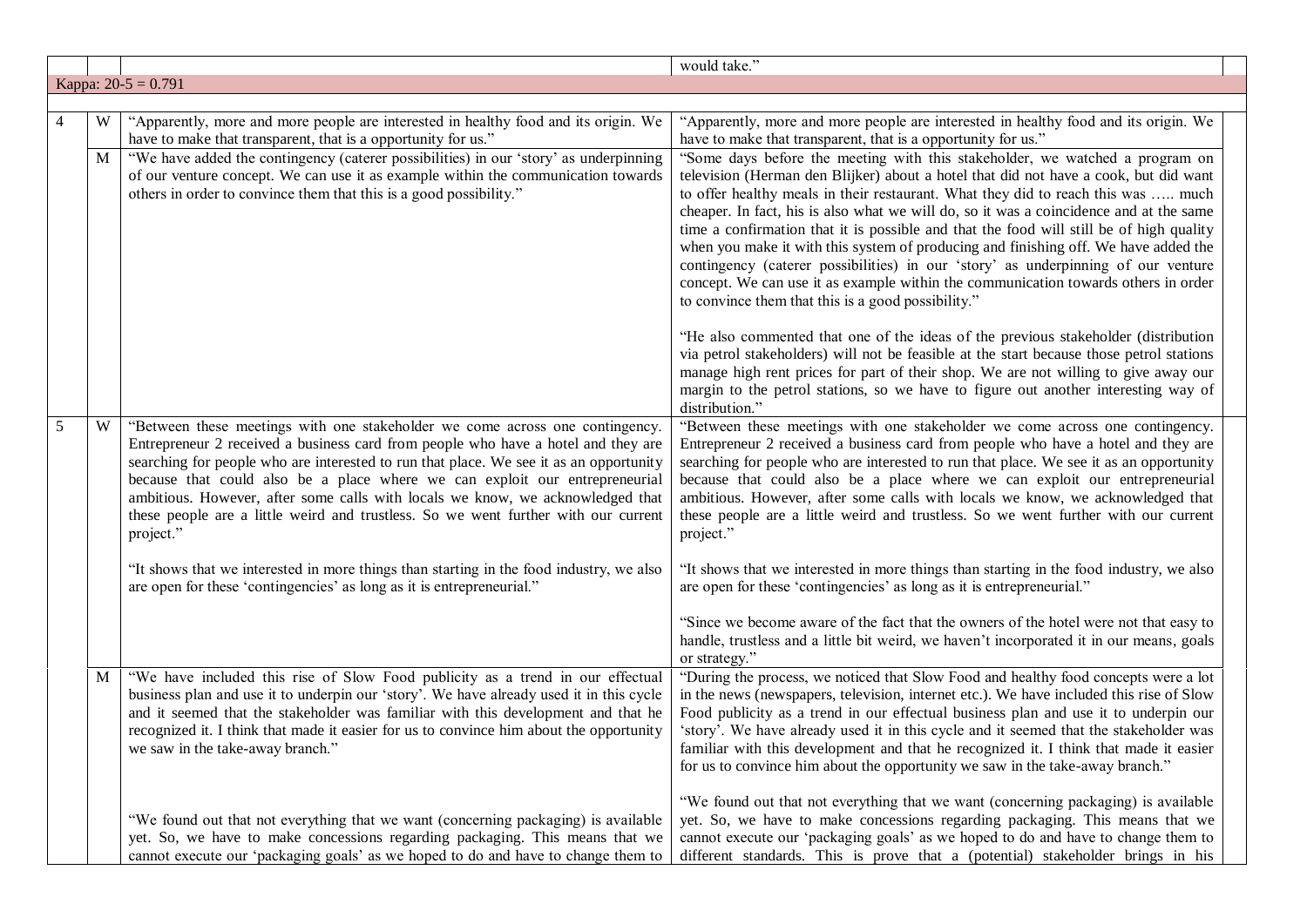|   |   |                                                                                                                                                                                                                                                                                                                                                                                                                                                                                                                                 | would take."                                                                                                                                                                                                                                                                                                                                                                                                                                                                                                                                                                                                                                                                                                                                                           |
|---|---|---------------------------------------------------------------------------------------------------------------------------------------------------------------------------------------------------------------------------------------------------------------------------------------------------------------------------------------------------------------------------------------------------------------------------------------------------------------------------------------------------------------------------------|------------------------------------------------------------------------------------------------------------------------------------------------------------------------------------------------------------------------------------------------------------------------------------------------------------------------------------------------------------------------------------------------------------------------------------------------------------------------------------------------------------------------------------------------------------------------------------------------------------------------------------------------------------------------------------------------------------------------------------------------------------------------|
|   |   | Kappa: $20-5 = 0.791$                                                                                                                                                                                                                                                                                                                                                                                                                                                                                                           |                                                                                                                                                                                                                                                                                                                                                                                                                                                                                                                                                                                                                                                                                                                                                                        |
|   |   |                                                                                                                                                                                                                                                                                                                                                                                                                                                                                                                                 |                                                                                                                                                                                                                                                                                                                                                                                                                                                                                                                                                                                                                                                                                                                                                                        |
| 4 | W | "Apparently, more and more people are interested in healthy food and its origin. We<br>have to make that transparent, that is a opportunity for us."                                                                                                                                                                                                                                                                                                                                                                            | "Apparently, more and more people are interested in healthy food and its origin. We<br>have to make that transparent, that is a opportunity for us."                                                                                                                                                                                                                                                                                                                                                                                                                                                                                                                                                                                                                   |
|   | M | "We have added the contingency (caterer possibilities) in our 'story' as underpinning<br>of our venture concept. We can use it as example within the communication towards<br>others in order to convince them that this is a good possibility."                                                                                                                                                                                                                                                                                | "Some days before the meeting with this stakeholder, we watched a program on<br>television (Herman den Blijker) about a hotel that did not have a cook, but did want<br>to offer healthy meals in their restaurant. What they did to reach this was  much<br>cheaper. In fact, his is also what we will do, so it was a coincidence and at the same<br>time a confirmation that it is possible and that the food will still be of high quality<br>when you make it with this system of producing and finishing off. We have added the<br>contingency (caterer possibilities) in our 'story' as underpinning of our venture<br>concept. We can use it as example within the communication towards others in order<br>to convince them that this is a good possibility." |
|   |   |                                                                                                                                                                                                                                                                                                                                                                                                                                                                                                                                 | "He also commented that one of the ideas of the previous stakeholder (distribution<br>via petrol stakeholders) will not be feasible at the start because those petrol stations<br>manage high rent prices for part of their shop. We are not willing to give away our<br>margin to the petrol stations, so we have to figure out another interesting way of<br>distribution."                                                                                                                                                                                                                                                                                                                                                                                          |
| 5 | W | "Between these meetings with one stakeholder we come across one contingency.<br>Entrepreneur 2 received a business card from people who have a hotel and they are<br>searching for people who are interested to run that place. We see it as an opportunity<br>because that could also be a place where we can exploit our entrepreneurial<br>ambitious. However, after some calls with locals we know, we acknowledged that<br>these people are a little weird and trustless. So we went further with our current<br>project." | "Between these meetings with one stakeholder we come across one contingency.<br>Entrepreneur 2 received a business card from people who have a hotel and they are<br>searching for people who are interested to run that place. We see it as an opportunity<br>because that could also be a place where we can exploit our entrepreneurial<br>ambitious. However, after some calls with locals we know, we acknowledged that<br>these people are a little weird and trustless. So we went further with our current<br>project."                                                                                                                                                                                                                                        |
|   |   | "It shows that we interested in more things than starting in the food industry, we also<br>are open for these 'contingencies' as long as it is entrepreneurial."                                                                                                                                                                                                                                                                                                                                                                | "It shows that we interested in more things than starting in the food industry, we also<br>are open for these 'contingencies' as long as it is entrepreneurial."                                                                                                                                                                                                                                                                                                                                                                                                                                                                                                                                                                                                       |
|   |   |                                                                                                                                                                                                                                                                                                                                                                                                                                                                                                                                 | "Since we become aware of the fact that the owners of the hotel were not that easy to<br>handle, trustless and a little bit weird, we haven't incorporated it in our means, goals<br>or strategy."                                                                                                                                                                                                                                                                                                                                                                                                                                                                                                                                                                     |
|   | M | "We have included this rise of Slow Food publicity as a trend in our effectual<br>business plan and use it to underpin our 'story'. We have already used it in this cycle<br>and it seemed that the stakeholder was familiar with this development and that he<br>recognized it. I think that made it easier for us to convince him about the opportunity<br>we saw in the take-away branch."                                                                                                                                   | "During the process, we noticed that Slow Food and healthy food concepts were a lot<br>in the news (newspapers, television, internet etc.). We have included this rise of Slow<br>Food publicity as a trend in our effectual business plan and use it to underpin our<br>'story'. We have already used it in this cycle and it seemed that the stakeholder was<br>familiar with this development and that he recognized it. I think that made it easier<br>for us to convince him about the opportunity we saw in the take-away branch."                                                                                                                                                                                                                               |
|   |   | "We found out that not everything that we want (concerning packaging) is available<br>yet. So, we have to make concessions regarding packaging. This means that we<br>cannot execute our 'packaging goals' as we hoped to do and have to change them to                                                                                                                                                                                                                                                                         | "We found out that not everything that we want (concerning packaging) is available<br>yet. So, we have to make concessions regarding packaging. This means that we<br>cannot execute our 'packaging goals' as we hoped to do and have to change them to<br>different standards. This is prove that a (potential) stakeholder brings in his                                                                                                                                                                                                                                                                                                                                                                                                                             |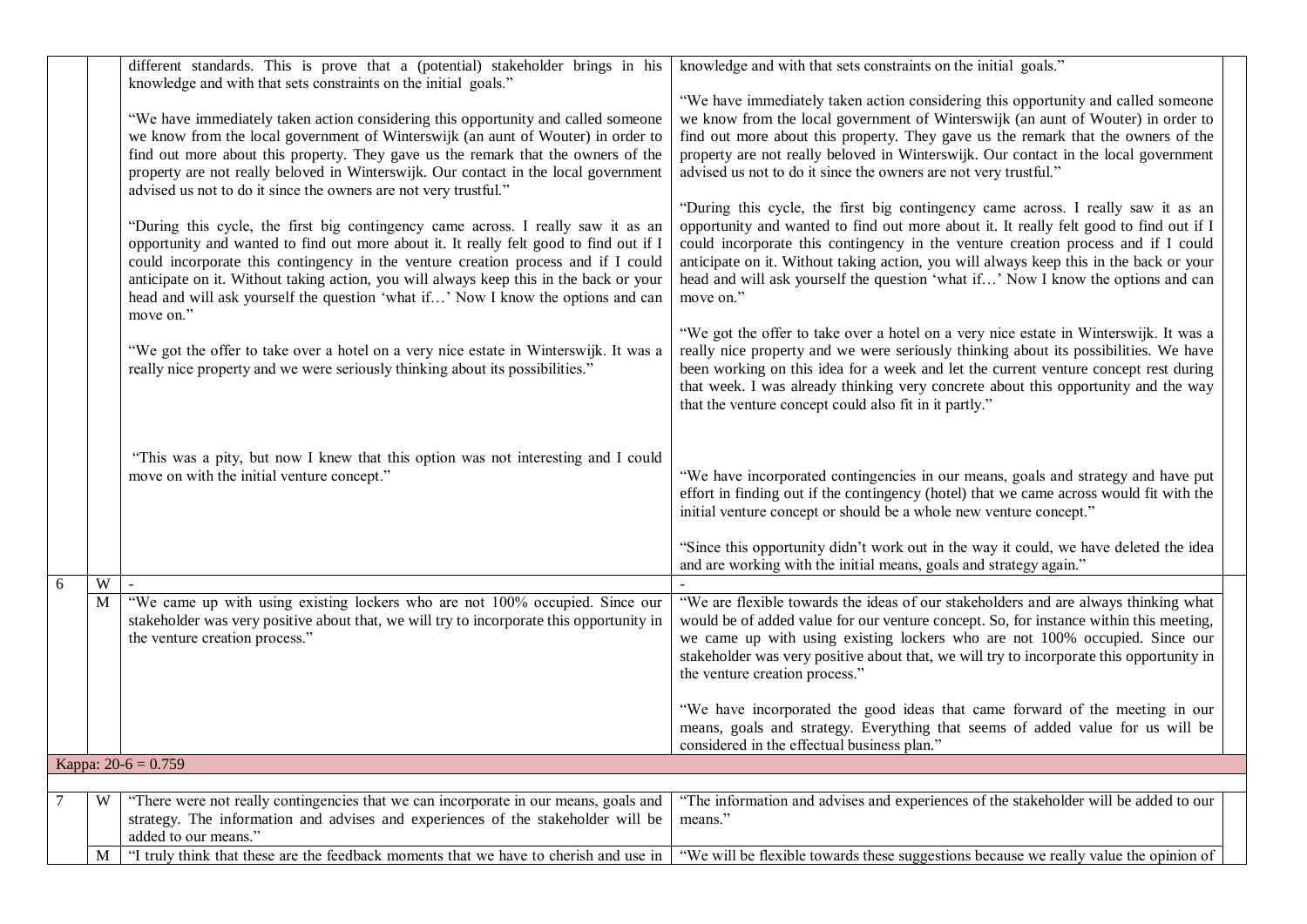|                |   | different standards. This is prove that a (potential) stakeholder brings in his<br>knowledge and with that sets constraints on the initial goals."<br>"We have immediately taken action considering this opportunity and called someone<br>we know from the local government of Winterswijk (an aunt of Wouter) in order to<br>find out more about this property. They gave us the remark that the owners of the<br>property are not really beloved in Winterswijk. Our contact in the local government<br>advised us not to do it since the owners are not very trustful."<br>"During this cycle, the first big contingency came across. I really saw it as an<br>opportunity and wanted to find out more about it. It really felt good to find out if I<br>could incorporate this contingency in the venture creation process and if I could<br>anticipate on it. Without taking action, you will always keep this in the back or your<br>head and will ask yourself the question 'what if' Now I know the options and can | knowledge and with that sets constraints on the initial goals."<br>"We have immediately taken action considering this opportunity and called someone<br>we know from the local government of Winterswijk (an aunt of Wouter) in order to<br>find out more about this property. They gave us the remark that the owners of the<br>property are not really beloved in Winterswijk. Our contact in the local government<br>advised us not to do it since the owners are not very trustful."<br>"During this cycle, the first big contingency came across. I really saw it as an<br>opportunity and wanted to find out more about it. It really felt good to find out if I<br>could incorporate this contingency in the venture creation process and if I could<br>anticipate on it. Without taking action, you will always keep this in the back or your<br>head and will ask yourself the question 'what if' Now I know the options and can<br>move on." |
|----------------|---|------------------------------------------------------------------------------------------------------------------------------------------------------------------------------------------------------------------------------------------------------------------------------------------------------------------------------------------------------------------------------------------------------------------------------------------------------------------------------------------------------------------------------------------------------------------------------------------------------------------------------------------------------------------------------------------------------------------------------------------------------------------------------------------------------------------------------------------------------------------------------------------------------------------------------------------------------------------------------------------------------------------------------|--------------------------------------------------------------------------------------------------------------------------------------------------------------------------------------------------------------------------------------------------------------------------------------------------------------------------------------------------------------------------------------------------------------------------------------------------------------------------------------------------------------------------------------------------------------------------------------------------------------------------------------------------------------------------------------------------------------------------------------------------------------------------------------------------------------------------------------------------------------------------------------------------------------------------------------------------------|
|                |   | move on."<br>"We got the offer to take over a hotel on a very nice estate in Winterswijk. It was a<br>really nice property and we were seriously thinking about its possibilities."                                                                                                                                                                                                                                                                                                                                                                                                                                                                                                                                                                                                                                                                                                                                                                                                                                          | "We got the offer to take over a hotel on a very nice estate in Winterswijk. It was a<br>really nice property and we were seriously thinking about its possibilities. We have<br>been working on this idea for a week and let the current venture concept rest during<br>that week. I was already thinking very concrete about this opportunity and the way<br>that the venture concept could also fit in it partly."                                                                                                                                                                                                                                                                                                                                                                                                                                                                                                                                  |
|                |   | "This was a pity, but now I knew that this option was not interesting and I could<br>move on with the initial venture concept."                                                                                                                                                                                                                                                                                                                                                                                                                                                                                                                                                                                                                                                                                                                                                                                                                                                                                              | "We have incorporated contingencies in our means, goals and strategy and have put<br>effort in finding out if the contingency (hotel) that we came across would fit with the<br>initial venture concept or should be a whole new venture concept."<br>"Since this opportunity didn't work out in the way it could, we have deleted the idea<br>and are working with the initial means, goals and strategy again."                                                                                                                                                                                                                                                                                                                                                                                                                                                                                                                                      |
| 6              | W |                                                                                                                                                                                                                                                                                                                                                                                                                                                                                                                                                                                                                                                                                                                                                                                                                                                                                                                                                                                                                              |                                                                                                                                                                                                                                                                                                                                                                                                                                                                                                                                                                                                                                                                                                                                                                                                                                                                                                                                                        |
|                | M | "We came up with using existing lockers who are not 100% occupied. Since our<br>stakeholder was very positive about that, we will try to incorporate this opportunity in<br>the venture creation process."                                                                                                                                                                                                                                                                                                                                                                                                                                                                                                                                                                                                                                                                                                                                                                                                                   | "We are flexible towards the ideas of our stakeholders and are always thinking what<br>would be of added value for our venture concept. So, for instance within this meeting,<br>we came up with using existing lockers who are not 100% occupied. Since our<br>stakeholder was very positive about that, we will try to incorporate this opportunity in<br>the venture creation process."<br>"We have incorporated the good ideas that came forward of the meeting in our                                                                                                                                                                                                                                                                                                                                                                                                                                                                             |
|                |   |                                                                                                                                                                                                                                                                                                                                                                                                                                                                                                                                                                                                                                                                                                                                                                                                                                                                                                                                                                                                                              | means, goals and strategy. Everything that seems of added value for us will be<br>considered in the effectual business plan."                                                                                                                                                                                                                                                                                                                                                                                                                                                                                                                                                                                                                                                                                                                                                                                                                          |
|                |   | Kappa: $20-6 = 0.759$                                                                                                                                                                                                                                                                                                                                                                                                                                                                                                                                                                                                                                                                                                                                                                                                                                                                                                                                                                                                        |                                                                                                                                                                                                                                                                                                                                                                                                                                                                                                                                                                                                                                                                                                                                                                                                                                                                                                                                                        |
|                |   |                                                                                                                                                                                                                                                                                                                                                                                                                                                                                                                                                                                                                                                                                                                                                                                                                                                                                                                                                                                                                              |                                                                                                                                                                                                                                                                                                                                                                                                                                                                                                                                                                                                                                                                                                                                                                                                                                                                                                                                                        |
| $\overline{7}$ | W | "There were not really contingencies that we can incorporate in our means, goals and<br>strategy. The information and advises and experiences of the stakeholder will be<br>added to our means."                                                                                                                                                                                                                                                                                                                                                                                                                                                                                                                                                                                                                                                                                                                                                                                                                             | "The information and advises and experiences of the stakeholder will be added to our<br>means."                                                                                                                                                                                                                                                                                                                                                                                                                                                                                                                                                                                                                                                                                                                                                                                                                                                        |
|                | M | "I truly think that these are the feedback moments that we have to cherish and use in                                                                                                                                                                                                                                                                                                                                                                                                                                                                                                                                                                                                                                                                                                                                                                                                                                                                                                                                        | "We will be flexible towards these suggestions because we really value the opinion of                                                                                                                                                                                                                                                                                                                                                                                                                                                                                                                                                                                                                                                                                                                                                                                                                                                                  |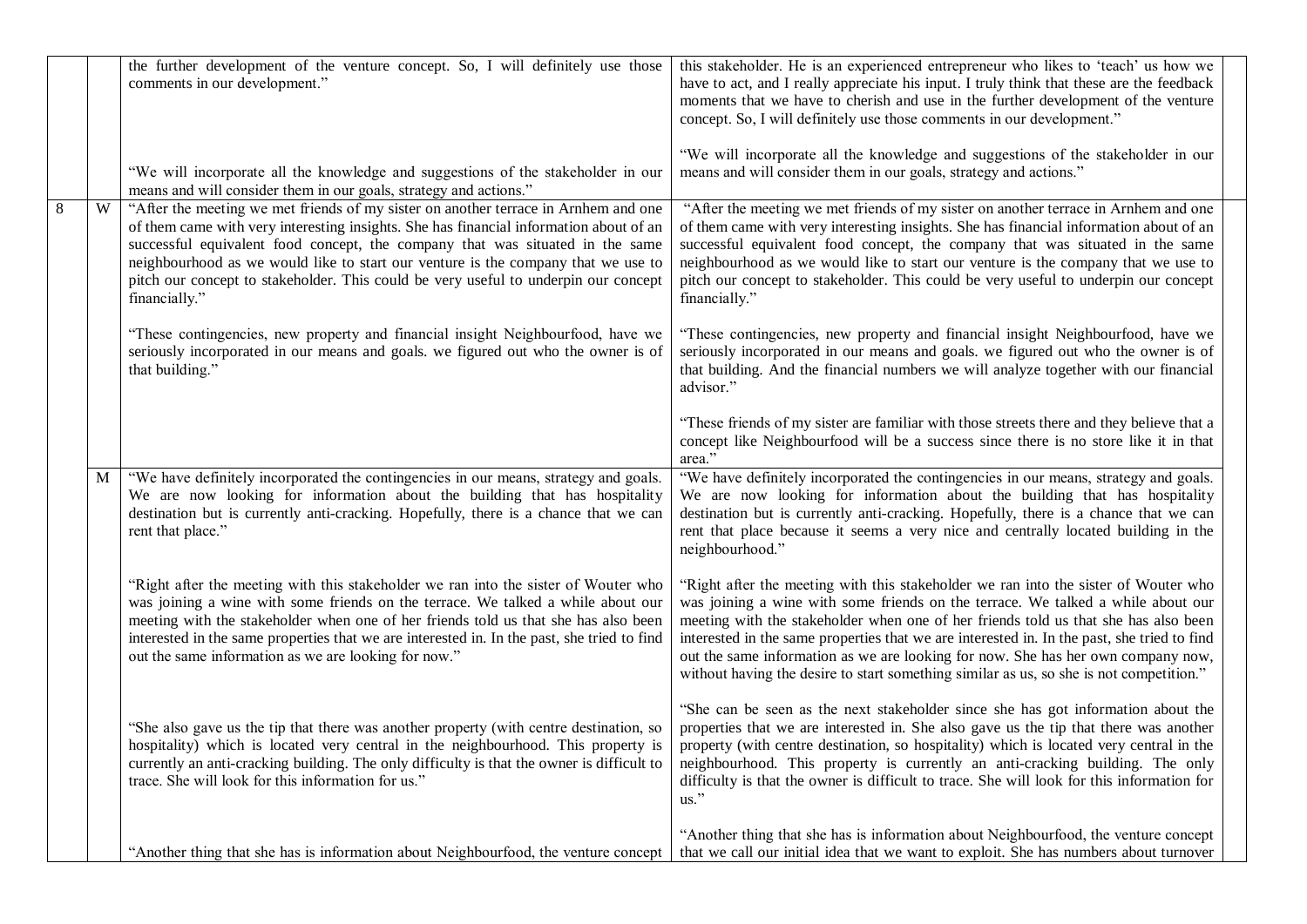|         |   | the further development of the venture concept. So, I will definitely use those<br>comments in our development."                                                                                                                                                                                                                                                                                                                                            | this stakeholder. He is an experienced entrepreneur who likes to 'teach' us how we<br>have to act, and I really appreciate his input. I truly think that these are the feedback<br>moments that we have to cherish and use in the further development of the venture<br>concept. So, I will definitely use those comments in our development."                                                                                                                                                                                               |
|---------|---|-------------------------------------------------------------------------------------------------------------------------------------------------------------------------------------------------------------------------------------------------------------------------------------------------------------------------------------------------------------------------------------------------------------------------------------------------------------|----------------------------------------------------------------------------------------------------------------------------------------------------------------------------------------------------------------------------------------------------------------------------------------------------------------------------------------------------------------------------------------------------------------------------------------------------------------------------------------------------------------------------------------------|
|         |   | "We will incorporate all the knowledge and suggestions of the stakeholder in our<br>means and will consider them in our goals, strategy and actions."                                                                                                                                                                                                                                                                                                       | "We will incorporate all the knowledge and suggestions of the stakeholder in our<br>means and will consider them in our goals, strategy and actions."                                                                                                                                                                                                                                                                                                                                                                                        |
| $\,8\,$ | W | "After the meeting we met friends of my sister on another terrace in Arnhem and one<br>of them came with very interesting insights. She has financial information about of an<br>successful equivalent food concept, the company that was situated in the same<br>neighbourhood as we would like to start our venture is the company that we use to<br>pitch our concept to stakeholder. This could be very useful to underpin our concept<br>financially." | "After the meeting we met friends of my sister on another terrace in Arnhem and one<br>of them came with very interesting insights. She has financial information about of an<br>successful equivalent food concept, the company that was situated in the same<br>neighbourhood as we would like to start our venture is the company that we use to<br>pitch our concept to stakeholder. This could be very useful to underpin our concept<br>financially."                                                                                  |
|         |   | "These contingencies, new property and financial insight Neighbourfood, have we<br>seriously incorporated in our means and goals. we figured out who the owner is of<br>that building."                                                                                                                                                                                                                                                                     | "These contingencies, new property and financial insight Neighbourfood, have we<br>seriously incorporated in our means and goals. we figured out who the owner is of<br>that building. And the financial numbers we will analyze together with our financial<br>advisor."                                                                                                                                                                                                                                                                    |
|         |   |                                                                                                                                                                                                                                                                                                                                                                                                                                                             | "These friends of my sister are familiar with those streets there and they believe that a<br>concept like Neighbourfood will be a success since there is no store like it in that<br>area."                                                                                                                                                                                                                                                                                                                                                  |
|         | M | "We have definitely incorporated the contingencies in our means, strategy and goals.<br>We are now looking for information about the building that has hospitality<br>destination but is currently anti-cracking. Hopefully, there is a chance that we can<br>rent that place."                                                                                                                                                                             | "We have definitely incorporated the contingencies in our means, strategy and goals.<br>We are now looking for information about the building that has hospitality<br>destination but is currently anti-cracking. Hopefully, there is a chance that we can<br>rent that place because it seems a very nice and centrally located building in the<br>neighbourhood."                                                                                                                                                                          |
|         |   | "Right after the meeting with this stakeholder we ran into the sister of Wouter who<br>was joining a wine with some friends on the terrace. We talked a while about our<br>meeting with the stakeholder when one of her friends told us that she has also been<br>interested in the same properties that we are interested in. In the past, she tried to find<br>out the same information as we are looking for now."                                       | "Right after the meeting with this stakeholder we ran into the sister of Wouter who<br>was joining a wine with some friends on the terrace. We talked a while about our<br>meeting with the stakeholder when one of her friends told us that she has also been<br>interested in the same properties that we are interested in. In the past, she tried to find<br>out the same information as we are looking for now. She has her own company now,<br>without having the desire to start something similar as us, so she is not competition." |
|         |   | "She also gave us the tip that there was another property (with centre destination, so<br>hospitality) which is located very central in the neighbourhood. This property is<br>currently an anti-cracking building. The only difficulty is that the owner is difficult to<br>trace. She will look for this information for us."                                                                                                                             | "She can be seen as the next stakeholder since she has got information about the<br>properties that we are interested in. She also gave us the tip that there was another<br>property (with centre destination, so hospitality) which is located very central in the<br>neighbourhood. This property is currently an anti-cracking building. The only<br>difficulty is that the owner is difficult to trace. She will look for this information for<br>$\mathrm{us}$ ."                                                                      |
|         |   | "Another thing that she has is information about Neighbourfood, the venture concept                                                                                                                                                                                                                                                                                                                                                                         | "Another thing that she has is information about Neighbourfood, the venture concept<br>that we call our initial idea that we want to exploit. She has numbers about turnover                                                                                                                                                                                                                                                                                                                                                                 |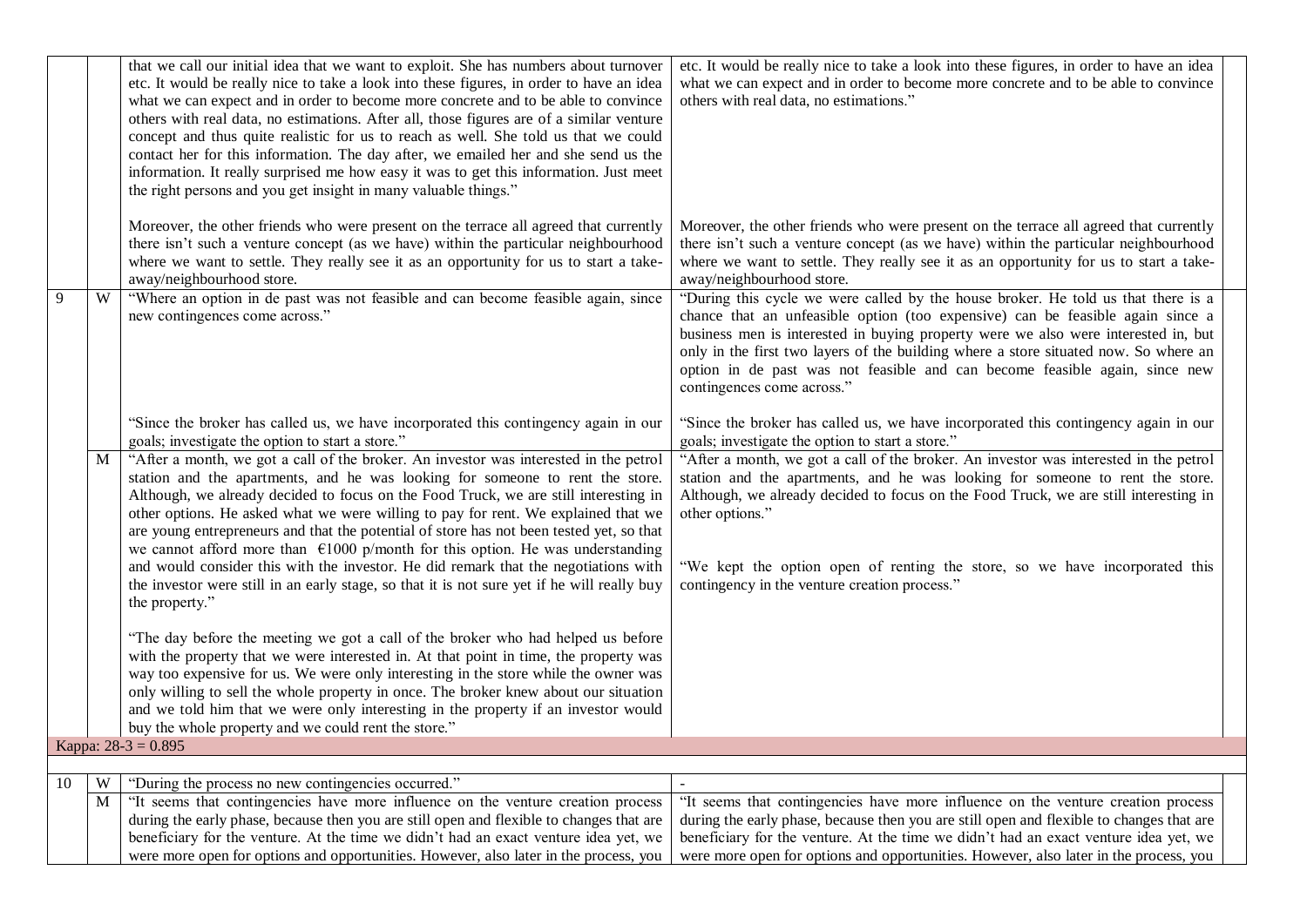| Moreover, the other friends who were present on the terrace all agreed that currently<br>there isn't such a venture concept (as we have) within the particular neighbourhood<br>where we want to settle. They really see it as an opportunity for us to start a take-                                                                                                                                                            |
|----------------------------------------------------------------------------------------------------------------------------------------------------------------------------------------------------------------------------------------------------------------------------------------------------------------------------------------------------------------------------------------------------------------------------------|
| "During this cycle we were called by the house broker. He told us that there is a<br>chance that an unfeasible option (too expensive) can be feasible again since a<br>business men is interested in buying property were we also were interested in, but<br>only in the first two layers of the building where a store situated now. So where an<br>option in de past was not feasible and can become feasible again, since new |
| "Since the broker has called us, we have incorporated this contingency again in our<br>goals; investigate the option to start a store."                                                                                                                                                                                                                                                                                          |
| "After a month, we got a call of the broker. An investor was interested in the petrol<br>station and the apartments, and he was looking for someone to rent the store.<br>Although, we already decided to focus on the Food Truck, we are still interesting in<br>"We kept the option open of renting the store, so we have incorporated this<br>contingency in the venture creation process."                                   |
|                                                                                                                                                                                                                                                                                                                                                                                                                                  |
|                                                                                                                                                                                                                                                                                                                                                                                                                                  |
|                                                                                                                                                                                                                                                                                                                                                                                                                                  |
| "It seems that contingencies have more influence on the venture creation process<br>during the early phase, because then you are still open and flexible to changes that are<br>beneficiary for the venture. At the time we didn't had an exact venture idea yet, we<br>were more open for options and opportunities. However, also later in the process, you                                                                    |
|                                                                                                                                                                                                                                                                                                                                                                                                                                  |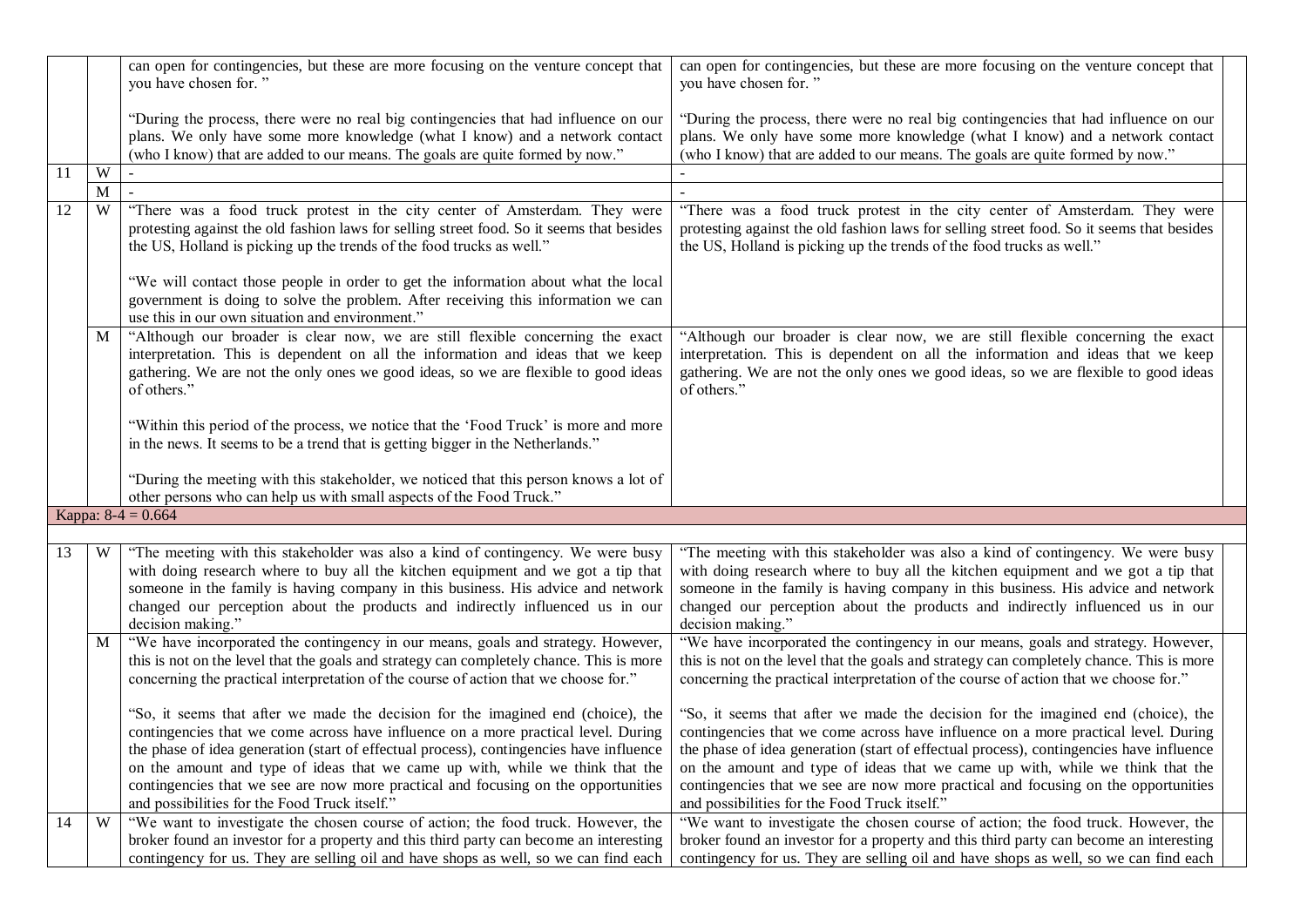|    |   | can open for contingencies, but these are more focusing on the venture concept that<br>you have chosen for."                                                                                                                                                                                                                                                                                                                                                                              | can open for contingencies, but these are more focusing on the venture concept that<br>you have chosen for."                                                                                                                                                                                                                                                                                                                                                                              |
|----|---|-------------------------------------------------------------------------------------------------------------------------------------------------------------------------------------------------------------------------------------------------------------------------------------------------------------------------------------------------------------------------------------------------------------------------------------------------------------------------------------------|-------------------------------------------------------------------------------------------------------------------------------------------------------------------------------------------------------------------------------------------------------------------------------------------------------------------------------------------------------------------------------------------------------------------------------------------------------------------------------------------|
|    |   | "During the process, there were no real big contingencies that had influence on our<br>plans. We only have some more knowledge (what I know) and a network contact<br>(who I know) that are added to our means. The goals are quite formed by now."                                                                                                                                                                                                                                       | "During the process, there were no real big contingencies that had influence on our<br>plans. We only have some more knowledge (what I know) and a network contact<br>(who I know) that are added to our means. The goals are quite formed by now."                                                                                                                                                                                                                                       |
| 11 | W |                                                                                                                                                                                                                                                                                                                                                                                                                                                                                           |                                                                                                                                                                                                                                                                                                                                                                                                                                                                                           |
|    | M |                                                                                                                                                                                                                                                                                                                                                                                                                                                                                           |                                                                                                                                                                                                                                                                                                                                                                                                                                                                                           |
| 12 | W | "There was a food truck protest in the city center of Amsterdam. They were<br>protesting against the old fashion laws for selling street food. So it seems that besides<br>the US, Holland is picking up the trends of the food trucks as well."                                                                                                                                                                                                                                          | "There was a food truck protest in the city center of Amsterdam. They were<br>protesting against the old fashion laws for selling street food. So it seems that besides<br>the US, Holland is picking up the trends of the food trucks as well."                                                                                                                                                                                                                                          |
|    |   | "We will contact those people in order to get the information about what the local<br>government is doing to solve the problem. After receiving this information we can<br>use this in our own situation and environment."                                                                                                                                                                                                                                                                |                                                                                                                                                                                                                                                                                                                                                                                                                                                                                           |
|    | M | "Although our broader is clear now, we are still flexible concerning the exact<br>interpretation. This is dependent on all the information and ideas that we keep<br>gathering. We are not the only ones we good ideas, so we are flexible to good ideas<br>of others."                                                                                                                                                                                                                   | "Although our broader is clear now, we are still flexible concerning the exact<br>interpretation. This is dependent on all the information and ideas that we keep<br>gathering. We are not the only ones we good ideas, so we are flexible to good ideas<br>of others."                                                                                                                                                                                                                   |
|    |   | "Within this period of the process, we notice that the 'Food Truck' is more and more<br>in the news. It seems to be a trend that is getting bigger in the Netherlands."                                                                                                                                                                                                                                                                                                                   |                                                                                                                                                                                                                                                                                                                                                                                                                                                                                           |
|    |   | "During the meeting with this stakeholder, we noticed that this person knows a lot of<br>other persons who can help us with small aspects of the Food Truck."                                                                                                                                                                                                                                                                                                                             |                                                                                                                                                                                                                                                                                                                                                                                                                                                                                           |
|    |   | Kappa: $8-4 = 0.664$                                                                                                                                                                                                                                                                                                                                                                                                                                                                      |                                                                                                                                                                                                                                                                                                                                                                                                                                                                                           |
|    |   |                                                                                                                                                                                                                                                                                                                                                                                                                                                                                           |                                                                                                                                                                                                                                                                                                                                                                                                                                                                                           |
| 13 | W | "The meeting with this stakeholder was also a kind of contingency. We were busy<br>with doing research where to buy all the kitchen equipment and we got a tip that<br>someone in the family is having company in this business. His advice and network<br>changed our perception about the products and indirectly influenced us in our<br>decision making."                                                                                                                             | "The meeting with this stakeholder was also a kind of contingency. We were busy<br>with doing research where to buy all the kitchen equipment and we got a tip that<br>someone in the family is having company in this business. His advice and network<br>changed our perception about the products and indirectly influenced us in our<br>decision making."                                                                                                                             |
|    | M | "We have incorporated the contingency in our means, goals and strategy. However,<br>this is not on the level that the goals and strategy can completely chance. This is more<br>concerning the practical interpretation of the course of action that we choose for."                                                                                                                                                                                                                      | "We have incorporated the contingency in our means, goals and strategy. However,<br>this is not on the level that the goals and strategy can completely chance. This is more<br>concerning the practical interpretation of the course of action that we choose for."                                                                                                                                                                                                                      |
|    |   | "So, it seems that after we made the decision for the imagined end (choice), the<br>contingencies that we come across have influence on a more practical level. During<br>the phase of idea generation (start of effectual process), contingencies have influence<br>on the amount and type of ideas that we came up with, while we think that the<br>contingencies that we see are now more practical and focusing on the opportunities<br>and possibilities for the Food Truck itself." | "So, it seems that after we made the decision for the imagined end (choice), the<br>contingencies that we come across have influence on a more practical level. During<br>the phase of idea generation (start of effectual process), contingencies have influence<br>on the amount and type of ideas that we came up with, while we think that the<br>contingencies that we see are now more practical and focusing on the opportunities<br>and possibilities for the Food Truck itself." |
| 14 | W | "We want to investigate the chosen course of action; the food truck. However, the<br>broker found an investor for a property and this third party can become an interesting<br>contingency for us. They are selling oil and have shops as well, so we can find each                                                                                                                                                                                                                       | "We want to investigate the chosen course of action; the food truck. However, the<br>broker found an investor for a property and this third party can become an interesting<br>contingency for us. They are selling oil and have shops as well, so we can find each                                                                                                                                                                                                                       |